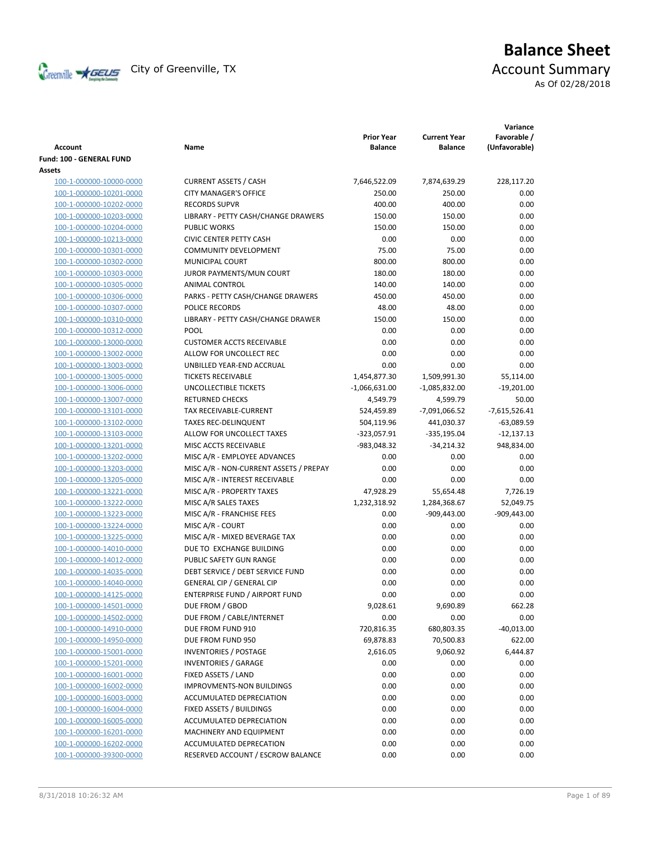

# **Balance Sheet** Creenville  $\star$  GEUS</del> City of Greenville, TX **ACCOUNT** Summary

As Of 02/28/2018

| <b>Account</b>           | Name                                   | <b>Prior Year</b><br><b>Balance</b> | <b>Current Year</b><br><b>Balance</b> | Variance<br>Favorable /<br>(Unfavorable) |
|--------------------------|----------------------------------------|-------------------------------------|---------------------------------------|------------------------------------------|
| Fund: 100 - GENERAL FUND |                                        |                                     |                                       |                                          |
| Assets                   |                                        |                                     |                                       |                                          |
| 100-1-000000-10000-0000  | <b>CURRENT ASSETS / CASH</b>           | 7,646,522.09                        | 7,874,639.29                          | 228,117.20                               |
| 100-1-000000-10201-0000  | <b>CITY MANAGER'S OFFICE</b>           | 250.00                              | 250.00                                | 0.00                                     |
| 100-1-000000-10202-0000  | <b>RECORDS SUPVR</b>                   | 400.00                              | 400.00                                | 0.00                                     |
| 100-1-000000-10203-0000  | LIBRARY - PETTY CASH/CHANGE DRAWERS    | 150.00                              | 150.00                                | 0.00                                     |
| 100-1-000000-10204-0000  | <b>PUBLIC WORKS</b>                    | 150.00                              | 150.00                                | 0.00                                     |
| 100-1-000000-10213-0000  | <b>CIVIC CENTER PETTY CASH</b>         | 0.00                                | 0.00                                  | 0.00                                     |
| 100-1-000000-10301-0000  | <b>COMMUNITY DEVELOPMENT</b>           | 75.00                               | 75.00                                 | 0.00                                     |
| 100-1-000000-10302-0000  | <b>MUNICIPAL COURT</b>                 | 800.00                              | 800.00                                | 0.00                                     |
| 100-1-000000-10303-0000  | JUROR PAYMENTS/MUN COURT               | 180.00                              | 180.00                                | 0.00                                     |
| 100-1-000000-10305-0000  | ANIMAL CONTROL                         | 140.00                              | 140.00                                | 0.00                                     |
| 100-1-000000-10306-0000  | PARKS - PETTY CASH/CHANGE DRAWERS      | 450.00                              | 450.00                                | 0.00                                     |
| 100-1-000000-10307-0000  | POLICE RECORDS                         | 48.00                               | 48.00                                 | 0.00                                     |
| 100-1-000000-10310-0000  | LIBRARY - PETTY CASH/CHANGE DRAWER     | 150.00                              | 150.00                                | 0.00                                     |
| 100-1-000000-10312-0000  | <b>POOL</b>                            | 0.00                                | 0.00                                  | 0.00                                     |
| 100-1-000000-13000-0000  | <b>CUSTOMER ACCTS RECEIVABLE</b>       | 0.00                                | 0.00                                  | 0.00                                     |
| 100-1-000000-13002-0000  | ALLOW FOR UNCOLLECT REC                | 0.00                                | 0.00                                  | 0.00                                     |
| 100-1-000000-13003-0000  | UNBILLED YEAR-END ACCRUAL              | 0.00                                | 0.00                                  | 0.00                                     |
| 100-1-000000-13005-0000  | <b>TICKETS RECEIVABLE</b>              | 1,454,877.30                        | 1,509,991.30                          | 55,114.00                                |
| 100-1-000000-13006-0000  | UNCOLLECTIBLE TICKETS                  | $-1,066,631.00$                     | $-1,085,832.00$                       | $-19,201.00$                             |
| 100-1-000000-13007-0000  | <b>RETURNED CHECKS</b>                 | 4,549.79                            | 4,599.79                              | 50.00                                    |
| 100-1-000000-13101-0000  | TAX RECEIVABLE-CURRENT                 | 524,459.89                          | -7,091,066.52                         | $-7,615,526.41$                          |
| 100-1-000000-13102-0000  | <b>TAXES REC-DELINQUENT</b>            | 504,119.96                          | 441,030.37                            | $-63,089.59$                             |
| 100-1-000000-13103-0000  | ALLOW FOR UNCOLLECT TAXES              | -323,057.91                         | $-335,195.04$                         | $-12,137.13$                             |
| 100-1-000000-13201-0000  | MISC ACCTS RECEIVABLE                  | -983,048.32                         | $-34,214.32$                          | 948,834.00                               |
| 100-1-000000-13202-0000  | MISC A/R - EMPLOYEE ADVANCES           | 0.00                                | 0.00                                  | 0.00                                     |
| 100-1-000000-13203-0000  | MISC A/R - NON-CURRENT ASSETS / PREPAY | 0.00                                | 0.00                                  | 0.00                                     |
| 100-1-000000-13205-0000  | MISC A/R - INTEREST RECEIVABLE         | 0.00                                | 0.00                                  | 0.00                                     |
| 100-1-000000-13221-0000  | MISC A/R - PROPERTY TAXES              | 47,928.29                           | 55,654.48                             | 7,726.19                                 |
| 100-1-000000-13222-0000  | MISC A/R SALES TAXES                   | 1,232,318.92                        | 1,284,368.67                          | 52,049.75                                |
| 100-1-000000-13223-0000  | MISC A/R - FRANCHISE FEES              | 0.00                                | $-909,443.00$                         | $-909,443.00$                            |
| 100-1-000000-13224-0000  | MISC A/R - COURT                       | 0.00                                | 0.00                                  | 0.00                                     |
| 100-1-000000-13225-0000  | MISC A/R - MIXED BEVERAGE TAX          | 0.00                                | 0.00                                  | 0.00                                     |
| 100-1-000000-14010-0000  | DUE TO EXCHANGE BUILDING               | 0.00                                | 0.00                                  | 0.00                                     |
| 100-1-000000-14012-0000  | PUBLIC SAFETY GUN RANGE                | 0.00                                | 0.00                                  | 0.00                                     |
| 100-1-000000-14035-0000  | DEBT SERVICE / DEBT SERVICE FUND       | 0.00                                | 0.00                                  | 0.00                                     |
| 100-1-000000-14040-0000  | <b>GENERAL CIP / GENERAL CIP</b>       | 0.00                                | 0.00                                  | 0.00                                     |
| 100-1-000000-14125-0000  | ENTERPRISE FUND / AIRPORT FUND         | 0.00                                | 0.00                                  | 0.00                                     |
| 100-1-000000-14501-0000  | DUE FROM / GBOD                        | 9,028.61                            | 9,690.89                              | 662.28                                   |
| 100-1-000000-14502-0000  | DUE FROM / CABLE/INTERNET              | 0.00                                | 0.00                                  | 0.00                                     |
| 100-1-000000-14910-0000  | DUE FROM FUND 910                      | 720,816.35                          | 680,803.35                            | $-40,013.00$                             |
| 100-1-000000-14950-0000  | DUE FROM FUND 950                      | 69,878.83                           | 70,500.83                             | 622.00                                   |
| 100-1-000000-15001-0000  | <b>INVENTORIES / POSTAGE</b>           | 2,616.05                            | 9,060.92                              | 6,444.87                                 |
| 100-1-000000-15201-0000  | <b>INVENTORIES / GARAGE</b>            | 0.00                                | 0.00                                  | 0.00                                     |
| 100-1-000000-16001-0000  | FIXED ASSETS / LAND                    | 0.00                                | 0.00                                  | 0.00                                     |
| 100-1-000000-16002-0000  | <b>IMPROVMENTS-NON BUILDINGS</b>       | 0.00                                | 0.00                                  | 0.00                                     |
| 100-1-000000-16003-0000  | ACCUMULATED DEPRECIATION               | 0.00                                | 0.00                                  | 0.00                                     |
| 100-1-000000-16004-0000  | FIXED ASSETS / BUILDINGS               | 0.00                                | 0.00                                  | 0.00                                     |
| 100-1-000000-16005-0000  | ACCUMULATED DEPRECIATION               | 0.00                                | 0.00                                  | 0.00                                     |
| 100-1-000000-16201-0000  | MACHINERY AND EQUIPMENT                | 0.00                                | 0.00                                  | 0.00                                     |
| 100-1-000000-16202-0000  | ACCUMULATED DEPRECATION                | 0.00                                | 0.00                                  | 0.00                                     |
| 100-1-000000-39300-0000  | RESERVED ACCOUNT / ESCROW BALANCE      | 0.00                                | 0.00                                  | 0.00                                     |
|                          |                                        |                                     |                                       |                                          |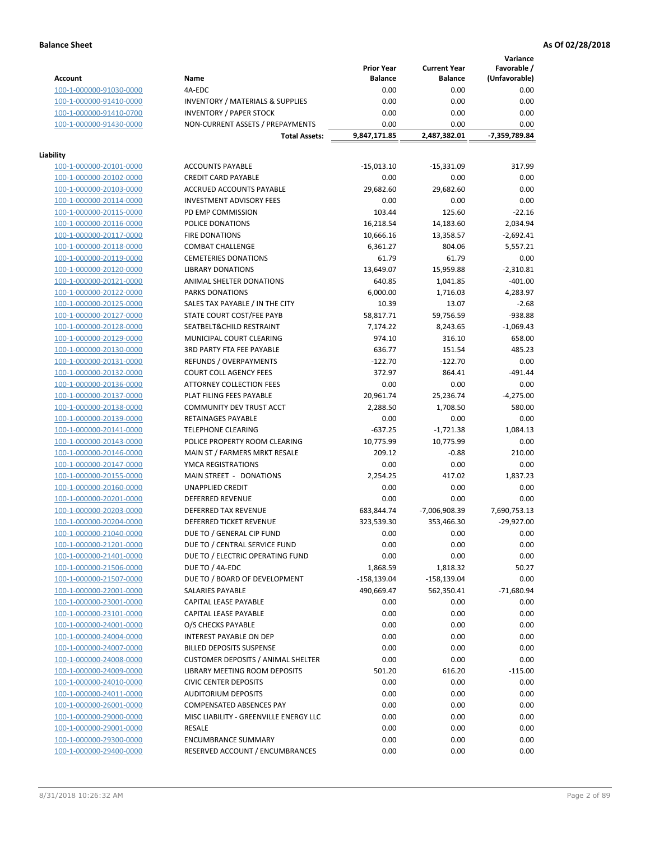**Variance**

|                         |                                             | <b>Prior Year</b> | <b>Current Year</b> | Favorable /   |
|-------------------------|---------------------------------------------|-------------------|---------------------|---------------|
| <b>Account</b>          | Name                                        | <b>Balance</b>    | <b>Balance</b>      | (Unfavorable) |
| 100-1-000000-91030-0000 | 4A-EDC                                      | 0.00              | 0.00                | 0.00          |
| 100-1-000000-91410-0000 | <b>INVENTORY / MATERIALS &amp; SUPPLIES</b> | 0.00              | 0.00                | 0.00          |
| 100-1-000000-91410-0700 | <b>INVENTORY / PAPER STOCK</b>              | 0.00              | 0.00                | 0.00          |
| 100-1-000000-91430-0000 | NON-CURRENT ASSETS / PREPAYMENTS            | 0.00              | 0.00                | 0.00          |
|                         | <b>Total Assets:</b>                        | 9,847,171.85      | 2,487,382.01        | -7,359,789.84 |
|                         |                                             |                   |                     |               |
| Liability               |                                             |                   |                     |               |
| 100-1-000000-20101-0000 | <b>ACCOUNTS PAYABLE</b>                     | $-15,013.10$      | $-15,331.09$        | 317.99        |
| 100-1-000000-20102-0000 | <b>CREDIT CARD PAYABLE</b>                  | 0.00              | 0.00                | 0.00          |
| 100-1-000000-20103-0000 | ACCRUED ACCOUNTS PAYABLE                    | 29,682.60         | 29,682.60           | 0.00          |
| 100-1-000000-20114-0000 | <b>INVESTMENT ADVISORY FEES</b>             | 0.00              | 0.00                | 0.00          |
| 100-1-000000-20115-0000 | PD EMP COMMISSION                           | 103.44            | 125.60              | $-22.16$      |
| 100-1-000000-20116-0000 | POLICE DONATIONS                            | 16,218.54         | 14,183.60           | 2,034.94      |
| 100-1-000000-20117-0000 | <b>FIRE DONATIONS</b>                       | 10,666.16         | 13,358.57           | -2,692.41     |
| 100-1-000000-20118-0000 | <b>COMBAT CHALLENGE</b>                     | 6,361.27          | 804.06              | 5,557.21      |
| 100-1-000000-20119-0000 | <b>CEMETERIES DONATIONS</b>                 | 61.79             | 61.79               | 0.00          |
| 100-1-000000-20120-0000 | <b>LIBRARY DONATIONS</b>                    | 13,649.07         | 15,959.88           | $-2,310.81$   |
| 100-1-000000-20121-0000 | ANIMAL SHELTER DONATIONS                    | 640.85            | 1,041.85            | $-401.00$     |
| 100-1-000000-20122-0000 | PARKS DONATIONS                             | 6,000.00          | 1,716.03            | 4,283.97      |
| 100-1-000000-20125-0000 | SALES TAX PAYABLE / IN THE CITY             | 10.39             | 13.07               | $-2.68$       |
| 100-1-000000-20127-0000 | STATE COURT COST/FEE PAYB                   | 58,817.71         | 59,756.59           | $-938.88$     |
| 100-1-000000-20128-0000 | SEATBELT&CHILD RESTRAINT                    | 7,174.22          | 8,243.65            | $-1,069.43$   |
| 100-1-000000-20129-0000 | MUNICIPAL COURT CLEARING                    | 974.10            | 316.10              | 658.00        |
| 100-1-000000-20130-0000 | <b>3RD PARTY FTA FEE PAYABLE</b>            | 636.77            | 151.54              | 485.23        |
| 100-1-000000-20131-0000 | <b>REFUNDS / OVERPAYMENTS</b>               | $-122.70$         | $-122.70$           | 0.00          |
| 100-1-000000-20132-0000 | <b>COURT COLL AGENCY FEES</b>               | 372.97            | 864.41              | $-491.44$     |
| 100-1-000000-20136-0000 | ATTORNEY COLLECTION FEES                    | 0.00              | 0.00                | 0.00          |
| 100-1-000000-20137-0000 | PLAT FILING FEES PAYABLE                    | 20,961.74         | 25,236.74           | $-4,275.00$   |
| 100-1-000000-20138-0000 | COMMUNITY DEV TRUST ACCT                    | 2,288.50          | 1,708.50            | 580.00        |
| 100-1-000000-20139-0000 | RETAINAGES PAYABLE                          | 0.00              | 0.00                | 0.00          |
| 100-1-000000-20141-0000 | <b>TELEPHONE CLEARING</b>                   | $-637.25$         | $-1,721.38$         | 1,084.13      |
| 100-1-000000-20143-0000 | POLICE PROPERTY ROOM CLEARING               | 10,775.99         | 10,775.99           | 0.00          |
| 100-1-000000-20146-0000 | MAIN ST / FARMERS MRKT RESALE               | 209.12            | $-0.88$             | 210.00        |
| 100-1-000000-20147-0000 | YMCA REGISTRATIONS                          | 0.00              | 0.00                | 0.00          |
| 100-1-000000-20155-0000 | MAIN STREET - DONATIONS                     | 2,254.25          | 417.02              | 1.837.23      |
| 100-1-000000-20160-0000 | <b>UNAPPLIED CREDIT</b>                     | 0.00              | 0.00                | 0.00          |
| 100-1-000000-20201-0000 | DEFERRED REVENUE                            | 0.00              | 0.00                | 0.00          |
| 100-1-000000-20203-0000 | <b>DEFERRED TAX REVENUE</b>                 | 683,844.74        | -7,006,908.39       | 7,690,753.13  |
| 100-1-000000-20204-0000 | DEFERRED TICKET REVENUE                     | 323,539.30        | 353,466.30          | $-29,927.00$  |
| 100-1-000000-21040-0000 | DUE TO / GENERAL CIP FUND                   | 0.00              | 0.00                | 0.00          |
| 100-1-000000-21201-0000 | DUE TO / CENTRAL SERVICE FUND               | 0.00              | 0.00                | 0.00          |
| 100-1-000000-21401-0000 | DUE TO / ELECTRIC OPERATING FUND            | 0.00              | 0.00                | 0.00          |
| 100-1-000000-21506-0000 | DUE TO / 4A-EDC                             | 1,868.59          | 1,818.32            | 50.27         |
| 100-1-000000-21507-0000 | DUE TO / BOARD OF DEVELOPMENT               | $-158,139.04$     | -158,139.04         | 0.00          |
| 100-1-000000-22001-0000 | SALARIES PAYABLE                            | 490,669.47        | 562,350.41          | $-71,680.94$  |
| 100-1-000000-23001-0000 | CAPITAL LEASE PAYABLE                       | 0.00              | 0.00                | 0.00          |
| 100-1-000000-23101-0000 | CAPITAL LEASE PAYABLE                       | 0.00              | 0.00                | 0.00          |
| 100-1-000000-24001-0000 | O/S CHECKS PAYABLE                          | 0.00              | 0.00                | 0.00          |
| 100-1-000000-24004-0000 | INTEREST PAYABLE ON DEP                     | 0.00              | 0.00                | 0.00          |
| 100-1-000000-24007-0000 | <b>BILLED DEPOSITS SUSPENSE</b>             | 0.00              | 0.00                | 0.00          |
| 100-1-000000-24008-0000 | <b>CUSTOMER DEPOSITS / ANIMAL SHELTER</b>   | 0.00              | 0.00                | 0.00          |
| 100-1-000000-24009-0000 | <b>LIBRARY MEETING ROOM DEPOSITS</b>        | 501.20            | 616.20              | $-115.00$     |
| 100-1-000000-24010-0000 | <b>CIVIC CENTER DEPOSITS</b>                | 0.00              | 0.00                | 0.00          |
| 100-1-000000-24011-0000 | <b>AUDITORIUM DEPOSITS</b>                  | 0.00              | 0.00                | 0.00          |
| 100-1-000000-26001-0000 | <b>COMPENSATED ABSENCES PAY</b>             | 0.00              | 0.00                | 0.00          |
| 100-1-000000-29000-0000 | MISC LIABILITY - GREENVILLE ENERGY LLC      | 0.00              | 0.00                | 0.00          |
| 100-1-000000-29001-0000 | RESALE                                      | 0.00              | 0.00                | 0.00          |
| 100-1-000000-29300-0000 | <b>ENCUMBRANCE SUMMARY</b>                  | 0.00              | 0.00                | 0.00          |
| 100-1-000000-29400-0000 | RESERVED ACCOUNT / ENCUMBRANCES             | 0.00              | 0.00                | 0.00          |
|                         |                                             |                   |                     |               |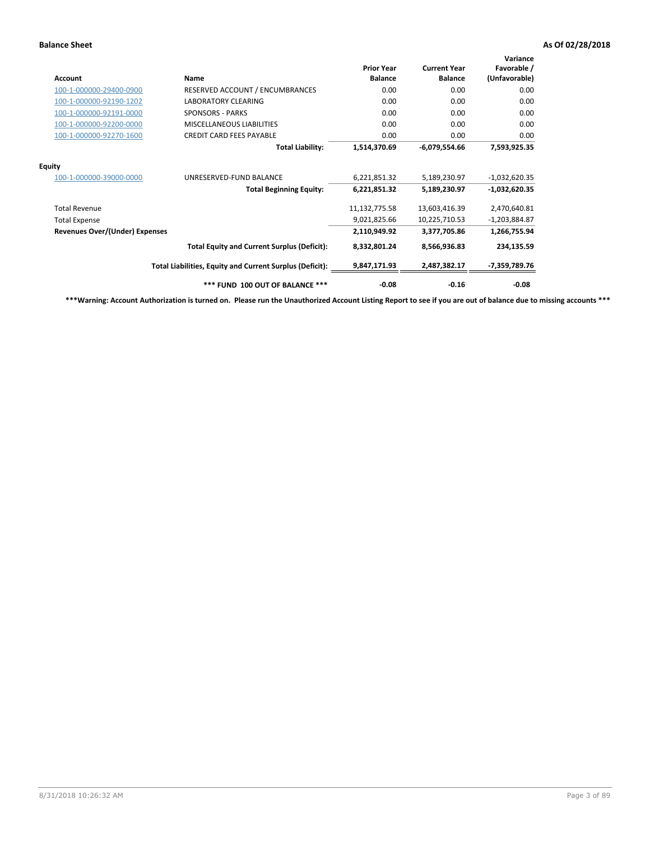| <b>Account</b>                        | Name                                                     | <b>Prior Year</b><br><b>Balance</b> | <b>Current Year</b><br><b>Balance</b> | Variance<br>Favorable /<br>(Unfavorable) |
|---------------------------------------|----------------------------------------------------------|-------------------------------------|---------------------------------------|------------------------------------------|
| 100-1-000000-29400-0900               | RESERVED ACCOUNT / ENCUMBRANCES                          | 0.00                                | 0.00                                  | 0.00                                     |
| 100-1-000000-92190-1202               | <b>LABORATORY CLEARING</b>                               | 0.00                                | 0.00                                  | 0.00                                     |
| 100-1-000000-92191-0000               | <b>SPONSORS - PARKS</b>                                  | 0.00                                | 0.00                                  | 0.00                                     |
| 100-1-000000-92200-0000               | MISCELLANEOUS LIABILITIES                                | 0.00                                | 0.00                                  | 0.00                                     |
| 100-1-000000-92270-1600               | <b>CREDIT CARD FEES PAYABLE</b>                          | 0.00                                | 0.00                                  | 0.00                                     |
|                                       | <b>Total Liability:</b>                                  | 1,514,370.69                        | $-6,079,554.66$                       | 7,593,925.35                             |
| <b>Equity</b>                         |                                                          |                                     |                                       |                                          |
| 100-1-000000-39000-0000               | UNRESERVED-FUND BALANCE                                  | 6,221,851.32                        | 5,189,230.97                          | $-1,032,620.35$                          |
|                                       | <b>Total Beginning Equity:</b>                           | 6,221,851.32                        | 5,189,230.97                          | $-1,032,620.35$                          |
| <b>Total Revenue</b>                  |                                                          | 11,132,775.58                       | 13,603,416.39                         | 2,470,640.81                             |
| <b>Total Expense</b>                  |                                                          | 9,021,825.66                        | 10,225,710.53                         | $-1,203,884.87$                          |
| <b>Revenues Over/(Under) Expenses</b> |                                                          | 2,110,949.92                        | 3,377,705.86                          | 1,266,755.94                             |
|                                       | <b>Total Equity and Current Surplus (Deficit):</b>       | 8,332,801.24                        | 8,566,936.83                          | 234,135.59                               |
|                                       | Total Liabilities, Equity and Current Surplus (Deficit): | 9,847,171.93                        | 2,487,382.17                          | -7,359,789.76                            |
|                                       | *** FUND 100 OUT OF BALANCE ***                          | $-0.08$                             | $-0.16$                               | $-0.08$                                  |

**\*\*\*Warning: Account Authorization is turned on. Please run the Unauthorized Account Listing Report to see if you are out of balance due to missing accounts \*\*\***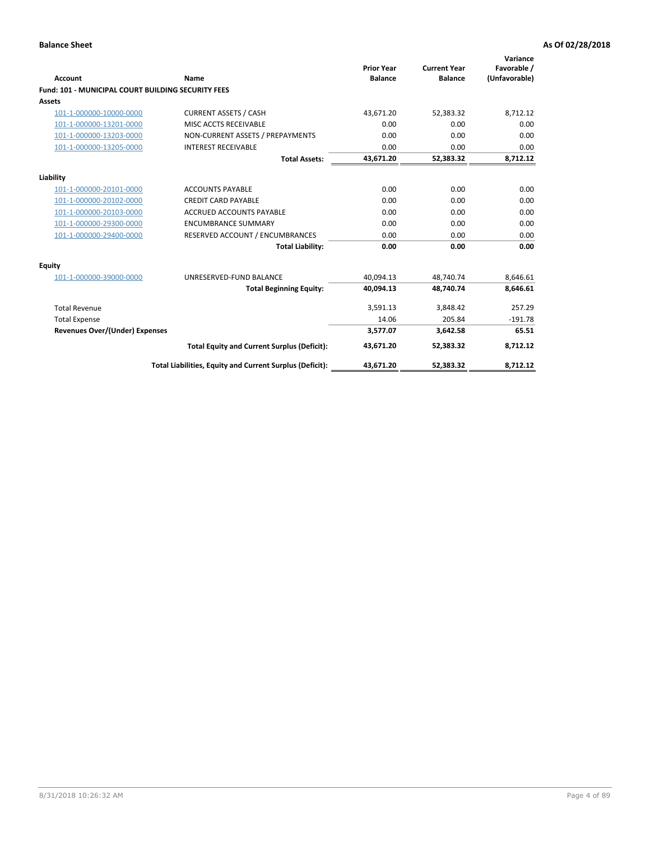| Account                                                   | <b>Name</b>                                              | <b>Prior Year</b><br><b>Balance</b> | <b>Current Year</b><br><b>Balance</b> | Variance<br>Favorable /<br>(Unfavorable) |
|-----------------------------------------------------------|----------------------------------------------------------|-------------------------------------|---------------------------------------|------------------------------------------|
| <b>Fund: 101 - MUNICIPAL COURT BUILDING SECURITY FEES</b> |                                                          |                                     |                                       |                                          |
| Assets                                                    |                                                          |                                     |                                       |                                          |
| 101-1-000000-10000-0000                                   | <b>CURRENT ASSETS / CASH</b>                             | 43,671.20                           | 52,383.32                             | 8,712.12                                 |
| 101-1-000000-13201-0000                                   | MISC ACCTS RECEIVABLE                                    | 0.00                                | 0.00                                  | 0.00                                     |
| 101-1-000000-13203-0000                                   | NON-CURRENT ASSETS / PREPAYMENTS                         | 0.00                                | 0.00                                  | 0.00                                     |
| 101-1-000000-13205-0000                                   | <b>INTEREST RECEIVABLE</b>                               | 0.00                                | 0.00                                  | 0.00                                     |
|                                                           | <b>Total Assets:</b>                                     | 43,671.20                           | 52,383.32                             | 8,712.12                                 |
| Liability                                                 |                                                          |                                     |                                       |                                          |
| 101-1-000000-20101-0000                                   | <b>ACCOUNTS PAYABLE</b>                                  | 0.00                                | 0.00                                  | 0.00                                     |
| 101-1-000000-20102-0000                                   | <b>CREDIT CARD PAYABLE</b>                               | 0.00                                | 0.00                                  | 0.00                                     |
| 101-1-000000-20103-0000                                   | <b>ACCRUED ACCOUNTS PAYABLE</b>                          | 0.00                                | 0.00                                  | 0.00                                     |
| 101-1-000000-29300-0000                                   | <b>ENCUMBRANCE SUMMARY</b>                               | 0.00                                | 0.00                                  | 0.00                                     |
| 101-1-000000-29400-0000                                   | RESERVED ACCOUNT / ENCUMBRANCES                          | 0.00                                | 0.00                                  | 0.00                                     |
|                                                           | <b>Total Liability:</b>                                  | 0.00                                | 0.00                                  | 0.00                                     |
| <b>Equity</b>                                             |                                                          |                                     |                                       |                                          |
| 101-1-000000-39000-0000                                   | UNRESERVED-FUND BALANCE                                  | 40,094.13                           | 48,740.74                             | 8,646.61                                 |
|                                                           | <b>Total Beginning Equity:</b>                           | 40,094.13                           | 48,740.74                             | 8,646.61                                 |
| <b>Total Revenue</b>                                      |                                                          | 3,591.13                            | 3,848.42                              | 257.29                                   |
| <b>Total Expense</b>                                      |                                                          | 14.06                               | 205.84                                | $-191.78$                                |
| Revenues Over/(Under) Expenses                            |                                                          | 3,577.07                            | 3,642.58                              | 65.51                                    |
|                                                           | <b>Total Equity and Current Surplus (Deficit):</b>       | 43,671.20                           | 52,383.32                             | 8,712.12                                 |
|                                                           | Total Liabilities, Equity and Current Surplus (Deficit): | 43,671.20                           | 52,383.32                             | 8,712.12                                 |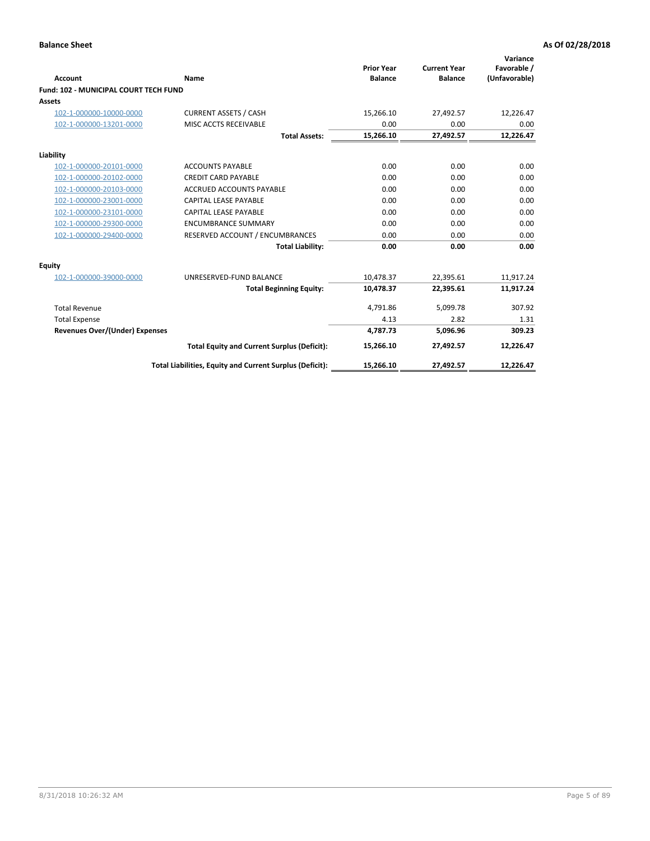| <b>Account</b>                        | Name                                                     | <b>Prior Year</b><br><b>Balance</b> | <b>Current Year</b><br><b>Balance</b> | Variance<br>Favorable /<br>(Unfavorable) |
|---------------------------------------|----------------------------------------------------------|-------------------------------------|---------------------------------------|------------------------------------------|
| Fund: 102 - MUNICIPAL COURT TECH FUND |                                                          |                                     |                                       |                                          |
| Assets                                |                                                          |                                     |                                       |                                          |
| 102-1-000000-10000-0000               | <b>CURRENT ASSETS / CASH</b>                             | 15,266.10                           | 27,492.57                             | 12,226.47                                |
| 102-1-000000-13201-0000               | MISC ACCTS RECEIVABLE                                    | 0.00                                | 0.00                                  | 0.00                                     |
|                                       | <b>Total Assets:</b>                                     | 15,266.10                           | 27,492.57                             | 12,226.47                                |
| Liability                             |                                                          |                                     |                                       |                                          |
| 102-1-000000-20101-0000               | <b>ACCOUNTS PAYABLE</b>                                  | 0.00                                | 0.00                                  | 0.00                                     |
| 102-1-000000-20102-0000               | <b>CREDIT CARD PAYABLE</b>                               | 0.00                                | 0.00                                  | 0.00                                     |
| 102-1-000000-20103-0000               | <b>ACCRUED ACCOUNTS PAYABLE</b>                          | 0.00                                | 0.00                                  | 0.00                                     |
| 102-1-000000-23001-0000               | <b>CAPITAL LEASE PAYABLE</b>                             | 0.00                                | 0.00                                  | 0.00                                     |
| 102-1-000000-23101-0000               | <b>CAPITAL LEASE PAYABLE</b>                             | 0.00                                | 0.00                                  | 0.00                                     |
| 102-1-000000-29300-0000               | <b>ENCUMBRANCE SUMMARY</b>                               | 0.00                                | 0.00                                  | 0.00                                     |
| 102-1-000000-29400-0000               | RESERVED ACCOUNT / ENCUMBRANCES                          | 0.00                                | 0.00                                  | 0.00                                     |
|                                       | <b>Total Liability:</b>                                  | 0.00                                | 0.00                                  | 0.00                                     |
| <b>Equity</b>                         |                                                          |                                     |                                       |                                          |
| 102-1-000000-39000-0000               | UNRESERVED-FUND BALANCE                                  | 10,478.37                           | 22,395.61                             | 11,917.24                                |
|                                       | <b>Total Beginning Equity:</b>                           | 10,478.37                           | 22,395.61                             | 11,917.24                                |
| <b>Total Revenue</b>                  |                                                          | 4,791.86                            | 5,099.78                              | 307.92                                   |
| <b>Total Expense</b>                  |                                                          | 4.13                                | 2.82                                  | 1.31                                     |
| <b>Revenues Over/(Under) Expenses</b> |                                                          | 4.787.73                            | 5,096.96                              | 309.23                                   |
|                                       | <b>Total Equity and Current Surplus (Deficit):</b>       | 15,266.10                           | 27,492.57                             | 12,226.47                                |
|                                       | Total Liabilities, Equity and Current Surplus (Deficit): | 15,266.10                           | 27,492.57                             | 12,226.47                                |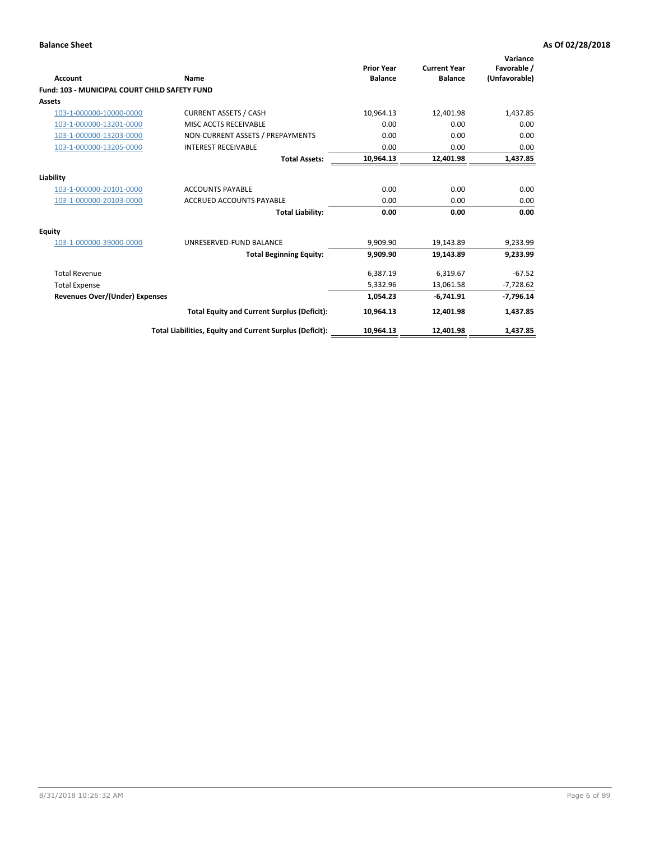| <b>Account</b>                                       | Name                                                     | <b>Prior Year</b><br><b>Balance</b> | <b>Current Year</b><br><b>Balance</b> | Variance<br>Favorable /<br>(Unfavorable) |
|------------------------------------------------------|----------------------------------------------------------|-------------------------------------|---------------------------------------|------------------------------------------|
| <b>Fund: 103 - MUNICIPAL COURT CHILD SAFETY FUND</b> |                                                          |                                     |                                       |                                          |
| <b>Assets</b>                                        |                                                          |                                     |                                       |                                          |
| 103-1-000000-10000-0000                              | <b>CURRENT ASSETS / CASH</b>                             | 10.964.13                           | 12,401.98                             | 1,437.85                                 |
| 103-1-000000-13201-0000                              | MISC ACCTS RECEIVABLE                                    | 0.00                                | 0.00                                  | 0.00                                     |
| 103-1-000000-13203-0000                              | NON-CURRENT ASSETS / PREPAYMENTS                         | 0.00                                | 0.00                                  | 0.00                                     |
| 103-1-000000-13205-0000                              | <b>INTEREST RECEIVABLE</b>                               | 0.00                                | 0.00                                  | 0.00                                     |
|                                                      | <b>Total Assets:</b>                                     | 10,964.13                           | 12,401.98                             | 1,437.85                                 |
| Liability                                            |                                                          |                                     |                                       |                                          |
| 103-1-000000-20101-0000                              | <b>ACCOUNTS PAYABLE</b>                                  | 0.00                                | 0.00                                  | 0.00                                     |
| 103-1-000000-20103-0000                              | <b>ACCRUED ACCOUNTS PAYABLE</b>                          | 0.00                                | 0.00                                  | 0.00                                     |
|                                                      | <b>Total Liability:</b>                                  | 0.00                                | 0.00                                  | 0.00                                     |
| Equity                                               |                                                          |                                     |                                       |                                          |
| 103-1-000000-39000-0000                              | UNRESERVED-FUND BALANCE                                  | 9,909.90                            | 19,143.89                             | 9,233.99                                 |
|                                                      | <b>Total Beginning Equity:</b>                           | 9,909.90                            | 19,143.89                             | 9,233.99                                 |
| <b>Total Revenue</b>                                 |                                                          | 6,387.19                            | 6,319.67                              | $-67.52$                                 |
| <b>Total Expense</b>                                 |                                                          | 5,332.96                            | 13,061.58                             | $-7,728.62$                              |
| <b>Revenues Over/(Under) Expenses</b>                |                                                          | 1,054.23                            | $-6,741.91$                           | $-7,796.14$                              |
|                                                      | <b>Total Equity and Current Surplus (Deficit):</b>       | 10,964.13                           | 12,401.98                             | 1,437.85                                 |
|                                                      | Total Liabilities, Equity and Current Surplus (Deficit): | 10,964.13                           | 12,401.98                             | 1,437.85                                 |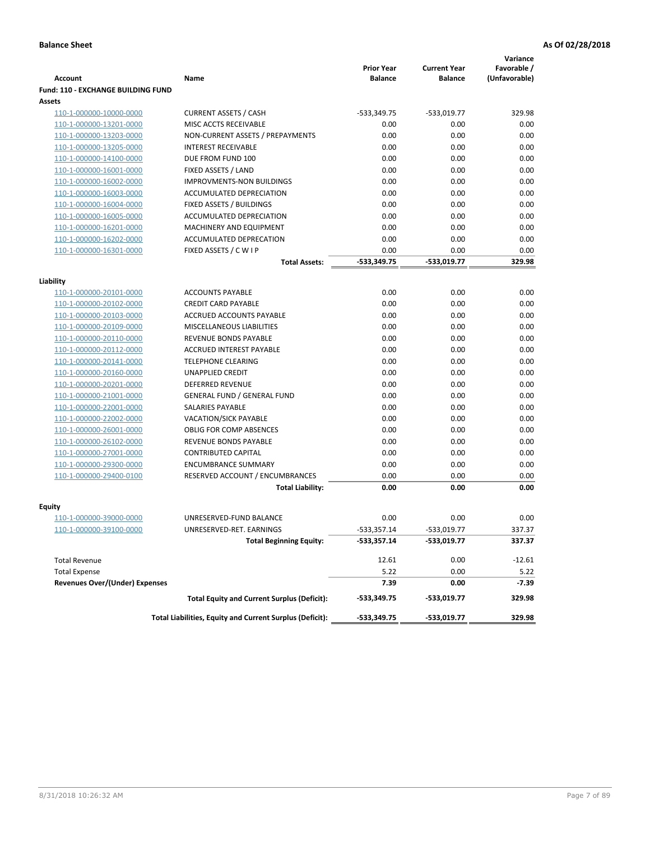|                                           |                                                          |                                     |                                       | Variance                     |
|-------------------------------------------|----------------------------------------------------------|-------------------------------------|---------------------------------------|------------------------------|
| <b>Account</b>                            | Name                                                     | <b>Prior Year</b><br><b>Balance</b> | <b>Current Year</b><br><b>Balance</b> | Favorable /<br>(Unfavorable) |
| <b>Fund: 110 - EXCHANGE BUILDING FUND</b> |                                                          |                                     |                                       |                              |
| Assets                                    |                                                          |                                     |                                       |                              |
| 110-1-000000-10000-0000                   | <b>CURRENT ASSETS / CASH</b>                             | $-533,349.75$                       | $-533,019.77$                         | 329.98                       |
| 110-1-000000-13201-0000                   | MISC ACCTS RECEIVABLE                                    | 0.00                                | 0.00                                  | 0.00                         |
| 110-1-000000-13203-0000                   | NON-CURRENT ASSETS / PREPAYMENTS                         | 0.00                                | 0.00                                  | 0.00                         |
| 110-1-000000-13205-0000                   | <b>INTEREST RECEIVABLE</b>                               | 0.00                                | 0.00                                  | 0.00                         |
| 110-1-000000-14100-0000                   | DUE FROM FUND 100                                        | 0.00                                | 0.00                                  | 0.00                         |
| 110-1-000000-16001-0000                   | FIXED ASSETS / LAND                                      | 0.00                                | 0.00                                  | 0.00                         |
| 110-1-000000-16002-0000                   | <b>IMPROVMENTS-NON BUILDINGS</b>                         | 0.00                                | 0.00                                  | 0.00                         |
| 110-1-000000-16003-0000                   | ACCUMULATED DEPRECIATION                                 | 0.00                                | 0.00                                  | 0.00                         |
| 110-1-000000-16004-0000                   | FIXED ASSETS / BUILDINGS                                 | 0.00                                | 0.00                                  | 0.00                         |
| 110-1-000000-16005-0000                   | ACCUMULATED DEPRECIATION                                 | 0.00                                | 0.00                                  | 0.00                         |
| 110-1-000000-16201-0000                   | <b>MACHINERY AND EQUIPMENT</b>                           | 0.00                                | 0.00                                  | 0.00                         |
| 110-1-000000-16202-0000                   | ACCUMULATED DEPRECATION                                  | 0.00                                | 0.00                                  | 0.00                         |
| 110-1-000000-16301-0000                   | FIXED ASSETS / C W I P                                   | 0.00                                | 0.00                                  | 0.00                         |
|                                           | <b>Total Assets:</b>                                     | $-533,349.75$                       | -533.019.77                           | 329.98                       |
|                                           |                                                          |                                     |                                       |                              |
| Liability<br>110-1-000000-20101-0000      | <b>ACCOUNTS PAYABLE</b>                                  | 0.00                                | 0.00                                  | 0.00                         |
| 110-1-000000-20102-0000                   | <b>CREDIT CARD PAYABLE</b>                               | 0.00                                | 0.00                                  | 0.00                         |
| 110-1-000000-20103-0000                   | ACCRUED ACCOUNTS PAYABLE                                 | 0.00                                | 0.00                                  | 0.00                         |
| 110-1-000000-20109-0000                   | MISCELLANEOUS LIABILITIES                                | 0.00                                | 0.00                                  | 0.00                         |
| 110-1-000000-20110-0000                   | REVENUE BONDS PAYABLE                                    | 0.00                                | 0.00                                  | 0.00                         |
| 110-1-000000-20112-0000                   | <b>ACCRUED INTEREST PAYABLE</b>                          | 0.00                                | 0.00                                  | 0.00                         |
| 110-1-000000-20141-0000                   | <b>TELEPHONE CLEARING</b>                                | 0.00                                | 0.00                                  | 0.00                         |
| 110-1-000000-20160-0000                   | <b>UNAPPLIED CREDIT</b>                                  | 0.00                                | 0.00                                  | 0.00                         |
| 110-1-000000-20201-0000                   | <b>DEFERRED REVENUE</b>                                  | 0.00                                | 0.00                                  | 0.00                         |
| 110-1-000000-21001-0000                   | <b>GENERAL FUND / GENERAL FUND</b>                       | 0.00                                | 0.00                                  | 0.00                         |
| 110-1-000000-22001-0000                   | SALARIES PAYABLE                                         | 0.00                                | 0.00                                  | 0.00                         |
| 110-1-000000-22002-0000                   | <b>VACATION/SICK PAYABLE</b>                             | 0.00                                | 0.00                                  | 0.00                         |
| 110-1-000000-26001-0000                   | <b>OBLIG FOR COMP ABSENCES</b>                           | 0.00                                | 0.00                                  | 0.00                         |
| 110-1-000000-26102-0000                   | REVENUE BONDS PAYABLE                                    | 0.00                                | 0.00                                  | 0.00                         |
| 110-1-000000-27001-0000                   | <b>CONTRIBUTED CAPITAL</b>                               | 0.00                                | 0.00                                  | 0.00                         |
| 110-1-000000-29300-0000                   | <b>ENCUMBRANCE SUMMARY</b>                               | 0.00                                | 0.00                                  | 0.00                         |
| 110-1-000000-29400-0100                   | RESERVED ACCOUNT / ENCUMBRANCES                          | 0.00                                | 0.00                                  | 0.00                         |
|                                           | <b>Total Liability:</b>                                  | 0.00                                | 0.00                                  | 0.00                         |
|                                           |                                                          |                                     |                                       |                              |
| <b>Equity</b>                             |                                                          |                                     |                                       |                              |
| 110-1-000000-39000-0000                   | UNRESERVED-FUND BALANCE                                  | 0.00                                | 0.00                                  | 0.00                         |
| <u>110-1-000000-39100-0000</u>            | UNRESERVED-RET. EARNINGS                                 | -533,357.14                         | $-533,019.77$                         | 337.37                       |
|                                           | <b>Total Beginning Equity:</b>                           | $-533,357.14$                       | -533,019.77                           | 337.37                       |
| <b>Total Revenue</b>                      |                                                          | 12.61                               | 0.00                                  | $-12.61$                     |
| <b>Total Expense</b>                      |                                                          | 5.22                                | 0.00                                  | 5.22                         |
| <b>Revenues Over/(Under) Expenses</b>     |                                                          | 7.39                                | 0.00                                  | -7.39                        |
|                                           | <b>Total Equity and Current Surplus (Deficit):</b>       | $-533,349.75$                       | -533,019.77                           | 329.98                       |
|                                           | Total Liabilities, Equity and Current Surplus (Deficit): | -533,349.75                         | -533,019.77                           | 329.98                       |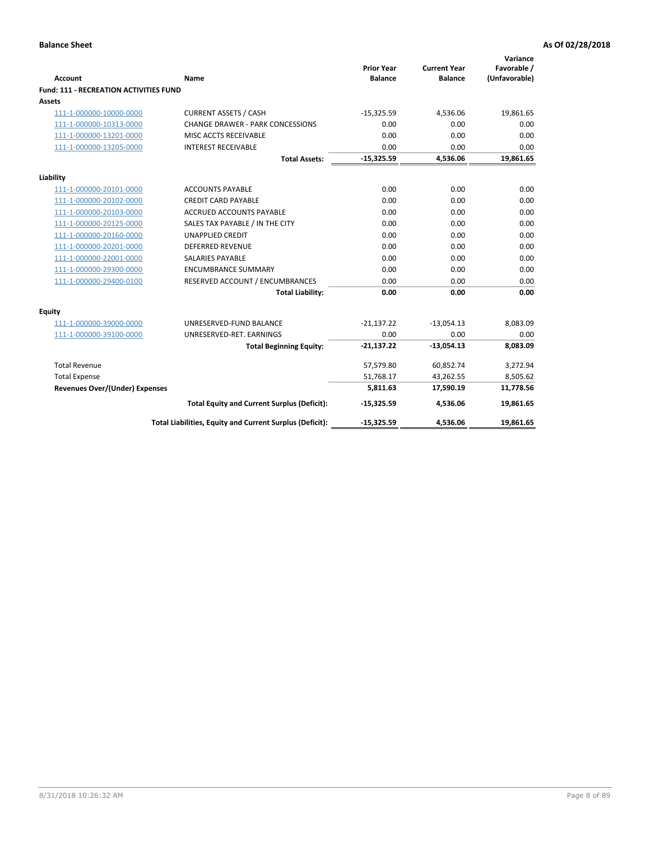| <b>Account</b>                                | Name                                                     | <b>Prior Year</b><br><b>Balance</b> | <b>Current Year</b><br><b>Balance</b> | Variance<br>Favorable /<br>(Unfavorable) |
|-----------------------------------------------|----------------------------------------------------------|-------------------------------------|---------------------------------------|------------------------------------------|
| <b>Fund: 111 - RECREATION ACTIVITIES FUND</b> |                                                          |                                     |                                       |                                          |
| Assets                                        |                                                          |                                     |                                       |                                          |
| 111-1-000000-10000-0000                       | <b>CURRENT ASSETS / CASH</b>                             | $-15,325.59$                        | 4,536.06                              | 19,861.65                                |
| 111-1-000000-10313-0000                       | <b>CHANGE DRAWER - PARK CONCESSIONS</b>                  | 0.00                                | 0.00                                  | 0.00                                     |
| 111-1-000000-13201-0000                       | MISC ACCTS RECEIVABLE                                    | 0.00                                | 0.00                                  | 0.00                                     |
| 111-1-000000-13205-0000                       | <b>INTEREST RECEIVABLE</b>                               | 0.00                                | 0.00                                  | 0.00                                     |
|                                               | <b>Total Assets:</b>                                     | $-15,325.59$                        | 4,536.06                              | 19,861.65                                |
| Liability                                     |                                                          |                                     |                                       |                                          |
| 111-1-000000-20101-0000                       | <b>ACCOUNTS PAYABLE</b>                                  | 0.00                                | 0.00                                  | 0.00                                     |
| 111-1-000000-20102-0000                       | <b>CREDIT CARD PAYABLE</b>                               | 0.00                                | 0.00                                  | 0.00                                     |
| 111-1-000000-20103-0000                       | ACCRUED ACCOUNTS PAYABLE                                 | 0.00                                | 0.00                                  | 0.00                                     |
| 111-1-000000-20125-0000                       | SALES TAX PAYABLE / IN THE CITY                          | 0.00                                | 0.00                                  | 0.00                                     |
| 111-1-000000-20160-0000                       | <b>UNAPPLIED CREDIT</b>                                  | 0.00                                | 0.00                                  | 0.00                                     |
| 111-1-000000-20201-0000                       | <b>DEFERRED REVENUE</b>                                  | 0.00                                | 0.00                                  | 0.00                                     |
| 111-1-000000-22001-0000                       | <b>SALARIES PAYABLE</b>                                  | 0.00                                | 0.00                                  | 0.00                                     |
| 111-1-000000-29300-0000                       | <b>ENCUMBRANCE SUMMARY</b>                               | 0.00                                | 0.00                                  | 0.00                                     |
| 111-1-000000-29400-0100                       | RESERVED ACCOUNT / ENCUMBRANCES                          | 0.00                                | 0.00                                  | 0.00                                     |
|                                               | <b>Total Liability:</b>                                  | 0.00                                | 0.00                                  | 0.00                                     |
| Equity                                        |                                                          |                                     |                                       |                                          |
| 111-1-000000-39000-0000                       | UNRESERVED-FUND BALANCE                                  | $-21,137.22$                        | $-13,054.13$                          | 8,083.09                                 |
| 111-1-000000-39100-0000                       | UNRESERVED-RET. EARNINGS                                 | 0.00                                | 0.00                                  | 0.00                                     |
|                                               | <b>Total Beginning Equity:</b>                           | $-21,137.22$                        | $-13,054.13$                          | 8,083.09                                 |
| <b>Total Revenue</b>                          |                                                          | 57,579.80                           | 60,852.74                             | 3,272.94                                 |
| <b>Total Expense</b>                          |                                                          | 51,768.17                           | 43,262.55                             | 8,505.62                                 |
| <b>Revenues Over/(Under) Expenses</b>         |                                                          | 5,811.63                            | 17,590.19                             | 11,778.56                                |
|                                               | <b>Total Equity and Current Surplus (Deficit):</b>       | $-15,325.59$                        | 4,536.06                              | 19,861.65                                |
|                                               | Total Liabilities, Equity and Current Surplus (Deficit): | $-15,325.59$                        | 4,536.06                              | 19,861.65                                |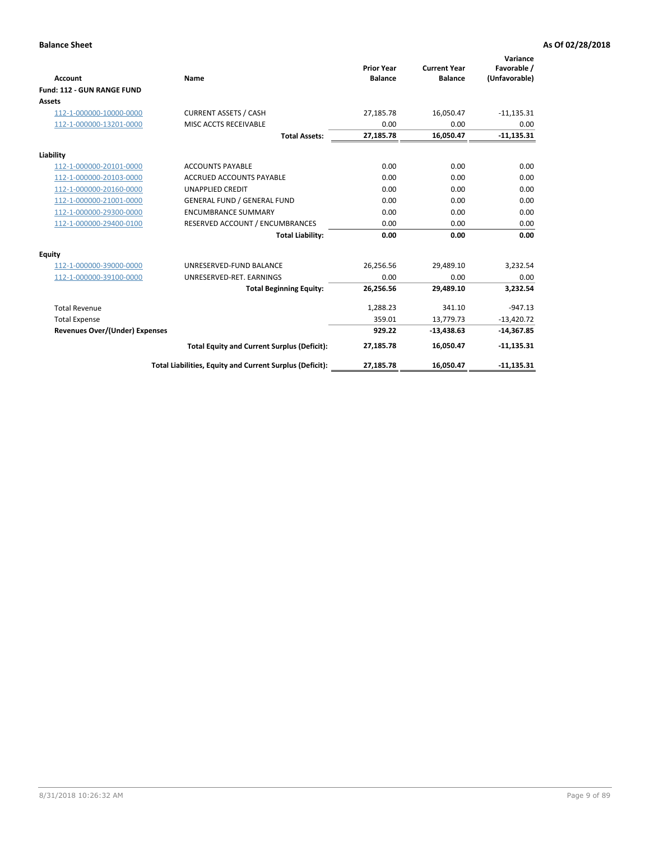|                                       |                                                          |                                     |                                       | Variance                     |
|---------------------------------------|----------------------------------------------------------|-------------------------------------|---------------------------------------|------------------------------|
| <b>Account</b>                        | Name                                                     | <b>Prior Year</b><br><b>Balance</b> | <b>Current Year</b><br><b>Balance</b> | Favorable /<br>(Unfavorable) |
| Fund: 112 - GUN RANGE FUND            |                                                          |                                     |                                       |                              |
| <b>Assets</b>                         |                                                          |                                     |                                       |                              |
| 112-1-000000-10000-0000               | <b>CURRENT ASSETS / CASH</b>                             | 27,185.78                           | 16,050.47                             | $-11,135.31$                 |
| 112-1-000000-13201-0000               | MISC ACCTS RECEIVABLE                                    | 0.00                                | 0.00                                  | 0.00                         |
|                                       | <b>Total Assets:</b>                                     | 27,185.78                           | 16,050.47                             | $-11,135.31$                 |
| Liability                             |                                                          |                                     |                                       |                              |
| 112-1-000000-20101-0000               | <b>ACCOUNTS PAYABLE</b>                                  | 0.00                                | 0.00                                  | 0.00                         |
| 112-1-000000-20103-0000               | <b>ACCRUED ACCOUNTS PAYABLE</b>                          | 0.00                                | 0.00                                  | 0.00                         |
| 112-1-000000-20160-0000               | <b>UNAPPLIED CREDIT</b>                                  | 0.00                                | 0.00                                  | 0.00                         |
| 112-1-000000-21001-0000               | <b>GENERAL FUND / GENERAL FUND</b>                       | 0.00                                | 0.00                                  | 0.00                         |
| 112-1-000000-29300-0000               | <b>ENCUMBRANCE SUMMARY</b>                               | 0.00                                | 0.00                                  | 0.00                         |
| 112-1-000000-29400-0100               | RESERVED ACCOUNT / ENCUMBRANCES                          | 0.00                                | 0.00                                  | 0.00                         |
|                                       | <b>Total Liability:</b>                                  | 0.00                                | 0.00                                  | 0.00                         |
| Equity                                |                                                          |                                     |                                       |                              |
| 112-1-000000-39000-0000               | UNRESERVED-FUND BALANCE                                  | 26,256.56                           | 29,489.10                             | 3,232.54                     |
| 112-1-000000-39100-0000               | UNRESERVED-RET. EARNINGS                                 | 0.00                                | 0.00                                  | 0.00                         |
|                                       | <b>Total Beginning Equity:</b>                           | 26,256.56                           | 29,489.10                             | 3,232.54                     |
| <b>Total Revenue</b>                  |                                                          | 1,288.23                            | 341.10                                | $-947.13$                    |
| <b>Total Expense</b>                  |                                                          | 359.01                              | 13,779.73                             | $-13,420.72$                 |
| <b>Revenues Over/(Under) Expenses</b> |                                                          | 929.22                              | $-13,438.63$                          | $-14,367.85$                 |
|                                       | <b>Total Equity and Current Surplus (Deficit):</b>       | 27,185.78                           | 16,050.47                             | $-11,135.31$                 |
|                                       | Total Liabilities, Equity and Current Surplus (Deficit): | 27,185.78                           | 16,050.47                             | $-11,135.31$                 |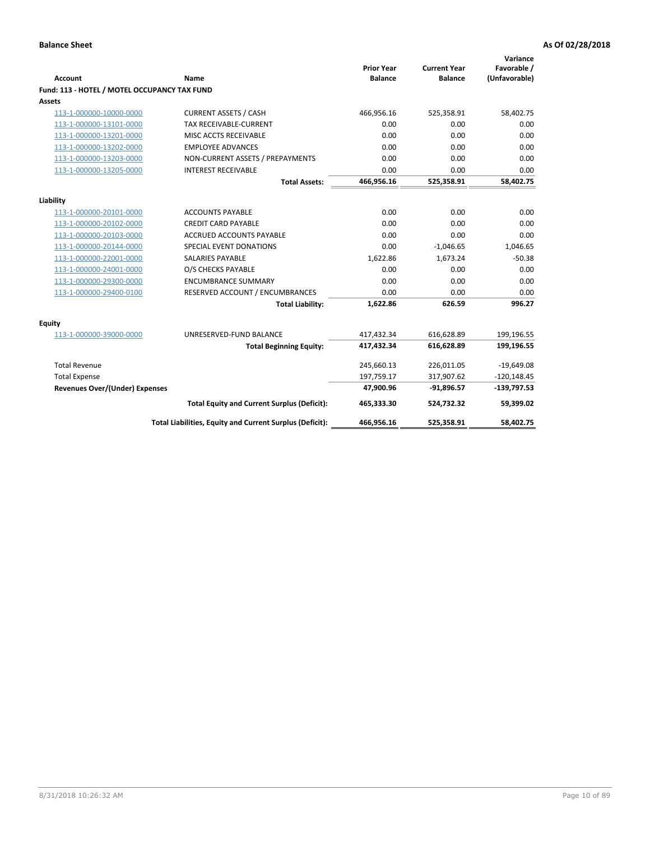| <b>Account</b>                               | <b>Name</b>                                              | <b>Prior Year</b><br><b>Balance</b> | <b>Current Year</b><br><b>Balance</b> | Variance<br>Favorable /<br>(Unfavorable) |
|----------------------------------------------|----------------------------------------------------------|-------------------------------------|---------------------------------------|------------------------------------------|
| Fund: 113 - HOTEL / MOTEL OCCUPANCY TAX FUND |                                                          |                                     |                                       |                                          |
| Assets                                       |                                                          |                                     |                                       |                                          |
| 113-1-000000-10000-0000                      | <b>CURRENT ASSETS / CASH</b>                             | 466,956.16                          | 525,358.91                            | 58,402.75                                |
| 113-1-000000-13101-0000                      | TAX RECEIVABLE-CURRENT                                   | 0.00                                | 0.00                                  | 0.00                                     |
| 113-1-000000-13201-0000                      | MISC ACCTS RECEIVABLE                                    | 0.00                                | 0.00                                  | 0.00                                     |
| 113-1-000000-13202-0000                      | <b>EMPLOYEE ADVANCES</b>                                 | 0.00                                | 0.00                                  | 0.00                                     |
| 113-1-000000-13203-0000                      | NON-CURRENT ASSETS / PREPAYMENTS                         | 0.00                                | 0.00                                  | 0.00                                     |
| 113-1-000000-13205-0000                      | <b>INTEREST RECEIVABLE</b>                               | 0.00                                | 0.00                                  | 0.00                                     |
|                                              | <b>Total Assets:</b>                                     | 466,956.16                          | 525,358.91                            | 58,402.75                                |
|                                              |                                                          |                                     |                                       |                                          |
| Liability                                    |                                                          |                                     |                                       |                                          |
| 113-1-000000-20101-0000                      | <b>ACCOUNTS PAYABLE</b>                                  | 0.00                                | 0.00                                  | 0.00                                     |
| 113-1-000000-20102-0000                      | <b>CREDIT CARD PAYABLE</b>                               | 0.00                                | 0.00                                  | 0.00                                     |
| 113-1-000000-20103-0000                      | ACCRUED ACCOUNTS PAYABLE                                 | 0.00                                | 0.00                                  | 0.00                                     |
| 113-1-000000-20144-0000                      | SPECIAL EVENT DONATIONS                                  | 0.00                                | $-1,046.65$                           | 1,046.65                                 |
| 113-1-000000-22001-0000                      | <b>SALARIES PAYABLE</b>                                  | 1,622.86                            | 1,673.24                              | $-50.38$                                 |
| 113-1-000000-24001-0000                      | O/S CHECKS PAYABLE                                       | 0.00                                | 0.00                                  | 0.00                                     |
| 113-1-000000-29300-0000                      | <b>ENCUMBRANCE SUMMARY</b>                               | 0.00                                | 0.00                                  | 0.00                                     |
| 113-1-000000-29400-0100                      | RESERVED ACCOUNT / ENCUMBRANCES                          | 0.00                                | 0.00                                  | 0.00                                     |
|                                              | <b>Total Liability:</b>                                  | 1,622.86                            | 626.59                                | 996.27                                   |
| Equity                                       |                                                          |                                     |                                       |                                          |
| 113-1-000000-39000-0000                      | UNRESERVED-FUND BALANCE                                  | 417,432.34                          | 616,628.89                            | 199,196.55                               |
|                                              | <b>Total Beginning Equity:</b>                           | 417,432.34                          | 616,628.89                            | 199,196.55                               |
| <b>Total Revenue</b>                         |                                                          | 245,660.13                          | 226,011.05                            | $-19,649.08$                             |
| <b>Total Expense</b>                         |                                                          | 197,759.17                          | 317,907.62                            | $-120,148.45$                            |
| <b>Revenues Over/(Under) Expenses</b>        |                                                          | 47,900.96                           | $-91,896.57$                          | $-139,797.53$                            |
|                                              | <b>Total Equity and Current Surplus (Deficit):</b>       | 465,333.30                          | 524,732.32                            | 59,399.02                                |
|                                              | Total Liabilities, Equity and Current Surplus (Deficit): | 466,956.16                          | 525,358.91                            | 58,402.75                                |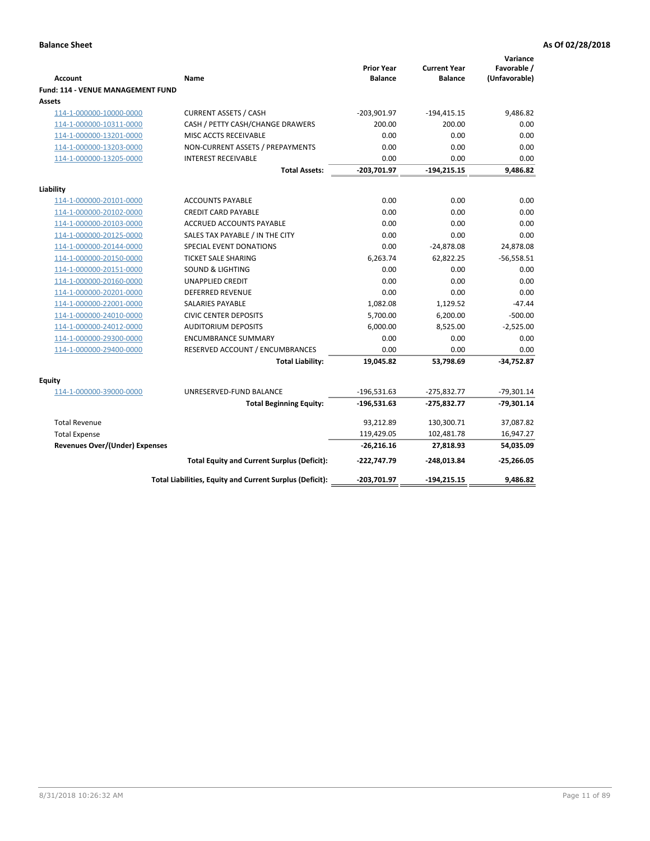| <b>Account</b>                              | Name                                                     | <b>Prior Year</b><br><b>Balance</b> | <b>Current Year</b><br><b>Balance</b> | Variance<br>Favorable /<br>(Unfavorable) |
|---------------------------------------------|----------------------------------------------------------|-------------------------------------|---------------------------------------|------------------------------------------|
| Fund: 114 - VENUE MANAGEMENT FUND<br>Assets |                                                          |                                     |                                       |                                          |
| 114-1-000000-10000-0000                     | <b>CURRENT ASSETS / CASH</b>                             | $-203,901.97$                       | $-194,415.15$                         | 9,486.82                                 |
| 114-1-000000-10311-0000                     | CASH / PETTY CASH/CHANGE DRAWERS                         | 200.00                              | 200.00                                | 0.00                                     |
| 114-1-000000-13201-0000                     | MISC ACCTS RECEIVABLE                                    | 0.00                                | 0.00                                  | 0.00                                     |
| 114-1-000000-13203-0000                     | NON-CURRENT ASSETS / PREPAYMENTS                         | 0.00                                | 0.00                                  | 0.00                                     |
| 114-1-000000-13205-0000                     | <b>INTEREST RECEIVABLE</b>                               | 0.00                                | 0.00                                  | 0.00                                     |
|                                             | <b>Total Assets:</b>                                     | $-203,701.97$                       | $-194, 215.15$                        | 9,486.82                                 |
| Liability                                   |                                                          |                                     |                                       |                                          |
| 114-1-000000-20101-0000                     | <b>ACCOUNTS PAYABLE</b>                                  | 0.00                                | 0.00                                  | 0.00                                     |
| 114-1-000000-20102-0000                     | <b>CREDIT CARD PAYABLE</b>                               | 0.00                                | 0.00                                  | 0.00                                     |
| 114-1-000000-20103-0000                     | <b>ACCRUED ACCOUNTS PAYABLE</b>                          | 0.00                                | 0.00                                  | 0.00                                     |
| 114-1-000000-20125-0000                     | SALES TAX PAYABLE / IN THE CITY                          | 0.00                                | 0.00                                  | 0.00                                     |
| 114-1-000000-20144-0000                     | SPECIAL EVENT DONATIONS                                  | 0.00                                | $-24,878.08$                          | 24,878.08                                |
| 114-1-000000-20150-0000                     | <b>TICKET SALE SHARING</b>                               | 6,263.74                            | 62,822.25                             | $-56,558.51$                             |
| 114-1-000000-20151-0000                     | <b>SOUND &amp; LIGHTING</b>                              | 0.00                                | 0.00                                  | 0.00                                     |
| 114-1-000000-20160-0000                     | <b>UNAPPLIED CREDIT</b>                                  | 0.00                                | 0.00                                  | 0.00                                     |
| 114-1-000000-20201-0000                     | <b>DEFERRED REVENUE</b>                                  | 0.00                                | 0.00                                  | 0.00                                     |
| 114-1-000000-22001-0000                     | <b>SALARIES PAYABLE</b>                                  | 1,082.08                            | 1,129.52                              | $-47.44$                                 |
| 114-1-000000-24010-0000                     | <b>CIVIC CENTER DEPOSITS</b>                             | 5,700.00                            | 6,200.00                              | $-500.00$                                |
| 114-1-000000-24012-0000                     | <b>AUDITORIUM DEPOSITS</b>                               | 6,000.00                            | 8,525.00                              | $-2,525.00$                              |
| 114-1-000000-29300-0000                     | <b>ENCUMBRANCE SUMMARY</b>                               | 0.00                                | 0.00                                  | 0.00                                     |
| 114-1-000000-29400-0000                     | RESERVED ACCOUNT / ENCUMBRANCES                          | 0.00                                | 0.00                                  | 0.00                                     |
|                                             | <b>Total Liability:</b>                                  | 19,045.82                           | 53,798.69                             | $-34,752.87$                             |
| Equity                                      |                                                          |                                     |                                       |                                          |
| 114-1-000000-39000-0000                     | UNRESERVED-FUND BALANCE                                  | $-196,531.63$                       | $-275,832.77$                         | $-79,301.14$                             |
|                                             | <b>Total Beginning Equity:</b>                           | $-196,531.63$                       | $-275,832.77$                         | $-79,301.14$                             |
| <b>Total Revenue</b>                        |                                                          | 93,212.89                           | 130,300.71                            | 37,087.82                                |
| <b>Total Expense</b>                        |                                                          | 119,429.05                          | 102,481.78                            | 16,947.27                                |
| <b>Revenues Over/(Under) Expenses</b>       |                                                          | $-26,216.16$                        | 27,818.93                             | 54,035.09                                |
|                                             | <b>Total Equity and Current Surplus (Deficit):</b>       | $-222,747.79$                       | $-248,013.84$                         | $-25,266.05$                             |
|                                             | Total Liabilities, Equity and Current Surplus (Deficit): | -203,701.97                         | $-194.215.15$                         | 9.486.82                                 |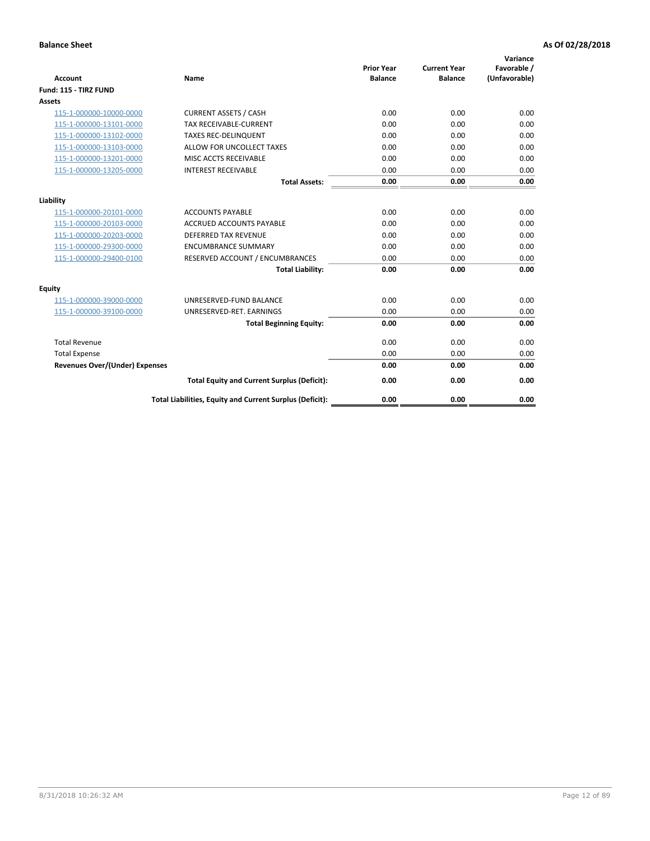| <b>Account</b>                        | Name                                                     | <b>Prior Year</b><br><b>Balance</b> | <b>Current Year</b><br><b>Balance</b> | Variance<br>Favorable /<br>(Unfavorable) |
|---------------------------------------|----------------------------------------------------------|-------------------------------------|---------------------------------------|------------------------------------------|
| Fund: 115 - TIRZ FUND                 |                                                          |                                     |                                       |                                          |
| <b>Assets</b>                         |                                                          |                                     |                                       |                                          |
| 115-1-000000-10000-0000               | <b>CURRENT ASSETS / CASH</b>                             | 0.00                                | 0.00                                  | 0.00                                     |
| 115-1-000000-13101-0000               | <b>TAX RECEIVABLE-CURRENT</b>                            | 0.00                                | 0.00                                  | 0.00                                     |
| 115-1-000000-13102-0000               | <b>TAXES REC-DELINQUENT</b>                              | 0.00                                | 0.00                                  | 0.00                                     |
| 115-1-000000-13103-0000               | ALLOW FOR UNCOLLECT TAXES                                | 0.00                                | 0.00                                  | 0.00                                     |
| 115-1-000000-13201-0000               | MISC ACCTS RECEIVABLE                                    | 0.00                                | 0.00                                  | 0.00                                     |
| 115-1-000000-13205-0000               | <b>INTEREST RECEIVABLE</b>                               | 0.00                                | 0.00                                  | 0.00                                     |
|                                       | <b>Total Assets:</b>                                     | 0.00                                | 0.00                                  | 0.00                                     |
| Liability                             |                                                          |                                     |                                       |                                          |
| 115-1-000000-20101-0000               | <b>ACCOUNTS PAYABLE</b>                                  | 0.00                                | 0.00                                  | 0.00                                     |
| 115-1-000000-20103-0000               | <b>ACCRUED ACCOUNTS PAYABLE</b>                          | 0.00                                | 0.00                                  | 0.00                                     |
| 115-1-000000-20203-0000               | <b>DEFERRED TAX REVENUE</b>                              | 0.00                                | 0.00                                  | 0.00                                     |
| 115-1-000000-29300-0000               | <b>ENCUMBRANCE SUMMARY</b>                               | 0.00                                | 0.00                                  | 0.00                                     |
| 115-1-000000-29400-0100               | RESERVED ACCOUNT / ENCUMBRANCES                          | 0.00                                | 0.00                                  | 0.00                                     |
|                                       | <b>Total Liability:</b>                                  | 0.00                                | 0.00                                  | 0.00                                     |
| Equity                                |                                                          |                                     |                                       |                                          |
| 115-1-000000-39000-0000               | UNRESERVED-FUND BALANCE                                  | 0.00                                | 0.00                                  | 0.00                                     |
| 115-1-000000-39100-0000               | UNRESERVED-RET. EARNINGS                                 | 0.00                                | 0.00                                  | 0.00                                     |
|                                       | <b>Total Beginning Equity:</b>                           | 0.00                                | 0.00                                  | 0.00                                     |
| <b>Total Revenue</b>                  |                                                          | 0.00                                | 0.00                                  | 0.00                                     |
| <b>Total Expense</b>                  |                                                          | 0.00                                | 0.00                                  | 0.00                                     |
| <b>Revenues Over/(Under) Expenses</b> |                                                          | 0.00                                | 0.00                                  | 0.00                                     |
|                                       | <b>Total Equity and Current Surplus (Deficit):</b>       | 0.00                                | 0.00                                  | 0.00                                     |
|                                       | Total Liabilities, Equity and Current Surplus (Deficit): | 0.00                                | 0.00                                  | 0.00                                     |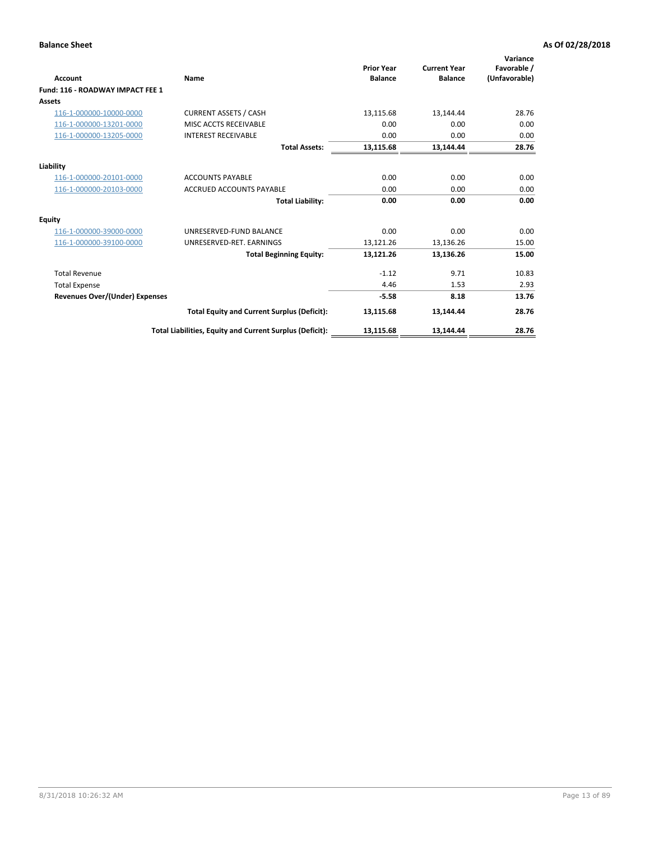| <b>Account</b>                        | Name                                                     | <b>Prior Year</b><br><b>Balance</b> | <b>Current Year</b><br><b>Balance</b> | Variance<br>Favorable /<br>(Unfavorable) |
|---------------------------------------|----------------------------------------------------------|-------------------------------------|---------------------------------------|------------------------------------------|
| Fund: 116 - ROADWAY IMPACT FEE 1      |                                                          |                                     |                                       |                                          |
| Assets                                |                                                          |                                     |                                       |                                          |
| 116-1-000000-10000-0000               | <b>CURRENT ASSETS / CASH</b>                             | 13,115.68                           | 13,144.44                             | 28.76                                    |
| 116-1-000000-13201-0000               | MISC ACCTS RECEIVABLE                                    | 0.00                                | 0.00                                  | 0.00                                     |
| 116-1-000000-13205-0000               | <b>INTEREST RECEIVABLE</b>                               | 0.00                                | 0.00                                  | 0.00                                     |
|                                       | <b>Total Assets:</b>                                     | 13,115.68                           | 13,144.44                             | 28.76                                    |
| Liability                             |                                                          |                                     |                                       |                                          |
| 116-1-000000-20101-0000               | <b>ACCOUNTS PAYABLE</b>                                  | 0.00                                | 0.00                                  | 0.00                                     |
| 116-1-000000-20103-0000               | <b>ACCRUED ACCOUNTS PAYABLE</b>                          | 0.00                                | 0.00                                  | 0.00                                     |
|                                       | <b>Total Liability:</b>                                  | 0.00                                | 0.00                                  | 0.00                                     |
| <b>Equity</b>                         |                                                          |                                     |                                       |                                          |
| 116-1-000000-39000-0000               | UNRESERVED-FUND BALANCE                                  | 0.00                                | 0.00                                  | 0.00                                     |
| 116-1-000000-39100-0000               | UNRESERVED-RET, EARNINGS                                 | 13,121.26                           | 13,136.26                             | 15.00                                    |
|                                       | <b>Total Beginning Equity:</b>                           | 13,121.26                           | 13,136.26                             | 15.00                                    |
| <b>Total Revenue</b>                  |                                                          | $-1.12$                             | 9.71                                  | 10.83                                    |
| <b>Total Expense</b>                  |                                                          | 4.46                                | 1.53                                  | 2.93                                     |
| <b>Revenues Over/(Under) Expenses</b> |                                                          | $-5.58$                             | 8.18                                  | 13.76                                    |
|                                       | <b>Total Equity and Current Surplus (Deficit):</b>       | 13,115.68                           | 13,144.44                             | 28.76                                    |
|                                       | Total Liabilities, Equity and Current Surplus (Deficit): | 13,115.68                           | 13.144.44                             | 28.76                                    |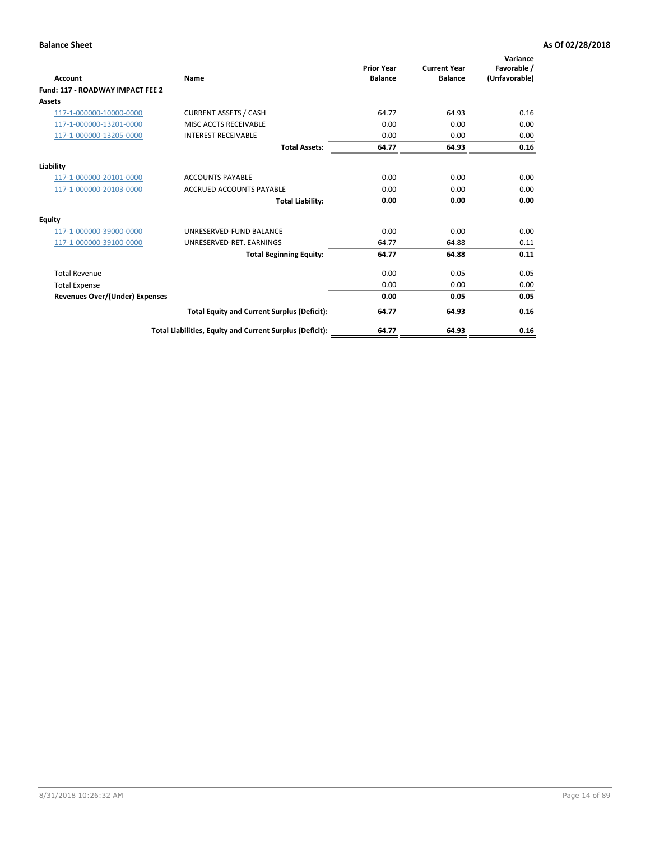| <b>Account</b>                        | <b>Name</b>                                              | <b>Prior Year</b><br><b>Balance</b> | <b>Current Year</b><br><b>Balance</b> | Variance<br>Favorable /<br>(Unfavorable) |
|---------------------------------------|----------------------------------------------------------|-------------------------------------|---------------------------------------|------------------------------------------|
| Fund: 117 - ROADWAY IMPACT FEE 2      |                                                          |                                     |                                       |                                          |
| Assets                                |                                                          |                                     |                                       |                                          |
| 117-1-000000-10000-0000               | <b>CURRENT ASSETS / CASH</b>                             | 64.77                               | 64.93                                 | 0.16                                     |
| 117-1-000000-13201-0000               | <b>MISC ACCTS RECEIVABLE</b>                             | 0.00                                | 0.00                                  | 0.00                                     |
| 117-1-000000-13205-0000               | <b>INTEREST RECEIVABLE</b>                               | 0.00                                | 0.00                                  | 0.00                                     |
|                                       | <b>Total Assets:</b>                                     | 64.77                               | 64.93                                 | 0.16                                     |
| Liability                             |                                                          |                                     |                                       |                                          |
| 117-1-000000-20101-0000               | <b>ACCOUNTS PAYABLE</b>                                  | 0.00                                | 0.00                                  | 0.00                                     |
| 117-1-000000-20103-0000               | <b>ACCRUED ACCOUNTS PAYABLE</b>                          | 0.00                                | 0.00                                  | 0.00                                     |
|                                       | <b>Total Liability:</b>                                  | 0.00                                | 0.00                                  | 0.00                                     |
| Equity                                |                                                          |                                     |                                       |                                          |
| 117-1-000000-39000-0000               | UNRESERVED-FUND BALANCE                                  | 0.00                                | 0.00                                  | 0.00                                     |
| 117-1-000000-39100-0000               | UNRESERVED-RET, EARNINGS                                 | 64.77                               | 64.88                                 | 0.11                                     |
|                                       | <b>Total Beginning Equity:</b>                           | 64.77                               | 64.88                                 | 0.11                                     |
| <b>Total Revenue</b>                  |                                                          | 0.00                                | 0.05                                  | 0.05                                     |
| <b>Total Expense</b>                  |                                                          | 0.00                                | 0.00                                  | 0.00                                     |
| <b>Revenues Over/(Under) Expenses</b> |                                                          | 0.00                                | 0.05                                  | 0.05                                     |
|                                       | <b>Total Equity and Current Surplus (Deficit):</b>       | 64.77                               | 64.93                                 | 0.16                                     |
|                                       | Total Liabilities, Equity and Current Surplus (Deficit): | 64.77                               | 64.93                                 | 0.16                                     |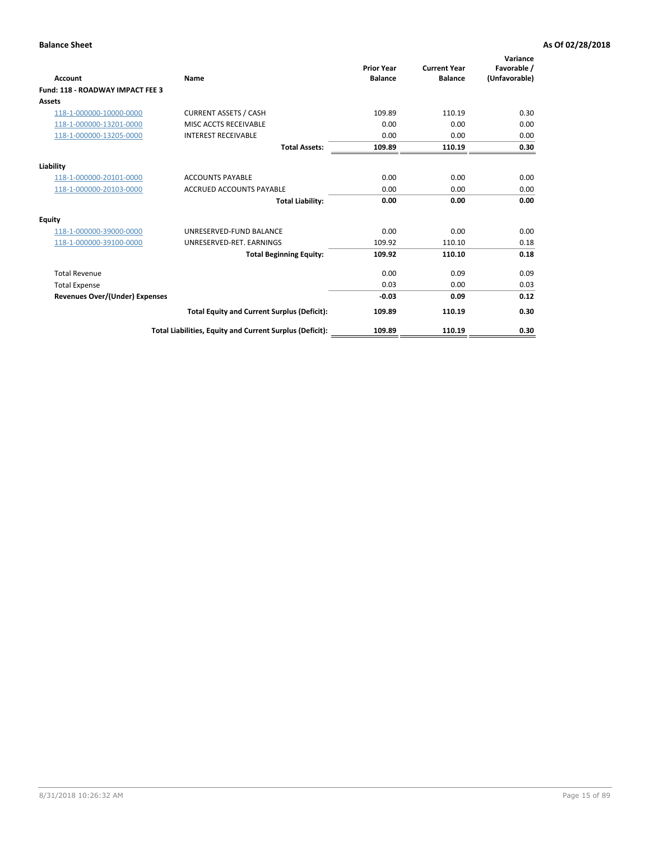| <b>Account</b>                        | Name                                                     | <b>Prior Year</b><br><b>Balance</b> | <b>Current Year</b><br><b>Balance</b> | Variance<br>Favorable /<br>(Unfavorable) |
|---------------------------------------|----------------------------------------------------------|-------------------------------------|---------------------------------------|------------------------------------------|
| Fund: 118 - ROADWAY IMPACT FEE 3      |                                                          |                                     |                                       |                                          |
| Assets                                |                                                          |                                     |                                       |                                          |
| 118-1-000000-10000-0000               | <b>CURRENT ASSETS / CASH</b>                             | 109.89                              | 110.19                                | 0.30                                     |
| 118-1-000000-13201-0000               | MISC ACCTS RECEIVABLE                                    | 0.00                                | 0.00                                  | 0.00                                     |
| 118-1-000000-13205-0000               | <b>INTEREST RECEIVABLE</b>                               | 0.00                                | 0.00                                  | 0.00                                     |
|                                       | <b>Total Assets:</b>                                     | 109.89                              | 110.19                                | 0.30                                     |
| Liability                             |                                                          |                                     |                                       |                                          |
| 118-1-000000-20101-0000               | <b>ACCOUNTS PAYABLE</b>                                  | 0.00                                | 0.00                                  | 0.00                                     |
| 118-1-000000-20103-0000               | <b>ACCRUED ACCOUNTS PAYABLE</b>                          | 0.00                                | 0.00                                  | 0.00                                     |
|                                       | <b>Total Liability:</b>                                  | 0.00                                | 0.00                                  | 0.00                                     |
| <b>Equity</b>                         |                                                          |                                     |                                       |                                          |
| 118-1-000000-39000-0000               | UNRESERVED-FUND BALANCE                                  | 0.00                                | 0.00                                  | 0.00                                     |
| 118-1-000000-39100-0000               | UNRESERVED-RET, EARNINGS                                 | 109.92                              | 110.10                                | 0.18                                     |
|                                       | <b>Total Beginning Equity:</b>                           | 109.92                              | 110.10                                | 0.18                                     |
| <b>Total Revenue</b>                  |                                                          | 0.00                                | 0.09                                  | 0.09                                     |
| <b>Total Expense</b>                  |                                                          | 0.03                                | 0.00                                  | 0.03                                     |
| <b>Revenues Over/(Under) Expenses</b> |                                                          | $-0.03$                             | 0.09                                  | 0.12                                     |
|                                       | <b>Total Equity and Current Surplus (Deficit):</b>       | 109.89                              | 110.19                                | 0.30                                     |
|                                       | Total Liabilities, Equity and Current Surplus (Deficit): | 109.89                              | 110.19                                | 0.30                                     |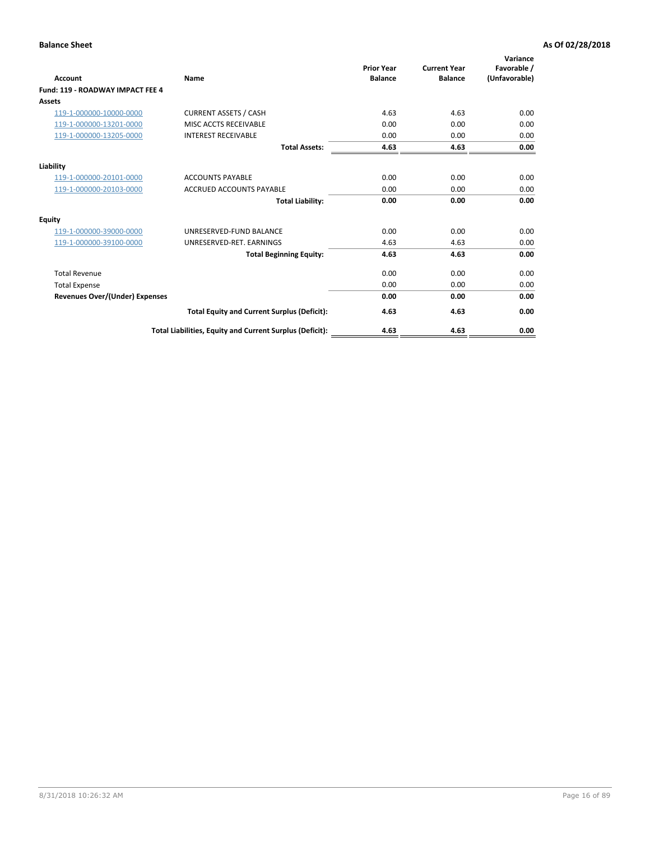| Account                                 | <b>Name</b>                                              | <b>Prior Year</b><br><b>Balance</b> | <b>Current Year</b><br><b>Balance</b> | Variance<br>Favorable /<br>(Unfavorable) |
|-----------------------------------------|----------------------------------------------------------|-------------------------------------|---------------------------------------|------------------------------------------|
| <b>Fund: 119 - ROADWAY IMPACT FEE 4</b> |                                                          |                                     |                                       |                                          |
| Assets                                  |                                                          |                                     |                                       |                                          |
| 119-1-000000-10000-0000                 | <b>CURRENT ASSETS / CASH</b>                             | 4.63                                | 4.63                                  | 0.00                                     |
| 119-1-000000-13201-0000                 | <b>MISC ACCTS RECEIVABLE</b>                             | 0.00                                | 0.00                                  | 0.00                                     |
| 119-1-000000-13205-0000                 | <b>INTEREST RECEIVABLE</b>                               | 0.00                                | 0.00                                  | 0.00                                     |
|                                         | <b>Total Assets:</b>                                     | 4.63                                | 4.63                                  | 0.00                                     |
| Liability                               |                                                          |                                     |                                       |                                          |
| 119-1-000000-20101-0000                 | <b>ACCOUNTS PAYABLE</b>                                  | 0.00                                | 0.00                                  | 0.00                                     |
| 119-1-000000-20103-0000                 | <b>ACCRUED ACCOUNTS PAYABLE</b>                          | 0.00                                | 0.00                                  | 0.00                                     |
|                                         | <b>Total Liability:</b>                                  | 0.00                                | 0.00                                  | 0.00                                     |
| Equity                                  |                                                          |                                     |                                       |                                          |
| 119-1-000000-39000-0000                 | UNRESERVED-FUND BALANCE                                  | 0.00                                | 0.00                                  | 0.00                                     |
| 119-1-000000-39100-0000                 | UNRESERVED-RET. EARNINGS                                 | 4.63                                | 4.63                                  | 0.00                                     |
|                                         | <b>Total Beginning Equity:</b>                           | 4.63                                | 4.63                                  | 0.00                                     |
| <b>Total Revenue</b>                    |                                                          | 0.00                                | 0.00                                  | 0.00                                     |
| <b>Total Expense</b>                    |                                                          | 0.00                                | 0.00                                  | 0.00                                     |
| <b>Revenues Over/(Under) Expenses</b>   |                                                          | 0.00                                | 0.00                                  | 0.00                                     |
|                                         | <b>Total Equity and Current Surplus (Deficit):</b>       | 4.63                                | 4.63                                  | 0.00                                     |
|                                         | Total Liabilities, Equity and Current Surplus (Deficit): | 4.63                                | 4.63                                  | 0.00                                     |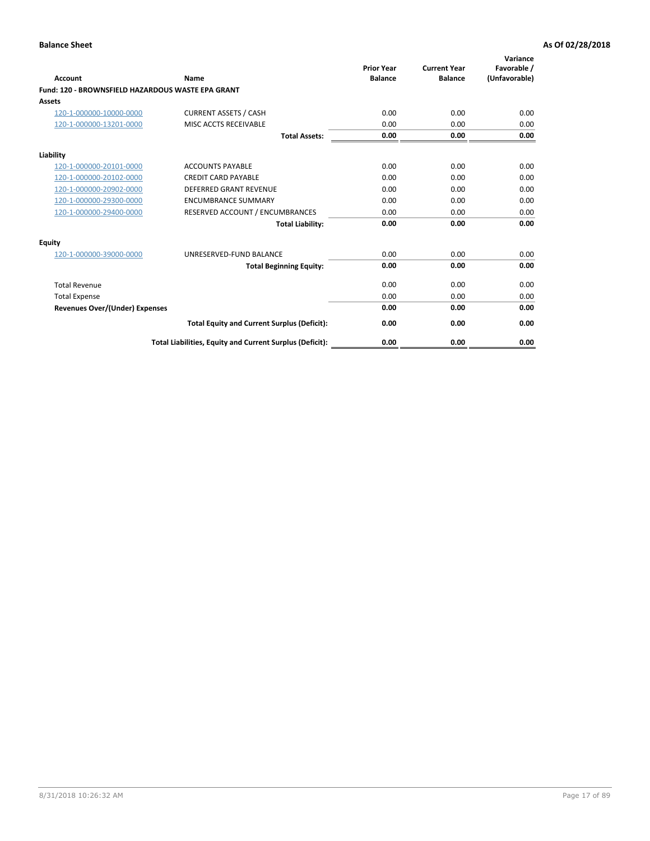|                                                   |                                                          | <b>Prior Year</b> | <b>Current Year</b> | Variance<br>Favorable / |
|---------------------------------------------------|----------------------------------------------------------|-------------------|---------------------|-------------------------|
| <b>Account</b>                                    | <b>Name</b>                                              | <b>Balance</b>    | <b>Balance</b>      | (Unfavorable)           |
| Fund: 120 - BROWNSFIELD HAZARDOUS WASTE EPA GRANT |                                                          |                   |                     |                         |
| <b>Assets</b>                                     |                                                          |                   |                     |                         |
| 120-1-000000-10000-0000                           | <b>CURRENT ASSETS / CASH</b>                             | 0.00              | 0.00                | 0.00                    |
| 120-1-000000-13201-0000                           | MISC ACCTS RECEIVABLE                                    | 0.00              | 0.00                | 0.00                    |
|                                                   | <b>Total Assets:</b>                                     | 0.00              | 0.00                | 0.00                    |
| Liability                                         |                                                          |                   |                     |                         |
| 120-1-000000-20101-0000                           | <b>ACCOUNTS PAYABLE</b>                                  | 0.00              | 0.00                | 0.00                    |
| 120-1-000000-20102-0000                           | <b>CREDIT CARD PAYABLE</b>                               | 0.00              | 0.00                | 0.00                    |
| 120-1-000000-20902-0000                           | <b>DEFERRED GRANT REVENUE</b>                            | 0.00              | 0.00                | 0.00                    |
| 120-1-000000-29300-0000                           | <b>ENCUMBRANCE SUMMARY</b>                               | 0.00              | 0.00                | 0.00                    |
| 120-1-000000-29400-0000                           | RESERVED ACCOUNT / ENCUMBRANCES                          | 0.00              | 0.00                | 0.00                    |
|                                                   | <b>Total Liability:</b>                                  | 0.00              | 0.00                | 0.00                    |
| Equity                                            |                                                          |                   |                     |                         |
| 120-1-000000-39000-0000                           | UNRESERVED-FUND BALANCE                                  | 0.00              | 0.00                | 0.00                    |
|                                                   | <b>Total Beginning Equity:</b>                           | 0.00              | 0.00                | 0.00                    |
| <b>Total Revenue</b>                              |                                                          | 0.00              | 0.00                | 0.00                    |
| <b>Total Expense</b>                              |                                                          | 0.00              | 0.00                | 0.00                    |
| <b>Revenues Over/(Under) Expenses</b>             |                                                          | 0.00              | 0.00                | 0.00                    |
|                                                   | <b>Total Equity and Current Surplus (Deficit):</b>       | 0.00              | 0.00                | 0.00                    |
|                                                   | Total Liabilities, Equity and Current Surplus (Deficit): | 0.00              | 0.00                | 0.00                    |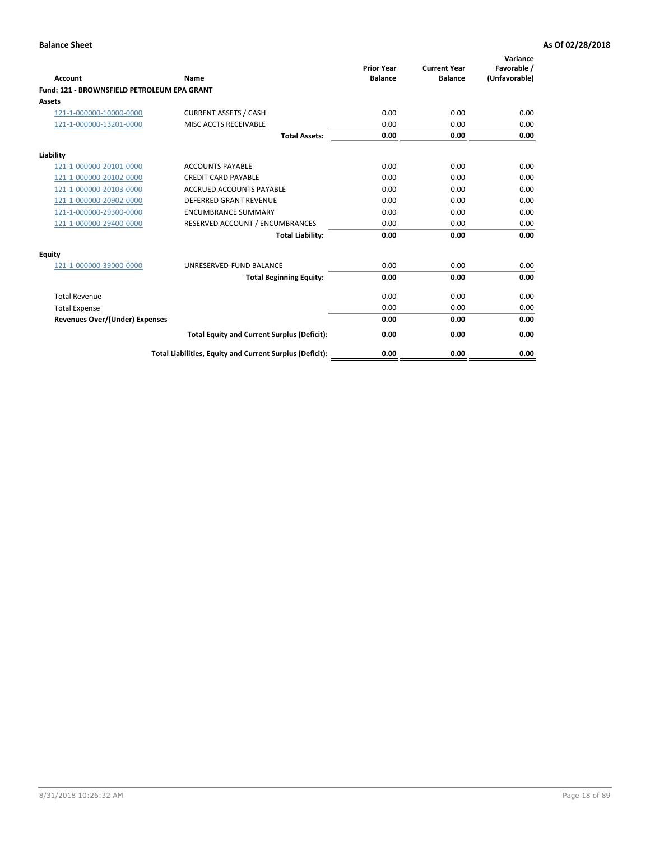| Account                                     | Name                                                     | <b>Prior Year</b><br><b>Balance</b> | <b>Current Year</b><br><b>Balance</b> | Variance<br>Favorable /<br>(Unfavorable) |
|---------------------------------------------|----------------------------------------------------------|-------------------------------------|---------------------------------------|------------------------------------------|
| Fund: 121 - BROWNSFIELD PETROLEUM EPA GRANT |                                                          |                                     |                                       |                                          |
| <b>Assets</b>                               |                                                          |                                     |                                       |                                          |
| 121-1-000000-10000-0000                     | <b>CURRENT ASSETS / CASH</b>                             | 0.00                                | 0.00                                  | 0.00                                     |
| 121-1-000000-13201-0000                     | <b>MISC ACCTS RECEIVABLE</b>                             | 0.00                                | 0.00                                  | 0.00                                     |
|                                             | <b>Total Assets:</b>                                     | 0.00                                | 0.00                                  | 0.00                                     |
| Liability                                   |                                                          |                                     |                                       |                                          |
| 121-1-000000-20101-0000                     | <b>ACCOUNTS PAYABLE</b>                                  | 0.00                                | 0.00                                  | 0.00                                     |
| 121-1-000000-20102-0000                     | <b>CREDIT CARD PAYABLE</b>                               | 0.00                                | 0.00                                  | 0.00                                     |
| 121-1-000000-20103-0000                     | <b>ACCRUED ACCOUNTS PAYABLE</b>                          | 0.00                                | 0.00                                  | 0.00                                     |
| 121-1-000000-20902-0000                     | <b>DEFERRED GRANT REVENUE</b>                            | 0.00                                | 0.00                                  | 0.00                                     |
| 121-1-000000-29300-0000                     | <b>ENCUMBRANCE SUMMARY</b>                               | 0.00                                | 0.00                                  | 0.00                                     |
| 121-1-000000-29400-0000                     | RESERVED ACCOUNT / ENCUMBRANCES                          | 0.00                                | 0.00                                  | 0.00                                     |
|                                             | <b>Total Liability:</b>                                  | 0.00                                | 0.00                                  | 0.00                                     |
| <b>Equity</b>                               |                                                          |                                     |                                       |                                          |
| 121-1-000000-39000-0000                     | UNRESERVED-FUND BALANCE                                  | 0.00                                | 0.00                                  | 0.00                                     |
|                                             | <b>Total Beginning Equity:</b>                           | 0.00                                | 0.00                                  | 0.00                                     |
| <b>Total Revenue</b>                        |                                                          | 0.00                                | 0.00                                  | 0.00                                     |
| <b>Total Expense</b>                        |                                                          | 0.00                                | 0.00                                  | 0.00                                     |
| <b>Revenues Over/(Under) Expenses</b>       |                                                          | 0.00                                | 0.00                                  | 0.00                                     |
|                                             | <b>Total Equity and Current Surplus (Deficit):</b>       | 0.00                                | 0.00                                  | 0.00                                     |
|                                             | Total Liabilities, Equity and Current Surplus (Deficit): | 0.00                                | 0.00                                  | 0.00                                     |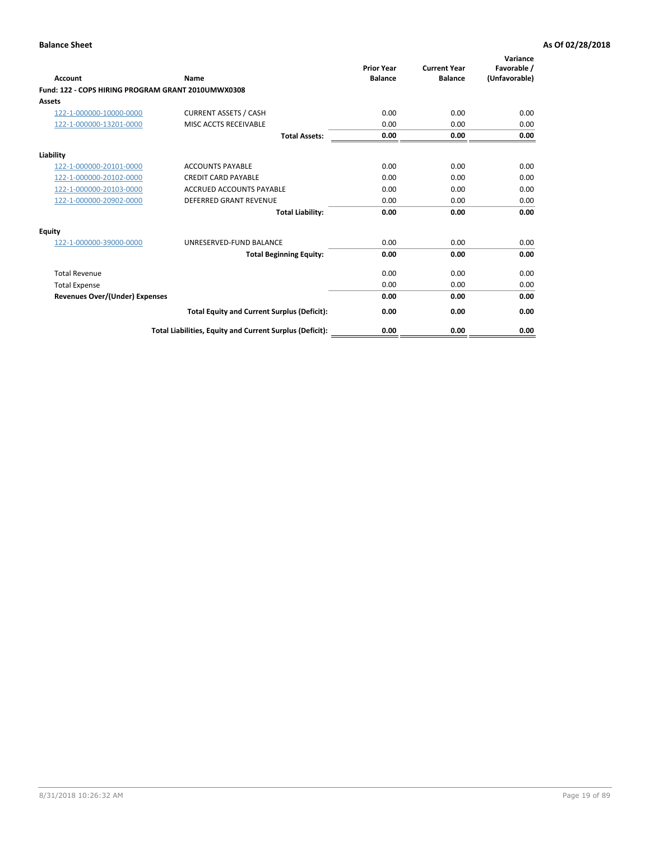| <b>Account</b>                                     | Name                                                     | <b>Prior Year</b><br><b>Balance</b> | <b>Current Year</b><br><b>Balance</b> | Variance<br>Favorable /<br>(Unfavorable) |
|----------------------------------------------------|----------------------------------------------------------|-------------------------------------|---------------------------------------|------------------------------------------|
| Fund: 122 - COPS HIRING PROGRAM GRANT 2010UMWX0308 |                                                          |                                     |                                       |                                          |
| Assets                                             |                                                          |                                     |                                       |                                          |
| 122-1-000000-10000-0000                            | <b>CURRENT ASSETS / CASH</b>                             | 0.00                                | 0.00                                  | 0.00                                     |
| 122-1-000000-13201-0000                            | MISC ACCTS RECEIVABLE                                    | 0.00                                | 0.00                                  | 0.00                                     |
|                                                    | <b>Total Assets:</b>                                     | 0.00                                | 0.00                                  | 0.00                                     |
| Liability                                          |                                                          |                                     |                                       |                                          |
| 122-1-000000-20101-0000                            | <b>ACCOUNTS PAYABLE</b>                                  | 0.00                                | 0.00                                  | 0.00                                     |
| 122-1-000000-20102-0000                            | <b>CREDIT CARD PAYABLE</b>                               | 0.00                                | 0.00                                  | 0.00                                     |
| 122-1-000000-20103-0000                            | <b>ACCRUED ACCOUNTS PAYABLE</b>                          | 0.00                                | 0.00                                  | 0.00                                     |
| 122-1-000000-20902-0000                            | <b>DEFERRED GRANT REVENUE</b>                            | 0.00                                | 0.00                                  | 0.00                                     |
|                                                    | <b>Total Liability:</b>                                  | 0.00                                | 0.00                                  | 0.00                                     |
| Equity                                             |                                                          |                                     |                                       |                                          |
| 122-1-000000-39000-0000                            | UNRESERVED-FUND BALANCE                                  | 0.00                                | 0.00                                  | 0.00                                     |
|                                                    | <b>Total Beginning Equity:</b>                           | 0.00                                | 0.00                                  | 0.00                                     |
| <b>Total Revenue</b>                               |                                                          | 0.00                                | 0.00                                  | 0.00                                     |
| <b>Total Expense</b>                               |                                                          | 0.00                                | 0.00                                  | 0.00                                     |
| <b>Revenues Over/(Under) Expenses</b>              |                                                          | 0.00                                | 0.00                                  | 0.00                                     |
|                                                    | <b>Total Equity and Current Surplus (Deficit):</b>       | 0.00                                | 0.00                                  | 0.00                                     |
|                                                    | Total Liabilities, Equity and Current Surplus (Deficit): | 0.00                                | 0.00                                  | 0.00                                     |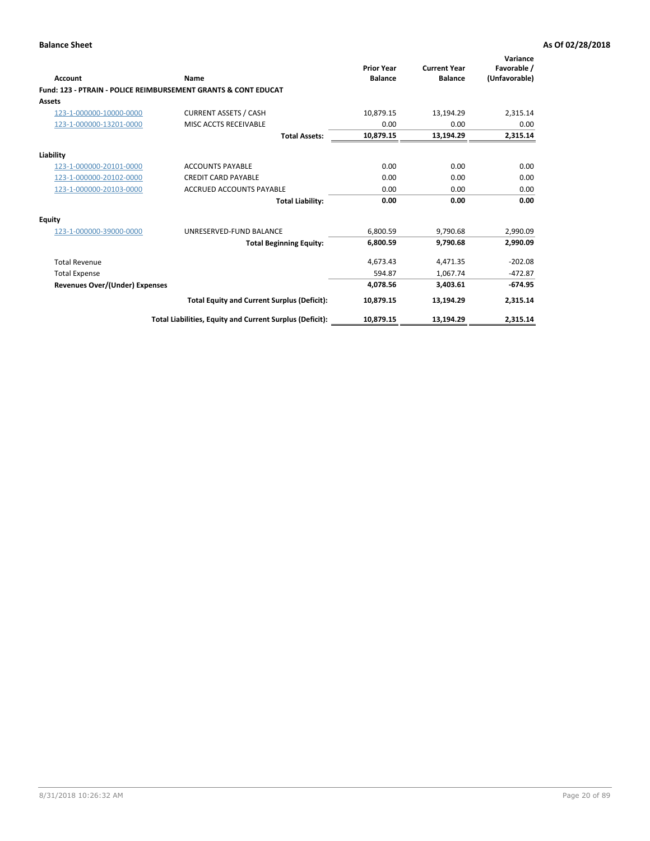| Account                        | Name                                                           | <b>Prior Year</b><br><b>Balance</b> | <b>Current Year</b><br><b>Balance</b> | Variance<br>Favorable /<br>(Unfavorable) |
|--------------------------------|----------------------------------------------------------------|-------------------------------------|---------------------------------------|------------------------------------------|
|                                | Fund: 123 - PTRAIN - POLICE REIMBURSEMENT GRANTS & CONT EDUCAT |                                     |                                       |                                          |
| Assets                         |                                                                |                                     |                                       |                                          |
| 123-1-000000-10000-0000        | <b>CURRENT ASSETS / CASH</b>                                   | 10,879.15                           | 13,194.29                             | 2,315.14                                 |
| 123-1-000000-13201-0000        | MISC ACCTS RECEIVABLE                                          | 0.00                                | 0.00                                  | 0.00                                     |
|                                | <b>Total Assets:</b>                                           | 10,879.15                           | 13,194.29                             | 2,315.14                                 |
| Liability                      |                                                                |                                     |                                       |                                          |
| 123-1-000000-20101-0000        | <b>ACCOUNTS PAYABLE</b>                                        | 0.00                                | 0.00                                  | 0.00                                     |
| 123-1-000000-20102-0000        | <b>CREDIT CARD PAYABLE</b>                                     | 0.00                                | 0.00                                  | 0.00                                     |
| 123-1-000000-20103-0000        | ACCRUED ACCOUNTS PAYABLE                                       | 0.00                                | 0.00                                  | 0.00                                     |
|                                | <b>Total Liability:</b>                                        | 0.00                                | 0.00                                  | 0.00                                     |
| Equity                         |                                                                |                                     |                                       |                                          |
| 123-1-000000-39000-0000        | UNRESERVED-FUND BALANCE                                        | 6,800.59                            | 9,790.68                              | 2,990.09                                 |
|                                | <b>Total Beginning Equity:</b>                                 | 6,800.59                            | 9,790.68                              | 2,990.09                                 |
| <b>Total Revenue</b>           |                                                                | 4,673.43                            | 4,471.35                              | $-202.08$                                |
| <b>Total Expense</b>           |                                                                | 594.87                              | 1,067.74                              | $-472.87$                                |
| Revenues Over/(Under) Expenses |                                                                | 4,078.56                            | 3,403.61                              | $-674.95$                                |
|                                | <b>Total Equity and Current Surplus (Deficit):</b>             | 10,879.15                           | 13,194.29                             | 2,315.14                                 |
|                                | Total Liabilities, Equity and Current Surplus (Deficit):       | 10,879.15                           | 13,194.29                             | 2,315.14                                 |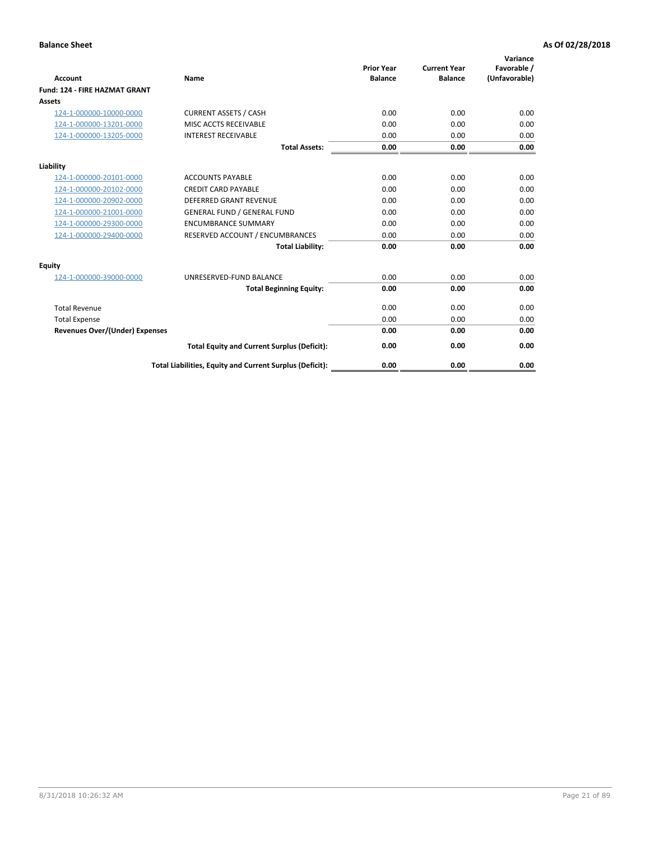| <b>Account</b>                        | Name                                                     | <b>Prior Year</b><br><b>Balance</b> | <b>Current Year</b><br><b>Balance</b> | Variance<br>Favorable /<br>(Unfavorable) |
|---------------------------------------|----------------------------------------------------------|-------------------------------------|---------------------------------------|------------------------------------------|
| <b>Fund: 124 - FIRE HAZMAT GRANT</b>  |                                                          |                                     |                                       |                                          |
| Assets                                |                                                          |                                     |                                       |                                          |
| 124-1-000000-10000-0000               | <b>CURRENT ASSETS / CASH</b>                             | 0.00                                | 0.00                                  | 0.00                                     |
| 124-1-000000-13201-0000               | MISC ACCTS RECEIVABLE                                    | 0.00                                | 0.00                                  | 0.00                                     |
| 124-1-000000-13205-0000               | <b>INTEREST RECEIVABLE</b>                               | 0.00                                | 0.00                                  | 0.00                                     |
|                                       | <b>Total Assets:</b>                                     | 0.00                                | 0.00                                  | 0.00                                     |
| Liability                             |                                                          |                                     |                                       |                                          |
| 124-1-000000-20101-0000               | <b>ACCOUNTS PAYABLE</b>                                  | 0.00                                | 0.00                                  | 0.00                                     |
| 124-1-000000-20102-0000               | <b>CREDIT CARD PAYABLE</b>                               | 0.00                                | 0.00                                  | 0.00                                     |
| 124-1-000000-20902-0000               | <b>DEFERRED GRANT REVENUE</b>                            | 0.00                                | 0.00                                  | 0.00                                     |
| 124-1-000000-21001-0000               | <b>GENERAL FUND / GENERAL FUND</b>                       | 0.00                                | 0.00                                  | 0.00                                     |
| 124-1-000000-29300-0000               | <b>ENCUMBRANCE SUMMARY</b>                               | 0.00                                | 0.00                                  | 0.00                                     |
| 124-1-000000-29400-0000               | RESERVED ACCOUNT / ENCUMBRANCES                          | 0.00                                | 0.00                                  | 0.00                                     |
|                                       | <b>Total Liability:</b>                                  | 0.00                                | 0.00                                  | 0.00                                     |
| <b>Equity</b>                         |                                                          |                                     |                                       |                                          |
| 124-1-000000-39000-0000               | UNRESERVED-FUND BALANCE                                  | 0.00                                | 0.00                                  | 0.00                                     |
|                                       | <b>Total Beginning Equity:</b>                           | 0.00                                | 0.00                                  | 0.00                                     |
| <b>Total Revenue</b>                  |                                                          | 0.00                                | 0.00                                  | 0.00                                     |
| <b>Total Expense</b>                  |                                                          | 0.00                                | 0.00                                  | 0.00                                     |
| <b>Revenues Over/(Under) Expenses</b> |                                                          | 0.00                                | 0.00                                  | 0.00                                     |
|                                       | <b>Total Equity and Current Surplus (Deficit):</b>       | 0.00                                | 0.00                                  | 0.00                                     |
|                                       | Total Liabilities, Equity and Current Surplus (Deficit): | 0.00                                | 0.00                                  | 0.00                                     |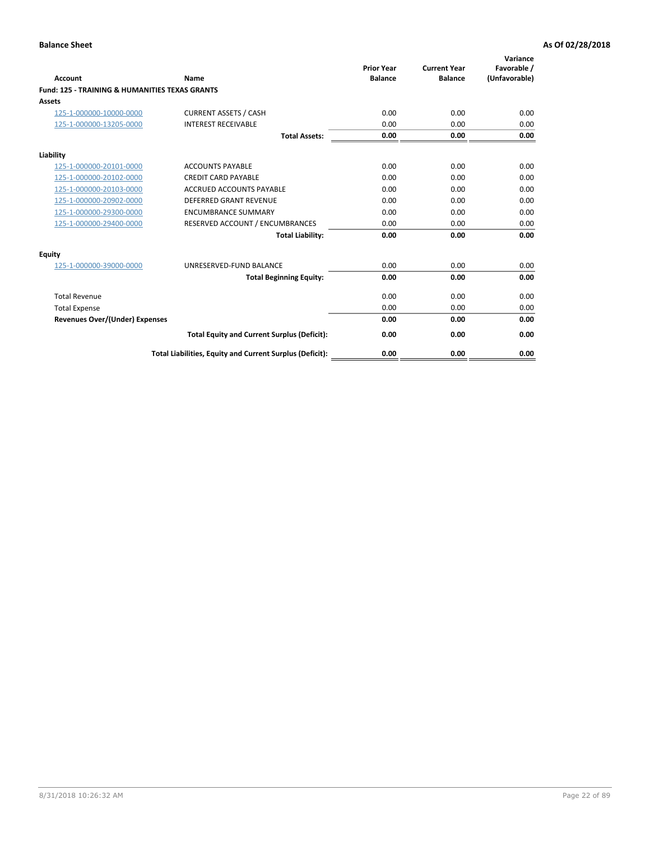| Account                                                   | Name                                                     | <b>Prior Year</b><br><b>Balance</b> | <b>Current Year</b><br><b>Balance</b> | Variance<br>Favorable /<br>(Unfavorable) |
|-----------------------------------------------------------|----------------------------------------------------------|-------------------------------------|---------------------------------------|------------------------------------------|
| <b>Fund: 125 - TRAINING &amp; HUMANITIES TEXAS GRANTS</b> |                                                          |                                     |                                       |                                          |
| <b>Assets</b>                                             |                                                          |                                     |                                       |                                          |
| 125-1-000000-10000-0000                                   | <b>CURRENT ASSETS / CASH</b>                             | 0.00                                | 0.00                                  | 0.00                                     |
| 125-1-000000-13205-0000                                   | <b>INTEREST RECEIVABLE</b>                               | 0.00                                | 0.00                                  | 0.00                                     |
|                                                           | <b>Total Assets:</b>                                     | 0.00                                | 0.00                                  | 0.00                                     |
| Liability                                                 |                                                          |                                     |                                       |                                          |
| 125-1-000000-20101-0000                                   | <b>ACCOUNTS PAYABLE</b>                                  | 0.00                                | 0.00                                  | 0.00                                     |
| 125-1-000000-20102-0000                                   | <b>CREDIT CARD PAYABLE</b>                               | 0.00                                | 0.00                                  | 0.00                                     |
| 125-1-000000-20103-0000                                   | <b>ACCRUED ACCOUNTS PAYABLE</b>                          | 0.00                                | 0.00                                  | 0.00                                     |
| 125-1-000000-20902-0000                                   | <b>DEFERRED GRANT REVENUE</b>                            | 0.00                                | 0.00                                  | 0.00                                     |
| 125-1-000000-29300-0000                                   | <b>ENCUMBRANCE SUMMARY</b>                               | 0.00                                | 0.00                                  | 0.00                                     |
| 125-1-000000-29400-0000                                   | RESERVED ACCOUNT / ENCUMBRANCES                          | 0.00                                | 0.00                                  | 0.00                                     |
|                                                           | <b>Total Liability:</b>                                  | 0.00                                | 0.00                                  | 0.00                                     |
| <b>Equity</b>                                             |                                                          |                                     |                                       |                                          |
| 125-1-000000-39000-0000                                   | UNRESERVED-FUND BALANCE                                  | 0.00                                | 0.00                                  | 0.00                                     |
|                                                           | <b>Total Beginning Equity:</b>                           | 0.00                                | 0.00                                  | 0.00                                     |
| <b>Total Revenue</b>                                      |                                                          | 0.00                                | 0.00                                  | 0.00                                     |
| <b>Total Expense</b>                                      |                                                          | 0.00                                | 0.00                                  | 0.00                                     |
| <b>Revenues Over/(Under) Expenses</b>                     |                                                          | 0.00                                | 0.00                                  | 0.00                                     |
|                                                           | <b>Total Equity and Current Surplus (Deficit):</b>       | 0.00                                | 0.00                                  | 0.00                                     |
|                                                           | Total Liabilities, Equity and Current Surplus (Deficit): | 0.00                                | 0.00                                  | 0.00                                     |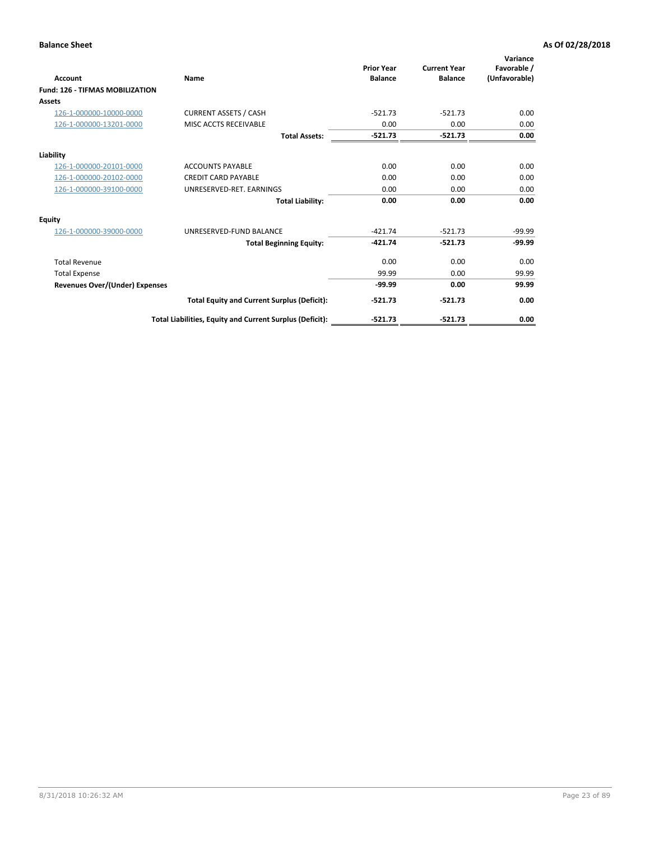| <b>Account</b>                         | Name                                                     | <b>Prior Year</b><br><b>Balance</b> | <b>Current Year</b><br><b>Balance</b> | Variance<br>Favorable /<br>(Unfavorable) |
|----------------------------------------|----------------------------------------------------------|-------------------------------------|---------------------------------------|------------------------------------------|
| <b>Fund: 126 - TIFMAS MOBILIZATION</b> |                                                          |                                     |                                       |                                          |
| Assets                                 |                                                          |                                     |                                       |                                          |
| 126-1-000000-10000-0000                | <b>CURRENT ASSETS / CASH</b>                             | $-521.73$                           | $-521.73$                             | 0.00                                     |
| 126-1-000000-13201-0000                | MISC ACCTS RECEIVABLE                                    | 0.00                                | 0.00                                  | 0.00                                     |
|                                        | <b>Total Assets:</b>                                     | $-521.73$                           | $-521.73$                             | 0.00                                     |
| Liability                              |                                                          |                                     |                                       |                                          |
| 126-1-000000-20101-0000                | <b>ACCOUNTS PAYABLE</b>                                  | 0.00                                | 0.00                                  | 0.00                                     |
| 126-1-000000-20102-0000                | <b>CREDIT CARD PAYABLE</b>                               | 0.00                                | 0.00                                  | 0.00                                     |
| 126-1-000000-39100-0000                | UNRESERVED-RET, EARNINGS                                 | 0.00                                | 0.00                                  | 0.00                                     |
|                                        | <b>Total Liability:</b>                                  | 0.00                                | 0.00                                  | 0.00                                     |
| Equity                                 |                                                          |                                     |                                       |                                          |
| 126-1-000000-39000-0000                | UNRESERVED-FUND BALANCE                                  | $-421.74$                           | $-521.73$                             | $-99.99$                                 |
|                                        | <b>Total Beginning Equity:</b>                           | $-421.74$                           | $-521.73$                             | $-99.99$                                 |
| <b>Total Revenue</b>                   |                                                          | 0.00                                | 0.00                                  | 0.00                                     |
| <b>Total Expense</b>                   |                                                          | 99.99                               | 0.00                                  | 99.99                                    |
| <b>Revenues Over/(Under) Expenses</b>  |                                                          | $-99.99$                            | 0.00                                  | 99.99                                    |
|                                        | <b>Total Equity and Current Surplus (Deficit):</b>       | $-521.73$                           | $-521.73$                             | 0.00                                     |
|                                        | Total Liabilities, Equity and Current Surplus (Deficit): | $-521.73$                           | $-521.73$                             | 0.00                                     |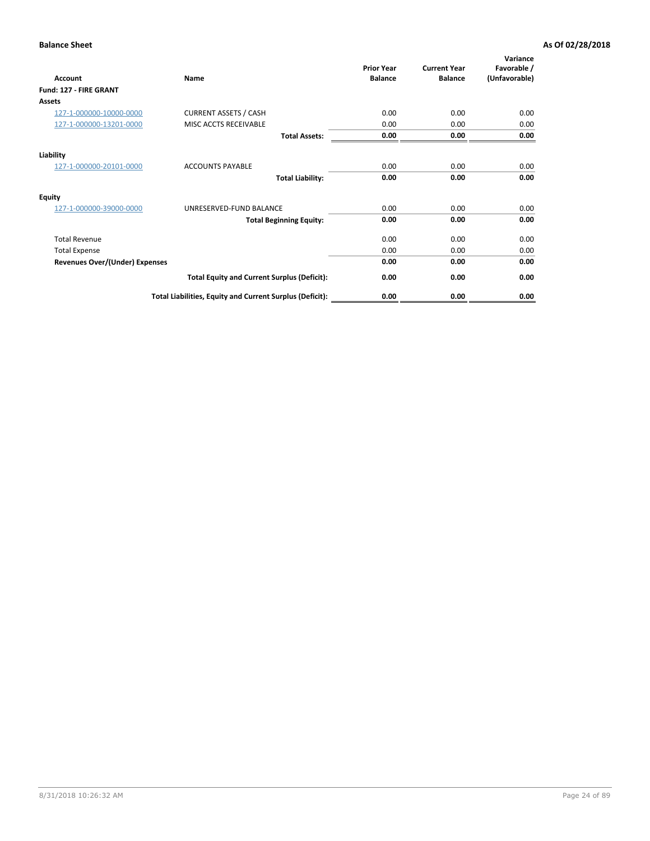| Account                               | Name                                                     | <b>Prior Year</b><br><b>Balance</b> | <b>Current Year</b><br><b>Balance</b> | Variance<br>Favorable /<br>(Unfavorable) |
|---------------------------------------|----------------------------------------------------------|-------------------------------------|---------------------------------------|------------------------------------------|
| Fund: 127 - FIRE GRANT                |                                                          |                                     |                                       |                                          |
| <b>Assets</b>                         |                                                          |                                     |                                       |                                          |
| 127-1-000000-10000-0000               | <b>CURRENT ASSETS / CASH</b>                             | 0.00                                | 0.00                                  | 0.00                                     |
| 127-1-000000-13201-0000               | MISC ACCTS RECEIVABLE                                    | 0.00                                | 0.00                                  | 0.00                                     |
|                                       | <b>Total Assets:</b>                                     | 0.00                                | 0.00                                  | 0.00                                     |
| Liability                             |                                                          |                                     |                                       |                                          |
| 127-1-000000-20101-0000               | <b>ACCOUNTS PAYABLE</b>                                  | 0.00                                | 0.00                                  | 0.00                                     |
|                                       | <b>Total Liability:</b>                                  | 0.00                                | 0.00                                  | 0.00                                     |
| <b>Equity</b>                         |                                                          |                                     |                                       |                                          |
| 127-1-000000-39000-0000               | UNRESERVED-FUND BALANCE                                  | 0.00                                | 0.00                                  | 0.00                                     |
|                                       | <b>Total Beginning Equity:</b>                           | 0.00                                | 0.00                                  | 0.00                                     |
| <b>Total Revenue</b>                  |                                                          | 0.00                                | 0.00                                  | 0.00                                     |
| <b>Total Expense</b>                  |                                                          | 0.00                                | 0.00                                  | 0.00                                     |
| <b>Revenues Over/(Under) Expenses</b> |                                                          | 0.00                                | 0.00                                  | 0.00                                     |
|                                       | <b>Total Equity and Current Surplus (Deficit):</b>       | 0.00                                | 0.00                                  | 0.00                                     |
|                                       | Total Liabilities, Equity and Current Surplus (Deficit): | 0.00                                | 0.00                                  | 0.00                                     |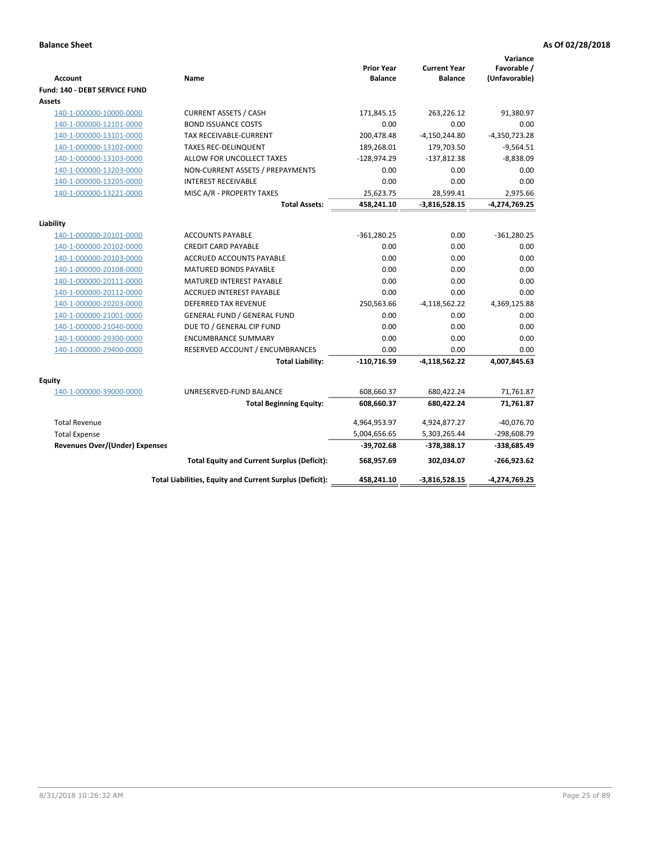| <b>Account</b>                        | Name                                                     | <b>Prior Year</b><br><b>Balance</b> | <b>Current Year</b><br><b>Balance</b> | Variance<br>Favorable /<br>(Unfavorable) |
|---------------------------------------|----------------------------------------------------------|-------------------------------------|---------------------------------------|------------------------------------------|
| Fund: 140 - DEBT SERVICE FUND         |                                                          |                                     |                                       |                                          |
| Assets                                |                                                          |                                     |                                       |                                          |
| 140-1-000000-10000-0000               | <b>CURRENT ASSETS / CASH</b>                             | 171,845.15                          | 263,226.12                            | 91,380.97                                |
| 140-1-000000-12101-0000               | <b>BOND ISSUANCE COSTS</b>                               | 0.00                                | 0.00                                  | 0.00                                     |
| 140-1-000000-13101-0000               | <b>TAX RECEIVABLE-CURRENT</b>                            | 200,478.48                          | $-4,150,244.80$                       | $-4,350,723.28$                          |
| 140-1-000000-13102-0000               | <b>TAXES REC-DELINQUENT</b>                              | 189,268.01                          | 179,703.50                            | $-9,564.51$                              |
| 140-1-000000-13103-0000               | ALLOW FOR UNCOLLECT TAXES                                | $-128,974.29$                       | $-137,812.38$                         | $-8,838.09$                              |
| 140-1-000000-13203-0000               | NON-CURRENT ASSETS / PREPAYMENTS                         | 0.00                                | 0.00                                  | 0.00                                     |
| 140-1-000000-13205-0000               | <b>INTEREST RECEIVABLE</b>                               | 0.00                                | 0.00                                  | 0.00                                     |
| 140-1-000000-13221-0000               | MISC A/R - PROPERTY TAXES                                | 25,623.75                           | 28,599.41                             | 2,975.66                                 |
|                                       | <b>Total Assets:</b>                                     | 458,241.10                          | $-3,816,528.15$                       | $-4,274,769.25$                          |
| Liability                             |                                                          |                                     |                                       |                                          |
| 140-1-000000-20101-0000               | <b>ACCOUNTS PAYABLE</b>                                  | $-361,280.25$                       | 0.00                                  | $-361,280.25$                            |
| 140-1-000000-20102-0000               | <b>CREDIT CARD PAYABLE</b>                               | 0.00                                | 0.00                                  | 0.00                                     |
| 140-1-000000-20103-0000               | ACCRUED ACCOUNTS PAYABLE                                 | 0.00                                | 0.00                                  | 0.00                                     |
| 140-1-000000-20108-0000               | MATURED BONDS PAYABLE                                    | 0.00                                | 0.00                                  | 0.00                                     |
| 140-1-000000-20111-0000               | <b>MATURED INTEREST PAYABLE</b>                          | 0.00                                | 0.00                                  | 0.00                                     |
| 140-1-000000-20112-0000               | <b>ACCRUED INTEREST PAYABLE</b>                          | 0.00                                | 0.00                                  | 0.00                                     |
| 140-1-000000-20203-0000               | <b>DEFERRED TAX REVENUE</b>                              | 250,563.66                          | $-4,118,562.22$                       | 4,369,125.88                             |
| 140-1-000000-21001-0000               | <b>GENERAL FUND / GENERAL FUND</b>                       | 0.00                                | 0.00                                  | 0.00                                     |
| 140-1-000000-21040-0000               | DUE TO / GENERAL CIP FUND                                | 0.00                                | 0.00                                  | 0.00                                     |
| 140-1-000000-29300-0000               | <b>ENCUMBRANCE SUMMARY</b>                               | 0.00                                | 0.00                                  | 0.00                                     |
| 140-1-000000-29400-0000               | RESERVED ACCOUNT / ENCUMBRANCES                          | 0.00                                | 0.00                                  | 0.00                                     |
|                                       | <b>Total Liability:</b>                                  | $-110,716.59$                       | $-4,118,562.22$                       | 4,007,845.63                             |
| Equity                                |                                                          |                                     |                                       |                                          |
| 140-1-000000-39000-0000               | UNRESERVED-FUND BALANCE                                  | 608,660.37                          | 680,422.24                            | 71,761.87                                |
|                                       | <b>Total Beginning Equity:</b>                           | 608,660.37                          | 680,422.24                            | 71,761.87                                |
| <b>Total Revenue</b>                  |                                                          | 4,964,953.97                        | 4,924,877.27                          | $-40,076.70$                             |
| <b>Total Expense</b>                  |                                                          | 5,004,656.65                        | 5,303,265.44                          | $-298,608.79$                            |
| <b>Revenues Over/(Under) Expenses</b> |                                                          | $-39,702.68$                        | $-378,388.17$                         | $-338,685.49$                            |
|                                       | <b>Total Equity and Current Surplus (Deficit):</b>       | 568,957.69                          | 302.034.07                            | $-266,923.62$                            |
|                                       | Total Liabilities, Equity and Current Surplus (Deficit): | 458,241.10                          | $-3,816,528.15$                       | -4,274,769.25                            |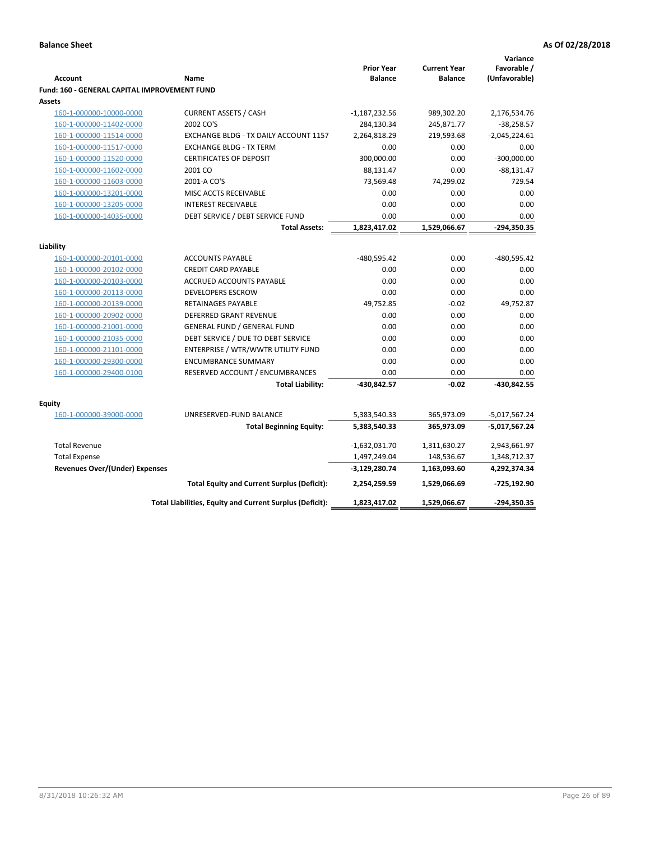|                                              |                                                          |                                     |                                       | Variance                     |
|----------------------------------------------|----------------------------------------------------------|-------------------------------------|---------------------------------------|------------------------------|
| <b>Account</b>                               | Name                                                     | <b>Prior Year</b><br><b>Balance</b> | <b>Current Year</b><br><b>Balance</b> | Favorable /<br>(Unfavorable) |
| Fund: 160 - GENERAL CAPITAL IMPROVEMENT FUND |                                                          |                                     |                                       |                              |
| Assets                                       |                                                          |                                     |                                       |                              |
| 160-1-000000-10000-0000                      | <b>CURRENT ASSETS / CASH</b>                             | $-1,187,232.56$                     | 989,302.20                            | 2,176,534.76                 |
| 160-1-000000-11402-0000                      | 2002 CO'S                                                | 284,130.34                          | 245,871.77                            | $-38,258.57$                 |
| 160-1-000000-11514-0000                      | EXCHANGE BLDG - TX DAILY ACCOUNT 1157                    | 2,264,818.29                        | 219,593.68                            | $-2,045,224.61$              |
| 160-1-000000-11517-0000                      | <b>EXCHANGE BLDG - TX TERM</b>                           | 0.00                                | 0.00                                  | 0.00                         |
| 160-1-000000-11520-0000                      | <b>CERTIFICATES OF DEPOSIT</b>                           | 300,000.00                          | 0.00                                  | $-300,000.00$                |
| 160-1-000000-11602-0000                      | 2001 CO                                                  | 88,131.47                           | 0.00                                  | $-88,131.47$                 |
| 160-1-000000-11603-0000                      | 2001-A CO'S                                              | 73,569.48                           | 74,299.02                             | 729.54                       |
| 160-1-000000-13201-0000                      | MISC ACCTS RECEIVABLE                                    | 0.00                                | 0.00                                  | 0.00                         |
| 160-1-000000-13205-0000                      | <b>INTEREST RECEIVABLE</b>                               | 0.00                                | 0.00                                  | 0.00                         |
| 160-1-000000-14035-0000                      | DEBT SERVICE / DEBT SERVICE FUND                         | 0.00                                | 0.00                                  | 0.00                         |
|                                              | <b>Total Assets:</b>                                     | 1,823,417.02                        | 1,529,066.67                          | -294,350.35                  |
|                                              |                                                          |                                     |                                       |                              |
| Liability                                    |                                                          |                                     |                                       |                              |
| 160-1-000000-20101-0000                      | <b>ACCOUNTS PAYABLE</b>                                  | $-480,595.42$                       | 0.00                                  | $-480,595.42$                |
| 160-1-000000-20102-0000                      | <b>CREDIT CARD PAYABLE</b>                               | 0.00                                | 0.00                                  | 0.00                         |
| 160-1-000000-20103-0000                      | <b>ACCRUED ACCOUNTS PAYABLE</b>                          | 0.00                                | 0.00                                  | 0.00                         |
| 160-1-000000-20113-0000                      | <b>DEVELOPERS ESCROW</b>                                 | 0.00                                | 0.00                                  | 0.00                         |
| 160-1-000000-20139-0000                      | <b>RETAINAGES PAYABLE</b>                                | 49,752.85                           | $-0.02$                               | 49,752.87                    |
| 160-1-000000-20902-0000                      | <b>DEFERRED GRANT REVENUE</b>                            | 0.00                                | 0.00                                  | 0.00                         |
| 160-1-000000-21001-0000                      | <b>GENERAL FUND / GENERAL FUND</b>                       | 0.00                                | 0.00                                  | 0.00                         |
| 160-1-000000-21035-0000                      | DEBT SERVICE / DUE TO DEBT SERVICE                       | 0.00                                | 0.00                                  | 0.00                         |
| 160-1-000000-21101-0000                      | ENTERPRISE / WTR/WWTR UTILITY FUND                       | 0.00                                | 0.00                                  | 0.00                         |
| 160-1-000000-29300-0000                      | <b>ENCUMBRANCE SUMMARY</b>                               | 0.00                                | 0.00                                  | 0.00                         |
| 160-1-000000-29400-0100                      | RESERVED ACCOUNT / ENCUMBRANCES                          | 0.00                                | 0.00                                  | 0.00                         |
|                                              | <b>Total Liability:</b>                                  | -430,842.57                         | $-0.02$                               | -430,842.55                  |
| <b>Equity</b>                                |                                                          |                                     |                                       |                              |
| 160-1-000000-39000-0000                      | UNRESERVED-FUND BALANCE                                  | 5,383,540.33                        | 365,973.09                            | $-5,017,567.24$              |
|                                              | <b>Total Beginning Equity:</b>                           | 5,383,540.33                        | 365,973.09                            | $-5,017,567.24$              |
|                                              |                                                          |                                     |                                       |                              |
| <b>Total Revenue</b>                         |                                                          | $-1,632,031.70$                     | 1,311,630.27                          | 2,943,661.97                 |
| <b>Total Expense</b>                         |                                                          | 1,497,249.04                        | 148,536.67                            | 1,348,712.37                 |
| <b>Revenues Over/(Under) Expenses</b>        |                                                          | $-3,129,280.74$                     | 1,163,093.60                          | 4,292,374.34                 |
|                                              | <b>Total Equity and Current Surplus (Deficit):</b>       | 2,254,259.59                        | 1,529,066.69                          | $-725,192.90$                |
|                                              | Total Liabilities, Equity and Current Surplus (Deficit): | 1,823,417.02                        | 1,529,066.67                          | -294,350.35                  |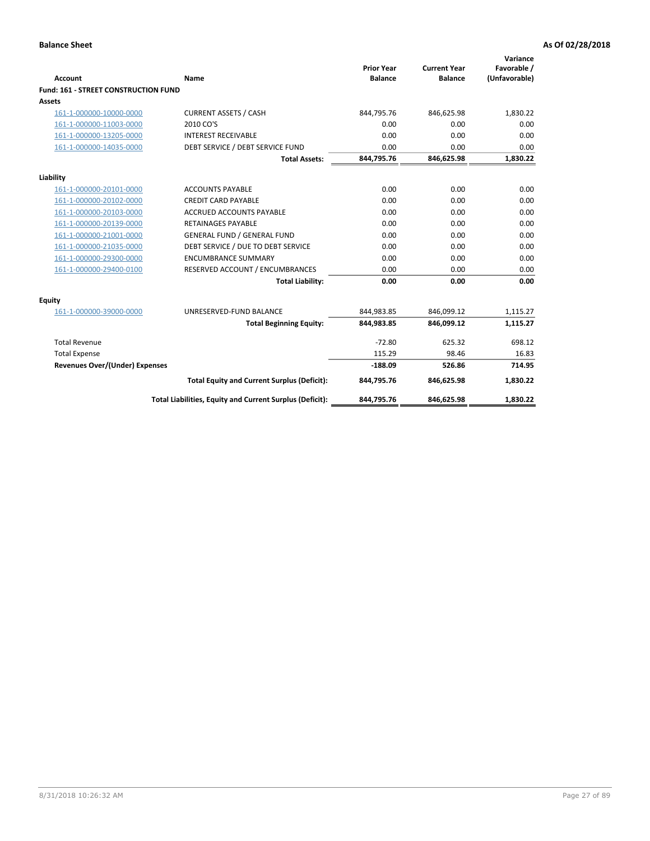| <b>Account</b>                              | Name                                                     | <b>Prior Year</b><br><b>Balance</b> | <b>Current Year</b><br><b>Balance</b> | Variance<br>Favorable /<br>(Unfavorable) |
|---------------------------------------------|----------------------------------------------------------|-------------------------------------|---------------------------------------|------------------------------------------|
| <b>Fund: 161 - STREET CONSTRUCTION FUND</b> |                                                          |                                     |                                       |                                          |
| <b>Assets</b>                               |                                                          |                                     |                                       |                                          |
| 161-1-000000-10000-0000                     | <b>CURRENT ASSETS / CASH</b>                             | 844,795.76                          | 846,625.98                            | 1,830.22                                 |
| 161-1-000000-11003-0000                     | 2010 CO'S                                                | 0.00                                | 0.00                                  | 0.00                                     |
| 161-1-000000-13205-0000                     | <b>INTEREST RECEIVABLE</b>                               | 0.00                                | 0.00                                  | 0.00                                     |
| 161-1-000000-14035-0000                     | DEBT SERVICE / DEBT SERVICE FUND                         | 0.00                                | 0.00                                  | 0.00                                     |
|                                             | <b>Total Assets:</b>                                     | 844,795.76                          | 846,625.98                            | 1,830.22                                 |
| Liability                                   |                                                          |                                     |                                       |                                          |
| 161-1-000000-20101-0000                     | <b>ACCOUNTS PAYABLE</b>                                  | 0.00                                | 0.00                                  | 0.00                                     |
| 161-1-000000-20102-0000                     | <b>CREDIT CARD PAYABLE</b>                               | 0.00                                | 0.00                                  | 0.00                                     |
| 161-1-000000-20103-0000                     | <b>ACCRUED ACCOUNTS PAYABLE</b>                          | 0.00                                | 0.00                                  | 0.00                                     |
| 161-1-000000-20139-0000                     | <b>RETAINAGES PAYABLE</b>                                | 0.00                                | 0.00                                  | 0.00                                     |
| 161-1-000000-21001-0000                     | <b>GENERAL FUND / GENERAL FUND</b>                       | 0.00                                | 0.00                                  | 0.00                                     |
| 161-1-000000-21035-0000                     | DEBT SERVICE / DUE TO DEBT SERVICE                       | 0.00                                | 0.00                                  | 0.00                                     |
| 161-1-000000-29300-0000                     | <b>ENCUMBRANCE SUMMARY</b>                               | 0.00                                | 0.00                                  | 0.00                                     |
| 161-1-000000-29400-0100                     | RESERVED ACCOUNT / ENCUMBRANCES                          | 0.00                                | 0.00                                  | 0.00                                     |
|                                             | <b>Total Liability:</b>                                  | 0.00                                | 0.00                                  | 0.00                                     |
| <b>Equity</b>                               |                                                          |                                     |                                       |                                          |
| 161-1-000000-39000-0000                     | UNRESERVED-FUND BALANCE                                  | 844,983.85                          | 846,099.12                            | 1,115.27                                 |
|                                             | <b>Total Beginning Equity:</b>                           | 844,983.85                          | 846,099.12                            | 1,115.27                                 |
| <b>Total Revenue</b>                        |                                                          | $-72.80$                            | 625.32                                | 698.12                                   |
| <b>Total Expense</b>                        |                                                          | 115.29                              | 98.46                                 | 16.83                                    |
| <b>Revenues Over/(Under) Expenses</b>       |                                                          | $-188.09$                           | 526.86                                | 714.95                                   |
|                                             | <b>Total Equity and Current Surplus (Deficit):</b>       | 844,795.76                          | 846,625.98                            | 1,830.22                                 |
|                                             | Total Liabilities, Equity and Current Surplus (Deficit): | 844,795.76                          | 846,625.98                            | 1.830.22                                 |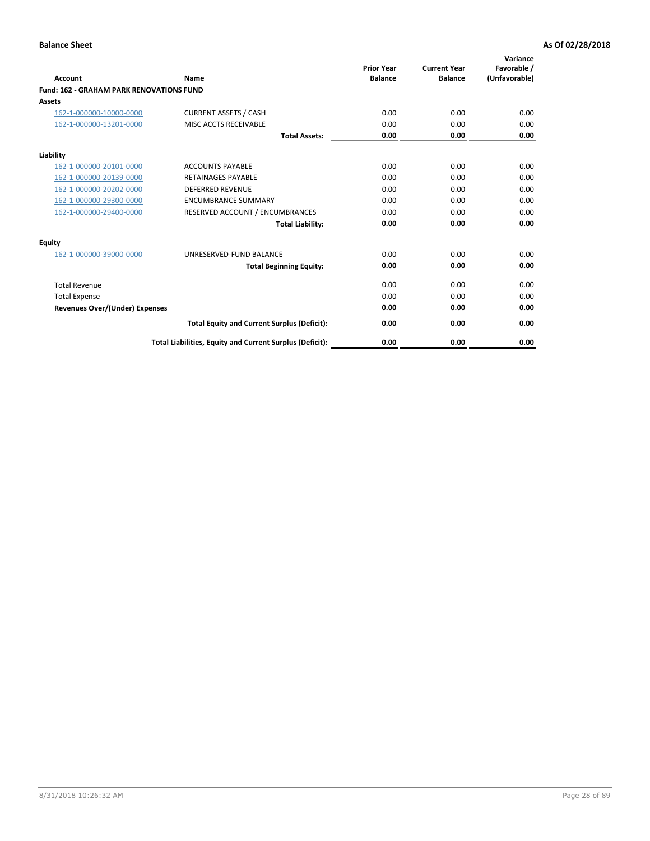| Account                                         | Name                                                     | <b>Prior Year</b><br><b>Balance</b> | <b>Current Year</b><br><b>Balance</b> | Variance<br>Favorable /<br>(Unfavorable) |
|-------------------------------------------------|----------------------------------------------------------|-------------------------------------|---------------------------------------|------------------------------------------|
| <b>Fund: 162 - GRAHAM PARK RENOVATIONS FUND</b> |                                                          |                                     |                                       |                                          |
| <b>Assets</b>                                   |                                                          |                                     |                                       |                                          |
| 162-1-000000-10000-0000                         | <b>CURRENT ASSETS / CASH</b>                             | 0.00                                | 0.00                                  | 0.00                                     |
| 162-1-000000-13201-0000                         | MISC ACCTS RECEIVABLE                                    | 0.00                                | 0.00                                  | 0.00                                     |
|                                                 | <b>Total Assets:</b>                                     | 0.00                                | 0.00                                  | 0.00                                     |
| Liability                                       |                                                          |                                     |                                       |                                          |
| 162-1-000000-20101-0000                         | <b>ACCOUNTS PAYABLE</b>                                  | 0.00                                | 0.00                                  | 0.00                                     |
| 162-1-000000-20139-0000                         | <b>RETAINAGES PAYABLE</b>                                | 0.00                                | 0.00                                  | 0.00                                     |
| 162-1-000000-20202-0000                         | <b>DEFERRED REVENUE</b>                                  | 0.00                                | 0.00                                  | 0.00                                     |
| 162-1-000000-29300-0000                         | <b>ENCUMBRANCE SUMMARY</b>                               | 0.00                                | 0.00                                  | 0.00                                     |
| 162-1-000000-29400-0000                         | RESERVED ACCOUNT / ENCUMBRANCES                          | 0.00                                | 0.00                                  | 0.00                                     |
|                                                 | <b>Total Liability:</b>                                  | 0.00                                | 0.00                                  | 0.00                                     |
| Equity                                          |                                                          |                                     |                                       |                                          |
| 162-1-000000-39000-0000                         | UNRESERVED-FUND BALANCE                                  | 0.00                                | 0.00                                  | 0.00                                     |
|                                                 | <b>Total Beginning Equity:</b>                           | 0.00                                | 0.00                                  | 0.00                                     |
| <b>Total Revenue</b>                            |                                                          | 0.00                                | 0.00                                  | 0.00                                     |
| <b>Total Expense</b>                            |                                                          | 0.00                                | 0.00                                  | 0.00                                     |
| <b>Revenues Over/(Under) Expenses</b>           |                                                          | 0.00                                | 0.00                                  | 0.00                                     |
|                                                 | <b>Total Equity and Current Surplus (Deficit):</b>       | 0.00                                | 0.00                                  | 0.00                                     |
|                                                 | Total Liabilities, Equity and Current Surplus (Deficit): | 0.00                                | 0.00                                  | 0.00                                     |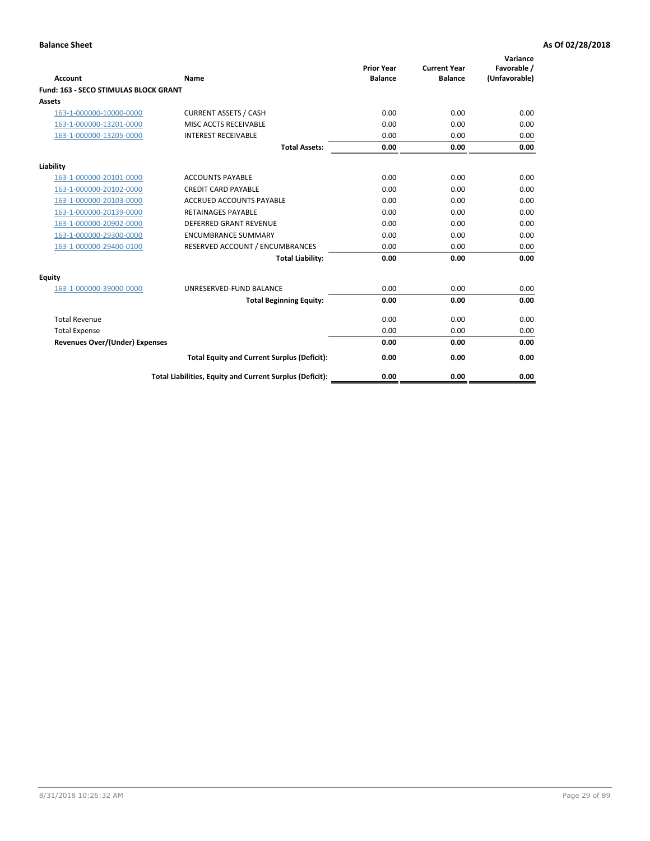|                                              |                                                          | <b>Prior Year</b> | <b>Current Year</b> | Variance<br>Favorable / |
|----------------------------------------------|----------------------------------------------------------|-------------------|---------------------|-------------------------|
| <b>Account</b>                               | Name                                                     | <b>Balance</b>    | <b>Balance</b>      | (Unfavorable)           |
| <b>Fund: 163 - SECO STIMULAS BLOCK GRANT</b> |                                                          |                   |                     |                         |
| Assets                                       |                                                          |                   |                     |                         |
| 163-1-000000-10000-0000                      | <b>CURRENT ASSETS / CASH</b>                             | 0.00              | 0.00                | 0.00                    |
| 163-1-000000-13201-0000                      | MISC ACCTS RECEIVABLE                                    | 0.00              | 0.00                | 0.00                    |
| 163-1-000000-13205-0000                      | <b>INTEREST RECEIVABLE</b>                               | 0.00              | 0.00                | 0.00                    |
|                                              | <b>Total Assets:</b>                                     | 0.00              | 0.00                | 0.00                    |
| Liability                                    |                                                          |                   |                     |                         |
| 163-1-000000-20101-0000                      | <b>ACCOUNTS PAYABLE</b>                                  | 0.00              | 0.00                | 0.00                    |
| 163-1-000000-20102-0000                      | <b>CREDIT CARD PAYABLE</b>                               | 0.00              | 0.00                | 0.00                    |
| 163-1-000000-20103-0000                      | <b>ACCRUED ACCOUNTS PAYABLE</b>                          | 0.00              | 0.00                | 0.00                    |
| 163-1-000000-20139-0000                      | <b>RETAINAGES PAYABLE</b>                                | 0.00              | 0.00                | 0.00                    |
| 163-1-000000-20902-0000                      | <b>DEFERRED GRANT REVENUE</b>                            | 0.00              | 0.00                | 0.00                    |
| 163-1-000000-29300-0000                      | <b>ENCUMBRANCE SUMMARY</b>                               | 0.00              | 0.00                | 0.00                    |
| 163-1-000000-29400-0100                      | RESERVED ACCOUNT / ENCUMBRANCES                          | 0.00              | 0.00                | 0.00                    |
|                                              | <b>Total Liability:</b>                                  | 0.00              | 0.00                | 0.00                    |
| <b>Equity</b>                                |                                                          |                   |                     |                         |
| 163-1-000000-39000-0000                      | UNRESERVED-FUND BALANCE                                  | 0.00              | 0.00                | 0.00                    |
|                                              | <b>Total Beginning Equity:</b>                           | 0.00              | 0.00                | 0.00                    |
| <b>Total Revenue</b>                         |                                                          | 0.00              | 0.00                | 0.00                    |
| <b>Total Expense</b>                         |                                                          | 0.00              | 0.00                | 0.00                    |
| Revenues Over/(Under) Expenses               |                                                          | 0.00              | 0.00                | 0.00                    |
|                                              | <b>Total Equity and Current Surplus (Deficit):</b>       | 0.00              | 0.00                | 0.00                    |
|                                              | Total Liabilities, Equity and Current Surplus (Deficit): | 0.00              | 0.00                | 0.00                    |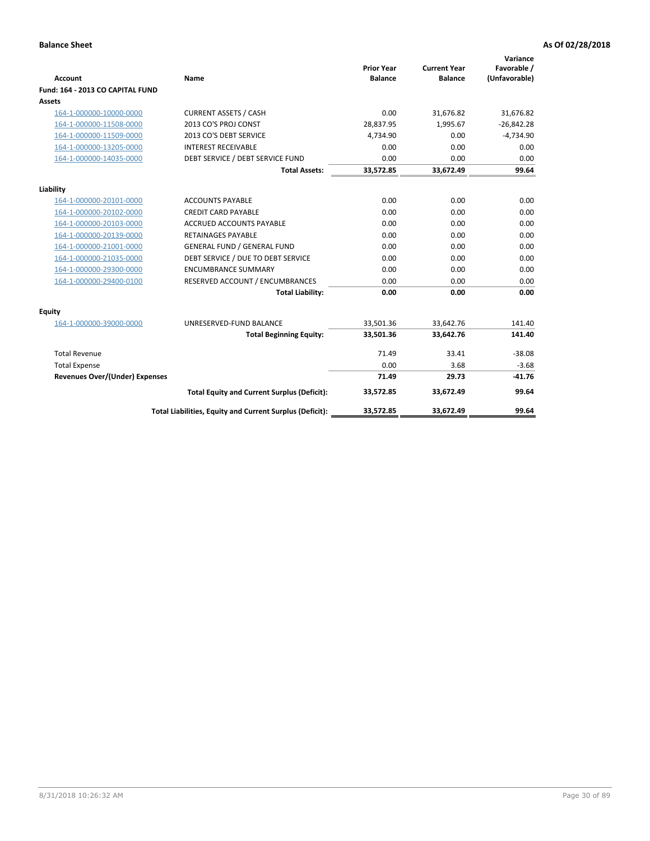| Account                               | Name                                                     | <b>Prior Year</b><br><b>Balance</b> | <b>Current Year</b><br><b>Balance</b> | Variance<br>Favorable /<br>(Unfavorable) |
|---------------------------------------|----------------------------------------------------------|-------------------------------------|---------------------------------------|------------------------------------------|
| Fund: 164 - 2013 CO CAPITAL FUND      |                                                          |                                     |                                       |                                          |
| <b>Assets</b>                         |                                                          |                                     |                                       |                                          |
| 164-1-000000-10000-0000               | <b>CURRENT ASSETS / CASH</b>                             | 0.00                                | 31,676.82                             | 31,676.82                                |
| 164-1-000000-11508-0000               | 2013 CO'S PROJ CONST                                     | 28,837.95                           | 1,995.67                              | $-26,842.28$                             |
| 164-1-000000-11509-0000               | 2013 CO'S DEBT SERVICE                                   | 4,734.90                            | 0.00                                  | $-4,734.90$                              |
| 164-1-000000-13205-0000               | <b>INTEREST RECEIVABLE</b>                               | 0.00                                | 0.00                                  | 0.00                                     |
| 164-1-000000-14035-0000               | DEBT SERVICE / DEBT SERVICE FUND                         | 0.00                                | 0.00                                  | 0.00                                     |
|                                       | <b>Total Assets:</b>                                     | 33,572.85                           | 33,672.49                             | 99.64                                    |
| Liability                             |                                                          |                                     |                                       |                                          |
| 164-1-000000-20101-0000               | <b>ACCOUNTS PAYABLE</b>                                  | 0.00                                | 0.00                                  | 0.00                                     |
| 164-1-000000-20102-0000               | <b>CREDIT CARD PAYABLE</b>                               | 0.00                                | 0.00                                  | 0.00                                     |
| 164-1-000000-20103-0000               | ACCRUED ACCOUNTS PAYABLE                                 | 0.00                                | 0.00                                  | 0.00                                     |
| 164-1-000000-20139-0000               | <b>RETAINAGES PAYABLE</b>                                | 0.00                                | 0.00                                  | 0.00                                     |
| 164-1-000000-21001-0000               | <b>GENERAL FUND / GENERAL FUND</b>                       | 0.00                                | 0.00                                  | 0.00                                     |
| 164-1-000000-21035-0000               | DEBT SERVICE / DUE TO DEBT SERVICE                       | 0.00                                | 0.00                                  | 0.00                                     |
| 164-1-000000-29300-0000               | <b>ENCUMBRANCE SUMMARY</b>                               | 0.00                                | 0.00                                  | 0.00                                     |
| 164-1-000000-29400-0100               | RESERVED ACCOUNT / ENCUMBRANCES                          | 0.00                                | 0.00                                  | 0.00                                     |
|                                       | <b>Total Liability:</b>                                  | 0.00                                | 0.00                                  | 0.00                                     |
| <b>Equity</b>                         |                                                          |                                     |                                       |                                          |
| 164-1-000000-39000-0000               | UNRESERVED-FUND BALANCE                                  | 33,501.36                           | 33,642.76                             | 141.40                                   |
|                                       | <b>Total Beginning Equity:</b>                           | 33,501.36                           | 33,642.76                             | 141.40                                   |
| <b>Total Revenue</b>                  |                                                          | 71.49                               | 33.41                                 | $-38.08$                                 |
| <b>Total Expense</b>                  |                                                          | 0.00                                | 3.68                                  | $-3.68$                                  |
| <b>Revenues Over/(Under) Expenses</b> |                                                          | 71.49                               | 29.73                                 | $-41.76$                                 |
|                                       | <b>Total Equity and Current Surplus (Deficit):</b>       | 33,572.85                           | 33,672.49                             | 99.64                                    |
|                                       | Total Liabilities, Equity and Current Surplus (Deficit): | 33,572.85                           | 33,672.49                             | 99.64                                    |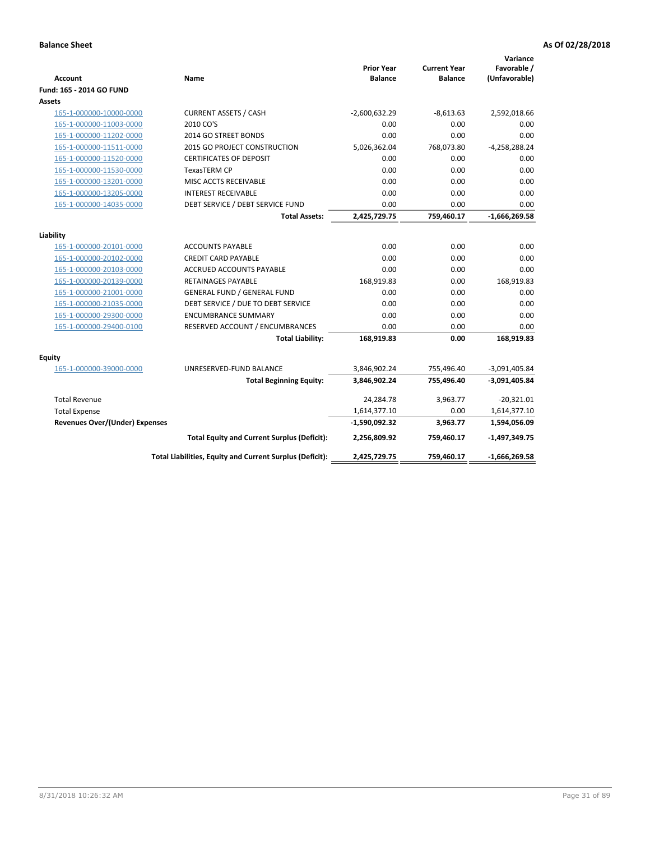| Account                               | Name                                                     | <b>Prior Year</b><br><b>Balance</b> | <b>Current Year</b><br><b>Balance</b> | Variance<br>Favorable /<br>(Unfavorable) |
|---------------------------------------|----------------------------------------------------------|-------------------------------------|---------------------------------------|------------------------------------------|
| Fund: 165 - 2014 GO FUND              |                                                          |                                     |                                       |                                          |
| Assets                                |                                                          |                                     |                                       |                                          |
| 165-1-000000-10000-0000               | <b>CURRENT ASSETS / CASH</b>                             | $-2,600,632.29$                     | $-8,613.63$                           | 2,592,018.66                             |
| 165-1-000000-11003-0000               | 2010 CO'S                                                | 0.00                                | 0.00                                  | 0.00                                     |
| 165-1-000000-11202-0000               | 2014 GO STREET BONDS                                     | 0.00                                | 0.00                                  | 0.00                                     |
| 165-1-000000-11511-0000               | 2015 GO PROJECT CONSTRUCTION                             | 5,026,362.04                        | 768,073.80                            | $-4,258,288.24$                          |
| 165-1-000000-11520-0000               | <b>CERTIFICATES OF DEPOSIT</b>                           | 0.00                                | 0.00                                  | 0.00                                     |
| 165-1-000000-11530-0000               | <b>TexasTERM CP</b>                                      | 0.00                                | 0.00                                  | 0.00                                     |
| 165-1-000000-13201-0000               | MISC ACCTS RECEIVABLE                                    | 0.00                                | 0.00                                  | 0.00                                     |
| 165-1-000000-13205-0000               | <b>INTEREST RECEIVABLE</b>                               | 0.00                                | 0.00                                  | 0.00                                     |
| 165-1-000000-14035-0000               | DEBT SERVICE / DEBT SERVICE FUND                         | 0.00                                | 0.00                                  | 0.00                                     |
|                                       | <b>Total Assets:</b>                                     | 2,425,729.75                        | 759,460.17                            | $-1,666,269.58$                          |
| Liability                             |                                                          |                                     |                                       |                                          |
| 165-1-000000-20101-0000               | <b>ACCOUNTS PAYABLE</b>                                  | 0.00                                | 0.00                                  | 0.00                                     |
| 165-1-000000-20102-0000               | <b>CREDIT CARD PAYABLE</b>                               | 0.00                                | 0.00                                  | 0.00                                     |
| 165-1-000000-20103-0000               | <b>ACCRUED ACCOUNTS PAYABLE</b>                          | 0.00                                | 0.00                                  | 0.00                                     |
| 165-1-000000-20139-0000               | <b>RETAINAGES PAYABLE</b>                                | 168,919.83                          | 0.00                                  | 168,919.83                               |
| 165-1-000000-21001-0000               | <b>GENERAL FUND / GENERAL FUND</b>                       | 0.00                                | 0.00                                  | 0.00                                     |
| 165-1-000000-21035-0000               | DEBT SERVICE / DUE TO DEBT SERVICE                       | 0.00                                | 0.00                                  | 0.00                                     |
| 165-1-000000-29300-0000               | <b>ENCUMBRANCE SUMMARY</b>                               | 0.00                                | 0.00                                  | 0.00                                     |
| 165-1-000000-29400-0100               | RESERVED ACCOUNT / ENCUMBRANCES                          | 0.00                                | 0.00                                  | 0.00                                     |
|                                       | <b>Total Liability:</b>                                  | 168,919.83                          | 0.00                                  | 168,919.83                               |
| Equity                                |                                                          |                                     |                                       |                                          |
| 165-1-000000-39000-0000               | UNRESERVED-FUND BALANCE                                  | 3,846,902.24                        | 755,496.40                            | $-3,091,405.84$                          |
|                                       | <b>Total Beginning Equity:</b>                           | 3,846,902.24                        | 755,496.40                            | $-3,091,405.84$                          |
| <b>Total Revenue</b>                  |                                                          | 24,284.78                           | 3,963.77                              | $-20,321.01$                             |
| <b>Total Expense</b>                  |                                                          | 1,614,377.10                        | 0.00                                  | 1,614,377.10                             |
| <b>Revenues Over/(Under) Expenses</b> |                                                          | $-1,590,092.32$                     | 3,963.77                              | 1,594,056.09                             |
|                                       | <b>Total Equity and Current Surplus (Deficit):</b>       | 2,256,809.92                        | 759,460.17                            | $-1,497,349.75$                          |
|                                       | Total Liabilities, Equity and Current Surplus (Deficit): | 2,425,729.75                        | 759,460.17                            | -1,666,269.58                            |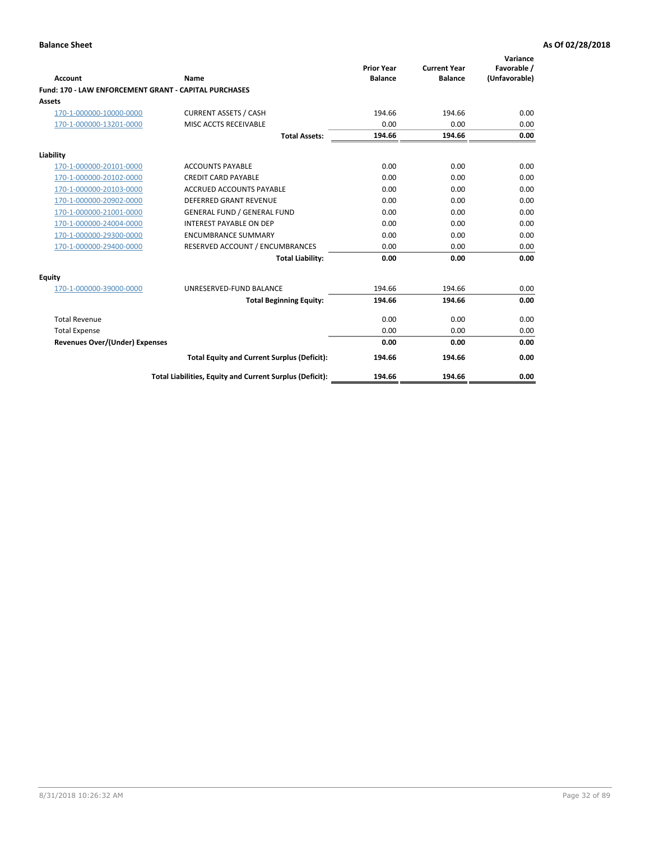| Account                                               | Name                                                     | <b>Prior Year</b><br><b>Balance</b> | <b>Current Year</b><br><b>Balance</b> | Variance<br>Favorable /<br>(Unfavorable) |
|-------------------------------------------------------|----------------------------------------------------------|-------------------------------------|---------------------------------------|------------------------------------------|
| Fund: 170 - LAW ENFORCEMENT GRANT - CAPITAL PURCHASES |                                                          |                                     |                                       |                                          |
| <b>Assets</b>                                         |                                                          |                                     |                                       |                                          |
| 170-1-000000-10000-0000                               | <b>CURRENT ASSETS / CASH</b>                             | 194.66                              | 194.66                                | 0.00                                     |
| 170-1-000000-13201-0000                               | MISC ACCTS RECEIVABLE                                    | 0.00                                | 0.00                                  | 0.00                                     |
|                                                       | <b>Total Assets:</b>                                     | 194.66                              | 194.66                                | 0.00                                     |
| Liability                                             |                                                          |                                     |                                       |                                          |
| 170-1-000000-20101-0000                               | <b>ACCOUNTS PAYABLE</b>                                  | 0.00                                | 0.00                                  | 0.00                                     |
| 170-1-000000-20102-0000                               | <b>CREDIT CARD PAYABLE</b>                               | 0.00                                | 0.00                                  | 0.00                                     |
| 170-1-000000-20103-0000                               | <b>ACCRUED ACCOUNTS PAYABLE</b>                          | 0.00                                | 0.00                                  | 0.00                                     |
| 170-1-000000-20902-0000                               | <b>DEFERRED GRANT REVENUE</b>                            | 0.00                                | 0.00                                  | 0.00                                     |
| 170-1-000000-21001-0000                               | <b>GENERAL FUND / GENERAL FUND</b>                       | 0.00                                | 0.00                                  | 0.00                                     |
| 170-1-000000-24004-0000                               | <b>INTEREST PAYABLE ON DEP</b>                           | 0.00                                | 0.00                                  | 0.00                                     |
| 170-1-000000-29300-0000                               | <b>ENCUMBRANCE SUMMARY</b>                               | 0.00                                | 0.00                                  | 0.00                                     |
| 170-1-000000-29400-0000                               | RESERVED ACCOUNT / ENCUMBRANCES                          | 0.00                                | 0.00                                  | 0.00                                     |
|                                                       | <b>Total Liability:</b>                                  | 0.00                                | 0.00                                  | 0.00                                     |
| <b>Equity</b>                                         |                                                          |                                     |                                       |                                          |
| 170-1-000000-39000-0000                               | UNRESERVED-FUND BALANCE                                  | 194.66                              | 194.66                                | 0.00                                     |
|                                                       | <b>Total Beginning Equity:</b>                           | 194.66                              | 194.66                                | 0.00                                     |
| <b>Total Revenue</b>                                  |                                                          | 0.00                                | 0.00                                  | 0.00                                     |
| <b>Total Expense</b>                                  |                                                          | 0.00                                | 0.00                                  | 0.00                                     |
| <b>Revenues Over/(Under) Expenses</b>                 |                                                          | 0.00                                | 0.00                                  | 0.00                                     |
|                                                       | <b>Total Equity and Current Surplus (Deficit):</b>       | 194.66                              | 194.66                                | 0.00                                     |
|                                                       | Total Liabilities, Equity and Current Surplus (Deficit): | 194.66                              | 194.66                                | 0.00                                     |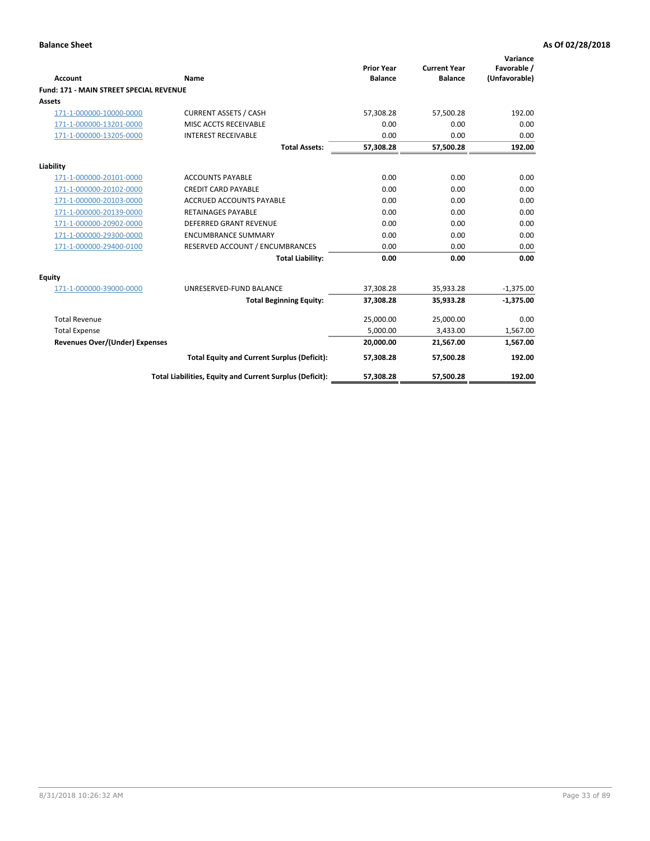|                                                |                                                          | <b>Prior Year</b> | <b>Current Year</b> | Variance<br>Favorable / |
|------------------------------------------------|----------------------------------------------------------|-------------------|---------------------|-------------------------|
| Account                                        | Name                                                     | <b>Balance</b>    | <b>Balance</b>      | (Unfavorable)           |
| <b>Fund: 171 - MAIN STREET SPECIAL REVENUE</b> |                                                          |                   |                     |                         |
| Assets                                         |                                                          |                   |                     |                         |
| 171-1-000000-10000-0000                        | <b>CURRENT ASSETS / CASH</b>                             | 57,308.28         | 57,500.28           | 192.00                  |
| 171-1-000000-13201-0000                        | MISC ACCTS RECEIVABLE                                    | 0.00              | 0.00                | 0.00                    |
| 171-1-000000-13205-0000                        | <b>INTEREST RECEIVABLE</b>                               | 0.00              | 0.00                | 0.00                    |
|                                                | <b>Total Assets:</b>                                     | 57,308.28         | 57,500.28           | 192.00                  |
| Liability                                      |                                                          |                   |                     |                         |
| 171-1-000000-20101-0000                        | <b>ACCOUNTS PAYABLE</b>                                  | 0.00              | 0.00                | 0.00                    |
| 171-1-000000-20102-0000                        | <b>CREDIT CARD PAYABLE</b>                               | 0.00              | 0.00                | 0.00                    |
| 171-1-000000-20103-0000                        | <b>ACCRUED ACCOUNTS PAYABLE</b>                          | 0.00              | 0.00                | 0.00                    |
| 171-1-000000-20139-0000                        | <b>RETAINAGES PAYABLE</b>                                | 0.00              | 0.00                | 0.00                    |
| 171-1-000000-20902-0000                        | <b>DEFERRED GRANT REVENUE</b>                            | 0.00              | 0.00                | 0.00                    |
| 171-1-000000-29300-0000                        | <b>ENCUMBRANCE SUMMARY</b>                               | 0.00              | 0.00                | 0.00                    |
| 171-1-000000-29400-0100                        | RESERVED ACCOUNT / ENCUMBRANCES                          | 0.00              | 0.00                | 0.00                    |
|                                                | <b>Total Liability:</b>                                  | 0.00              | 0.00                | 0.00                    |
| <b>Equity</b>                                  |                                                          |                   |                     |                         |
| 171-1-000000-39000-0000                        | UNRESERVED-FUND BALANCE                                  | 37,308.28         | 35,933.28           | $-1,375.00$             |
|                                                | <b>Total Beginning Equity:</b>                           | 37,308.28         | 35,933.28           | $-1,375.00$             |
| <b>Total Revenue</b>                           |                                                          | 25,000.00         | 25,000.00           | 0.00                    |
| <b>Total Expense</b>                           |                                                          | 5,000.00          | 3,433.00            | 1,567.00                |
| <b>Revenues Over/(Under) Expenses</b>          |                                                          | 20,000.00         | 21,567.00           | 1,567.00                |
|                                                | <b>Total Equity and Current Surplus (Deficit):</b>       | 57,308.28         | 57,500.28           | 192.00                  |
|                                                | Total Liabilities, Equity and Current Surplus (Deficit): | 57,308.28         | 57,500.28           | 192.00                  |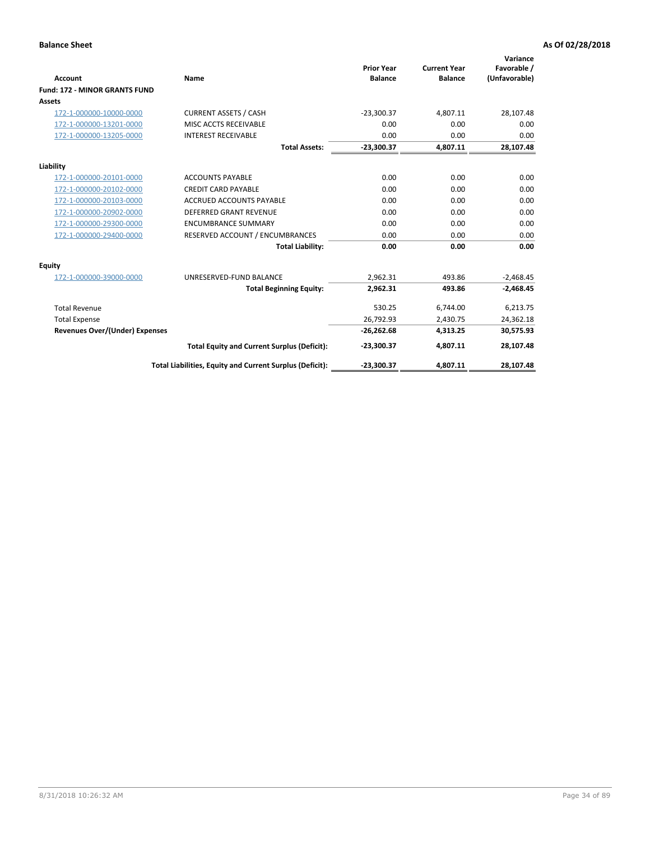|                                      |                                                          |                                     |                                       | Variance                     |
|--------------------------------------|----------------------------------------------------------|-------------------------------------|---------------------------------------|------------------------------|
| <b>Account</b>                       | <b>Name</b>                                              | <b>Prior Year</b><br><b>Balance</b> | <b>Current Year</b><br><b>Balance</b> | Favorable /<br>(Unfavorable) |
| <b>Fund: 172 - MINOR GRANTS FUND</b> |                                                          |                                     |                                       |                              |
| <b>Assets</b>                        |                                                          |                                     |                                       |                              |
| 172-1-000000-10000-0000              | <b>CURRENT ASSETS / CASH</b>                             | $-23,300.37$                        | 4,807.11                              | 28,107.48                    |
| 172-1-000000-13201-0000              | MISC ACCTS RECEIVABLE                                    | 0.00                                | 0.00                                  | 0.00                         |
| 172-1-000000-13205-0000              | <b>INTEREST RECEIVABLE</b>                               | 0.00                                | 0.00                                  | 0.00                         |
|                                      | <b>Total Assets:</b>                                     | $-23,300.37$                        | 4,807.11                              | 28,107.48                    |
| Liability                            |                                                          |                                     |                                       |                              |
| 172-1-000000-20101-0000              | <b>ACCOUNTS PAYABLE</b>                                  | 0.00                                | 0.00                                  | 0.00                         |
| 172-1-000000-20102-0000              | <b>CREDIT CARD PAYABLE</b>                               | 0.00                                | 0.00                                  | 0.00                         |
| 172-1-000000-20103-0000              | <b>ACCRUED ACCOUNTS PAYABLE</b>                          | 0.00                                | 0.00                                  | 0.00                         |
| 172-1-000000-20902-0000              | DEFERRED GRANT REVENUE                                   | 0.00                                | 0.00                                  | 0.00                         |
| 172-1-000000-29300-0000              | <b>ENCUMBRANCE SUMMARY</b>                               | 0.00                                | 0.00                                  | 0.00                         |
| 172-1-000000-29400-0000              | RESERVED ACCOUNT / ENCUMBRANCES                          | 0.00                                | 0.00                                  | 0.00                         |
|                                      | <b>Total Liability:</b>                                  | 0.00                                | 0.00                                  | 0.00                         |
| Equity                               |                                                          |                                     |                                       |                              |
| 172-1-000000-39000-0000              | UNRESERVED-FUND BALANCE                                  | 2,962.31                            | 493.86                                | $-2,468.45$                  |
|                                      | <b>Total Beginning Equity:</b>                           | 2,962.31                            | 493.86                                | $-2,468.45$                  |
| <b>Total Revenue</b>                 |                                                          | 530.25                              | 6,744.00                              | 6,213.75                     |
| <b>Total Expense</b>                 |                                                          | 26,792.93                           | 2,430.75                              | 24,362.18                    |
| Revenues Over/(Under) Expenses       |                                                          | $-26,262.68$                        | 4,313.25                              | 30,575.93                    |
|                                      | <b>Total Equity and Current Surplus (Deficit):</b>       | $-23,300.37$                        | 4,807.11                              | 28,107.48                    |
|                                      | Total Liabilities, Equity and Current Surplus (Deficit): | $-23,300.37$                        | 4,807.11                              | 28,107.48                    |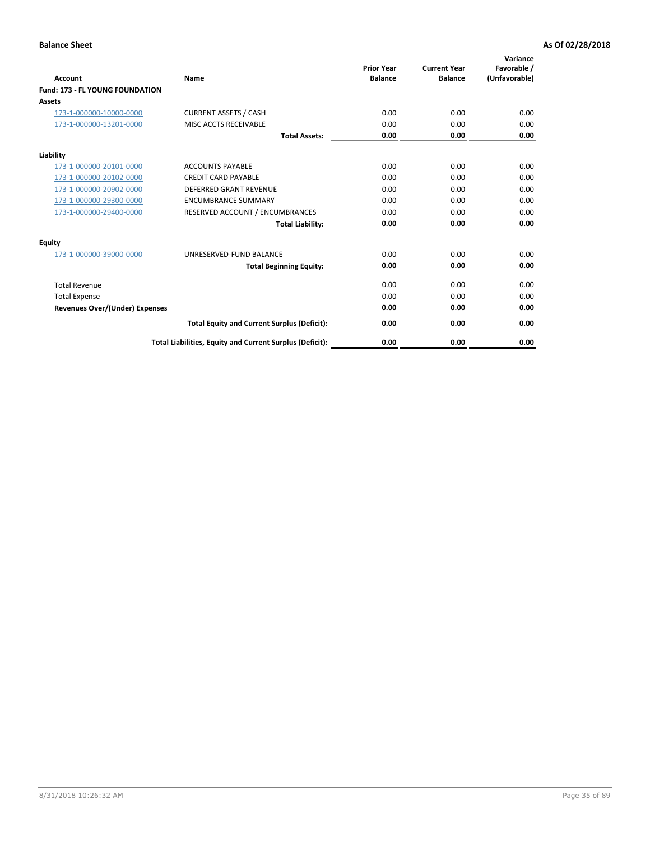| <b>Account</b>                         | Name                                                     | <b>Prior Year</b><br><b>Balance</b> | <b>Current Year</b><br><b>Balance</b> | Variance<br>Favorable /<br>(Unfavorable) |
|----------------------------------------|----------------------------------------------------------|-------------------------------------|---------------------------------------|------------------------------------------|
| <b>Fund: 173 - FL YOUNG FOUNDATION</b> |                                                          |                                     |                                       |                                          |
| Assets                                 |                                                          |                                     |                                       |                                          |
| 173-1-000000-10000-0000                | <b>CURRENT ASSETS / CASH</b>                             | 0.00                                | 0.00                                  | 0.00                                     |
| 173-1-000000-13201-0000                | MISC ACCTS RECEIVABLE                                    | 0.00                                | 0.00                                  | 0.00                                     |
|                                        | <b>Total Assets:</b>                                     | 0.00                                | 0.00                                  | 0.00                                     |
| Liability                              |                                                          |                                     |                                       |                                          |
| 173-1-000000-20101-0000                | <b>ACCOUNTS PAYABLE</b>                                  | 0.00                                | 0.00                                  | 0.00                                     |
| 173-1-000000-20102-0000                | <b>CREDIT CARD PAYABLE</b>                               | 0.00                                | 0.00                                  | 0.00                                     |
| 173-1-000000-20902-0000                | <b>DEFERRED GRANT REVENUE</b>                            | 0.00                                | 0.00                                  | 0.00                                     |
| 173-1-000000-29300-0000                | <b>ENCUMBRANCE SUMMARY</b>                               | 0.00                                | 0.00                                  | 0.00                                     |
| 173-1-000000-29400-0000                | RESERVED ACCOUNT / ENCUMBRANCES                          | 0.00                                | 0.00                                  | 0.00                                     |
|                                        | <b>Total Liability:</b>                                  | 0.00                                | 0.00                                  | 0.00                                     |
| Equity                                 |                                                          |                                     |                                       |                                          |
| 173-1-000000-39000-0000                | UNRESERVED-FUND BALANCE                                  | 0.00                                | 0.00                                  | 0.00                                     |
|                                        | <b>Total Beginning Equity:</b>                           | 0.00                                | 0.00                                  | 0.00                                     |
| <b>Total Revenue</b>                   |                                                          | 0.00                                | 0.00                                  | 0.00                                     |
| <b>Total Expense</b>                   |                                                          | 0.00                                | 0.00                                  | 0.00                                     |
| <b>Revenues Over/(Under) Expenses</b>  |                                                          | 0.00                                | 0.00                                  | 0.00                                     |
|                                        | <b>Total Equity and Current Surplus (Deficit):</b>       | 0.00                                | 0.00                                  | 0.00                                     |
|                                        | Total Liabilities, Equity and Current Surplus (Deficit): | 0.00                                | 0.00                                  | 0.00                                     |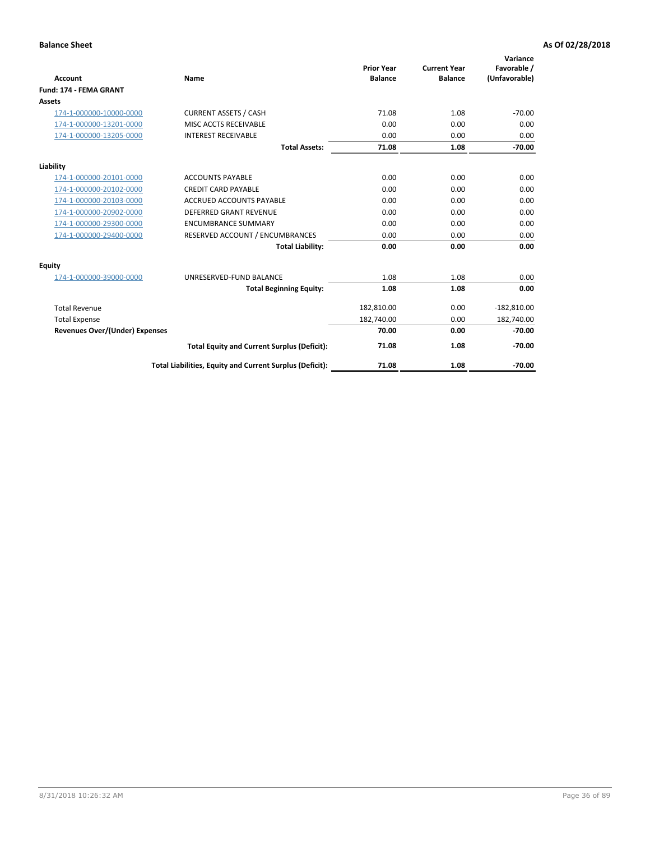|                                       |                                                          | <b>Prior Year</b> | <b>Current Year</b> | Variance<br>Favorable / |
|---------------------------------------|----------------------------------------------------------|-------------------|---------------------|-------------------------|
| <b>Account</b>                        | Name                                                     | <b>Balance</b>    | <b>Balance</b>      | (Unfavorable)           |
| Fund: 174 - FEMA GRANT                |                                                          |                   |                     |                         |
| <b>Assets</b>                         |                                                          |                   |                     |                         |
| 174-1-000000-10000-0000               | <b>CURRENT ASSETS / CASH</b>                             | 71.08             | 1.08                | $-70.00$                |
| 174-1-000000-13201-0000               | MISC ACCTS RECEIVABLE                                    | 0.00              | 0.00                | 0.00                    |
| 174-1-000000-13205-0000               | <b>INTEREST RECEIVABLE</b>                               | 0.00              | 0.00                | 0.00                    |
|                                       | <b>Total Assets:</b>                                     | 71.08             | 1.08                | $-70.00$                |
| Liability                             |                                                          |                   |                     |                         |
| 174-1-000000-20101-0000               | <b>ACCOUNTS PAYABLE</b>                                  | 0.00              | 0.00                | 0.00                    |
| 174-1-000000-20102-0000               | <b>CREDIT CARD PAYABLE</b>                               | 0.00              | 0.00                | 0.00                    |
| 174-1-000000-20103-0000               | <b>ACCRUED ACCOUNTS PAYABLE</b>                          | 0.00              | 0.00                | 0.00                    |
| 174-1-000000-20902-0000               | <b>DEFERRED GRANT REVENUE</b>                            | 0.00              | 0.00                | 0.00                    |
| 174-1-000000-29300-0000               | <b>ENCUMBRANCE SUMMARY</b>                               | 0.00              | 0.00                | 0.00                    |
| 174-1-000000-29400-0000               | RESERVED ACCOUNT / ENCUMBRANCES                          | 0.00              | 0.00                | 0.00                    |
|                                       | <b>Total Liability:</b>                                  | 0.00              | 0.00                | 0.00                    |
| Equity                                |                                                          |                   |                     |                         |
| 174-1-000000-39000-0000               | UNRESERVED-FUND BALANCE                                  | 1.08              | 1.08                | 0.00                    |
|                                       | <b>Total Beginning Equity:</b>                           | 1.08              | 1.08                | 0.00                    |
| <b>Total Revenue</b>                  |                                                          | 182,810.00        | 0.00                | $-182,810.00$           |
| <b>Total Expense</b>                  |                                                          | 182,740.00        | 0.00                | 182,740.00              |
| <b>Revenues Over/(Under) Expenses</b> |                                                          | 70.00             | 0.00                | $-70.00$                |
|                                       | <b>Total Equity and Current Surplus (Deficit):</b>       | 71.08             | 1.08                | $-70.00$                |
|                                       | Total Liabilities, Equity and Current Surplus (Deficit): | 71.08             | 1.08                | $-70.00$                |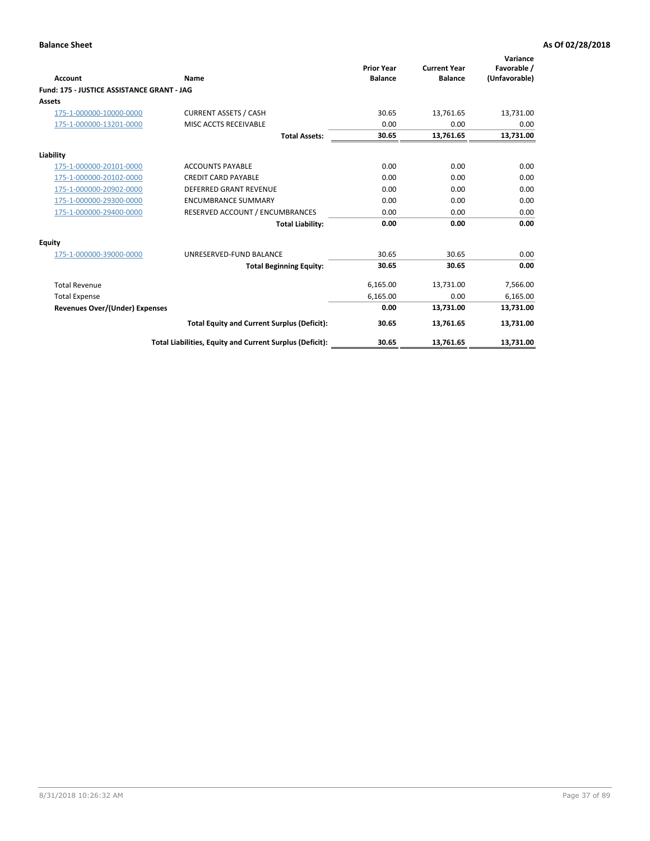| <b>Account</b>                             | Name                                                     | <b>Prior Year</b><br><b>Balance</b> | <b>Current Year</b><br><b>Balance</b> | Variance<br>Favorable /<br>(Unfavorable) |
|--------------------------------------------|----------------------------------------------------------|-------------------------------------|---------------------------------------|------------------------------------------|
| Fund: 175 - JUSTICE ASSISTANCE GRANT - JAG |                                                          |                                     |                                       |                                          |
| <b>Assets</b>                              |                                                          |                                     |                                       |                                          |
| 175-1-000000-10000-0000                    | <b>CURRENT ASSETS / CASH</b>                             | 30.65                               | 13,761.65                             | 13,731.00                                |
| 175-1-000000-13201-0000                    | MISC ACCTS RECEIVABLE                                    | 0.00                                | 0.00                                  | 0.00                                     |
|                                            | <b>Total Assets:</b>                                     | 30.65                               | 13,761.65                             | 13,731.00                                |
| Liability                                  |                                                          |                                     |                                       |                                          |
| 175-1-000000-20101-0000                    | <b>ACCOUNTS PAYABLE</b>                                  | 0.00                                | 0.00                                  | 0.00                                     |
| 175-1-000000-20102-0000                    | <b>CREDIT CARD PAYABLE</b>                               | 0.00                                | 0.00                                  | 0.00                                     |
| 175-1-000000-20902-0000                    | <b>DEFERRED GRANT REVENUE</b>                            | 0.00                                | 0.00                                  | 0.00                                     |
| 175-1-000000-29300-0000                    | <b>ENCUMBRANCE SUMMARY</b>                               | 0.00                                | 0.00                                  | 0.00                                     |
| 175-1-000000-29400-0000                    | RESERVED ACCOUNT / ENCUMBRANCES                          | 0.00                                | 0.00                                  | 0.00                                     |
|                                            | <b>Total Liability:</b>                                  | 0.00                                | 0.00                                  | 0.00                                     |
| Equity                                     |                                                          |                                     |                                       |                                          |
| 175-1-000000-39000-0000                    | UNRESERVED-FUND BALANCE                                  | 30.65                               | 30.65                                 | 0.00                                     |
|                                            | <b>Total Beginning Equity:</b>                           | 30.65                               | 30.65                                 | 0.00                                     |
| <b>Total Revenue</b>                       |                                                          | 6,165.00                            | 13,731.00                             | 7,566.00                                 |
| <b>Total Expense</b>                       |                                                          | 6,165.00                            | 0.00                                  | 6,165.00                                 |
| Revenues Over/(Under) Expenses             |                                                          | 0.00                                | 13,731.00                             | 13,731.00                                |
|                                            | <b>Total Equity and Current Surplus (Deficit):</b>       | 30.65                               | 13,761.65                             | 13,731.00                                |
|                                            | Total Liabilities, Equity and Current Surplus (Deficit): | 30.65                               | 13,761.65                             | 13,731.00                                |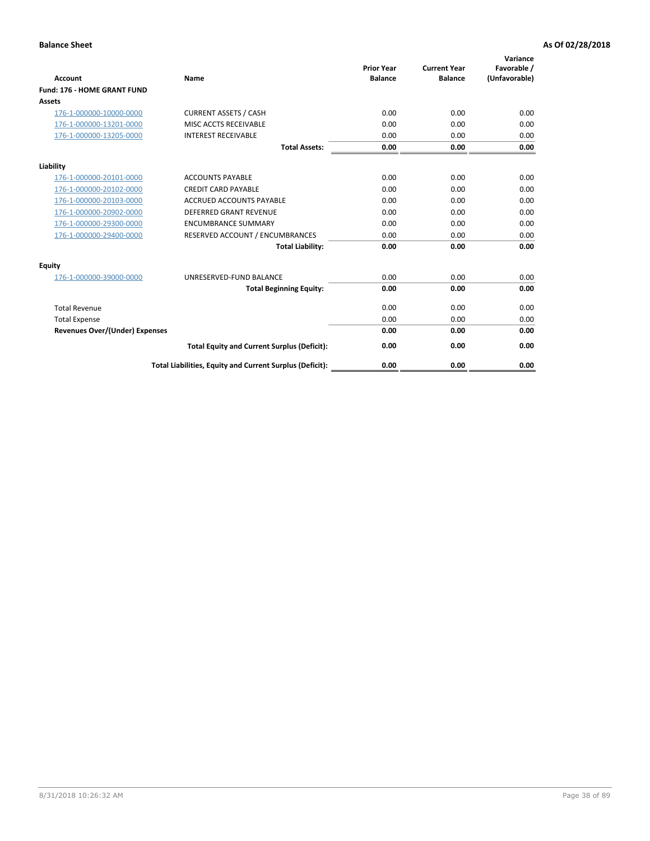|                                       |                                                          | <b>Prior Year</b> | <b>Current Year</b> | Variance<br>Favorable / |
|---------------------------------------|----------------------------------------------------------|-------------------|---------------------|-------------------------|
| <b>Account</b>                        | <b>Name</b>                                              | <b>Balance</b>    | <b>Balance</b>      | (Unfavorable)           |
| Fund: 176 - HOME GRANT FUND           |                                                          |                   |                     |                         |
| <b>Assets</b>                         |                                                          |                   |                     |                         |
| 176-1-000000-10000-0000               | <b>CURRENT ASSETS / CASH</b>                             | 0.00              | 0.00                | 0.00                    |
| 176-1-000000-13201-0000               | MISC ACCTS RECEIVABLE                                    | 0.00              | 0.00                | 0.00                    |
| 176-1-000000-13205-0000               | <b>INTEREST RECEIVABLE</b>                               | 0.00              | 0.00                | 0.00                    |
|                                       | <b>Total Assets:</b>                                     | 0.00              | 0.00                | 0.00                    |
| Liability                             |                                                          |                   |                     |                         |
| 176-1-000000-20101-0000               | <b>ACCOUNTS PAYABLE</b>                                  | 0.00              | 0.00                | 0.00                    |
| 176-1-000000-20102-0000               | <b>CREDIT CARD PAYABLE</b>                               | 0.00              | 0.00                | 0.00                    |
| 176-1-000000-20103-0000               | <b>ACCRUED ACCOUNTS PAYABLE</b>                          | 0.00              | 0.00                | 0.00                    |
| 176-1-000000-20902-0000               | <b>DEFERRED GRANT REVENUE</b>                            | 0.00              | 0.00                | 0.00                    |
| 176-1-000000-29300-0000               | <b>ENCUMBRANCE SUMMARY</b>                               | 0.00              | 0.00                | 0.00                    |
| 176-1-000000-29400-0000               | RESERVED ACCOUNT / ENCUMBRANCES                          | 0.00              | 0.00                | 0.00                    |
|                                       | <b>Total Liability:</b>                                  | 0.00              | 0.00                | 0.00                    |
| Equity                                |                                                          |                   |                     |                         |
| 176-1-000000-39000-0000               | UNRESERVED-FUND BALANCE                                  | 0.00              | 0.00                | 0.00                    |
|                                       | <b>Total Beginning Equity:</b>                           | 0.00              | 0.00                | 0.00                    |
| <b>Total Revenue</b>                  |                                                          | 0.00              | 0.00                | 0.00                    |
| <b>Total Expense</b>                  |                                                          | 0.00              | 0.00                | 0.00                    |
| <b>Revenues Over/(Under) Expenses</b> |                                                          | 0.00              | 0.00                | 0.00                    |
|                                       | <b>Total Equity and Current Surplus (Deficit):</b>       | 0.00              | 0.00                | 0.00                    |
|                                       | Total Liabilities, Equity and Current Surplus (Deficit): | 0.00              | 0.00                | 0.00                    |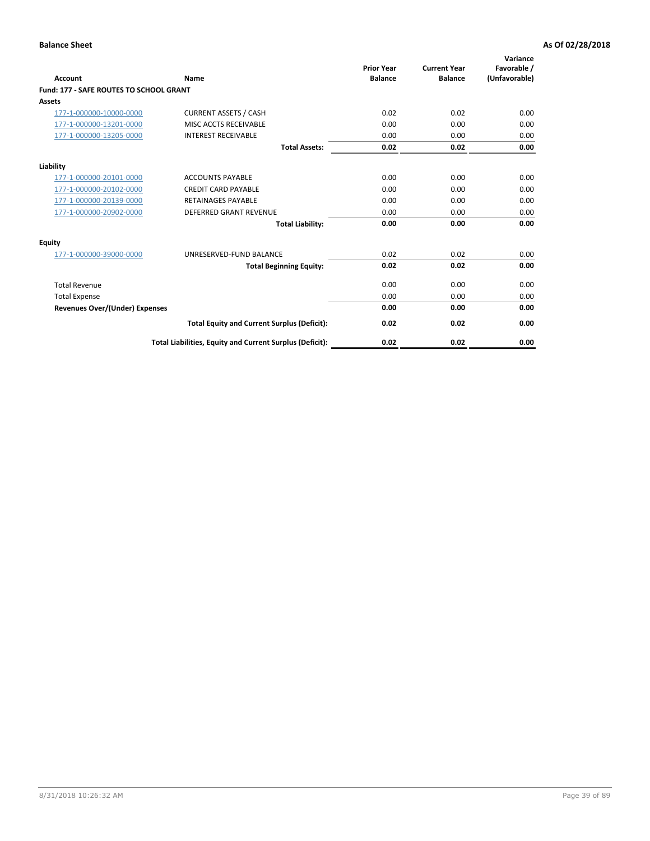| Account                                        | Name                                                     | <b>Prior Year</b><br><b>Balance</b> | <b>Current Year</b><br><b>Balance</b> | Variance<br>Favorable /<br>(Unfavorable) |
|------------------------------------------------|----------------------------------------------------------|-------------------------------------|---------------------------------------|------------------------------------------|
| <b>Fund: 177 - SAFE ROUTES TO SCHOOL GRANT</b> |                                                          |                                     |                                       |                                          |
| <b>Assets</b>                                  |                                                          |                                     |                                       |                                          |
| 177-1-000000-10000-0000                        | <b>CURRENT ASSETS / CASH</b>                             | 0.02                                | 0.02                                  | 0.00                                     |
| 177-1-000000-13201-0000                        | MISC ACCTS RECEIVABLE                                    | 0.00                                | 0.00                                  | 0.00                                     |
| 177-1-000000-13205-0000                        | <b>INTEREST RECEIVABLE</b>                               | 0.00                                | 0.00                                  | 0.00                                     |
|                                                | <b>Total Assets:</b>                                     | 0.02                                | 0.02                                  | 0.00                                     |
| Liability                                      |                                                          |                                     |                                       |                                          |
| 177-1-000000-20101-0000                        | <b>ACCOUNTS PAYABLE</b>                                  | 0.00                                | 0.00                                  | 0.00                                     |
| 177-1-000000-20102-0000                        | <b>CREDIT CARD PAYABLE</b>                               | 0.00                                | 0.00                                  | 0.00                                     |
| 177-1-000000-20139-0000                        | <b>RETAINAGES PAYABLE</b>                                | 0.00                                | 0.00                                  | 0.00                                     |
| 177-1-000000-20902-0000                        | <b>DEFERRED GRANT REVENUE</b>                            | 0.00                                | 0.00                                  | 0.00                                     |
|                                                | <b>Total Liability:</b>                                  | 0.00                                | 0.00                                  | 0.00                                     |
| Equity                                         |                                                          |                                     |                                       |                                          |
| 177-1-000000-39000-0000                        | UNRESERVED-FUND BALANCE                                  | 0.02                                | 0.02                                  | 0.00                                     |
|                                                | <b>Total Beginning Equity:</b>                           | 0.02                                | 0.02                                  | 0.00                                     |
| <b>Total Revenue</b>                           |                                                          | 0.00                                | 0.00                                  | 0.00                                     |
| <b>Total Expense</b>                           |                                                          | 0.00                                | 0.00                                  | 0.00                                     |
| <b>Revenues Over/(Under) Expenses</b>          |                                                          | 0.00                                | 0.00                                  | 0.00                                     |
|                                                | <b>Total Equity and Current Surplus (Deficit):</b>       | 0.02                                | 0.02                                  | 0.00                                     |
|                                                | Total Liabilities, Equity and Current Surplus (Deficit): | 0.02                                | 0.02                                  | 0.00                                     |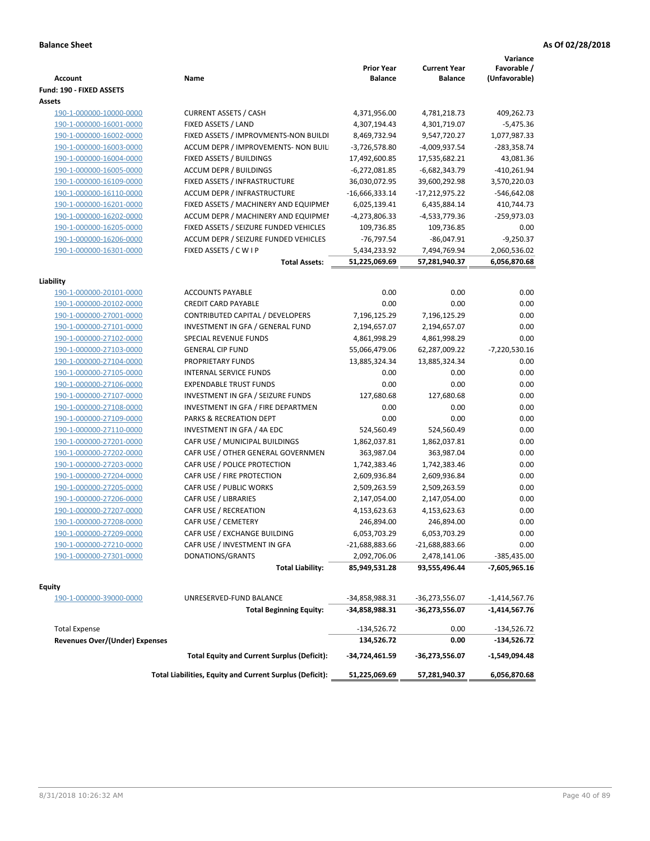|                                          |                                                          | <b>Prior Year</b> | <b>Current Year</b> | Variance<br>Favorable / |
|------------------------------------------|----------------------------------------------------------|-------------------|---------------------|-------------------------|
| Account                                  | Name                                                     | <b>Balance</b>    | <b>Balance</b>      | (Unfavorable)           |
| Fund: 190 - FIXED ASSETS                 |                                                          |                   |                     |                         |
| Assets                                   |                                                          |                   |                     |                         |
| 190-1-000000-10000-0000                  | <b>CURRENT ASSETS / CASH</b>                             | 4,371,956.00      | 4,781,218.73        | 409,262.73              |
| 190-1-000000-16001-0000                  | FIXED ASSETS / LAND                                      | 4,307,194.43      | 4,301,719.07        | $-5,475.36$             |
| 190-1-000000-16002-0000                  | FIXED ASSETS / IMPROVMENTS-NON BUILDI                    | 8,469,732.94      | 9,547,720.27        | 1,077,987.33            |
| 190-1-000000-16003-0000                  | ACCUM DEPR / IMPROVEMENTS- NON BUIL                      | $-3,726,578.80$   | -4,009,937.54       | $-283,358.74$           |
| 190-1-000000-16004-0000                  | FIXED ASSETS / BUILDINGS                                 | 17,492,600.85     | 17,535,682.21       | 43,081.36               |
| 190-1-000000-16005-0000                  | <b>ACCUM DEPR / BUILDINGS</b>                            | $-6,272,081.85$   | -6,682,343.79       | -410,261.94             |
| 190-1-000000-16109-0000                  | FIXED ASSETS / INFRASTRUCTURE                            | 36,030,072.95     | 39,600,292.98       | 3,570,220.03            |
| 190-1-000000-16110-0000                  | ACCUM DEPR / INFRASTRUCTURE                              | $-16,666,333.14$  | $-17,212,975.22$    | $-546,642.08$           |
| 190-1-000000-16201-0000                  | FIXED ASSETS / MACHINERY AND EQUIPMEN                    | 6,025,139.41      | 6,435,884.14        | 410,744.73              |
| 190-1-000000-16202-0000                  | ACCUM DEPR / MACHINERY AND EQUIPMEI                      | -4,273,806.33     | -4,533,779.36       | -259,973.03             |
| 190-1-000000-16205-0000                  | FIXED ASSETS / SEIZURE FUNDED VEHICLES                   | 109,736.85        | 109,736.85          | 0.00                    |
| 190-1-000000-16206-0000                  | ACCUM DEPR / SEIZURE FUNDED VEHICLES                     | $-76,797.54$      | $-86,047.91$        | $-9,250.37$             |
| 190-1-000000-16301-0000                  | FIXED ASSETS / C W I P                                   | 5,434,233.92      | 7,494,769.94        | 2,060,536.02            |
|                                          | <b>Total Assets:</b>                                     | 51,225,069.69     | 57,281,940.37       | 6,056,870.68            |
|                                          |                                                          |                   |                     |                         |
| Liability                                |                                                          |                   |                     |                         |
| 190-1-000000-20101-0000                  | <b>ACCOUNTS PAYABLE</b>                                  | 0.00              | 0.00                | 0.00                    |
| 190-1-000000-20102-0000                  | <b>CREDIT CARD PAYABLE</b>                               | 0.00              | 0.00                | 0.00                    |
| 190-1-000000-27001-0000                  | <b>CONTRIBUTED CAPITAL / DEVELOPERS</b>                  | 7,196,125.29      | 7,196,125.29        | 0.00                    |
| 190-1-000000-27101-0000                  | INVESTMENT IN GFA / GENERAL FUND                         | 2,194,657.07      | 2,194,657.07        | 0.00                    |
| 190-1-000000-27102-0000                  | SPECIAL REVENUE FUNDS                                    | 4,861,998.29      | 4,861,998.29        | 0.00                    |
| 190-1-000000-27103-0000                  | <b>GENERAL CIP FUND</b>                                  | 55,066,479.06     | 62,287,009.22       | -7,220,530.16           |
| 190-1-000000-27104-0000                  | PROPRIETARY FUNDS                                        | 13,885,324.34     | 13,885,324.34       | 0.00                    |
| 190-1-000000-27105-0000                  | <b>INTERNAL SERVICE FUNDS</b>                            | 0.00              | 0.00                | 0.00                    |
| 190-1-000000-27106-0000                  | <b>EXPENDABLE TRUST FUNDS</b>                            | 0.00              | 0.00                | 0.00                    |
| 190-1-000000-27107-0000                  | INVESTMENT IN GFA / SEIZURE FUNDS                        | 127,680.68        | 127,680.68          | 0.00                    |
| 190-1-000000-27108-0000                  | INVESTMENT IN GFA / FIRE DEPARTMEN                       | 0.00              | 0.00                | 0.00                    |
| 190-1-000000-27109-0000                  | PARKS & RECREATION DEPT                                  | 0.00              | 0.00                | 0.00                    |
| 190-1-000000-27110-0000                  | INVESTMENT IN GFA / 4A EDC                               | 524,560.49        | 524,560.49          | 0.00                    |
| 190-1-000000-27201-0000                  | CAFR USE / MUNICIPAL BUILDINGS                           | 1,862,037.81      | 1,862,037.81        | 0.00                    |
| 190-1-000000-27202-0000                  | CAFR USE / OTHER GENERAL GOVERNMEN                       | 363,987.04        | 363,987.04          | 0.00                    |
| 190-1-000000-27203-0000                  | CAFR USE / POLICE PROTECTION                             | 1,742,383.46      | 1,742,383.46        | 0.00                    |
| 190-1-000000-27204-0000                  | CAFR USE / FIRE PROTECTION                               | 2,609,936.84      | 2,609,936.84        | 0.00                    |
| 190-1-000000-27205-0000                  | CAFR USE / PUBLIC WORKS                                  | 2,509,263.59      | 2,509,263.59        | 0.00                    |
| 190-1-000000-27206-0000                  | CAFR USE / LIBRARIES                                     | 2,147,054.00      | 2,147,054.00        | 0.00                    |
| 190-1-000000-27207-0000                  | CAFR USE / RECREATION                                    | 4,153,623.63      | 4,153,623.63        | 0.00                    |
| 190-1-000000-27208-0000                  | CAFR USE / CEMETERY                                      | 246,894.00        | 246,894.00          | 0.00                    |
| 190-1-000000-27209-0000                  | CAFR USE / EXCHANGE BUILDING                             | 6,053,703.29      | 6,053,703.29        | 0.00                    |
| 190-1-000000-27210-0000                  | CAFR USE / INVESTMENT IN GFA                             | $-21,688,883.66$  | $-21,688,883.66$    | 0.00                    |
| 190-1-000000-27301-0000                  | DONATIONS/GRANTS                                         | 2,092,706.06      | 2,478,141.06        | -385,435.00             |
|                                          | <b>Total Liability:</b>                                  | 85,949,531.28     | 93,555,496.44       | -7,605,965.16           |
|                                          |                                                          |                   |                     |                         |
| <b>Equity</b><br>190-1-000000-39000-0000 | UNRESERVED-FUND BALANCE                                  | -34,858,988.31    | -36,273,556.07      | -1,414,567.76           |
|                                          | <b>Total Beginning Equity:</b>                           | -34,858,988.31    | -36,273,556.07      | -1,414,567.76           |
|                                          |                                                          |                   |                     |                         |
| <b>Total Expense</b>                     |                                                          | $-134,526.72$     | 0.00                | -134,526.72             |
| <b>Revenues Over/(Under) Expenses</b>    |                                                          | 134,526.72        | 0.00                | -134,526.72             |
|                                          | <b>Total Equity and Current Surplus (Deficit):</b>       | -34,724,461.59    | -36,273,556.07      | -1,549,094.48           |
|                                          | Total Liabilities, Equity and Current Surplus (Deficit): | 51,225,069.69     | 57,281,940.37       | 6,056,870.68            |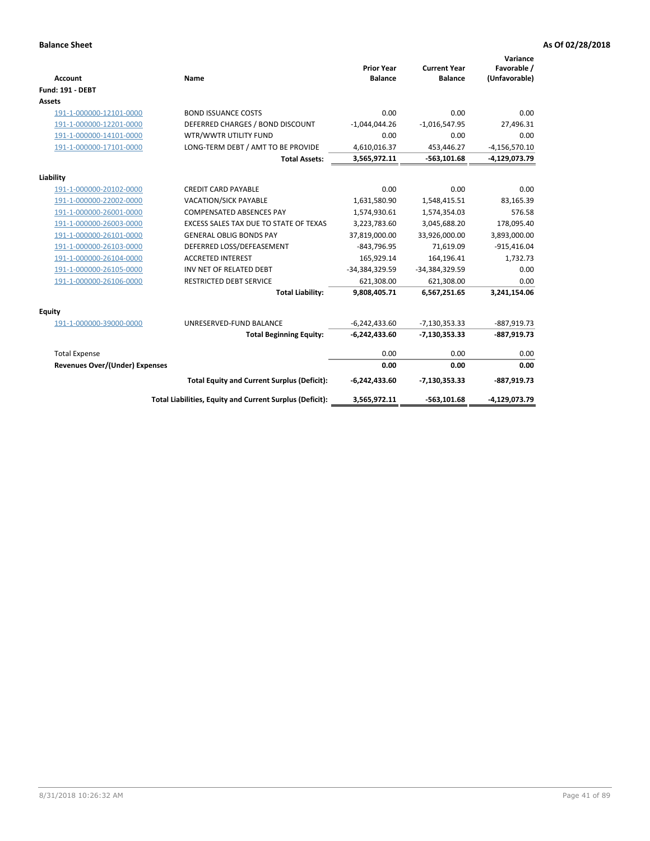| <b>Account</b>                 | Name                                                     | <b>Prior Year</b><br><b>Balance</b> | <b>Current Year</b><br><b>Balance</b> | Variance<br>Favorable /<br>(Unfavorable) |
|--------------------------------|----------------------------------------------------------|-------------------------------------|---------------------------------------|------------------------------------------|
| <b>Fund: 191 - DEBT</b>        |                                                          |                                     |                                       |                                          |
| Assets                         |                                                          |                                     |                                       |                                          |
| 191-1-000000-12101-0000        | <b>BOND ISSUANCE COSTS</b>                               | 0.00                                | 0.00                                  | 0.00                                     |
| 191-1-000000-12201-0000        | DEFERRED CHARGES / BOND DISCOUNT                         | $-1,044,044.26$                     | $-1,016,547.95$                       | 27,496.31                                |
| 191-1-000000-14101-0000        | WTR/WWTR UTILITY FUND                                    | 0.00                                | 0.00                                  | 0.00                                     |
| 191-1-000000-17101-0000        | LONG-TERM DEBT / AMT TO BE PROVIDE                       | 4,610,016.37                        | 453,446.27                            | $-4, 156, 570.10$                        |
|                                | <b>Total Assets:</b>                                     | 3,565,972.11                        | $-563,101.68$                         | -4,129,073.79                            |
| Liability                      |                                                          |                                     |                                       |                                          |
| 191-1-000000-20102-0000        | <b>CREDIT CARD PAYABLE</b>                               | 0.00                                | 0.00                                  | 0.00                                     |
| 191-1-000000-22002-0000        | VACATION/SICK PAYABLE                                    | 1,631,580.90                        | 1,548,415.51                          | 83,165.39                                |
| 191-1-000000-26001-0000        | <b>COMPENSATED ABSENCES PAY</b>                          | 1,574,930.61                        | 1,574,354.03                          | 576.58                                   |
| 191-1-000000-26003-0000        | EXCESS SALES TAX DUE TO STATE OF TEXAS                   | 3,223,783.60                        | 3,045,688.20                          | 178,095.40                               |
| 191-1-000000-26101-0000        | <b>GENERAL OBLIG BONDS PAY</b>                           | 37,819,000.00                       | 33,926,000.00                         | 3,893,000.00                             |
| 191-1-000000-26103-0000        | DEFERRED LOSS/DEFEASEMENT                                | $-843,796.95$                       | 71,619.09                             | $-915,416.04$                            |
| 191-1-000000-26104-0000        | <b>ACCRETED INTEREST</b>                                 | 165,929.14                          | 164,196.41                            | 1,732.73                                 |
| 191-1-000000-26105-0000        | INV NET OF RELATED DEBT                                  | -34,384,329.59                      | -34,384,329.59                        | 0.00                                     |
| 191-1-000000-26106-0000        | <b>RESTRICTED DEBT SERVICE</b>                           | 621,308.00                          | 621,308.00                            | 0.00                                     |
|                                | <b>Total Liability:</b>                                  | 9,808,405.71                        | 6,567,251.65                          | 3,241,154.06                             |
| <b>Equity</b>                  |                                                          |                                     |                                       |                                          |
| 191-1-000000-39000-0000        | UNRESERVED-FUND BALANCE                                  | $-6,242,433.60$                     | $-7,130,353.33$                       | $-887,919.73$                            |
|                                | <b>Total Beginning Equity:</b>                           | $-6,242,433.60$                     | $-7,130,353.33$                       | $-887,919.73$                            |
| <b>Total Expense</b>           |                                                          | 0.00                                | 0.00                                  | 0.00                                     |
| Revenues Over/(Under) Expenses |                                                          | 0.00                                | 0.00                                  | 0.00                                     |
|                                | <b>Total Equity and Current Surplus (Deficit):</b>       | $-6,242,433.60$                     | -7,130,353.33                         | $-887,919.73$                            |
|                                | Total Liabilities, Equity and Current Surplus (Deficit): | 3,565,972.11                        | $-563,101.68$                         | -4,129,073.79                            |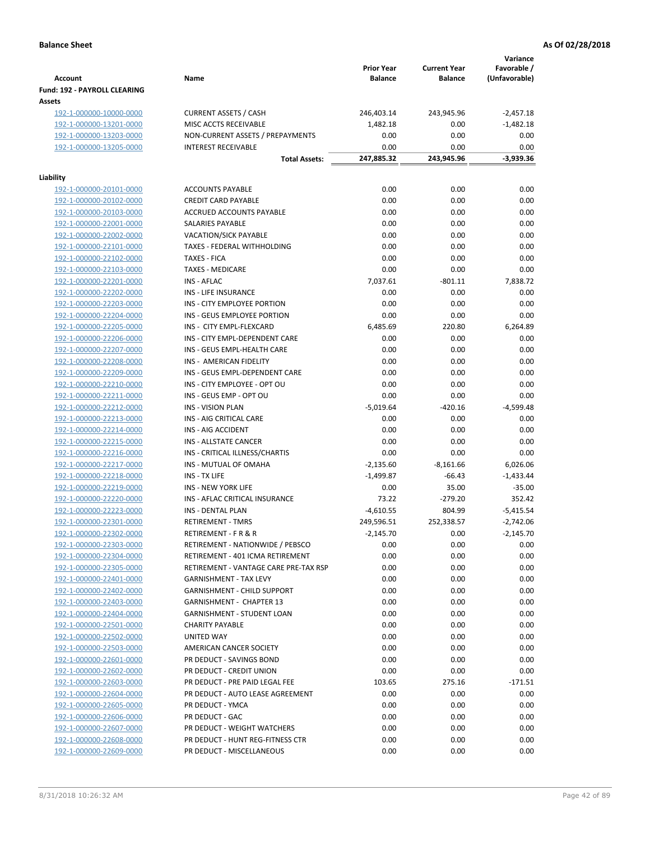|                                                    |                                                                 | <b>Prior Year</b> | <b>Current Year</b> | Variance<br>Favorable / |
|----------------------------------------------------|-----------------------------------------------------------------|-------------------|---------------------|-------------------------|
| <b>Account</b>                                     | Name                                                            | <b>Balance</b>    | <b>Balance</b>      | (Unfavorable)           |
| Fund: 192 - PAYROLL CLEARING                       |                                                                 |                   |                     |                         |
| Assets                                             |                                                                 |                   |                     | $-2,457.18$             |
| 192-1-000000-10000-0000<br>192-1-000000-13201-0000 | <b>CURRENT ASSETS / CASH</b><br>MISC ACCTS RECEIVABLE           | 246,403.14        | 243,945.96<br>0.00  | $-1,482.18$             |
| 192-1-000000-13203-0000                            | NON-CURRENT ASSETS / PREPAYMENTS                                | 1,482.18<br>0.00  | 0.00                | 0.00                    |
| 192-1-000000-13205-0000                            | <b>INTEREST RECEIVABLE</b>                                      | 0.00              | 0.00                | 0.00                    |
|                                                    | <b>Total Assets:</b>                                            | 247,885.32        | 243,945.96          | -3,939.36               |
|                                                    |                                                                 |                   |                     |                         |
| Liability                                          |                                                                 |                   |                     |                         |
| 192-1-000000-20101-0000                            | <b>ACCOUNTS PAYABLE</b>                                         | 0.00              | 0.00                | 0.00                    |
| 192-1-000000-20102-0000                            | <b>CREDIT CARD PAYABLE</b>                                      | 0.00              | 0.00                | 0.00                    |
| 192-1-000000-20103-0000                            | ACCRUED ACCOUNTS PAYABLE                                        | 0.00              | 0.00                | 0.00                    |
| 192-1-000000-22001-0000                            | SALARIES PAYABLE                                                | 0.00              | 0.00                | 0.00                    |
| 192-1-000000-22002-0000                            | <b>VACATION/SICK PAYABLE</b>                                    | 0.00              | 0.00                | 0.00                    |
| 192-1-000000-22101-0000                            | TAXES - FEDERAL WITHHOLDING                                     | 0.00              | 0.00                | 0.00                    |
| 192-1-000000-22102-0000                            | <b>TAXES - FICA</b>                                             | 0.00              | 0.00                | 0.00                    |
| 192-1-000000-22103-0000                            | <b>TAXES - MEDICARE</b>                                         | 0.00              | 0.00                | 0.00                    |
| 192-1-000000-22201-0000                            | <b>INS - AFLAC</b>                                              | 7,037.61          | $-801.11$           | 7,838.72                |
| 192-1-000000-22202-0000                            | <b>INS - LIFE INSURANCE</b>                                     | 0.00              | 0.00                | 0.00                    |
| 192-1-000000-22203-0000                            | INS - CITY EMPLOYEE PORTION                                     | 0.00              | 0.00                | 0.00                    |
| 192-1-000000-22204-0000                            | INS - GEUS EMPLOYEE PORTION                                     | 0.00              | 0.00                | 0.00                    |
| 192-1-000000-22205-0000                            | INS - CITY EMPL-FLEXCARD<br>INS - CITY EMPL-DEPENDENT CARE      | 6,485.69<br>0.00  | 220.80<br>0.00      | 6,264.89<br>0.00        |
| 192-1-000000-22206-0000<br>192-1-000000-22207-0000 | INS - GEUS EMPL-HEALTH CARE                                     | 0.00              | 0.00                | 0.00                    |
| 192-1-000000-22208-0000                            | INS - AMERICAN FIDELITY                                         | 0.00              | 0.00                | 0.00                    |
| 192-1-000000-22209-0000                            | INS - GEUS EMPL-DEPENDENT CARE                                  | 0.00              | 0.00                | 0.00                    |
| 192-1-000000-22210-0000                            | INS - CITY EMPLOYEE - OPT OU                                    | 0.00              | 0.00                | 0.00                    |
| 192-1-000000-22211-0000                            | INS - GEUS EMP - OPT OU                                         | 0.00              | 0.00                | 0.00                    |
| 192-1-000000-22212-0000                            | <b>INS - VISION PLAN</b>                                        | $-5,019.64$       | $-420.16$           | -4,599.48               |
| 192-1-000000-22213-0000                            | INS - AIG CRITICAL CARE                                         | 0.00              | 0.00                | 0.00                    |
| 192-1-000000-22214-0000                            | INS - AIG ACCIDENT                                              | 0.00              | 0.00                | 0.00                    |
| 192-1-000000-22215-0000                            | INS - ALLSTATE CANCER                                           | 0.00              | 0.00                | 0.00                    |
| 192-1-000000-22216-0000                            | INS - CRITICAL ILLNESS/CHARTIS                                  | 0.00              | 0.00                | 0.00                    |
| 192-1-000000-22217-0000                            | INS - MUTUAL OF OMAHA                                           | $-2,135.60$       | $-8,161.66$         | 6,026.06                |
| 192-1-000000-22218-0000                            | INS - TX LIFE                                                   | $-1,499.87$       | $-66.43$            | $-1,433.44$             |
| 192-1-000000-22219-0000                            | <b>INS - NEW YORK LIFE</b>                                      | 0.00              | 35.00               | $-35.00$                |
| 192-1-000000-22220-0000                            | INS - AFLAC CRITICAL INSURANCE                                  | 73.22             | $-279.20$           | 352.42                  |
| 192-1-000000-22223-0000                            | <b>INS - DENTAL PLAN</b>                                        | $-4,610.55$       | 804.99              | $-5,415.54$             |
| 192-1-000000-22301-0000                            | <b>RETIREMENT - TMRS</b>                                        | 249,596.51        | 252,338.57          | $-2,742.06$             |
| 192-1-000000-22302-0000                            | RETIREMENT - F R & R                                            | $-2,145.70$       | 0.00                | $-2,145.70$             |
| 192-1-000000-22303-0000                            | RETIREMENT - NATIONWIDE / PEBSCO                                | 0.00              | 0.00                | 0.00                    |
| 192-1-000000-22304-0000                            | RETIREMENT - 401 ICMA RETIREMENT                                | 0.00              | 0.00                | 0.00                    |
| 192-1-000000-22305-0000                            | RETIREMENT - VANTAGE CARE PRE-TAX RSP                           | 0.00              | 0.00                | 0.00                    |
| 192-1-000000-22401-0000                            | <b>GARNISHMENT - TAX LEVY</b>                                   | 0.00              | 0.00                | 0.00                    |
| 192-1-000000-22402-0000                            | <b>GARNISHMENT - CHILD SUPPORT</b>                              | 0.00              | 0.00                | 0.00                    |
| 192-1-000000-22403-0000                            | <b>GARNISHMENT - CHAPTER 13</b>                                 | 0.00              | 0.00                | 0.00                    |
| 192-1-000000-22404-0000                            | <b>GARNISHMENT - STUDENT LOAN</b>                               | 0.00              | 0.00                | 0.00                    |
| 192-1-000000-22501-0000                            | <b>CHARITY PAYABLE</b>                                          | 0.00              | 0.00                | 0.00                    |
| 192-1-000000-22502-0000                            | UNITED WAY                                                      | 0.00              | 0.00                | 0.00                    |
| 192-1-000000-22503-0000                            | AMERICAN CANCER SOCIETY                                         | 0.00              | 0.00                | 0.00                    |
| 192-1-000000-22601-0000                            | PR DEDUCT - SAVINGS BOND                                        | 0.00              | 0.00                | 0.00                    |
| 192-1-000000-22602-0000                            | PR DEDUCT - CREDIT UNION                                        | 0.00              | 0.00                | 0.00                    |
| 192-1-000000-22603-0000                            | PR DEDUCT - PRE PAID LEGAL FEE                                  | 103.65            | 275.16              | $-171.51$               |
| 192-1-000000-22604-0000                            | PR DEDUCT - AUTO LEASE AGREEMENT                                | 0.00              | 0.00                | 0.00                    |
| 192-1-000000-22605-0000                            | PR DEDUCT - YMCA                                                | 0.00              | 0.00                | 0.00                    |
| 192-1-000000-22606-0000                            | PR DEDUCT - GAC                                                 | 0.00              | 0.00                | 0.00                    |
| 192-1-000000-22607-0000<br>192-1-000000-22608-0000 | PR DEDUCT - WEIGHT WATCHERS<br>PR DEDUCT - HUNT REG-FITNESS CTR | 0.00              | 0.00                | 0.00                    |
| 192-1-000000-22609-0000                            | PR DEDUCT - MISCELLANEOUS                                       | 0.00<br>0.00      | 0.00<br>0.00        | 0.00<br>0.00            |
|                                                    |                                                                 |                   |                     |                         |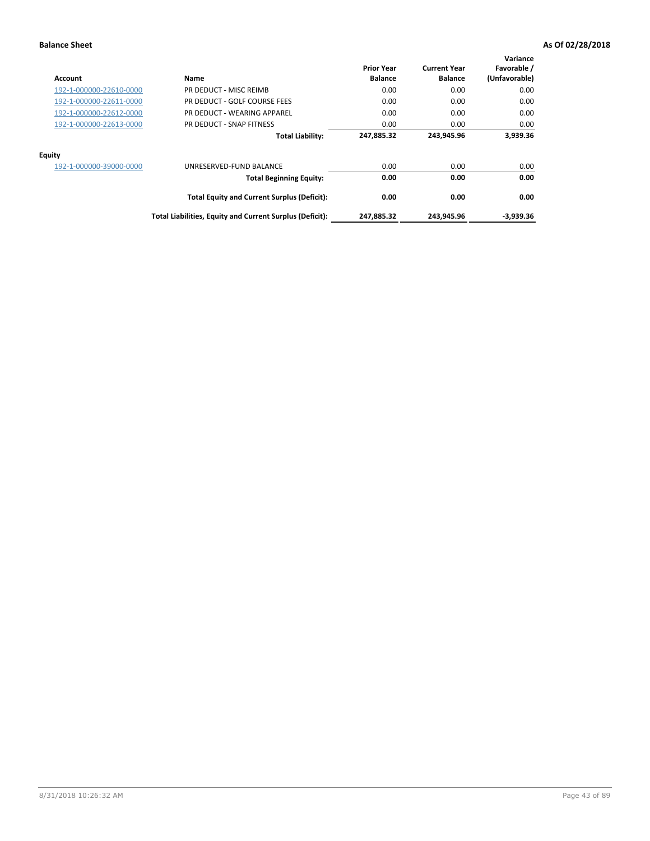| Account                 | Name                                                     | <b>Prior Year</b><br><b>Balance</b> | <b>Current Year</b><br><b>Balance</b> | Variance<br>Favorable /<br>(Unfavorable) |
|-------------------------|----------------------------------------------------------|-------------------------------------|---------------------------------------|------------------------------------------|
| 192-1-000000-22610-0000 | PR DEDUCT - MISC REIMB                                   | 0.00                                | 0.00                                  | 0.00                                     |
| 192-1-000000-22611-0000 | PR DEDUCT - GOLF COURSE FEES                             | 0.00                                | 0.00                                  | 0.00                                     |
| 192-1-000000-22612-0000 | PR DEDUCT - WEARING APPAREL                              | 0.00                                | 0.00                                  | 0.00                                     |
| 192-1-000000-22613-0000 | PR DEDUCT - SNAP FITNESS                                 | 0.00                                | 0.00                                  | 0.00                                     |
|                         | <b>Total Liability:</b>                                  | 247,885.32                          | 243.945.96                            | 3,939.36                                 |
| Equity                  |                                                          |                                     |                                       |                                          |
| 192-1-000000-39000-0000 | UNRESERVED-FUND BALANCE                                  | 0.00                                | 0.00                                  | 0.00                                     |
|                         | <b>Total Beginning Equity:</b>                           | 0.00                                | 0.00                                  | 0.00                                     |
|                         | <b>Total Equity and Current Surplus (Deficit):</b>       | 0.00                                | 0.00                                  | 0.00                                     |
|                         | Total Liabilities, Equity and Current Surplus (Deficit): | 247,885.32                          | 243,945.96                            | $-3,939.36$                              |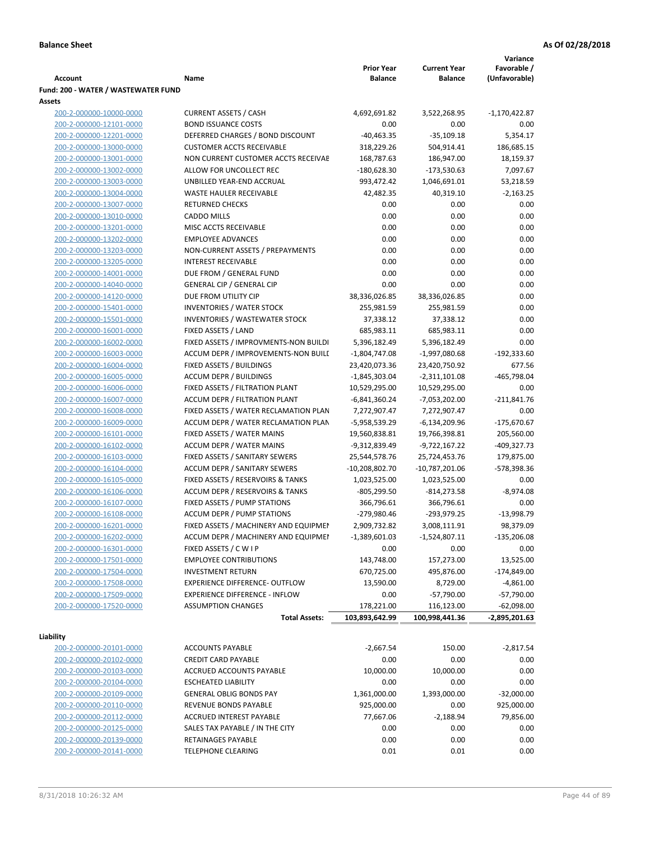|                                                    |                                                                       |                                   |                                  | Variance            |
|----------------------------------------------------|-----------------------------------------------------------------------|-----------------------------------|----------------------------------|---------------------|
|                                                    |                                                                       | <b>Prior Year</b>                 | <b>Current Year</b>              | Favorable /         |
| <b>Account</b>                                     | Name                                                                  | <b>Balance</b>                    | <b>Balance</b>                   | (Unfavorable)       |
| Fund: 200 - WATER / WASTEWATER FUND                |                                                                       |                                   |                                  |                     |
| Assets<br>200-2-000000-10000-0000                  | <b>CURRENT ASSETS / CASH</b>                                          | 4,692,691.82                      | 3,522,268.95                     | -1,170,422.87       |
| 200-2-000000-12101-0000                            | <b>BOND ISSUANCE COSTS</b>                                            | 0.00                              | 0.00                             | 0.00                |
| 200-2-000000-12201-0000                            | DEFERRED CHARGES / BOND DISCOUNT                                      | $-40,463.35$                      | $-35,109.18$                     | 5,354.17            |
| 200-2-000000-13000-0000                            | <b>CUSTOMER ACCTS RECEIVABLE</b>                                      | 318,229.26                        | 504,914.41                       | 186,685.15          |
| 200-2-000000-13001-0000                            | NON CURRENT CUSTOMER ACCTS RECEIVAE                                   | 168,787.63                        | 186,947.00                       | 18,159.37           |
| 200-2-000000-13002-0000                            | ALLOW FOR UNCOLLECT REC                                               | -180,628.30                       | $-173,530.63$                    | 7,097.67            |
| 200-2-000000-13003-0000                            | UNBILLED YEAR-END ACCRUAL                                             | 993,472.42                        | 1,046,691.01                     | 53,218.59           |
| 200-2-000000-13004-0000                            | WASTE HAULER RECEIVABLE                                               | 42,482.35                         | 40,319.10                        | $-2,163.25$         |
| 200-2-000000-13007-0000                            | <b>RETURNED CHECKS</b>                                                | 0.00                              | 0.00                             | 0.00                |
| 200-2-000000-13010-0000                            | <b>CADDO MILLS</b>                                                    | 0.00                              | 0.00                             | 0.00                |
| 200-2-000000-13201-0000                            | MISC ACCTS RECEIVABLE                                                 | 0.00                              | 0.00                             | 0.00                |
| 200-2-000000-13202-0000                            | <b>EMPLOYEE ADVANCES</b>                                              | 0.00                              | 0.00                             | 0.00                |
| 200-2-000000-13203-0000                            | NON-CURRENT ASSETS / PREPAYMENTS                                      | 0.00                              | 0.00                             | 0.00                |
| 200-2-000000-13205-0000                            | <b>INTEREST RECEIVABLE</b>                                            | 0.00                              | 0.00                             | 0.00                |
| 200-2-000000-14001-0000                            | DUE FROM / GENERAL FUND                                               | 0.00                              | 0.00                             | 0.00                |
| 200-2-000000-14040-0000                            | <b>GENERAL CIP / GENERAL CIP</b>                                      | 0.00                              | 0.00                             | 0.00                |
| 200-2-000000-14120-0000                            | DUE FROM UTILITY CIP                                                  | 38,336,026.85                     | 38,336,026.85                    | 0.00                |
| 200-2-000000-15401-0000                            | <b>INVENTORIES / WATER STOCK</b>                                      | 255,981.59                        | 255,981.59                       | 0.00                |
| 200-2-000000-15501-0000                            | <b>INVENTORIES / WASTEWATER STOCK</b>                                 | 37,338.12                         | 37,338.12                        | 0.00                |
| 200-2-000000-16001-0000                            | FIXED ASSETS / LAND                                                   | 685,983.11                        | 685,983.11                       | 0.00                |
| 200-2-000000-16002-0000                            | FIXED ASSETS / IMPROVMENTS-NON BUILDI                                 | 5,396,182.49                      | 5,396,182.49                     | 0.00                |
| 200-2-000000-16003-0000                            | ACCUM DEPR / IMPROVEMENTS-NON BUILL                                   | $-1,804,747.08$                   | -1,997,080.68                    | $-192,333.60$       |
| 200-2-000000-16004-0000                            | FIXED ASSETS / BUILDINGS                                              | 23,420,073.36                     | 23,420,750.92                    | 677.56              |
| 200-2-000000-16005-0000                            | <b>ACCUM DEPR / BUILDINGS</b>                                         | $-1,845,303.04$                   | $-2,311,101.08$                  | -465,798.04         |
| 200-2-000000-16006-0000                            | FIXED ASSETS / FILTRATION PLANT                                       | 10,529,295.00                     | 10,529,295.00                    | 0.00                |
| 200-2-000000-16007-0000                            | ACCUM DEPR / FILTRATION PLANT                                         | -6,841,360.24                     | -7,053,202.00                    | $-211,841.76$       |
| 200-2-000000-16008-0000                            | FIXED ASSETS / WATER RECLAMATION PLAN                                 | 7,272,907.47                      | 7,272,907.47                     | 0.00                |
| 200-2-000000-16009-0000                            | ACCUM DEPR / WATER RECLAMATION PLAN                                   | -5,958,539.29                     | $-6,134,209.96$                  | $-175,670.67$       |
| 200-2-000000-16101-0000                            | FIXED ASSETS / WATER MAINS                                            | 19,560,838.81                     | 19,766,398.81                    | 205,560.00          |
| 200-2-000000-16102-0000                            | <b>ACCUM DEPR / WATER MAINS</b>                                       | -9,312,839.49                     | -9,722,167.22                    | -409,327.73         |
| 200-2-000000-16103-0000<br>200-2-000000-16104-0000 | FIXED ASSETS / SANITARY SEWERS<br><b>ACCUM DEPR / SANITARY SEWERS</b> | 25,544,578.76<br>$-10,208,802.70$ | 25,724,453.76                    | 179,875.00          |
| 200-2-000000-16105-0000                            | FIXED ASSETS / RESERVOIRS & TANKS                                     | 1,023,525.00                      | $-10,787,201.06$<br>1,023,525.00 | -578,398.36<br>0.00 |
| 200-2-000000-16106-0000                            | ACCUM DEPR / RESERVOIRS & TANKS                                       | -805,299.50                       | $-814,273.58$                    | $-8,974.08$         |
| 200-2-000000-16107-0000                            | FIXED ASSETS / PUMP STATIONS                                          | 366,796.61                        | 366,796.61                       | 0.00                |
| 200-2-000000-16108-0000                            | <b>ACCUM DEPR / PUMP STATIONS</b>                                     | -279,980.46                       | -293,979.25                      | $-13,998.79$        |
| 200-2-000000-16201-0000                            | FIXED ASSETS / MACHINERY AND EQUIPMEN                                 | 2,909,732.82                      | 3,008,111.91                     | 98,379.09           |
| 200-2-000000-16202-0000                            | ACCUM DEPR / MACHINERY AND EQUIPMEI                                   | $-1,389,601.03$                   | $-1,524,807.11$                  | $-135,206.08$       |
| 200-2-000000-16301-0000                            | FIXED ASSETS / C W I P                                                | 0.00                              | 0.00                             | 0.00                |
| 200-2-000000-17501-0000                            | <b>EMPLOYEE CONTRIBUTIONS</b>                                         | 143,748.00                        | 157,273.00                       | 13,525.00           |
| 200-2-000000-17504-0000                            | <b>INVESTMENT RETURN</b>                                              | 670,725.00                        | 495,876.00                       | $-174,849.00$       |
| 200-2-000000-17508-0000                            | EXPERIENCE DIFFERENCE- OUTFLOW                                        | 13,590.00                         | 8,729.00                         | $-4,861.00$         |
| 200-2-000000-17509-0000                            | <b>EXPERIENCE DIFFERENCE - INFLOW</b>                                 | 0.00                              | $-57,790.00$                     | $-57,790.00$        |
| 200-2-000000-17520-0000                            | <b>ASSUMPTION CHANGES</b>                                             | 178,221.00                        | 116,123.00                       | $-62,098.00$        |
|                                                    | <b>Total Assets:</b>                                                  | 103,893,642.99                    | 100,998,441.36                   | $-2,895,201.63$     |
|                                                    |                                                                       |                                   |                                  |                     |
| Liability                                          |                                                                       |                                   |                                  |                     |
| 200-2-000000-20101-0000                            | <b>ACCOUNTS PAYABLE</b>                                               | $-2,667.54$                       | 150.00                           | $-2,817.54$         |
| 200-2-000000-20102-0000                            | <b>CREDIT CARD PAYABLE</b>                                            | 0.00                              | 0.00                             | 0.00                |
| 200-2-000000-20103-0000                            | ACCRUED ACCOUNTS PAYABLE                                              | 10,000.00                         | 10,000.00                        | 0.00                |
| 200-2-000000-20104-0000                            | <b>ESCHEATED LIABILITY</b>                                            | 0.00                              | 0.00                             | 0.00                |
| 200-2-000000-20109-0000                            | <b>GENERAL OBLIG BONDS PAY</b>                                        | 1,361,000.00                      | 1,393,000.00                     | $-32,000.00$        |
| 200-2-000000-20110-0000                            | REVENUE BONDS PAYABLE                                                 | 925,000.00                        | 0.00                             | 925,000.00          |
| 200-2-000000-20112-0000                            | ACCRUED INTEREST PAYABLE                                              | 77,667.06                         | $-2,188.94$                      | 79,856.00           |
| 200-2-000000-20125-0000                            | SALES TAX PAYABLE / IN THE CITY                                       | 0.00                              | 0.00                             | 0.00                |
| 200-2-000000-20139-0000                            | RETAINAGES PAYABLE                                                    | 0.00                              | 0.00                             | 0.00                |
| 200-2-000000-20141-0000                            | <b>TELEPHONE CLEARING</b>                                             | 0.01                              | 0.01                             | 0.00                |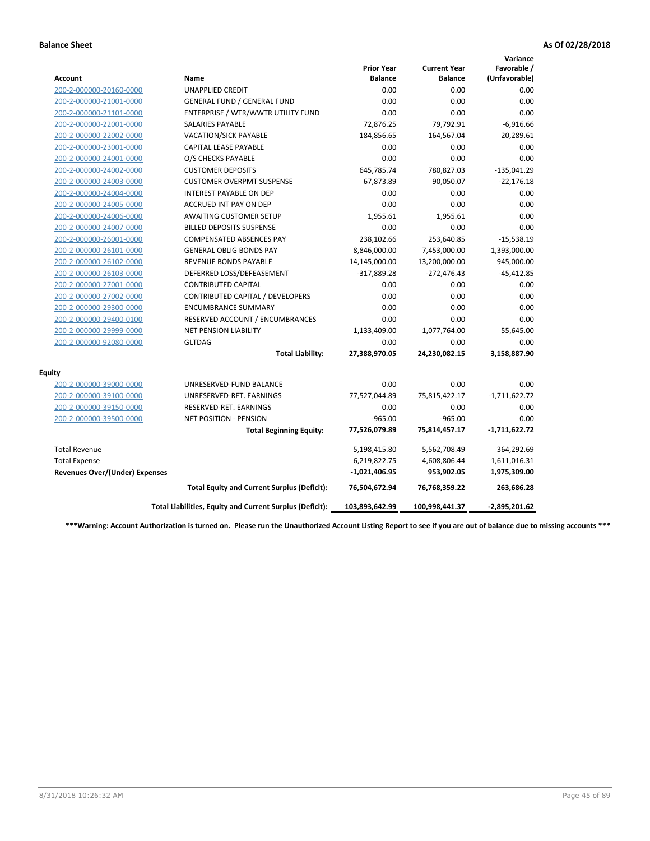|                                       |                                                          |                                     |                                       | Variance                     |
|---------------------------------------|----------------------------------------------------------|-------------------------------------|---------------------------------------|------------------------------|
| <b>Account</b>                        | Name                                                     | <b>Prior Year</b><br><b>Balance</b> | <b>Current Year</b><br><b>Balance</b> | Favorable /<br>(Unfavorable) |
| 200-2-000000-20160-0000               | <b>UNAPPLIED CREDIT</b>                                  | 0.00                                | 0.00                                  | 0.00                         |
| 200-2-000000-21001-0000               | <b>GENERAL FUND / GENERAL FUND</b>                       | 0.00                                | 0.00                                  | 0.00                         |
| 200-2-000000-21101-0000               | ENTERPRISE / WTR/WWTR UTILITY FUND                       | 0.00                                | 0.00                                  | 0.00                         |
| 200-2-000000-22001-0000               | <b>SALARIES PAYABLE</b>                                  | 72,876.25                           | 79,792.91                             | $-6,916.66$                  |
| 200-2-000000-22002-0000               | VACATION/SICK PAYABLE                                    | 184,856.65                          | 164,567.04                            | 20,289.61                    |
| 200-2-000000-23001-0000               | <b>CAPITAL LEASE PAYABLE</b>                             | 0.00                                | 0.00                                  | 0.00                         |
| 200-2-000000-24001-0000               | O/S CHECKS PAYABLE                                       | 0.00                                | 0.00                                  | 0.00                         |
| 200-2-000000-24002-0000               | <b>CUSTOMER DEPOSITS</b>                                 | 645,785.74                          | 780,827.03                            | $-135,041.29$                |
| 200-2-000000-24003-0000               | <b>CUSTOMER OVERPMT SUSPENSE</b>                         | 67,873.89                           | 90,050.07                             | $-22,176.18$                 |
| 200-2-000000-24004-0000               | <b>INTEREST PAYABLE ON DEP</b>                           | 0.00                                | 0.00                                  | 0.00                         |
| 200-2-000000-24005-0000               | <b>ACCRUED INT PAY ON DEP</b>                            | 0.00                                | 0.00                                  | 0.00                         |
| 200-2-000000-24006-0000               | <b>AWAITING CUSTOMER SETUP</b>                           | 1,955.61                            | 1,955.61                              | 0.00                         |
| 200-2-000000-24007-0000               | <b>BILLED DEPOSITS SUSPENSE</b>                          | 0.00                                | 0.00                                  | 0.00                         |
| 200-2-000000-26001-0000               | <b>COMPENSATED ABSENCES PAY</b>                          | 238,102.66                          | 253,640.85                            | $-15,538.19$                 |
| 200-2-000000-26101-0000               | <b>GENERAL OBLIG BONDS PAY</b>                           | 8,846,000.00                        | 7,453,000.00                          | 1,393,000.00                 |
| 200-2-000000-26102-0000               | <b>REVENUE BONDS PAYABLE</b>                             | 14,145,000.00                       | 13,200,000.00                         | 945,000.00                   |
| 200-2-000000-26103-0000               | DEFERRED LOSS/DEFEASEMENT                                | $-317,889.28$                       | $-272,476.43$                         | $-45,412.85$                 |
| 200-2-000000-27001-0000               | <b>CONTRIBUTED CAPITAL</b>                               | 0.00                                | 0.00                                  | 0.00                         |
| 200-2-000000-27002-0000               | CONTRIBUTED CAPITAL / DEVELOPERS                         | 0.00                                | 0.00                                  | 0.00                         |
| 200-2-000000-29300-0000               | <b>ENCUMBRANCE SUMMARY</b>                               | 0.00                                | 0.00                                  | 0.00                         |
| 200-2-000000-29400-0100               | RESERVED ACCOUNT / ENCUMBRANCES                          | 0.00                                | 0.00                                  | 0.00                         |
| 200-2-000000-29999-0000               | NET PENSION LIABILITY                                    | 1,133,409.00                        | 1,077,764.00                          | 55,645.00                    |
| 200-2-000000-92080-0000               | <b>GLTDAG</b>                                            | 0.00                                | 0.00                                  | 0.00                         |
|                                       | <b>Total Liability:</b>                                  | 27,388,970.05                       | 24,230,082.15                         | 3,158,887.90                 |
| <b>Equity</b>                         |                                                          |                                     |                                       |                              |
| 200-2-000000-39000-0000               | UNRESERVED-FUND BALANCE                                  | 0.00                                | 0.00                                  | 0.00                         |
| 200-2-000000-39100-0000               | UNRESERVED-RET. EARNINGS                                 | 77,527,044.89                       | 75,815,422.17                         | $-1,711,622.72$              |
| 200-2-000000-39150-0000               | RESERVED-RET. EARNINGS                                   | 0.00                                | 0.00                                  | 0.00                         |
| 200-2-000000-39500-0000               | <b>NET POSITION - PENSION</b>                            | $-965.00$                           | $-965.00$                             | 0.00                         |
|                                       | <b>Total Beginning Equity:</b>                           | 77,526,079.89                       | 75,814,457.17                         | $-1,711,622.72$              |
| <b>Total Revenue</b>                  |                                                          | 5,198,415.80                        | 5,562,708.49                          | 364,292.69                   |
| <b>Total Expense</b>                  |                                                          | 6,219,822.75                        | 4,608,806.44                          | 1,611,016.31                 |
| <b>Revenues Over/(Under) Expenses</b> |                                                          | $-1,021,406.95$                     | 953,902.05                            | 1,975,309.00                 |
|                                       | <b>Total Equity and Current Surplus (Deficit):</b>       | 76,504,672.94                       | 76,768,359.22                         | 263,686.28                   |
|                                       | Total Liabilities, Equity and Current Surplus (Deficit): | 103,893,642.99                      | 100,998,441.37                        | $-2,895,201.62$              |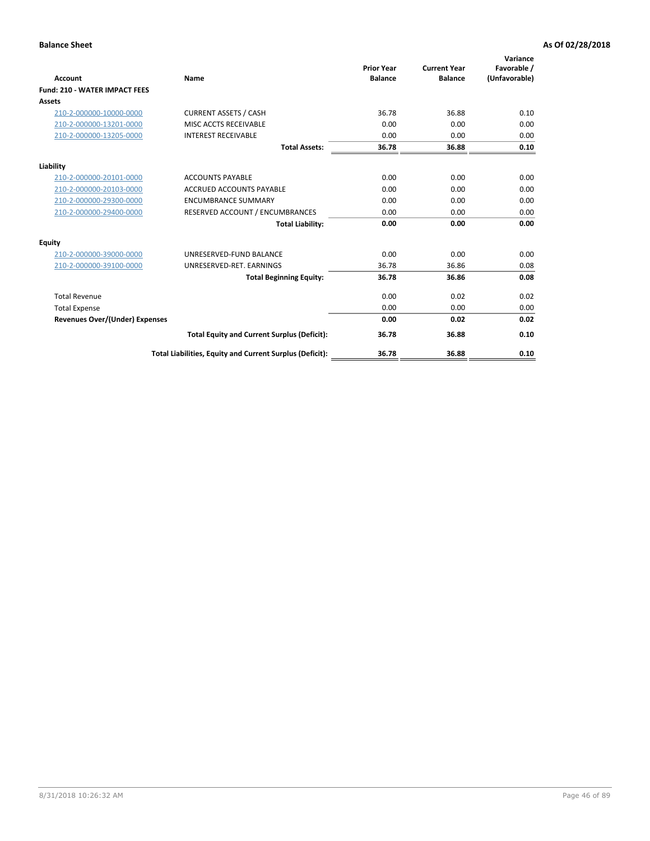|                                       |                                                          | <b>Prior Year</b> | <b>Current Year</b> | Variance<br>Favorable / |
|---------------------------------------|----------------------------------------------------------|-------------------|---------------------|-------------------------|
| <b>Account</b>                        | Name                                                     | <b>Balance</b>    | <b>Balance</b>      | (Unfavorable)           |
| <b>Fund: 210 - WATER IMPACT FEES</b>  |                                                          |                   |                     |                         |
| <b>Assets</b>                         |                                                          |                   |                     |                         |
| 210-2-000000-10000-0000               | <b>CURRENT ASSETS / CASH</b>                             | 36.78             | 36.88               | 0.10                    |
| 210-2-000000-13201-0000               | MISC ACCTS RECEIVABLE                                    | 0.00              | 0.00                | 0.00                    |
| 210-2-000000-13205-0000               | <b>INTEREST RECEIVABLE</b>                               | 0.00              | 0.00                | 0.00                    |
|                                       | <b>Total Assets:</b>                                     | 36.78             | 36.88               | 0.10                    |
| Liability                             |                                                          |                   |                     |                         |
| 210-2-000000-20101-0000               | <b>ACCOUNTS PAYABLE</b>                                  | 0.00              | 0.00                | 0.00                    |
| 210-2-000000-20103-0000               | <b>ACCRUED ACCOUNTS PAYABLE</b>                          | 0.00              | 0.00                | 0.00                    |
| 210-2-000000-29300-0000               | <b>ENCUMBRANCE SUMMARY</b>                               | 0.00              | 0.00                | 0.00                    |
| 210-2-000000-29400-0000               | RESERVED ACCOUNT / ENCUMBRANCES                          | 0.00              | 0.00                | 0.00                    |
|                                       | <b>Total Liability:</b>                                  | 0.00              | 0.00                | 0.00                    |
| <b>Equity</b>                         |                                                          |                   |                     |                         |
| 210-2-000000-39000-0000               | UNRESERVED-FUND BALANCE                                  | 0.00              | 0.00                | 0.00                    |
| 210-2-000000-39100-0000               | UNRESERVED-RET. EARNINGS                                 | 36.78             | 36.86               | 0.08                    |
|                                       | <b>Total Beginning Equity:</b>                           | 36.78             | 36.86               | 0.08                    |
| <b>Total Revenue</b>                  |                                                          | 0.00              | 0.02                | 0.02                    |
| <b>Total Expense</b>                  |                                                          | 0.00              | 0.00                | 0.00                    |
| <b>Revenues Over/(Under) Expenses</b> |                                                          | 0.00              | 0.02                | 0.02                    |
|                                       | <b>Total Equity and Current Surplus (Deficit):</b>       | 36.78             | 36.88               | 0.10                    |
|                                       | Total Liabilities, Equity and Current Surplus (Deficit): | 36.78             | 36.88               | 0.10                    |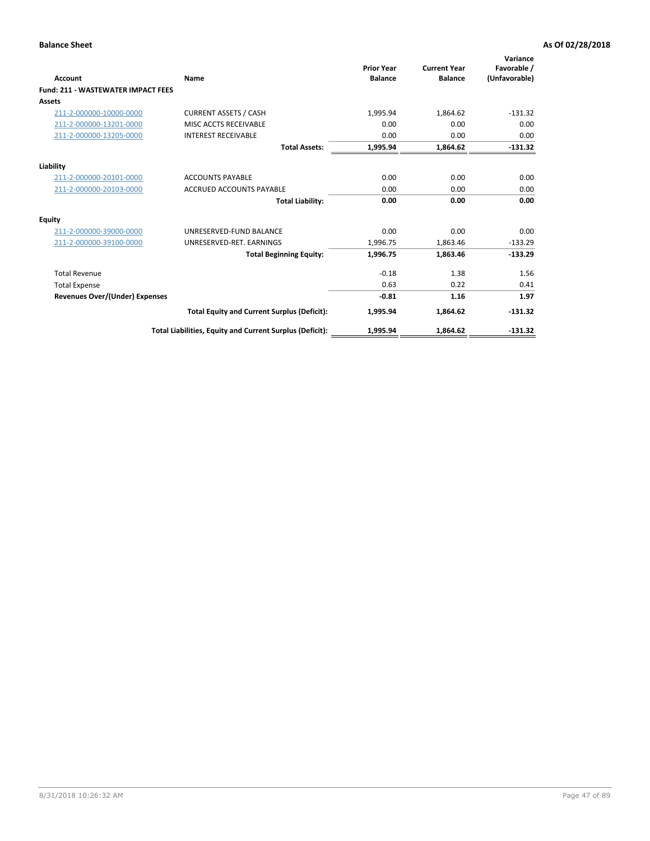| <b>Account</b>                            | Name                                                     | <b>Prior Year</b><br><b>Balance</b> | <b>Current Year</b><br><b>Balance</b> | Variance<br>Favorable /<br>(Unfavorable) |
|-------------------------------------------|----------------------------------------------------------|-------------------------------------|---------------------------------------|------------------------------------------|
| <b>Fund: 211 - WASTEWATER IMPACT FEES</b> |                                                          |                                     |                                       |                                          |
| <b>Assets</b>                             |                                                          |                                     |                                       |                                          |
| 211-2-000000-10000-0000                   | <b>CURRENT ASSETS / CASH</b>                             | 1,995.94                            | 1,864.62                              | $-131.32$                                |
| 211-2-000000-13201-0000                   | MISC ACCTS RECEIVABLE                                    | 0.00                                | 0.00                                  | 0.00                                     |
| 211-2-000000-13205-0000                   | <b>INTEREST RECEIVABLE</b>                               | 0.00                                | 0.00                                  | 0.00                                     |
|                                           | <b>Total Assets:</b>                                     | 1,995.94                            | 1,864.62                              | $-131.32$                                |
| Liability                                 |                                                          |                                     |                                       |                                          |
| 211-2-000000-20101-0000                   | <b>ACCOUNTS PAYABLE</b>                                  | 0.00                                | 0.00                                  | 0.00                                     |
| 211-2-000000-20103-0000                   | <b>ACCRUED ACCOUNTS PAYABLE</b>                          | 0.00                                | 0.00                                  | 0.00                                     |
|                                           | <b>Total Liability:</b>                                  | 0.00                                | 0.00                                  | 0.00                                     |
| Equity                                    |                                                          |                                     |                                       |                                          |
| 211-2-000000-39000-0000                   | UNRESERVED-FUND BALANCE                                  | 0.00                                | 0.00                                  | 0.00                                     |
| 211-2-000000-39100-0000                   | UNRESERVED-RET. EARNINGS                                 | 1,996.75                            | 1,863.46                              | $-133.29$                                |
|                                           | <b>Total Beginning Equity:</b>                           | 1,996.75                            | 1,863.46                              | $-133.29$                                |
| <b>Total Revenue</b>                      |                                                          | $-0.18$                             | 1.38                                  | 1.56                                     |
| <b>Total Expense</b>                      |                                                          | 0.63                                | 0.22                                  | 0.41                                     |
| <b>Revenues Over/(Under) Expenses</b>     |                                                          | $-0.81$                             | 1.16                                  | 1.97                                     |
|                                           | <b>Total Equity and Current Surplus (Deficit):</b>       | 1,995.94                            | 1,864.62                              | $-131.32$                                |
|                                           | Total Liabilities, Equity and Current Surplus (Deficit): | 1,995.94                            | 1,864.62                              | $-131.32$                                |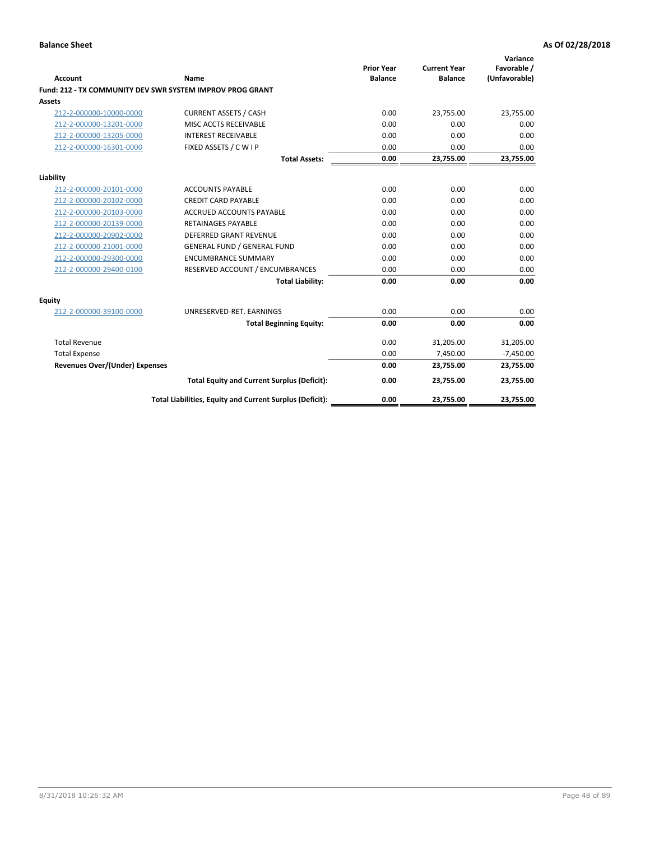| <b>Account</b>                        | Name                                                      | <b>Prior Year</b><br><b>Balance</b> | <b>Current Year</b><br><b>Balance</b> | Variance<br>Favorable /<br>(Unfavorable) |
|---------------------------------------|-----------------------------------------------------------|-------------------------------------|---------------------------------------|------------------------------------------|
|                                       | Fund: 212 - TX COMMUNITY DEV SWR SYSTEM IMPROV PROG GRANT |                                     |                                       |                                          |
| <b>Assets</b>                         |                                                           |                                     |                                       |                                          |
| 212-2-000000-10000-0000               | <b>CURRENT ASSETS / CASH</b>                              | 0.00                                | 23,755.00                             | 23,755.00                                |
| 212-2-000000-13201-0000               | MISC ACCTS RECEIVABLE                                     | 0.00                                | 0.00                                  | 0.00                                     |
| 212-2-000000-13205-0000               | <b>INTEREST RECEIVABLE</b>                                | 0.00                                | 0.00                                  | 0.00                                     |
| 212-2-000000-16301-0000               | FIXED ASSETS / C W I P                                    | 0.00                                | 0.00                                  | 0.00                                     |
|                                       | <b>Total Assets:</b>                                      | 0.00                                | 23,755.00                             | 23,755.00                                |
| Liability                             |                                                           |                                     |                                       |                                          |
| 212-2-000000-20101-0000               | <b>ACCOUNTS PAYABLE</b>                                   | 0.00                                | 0.00                                  | 0.00                                     |
| 212-2-000000-20102-0000               | <b>CREDIT CARD PAYABLE</b>                                | 0.00                                | 0.00                                  | 0.00                                     |
| 212-2-000000-20103-0000               | <b>ACCRUED ACCOUNTS PAYABLE</b>                           | 0.00                                | 0.00                                  | 0.00                                     |
| 212-2-000000-20139-0000               | <b>RETAINAGES PAYABLE</b>                                 | 0.00                                | 0.00                                  | 0.00                                     |
| 212-2-000000-20902-0000               | <b>DEFERRED GRANT REVENUE</b>                             | 0.00                                | 0.00                                  | 0.00                                     |
| 212-2-000000-21001-0000               | <b>GENERAL FUND / GENERAL FUND</b>                        | 0.00                                | 0.00                                  | 0.00                                     |
| 212-2-000000-29300-0000               | <b>ENCUMBRANCE SUMMARY</b>                                | 0.00                                | 0.00                                  | 0.00                                     |
| 212-2-000000-29400-0100               | RESERVED ACCOUNT / ENCUMBRANCES                           | 0.00                                | 0.00                                  | 0.00                                     |
|                                       | <b>Total Liability:</b>                                   | 0.00                                | 0.00                                  | 0.00                                     |
| <b>Equity</b>                         |                                                           |                                     |                                       |                                          |
| 212-2-000000-39100-0000               | UNRESERVED-RET. EARNINGS                                  | 0.00                                | 0.00                                  | 0.00                                     |
|                                       | <b>Total Beginning Equity:</b>                            | 0.00                                | 0.00                                  | 0.00                                     |
| <b>Total Revenue</b>                  |                                                           | 0.00                                | 31,205.00                             | 31,205.00                                |
| <b>Total Expense</b>                  |                                                           | 0.00                                | 7,450.00                              | $-7,450.00$                              |
| <b>Revenues Over/(Under) Expenses</b> |                                                           | 0.00                                | 23,755.00                             | 23,755.00                                |
|                                       | <b>Total Equity and Current Surplus (Deficit):</b>        | 0.00                                | 23,755.00                             | 23,755.00                                |
|                                       | Total Liabilities, Equity and Current Surplus (Deficit):  | 0.00                                | 23,755.00                             | 23,755.00                                |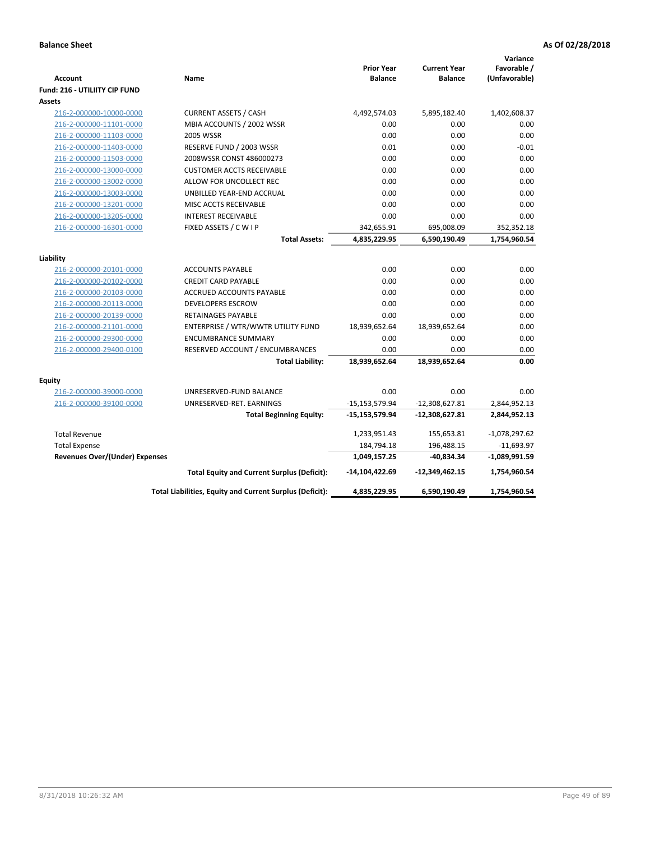| Account                               | Name                                                     | <b>Prior Year</b><br><b>Balance</b> | <b>Current Year</b><br><b>Balance</b> | Variance<br>Favorable /<br>(Unfavorable) |
|---------------------------------------|----------------------------------------------------------|-------------------------------------|---------------------------------------|------------------------------------------|
| Fund: 216 - UTILIITY CIP FUND         |                                                          |                                     |                                       |                                          |
| <b>Assets</b>                         |                                                          |                                     |                                       |                                          |
| 216-2-000000-10000-0000               | <b>CURRENT ASSETS / CASH</b>                             | 4,492,574.03                        | 5,895,182.40                          | 1,402,608.37                             |
| 216-2-000000-11101-0000               | MBIA ACCOUNTS / 2002 WSSR                                | 0.00                                | 0.00                                  | 0.00                                     |
| 216-2-000000-11103-0000               | <b>2005 WSSR</b>                                         | 0.00                                | 0.00                                  | 0.00                                     |
| 216-2-000000-11403-0000               | RESERVE FUND / 2003 WSSR                                 | 0.01                                | 0.00                                  | $-0.01$                                  |
| 216-2-000000-11503-0000               | 2008WSSR CONST 486000273                                 | 0.00                                | 0.00                                  | 0.00                                     |
| 216-2-000000-13000-0000               | <b>CUSTOMER ACCTS RECEIVABLE</b>                         | 0.00                                | 0.00                                  | 0.00                                     |
| 216-2-000000-13002-0000               | ALLOW FOR UNCOLLECT REC                                  | 0.00                                | 0.00                                  | 0.00                                     |
| 216-2-000000-13003-0000               | UNBILLED YEAR-END ACCRUAL                                | 0.00                                | 0.00                                  | 0.00                                     |
| 216-2-000000-13201-0000               | MISC ACCTS RECEIVABLE                                    | 0.00                                | 0.00                                  | 0.00                                     |
| 216-2-000000-13205-0000               | <b>INTEREST RECEIVABLE</b>                               | 0.00                                | 0.00                                  | 0.00                                     |
| 216-2-000000-16301-0000               | FIXED ASSETS / C W I P                                   | 342,655.91                          | 695,008.09                            | 352,352.18                               |
|                                       | <b>Total Assets:</b>                                     | 4,835,229.95                        | 6,590,190.49                          | 1,754,960.54                             |
| Liability                             |                                                          |                                     |                                       |                                          |
| 216-2-000000-20101-0000               | <b>ACCOUNTS PAYABLE</b>                                  | 0.00                                | 0.00                                  | 0.00                                     |
| 216-2-000000-20102-0000               | <b>CREDIT CARD PAYABLE</b>                               | 0.00                                | 0.00                                  | 0.00                                     |
| 216-2-000000-20103-0000               | <b>ACCRUED ACCOUNTS PAYABLE</b>                          | 0.00                                | 0.00                                  | 0.00                                     |
| 216-2-000000-20113-0000               | <b>DEVELOPERS ESCROW</b>                                 | 0.00                                | 0.00                                  | 0.00                                     |
| 216-2-000000-20139-0000               | <b>RETAINAGES PAYABLE</b>                                | 0.00                                | 0.00                                  | 0.00                                     |
| 216-2-000000-21101-0000               | ENTERPRISE / WTR/WWTR UTILITY FUND                       | 18,939,652.64                       | 18,939,652.64                         | 0.00                                     |
| 216-2-000000-29300-0000               | <b>ENCUMBRANCE SUMMARY</b>                               | 0.00                                | 0.00                                  | 0.00                                     |
| 216-2-000000-29400-0100               | RESERVED ACCOUNT / ENCUMBRANCES                          | 0.00                                | 0.00                                  | 0.00                                     |
|                                       | <b>Total Liability:</b>                                  | 18,939,652.64                       | 18,939,652.64                         | 0.00                                     |
| Equity                                |                                                          |                                     |                                       |                                          |
| 216-2-000000-39000-0000               | UNRESERVED-FUND BALANCE                                  | 0.00                                | 0.00                                  | 0.00                                     |
| 216-2-000000-39100-0000               | UNRESERVED-RET. EARNINGS                                 | $-15, 153, 579.94$                  | $-12,308,627.81$                      | 2,844,952.13                             |
|                                       | <b>Total Beginning Equity:</b>                           | $-15,153,579.94$                    | $-12,308,627.81$                      | 2,844,952.13                             |
| <b>Total Revenue</b>                  |                                                          | 1,233,951.43                        | 155,653.81                            | $-1,078,297.62$                          |
| <b>Total Expense</b>                  |                                                          | 184,794.18                          | 196,488.15                            | $-11,693.97$                             |
| <b>Revenues Over/(Under) Expenses</b> |                                                          | 1,049,157.25                        | $-40,834.34$                          | $-1,089,991.59$                          |
|                                       | <b>Total Equity and Current Surplus (Deficit):</b>       | -14,104,422.69                      | $-12,349,462.15$                      | 1,754,960.54                             |
|                                       | Total Liabilities, Equity and Current Surplus (Deficit): | 4,835,229.95                        | 6,590,190.49                          | 1,754,960.54                             |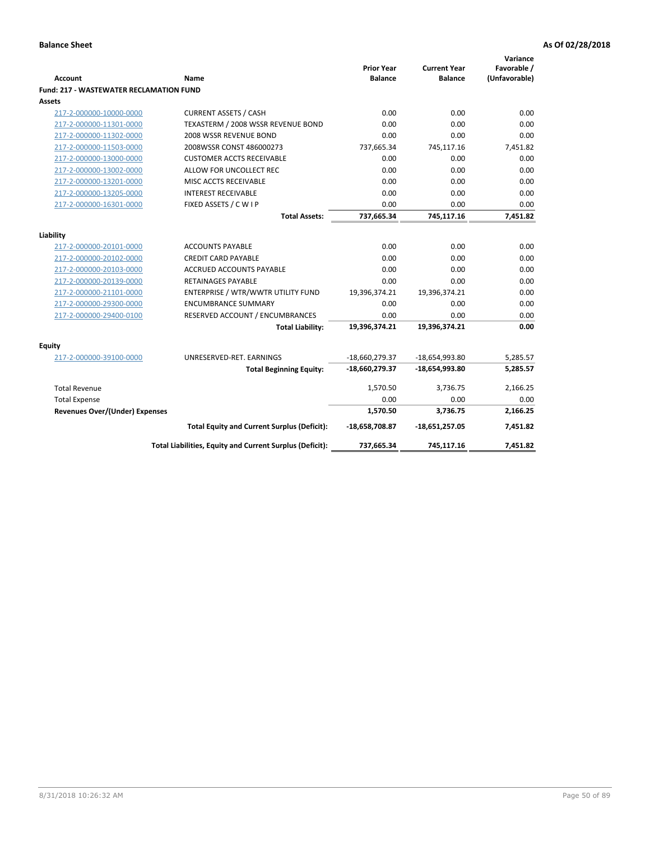| <b>Account</b>                                 | <b>Name</b>                                              | <b>Prior Year</b><br><b>Balance</b> | <b>Current Year</b><br><b>Balance</b> | Variance<br>Favorable /<br>(Unfavorable) |
|------------------------------------------------|----------------------------------------------------------|-------------------------------------|---------------------------------------|------------------------------------------|
| <b>Fund: 217 - WASTEWATER RECLAMATION FUND</b> |                                                          |                                     |                                       |                                          |
| Assets                                         |                                                          |                                     |                                       |                                          |
| 217-2-000000-10000-0000                        | <b>CURRENT ASSETS / CASH</b>                             | 0.00                                | 0.00                                  | 0.00                                     |
| 217-2-000000-11301-0000                        | TEXASTERM / 2008 WSSR REVENUE BOND                       | 0.00                                | 0.00                                  | 0.00                                     |
| 217-2-000000-11302-0000                        | 2008 WSSR REVENUE BOND                                   | 0.00                                | 0.00                                  | 0.00                                     |
| 217-2-000000-11503-0000                        | 2008WSSR CONST 486000273                                 | 737,665.34                          | 745,117.16                            | 7,451.82                                 |
| 217-2-000000-13000-0000                        | <b>CUSTOMER ACCTS RECEIVABLE</b>                         | 0.00                                | 0.00                                  | 0.00                                     |
| 217-2-000000-13002-0000                        | ALLOW FOR UNCOLLECT REC                                  | 0.00                                | 0.00                                  | 0.00                                     |
| 217-2-000000-13201-0000                        | MISC ACCTS RECEIVABLE                                    | 0.00                                | 0.00                                  | 0.00                                     |
| 217-2-000000-13205-0000                        | <b>INTEREST RECEIVABLE</b>                               | 0.00                                | 0.00                                  | 0.00                                     |
| 217-2-000000-16301-0000                        | FIXED ASSETS / C W I P                                   | 0.00                                | 0.00                                  | 0.00                                     |
|                                                | <b>Total Assets:</b>                                     | 737,665.34                          | 745,117.16                            | 7,451.82                                 |
|                                                |                                                          |                                     |                                       |                                          |
| Liability                                      |                                                          |                                     |                                       |                                          |
| 217-2-000000-20101-0000                        | <b>ACCOUNTS PAYABLE</b>                                  | 0.00                                | 0.00                                  | 0.00                                     |
| 217-2-000000-20102-0000                        | <b>CREDIT CARD PAYABLE</b>                               | 0.00                                | 0.00                                  | 0.00                                     |
| 217-2-000000-20103-0000                        | <b>ACCRUED ACCOUNTS PAYABLE</b>                          | 0.00                                | 0.00                                  | 0.00                                     |
| 217-2-000000-20139-0000                        | <b>RETAINAGES PAYABLE</b>                                | 0.00                                | 0.00                                  | 0.00                                     |
| 217-2-000000-21101-0000                        | ENTERPRISE / WTR/WWTR UTILITY FUND                       | 19,396,374.21                       | 19,396,374.21                         | 0.00                                     |
| 217-2-000000-29300-0000                        | <b>ENCUMBRANCE SUMMARY</b>                               | 0.00                                | 0.00                                  | 0.00                                     |
| 217-2-000000-29400-0100                        | RESERVED ACCOUNT / ENCUMBRANCES                          | 0.00                                | 0.00                                  | 0.00                                     |
|                                                | <b>Total Liability:</b>                                  | 19,396,374.21                       | 19,396,374.21                         | 0.00                                     |
| <b>Equity</b>                                  |                                                          |                                     |                                       |                                          |
| 217-2-000000-39100-0000                        | UNRESERVED-RET. EARNINGS                                 | -18,660,279.37                      | -18,654,993.80                        | 5,285.57                                 |
|                                                | <b>Total Beginning Equity:</b>                           | -18,660,279.37                      | $-18,654,993.80$                      | 5,285.57                                 |
| <b>Total Revenue</b>                           |                                                          | 1,570.50                            | 3,736.75                              | 2,166.25                                 |
| <b>Total Expense</b>                           |                                                          | 0.00                                | 0.00                                  | 0.00                                     |
| <b>Revenues Over/(Under) Expenses</b>          |                                                          | 1,570.50                            | 3,736.75                              | 2,166.25                                 |
|                                                | <b>Total Equity and Current Surplus (Deficit):</b>       | $-18,658,708.87$                    | $-18,651,257.05$                      | 7,451.82                                 |
|                                                | Total Liabilities, Equity and Current Surplus (Deficit): | 737,665.34                          | 745,117.16                            | 7,451.82                                 |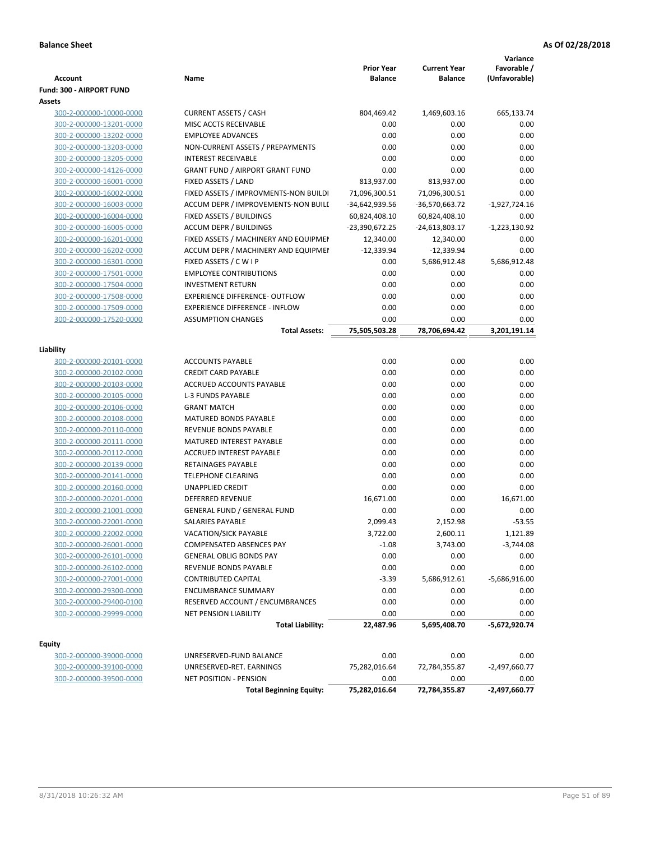| Fund: 300 - AIRPORT FUND<br>Assets<br><b>CURRENT ASSETS / CASH</b><br>804,469.42<br>665,133.74<br>300-2-000000-10000-0000<br>1,469,603.16<br>MISC ACCTS RECEIVABLE<br>0.00<br>300-2-000000-13201-0000<br>0.00<br>0.00<br>300-2-000000-13202-0000<br><b>EMPLOYEE ADVANCES</b><br>0.00<br>0.00<br>0.00<br>300-2-000000-13203-0000<br>NON-CURRENT ASSETS / PREPAYMENTS<br>0.00<br>0.00<br>0.00<br>300-2-000000-13205-0000<br><b>INTEREST RECEIVABLE</b><br>0.00<br>0.00<br>0.00<br>0.00<br><b>GRANT FUND / AIRPORT GRANT FUND</b><br>0.00<br>0.00<br>300-2-000000-14126-0000<br>300-2-000000-16001-0000<br>FIXED ASSETS / LAND<br>813,937.00<br>813,937.00<br>0.00<br>300-2-000000-16002-0000<br>FIXED ASSETS / IMPROVMENTS-NON BUILDI<br>71,096,300.51<br>71,096,300.51<br>0.00<br>300-2-000000-16003-0000<br>ACCUM DEPR / IMPROVEMENTS-NON BUILI<br>-34,642,939.56<br>-36,570,663.72<br>$-1,927,724.16$<br>300-2-000000-16004-0000<br>FIXED ASSETS / BUILDINGS<br>60,824,408.10<br>60,824,408.10<br>0.00<br><b>ACCUM DEPR / BUILDINGS</b><br>-23,390,672.25<br>$-1,223,130.92$<br>300-2-000000-16005-0000<br>-24,613,803.17<br>FIXED ASSETS / MACHINERY AND EQUIPMEN<br>12,340.00<br>300-2-000000-16201-0000<br>12,340.00<br>0.00<br>300-2-000000-16202-0000<br>ACCUM DEPR / MACHINERY AND EQUIPMEI<br>$-12,339.94$<br>$-12,339.94$<br>0.00<br>300-2-000000-16301-0000<br>FIXED ASSETS / C W I P<br>0.00<br>5,686,912.48<br>5,686,912.48<br>300-2-000000-17501-0000<br><b>EMPLOYEE CONTRIBUTIONS</b><br>0.00<br>0.00<br>0.00<br><b>INVESTMENT RETURN</b><br>0.00<br>0.00<br>0.00<br>300-2-000000-17504-0000<br>300-2-000000-17508-0000<br>EXPERIENCE DIFFERENCE- OUTFLOW<br>0.00<br>0.00<br>0.00<br>300-2-000000-17509-0000<br><b>EXPERIENCE DIFFERENCE - INFLOW</b><br>0.00<br>0.00<br>0.00<br>300-2-000000-17520-0000<br><b>ASSUMPTION CHANGES</b><br>0.00<br>0.00<br>0.00<br>75,505,503.28<br>78,706,694.42<br>3,201,191.14<br><b>Total Assets:</b><br>Liability<br>0.00<br>0.00<br>0.00<br>300-2-000000-20101-0000<br><b>ACCOUNTS PAYABLE</b><br><b>CREDIT CARD PAYABLE</b><br>0.00<br>0.00<br>0.00<br>300-2-000000-20102-0000<br>300-2-000000-20103-0000<br>ACCRUED ACCOUNTS PAYABLE<br>0.00<br>0.00<br>0.00<br>300-2-000000-20105-0000<br><b>L-3 FUNDS PAYABLE</b><br>0.00<br>0.00<br>0.00<br>300-2-000000-20106-0000<br><b>GRANT MATCH</b><br>0.00<br>0.00<br>0.00<br>0.00<br><b>MATURED BONDS PAYABLE</b><br>0.00<br>0.00<br>300-2-000000-20108-0000<br>REVENUE BONDS PAYABLE<br>0.00<br>0.00<br>0.00<br>300-2-000000-20110-0000<br>300-2-000000-20111-0000<br>MATURED INTEREST PAYABLE<br>0.00<br>0.00<br>0.00<br>300-2-000000-20112-0000<br><b>ACCRUED INTEREST PAYABLE</b><br>0.00<br>0.00<br>0.00<br>300-2-000000-20139-0000<br>RETAINAGES PAYABLE<br>0.00<br>0.00<br>0.00<br><b>TELEPHONE CLEARING</b><br>0.00<br>0.00<br>0.00<br>300-2-000000-20141-0000<br>300-2-000000-20160-0000<br><b>UNAPPLIED CREDIT</b><br>0.00<br>0.00<br>0.00<br>300-2-000000-20201-0000<br><b>DEFERRED REVENUE</b><br>16,671.00<br>0.00<br>16,671.00<br>300-2-000000-21001-0000<br><b>GENERAL FUND / GENERAL FUND</b><br>0.00<br>0.00<br>0.00<br>SALARIES PAYABLE<br>2,099.43<br>2,152.98<br>$-53.55$<br>300-2-000000-22001-0000<br>300-2-000000-22002-0000<br><b>VACATION/SICK PAYABLE</b><br>3,722.00<br>2,600.11<br>1,121.89<br>300-2-000000-26001-0000<br><b>COMPENSATED ABSENCES PAY</b><br>$-1.08$<br>3,743.00<br>$-3,744.08$<br>300-2-000000-26101-0000<br><b>GENERAL OBLIG BONDS PAY</b><br>0.00<br>0.00<br>0.00<br>300-2-000000-26102-0000<br>REVENUE BONDS PAYABLE<br>0.00<br>0.00<br>0.00<br>300-2-000000-27001-0000<br><b>CONTRIBUTED CAPITAL</b><br>$-3.39$<br>5,686,912.61<br>$-5,686,916.00$<br>0.00<br>0.00<br>0.00<br>300-2-000000-29300-0000<br><b>ENCUMBRANCE SUMMARY</b><br>300-2-000000-29400-0100<br>RESERVED ACCOUNT / ENCUMBRANCES<br>0.00<br>0.00<br>0.00<br>300-2-000000-29999-0000<br>NET PENSION LIABILITY<br>0.00<br>0.00<br>0.00<br>$-5,672,920.74$<br><b>Total Liability:</b><br>22,487.96<br>5,695,408.70<br><b>Equity</b><br>0.00<br>0.00<br>0.00<br>300-2-000000-39000-0000<br>UNRESERVED-FUND BALANCE<br>300-2-000000-39100-0000<br>UNRESERVED-RET. EARNINGS<br>75,282,016.64<br>72,784,355.87<br>$-2,497,660.77$<br>300-2-000000-39500-0000<br><b>NET POSITION - PENSION</b><br>0.00<br>0.00<br>0.00<br>75,282,016.64<br>$-2,497,660.77$<br><b>Total Beginning Equity:</b><br>72,784,355.87 | <b>Account</b> | Name | <b>Prior Year</b><br><b>Balance</b> | <b>Current Year</b><br><b>Balance</b> | Variance<br>Favorable /<br>(Unfavorable) |
|------------------------------------------------------------------------------------------------------------------------------------------------------------------------------------------------------------------------------------------------------------------------------------------------------------------------------------------------------------------------------------------------------------------------------------------------------------------------------------------------------------------------------------------------------------------------------------------------------------------------------------------------------------------------------------------------------------------------------------------------------------------------------------------------------------------------------------------------------------------------------------------------------------------------------------------------------------------------------------------------------------------------------------------------------------------------------------------------------------------------------------------------------------------------------------------------------------------------------------------------------------------------------------------------------------------------------------------------------------------------------------------------------------------------------------------------------------------------------------------------------------------------------------------------------------------------------------------------------------------------------------------------------------------------------------------------------------------------------------------------------------------------------------------------------------------------------------------------------------------------------------------------------------------------------------------------------------------------------------------------------------------------------------------------------------------------------------------------------------------------------------------------------------------------------------------------------------------------------------------------------------------------------------------------------------------------------------------------------------------------------------------------------------------------------------------------------------------------------------------------------------------------------------------------------------------------------------------------------------------------------------------------------------------------------------------------------------------------------------------------------------------------------------------------------------------------------------------------------------------------------------------------------------------------------------------------------------------------------------------------------------------------------------------------------------------------------------------------------------------------------------------------------------------------------------------------------------------------------------------------------------------------------------------------------------------------------------------------------------------------------------------------------------------------------------------------------------------------------------------------------------------------------------------------------------------------------------------------------------------------------------------------------------------------------------------------------------------------------------------------------------------------------------------------------------------------------------------------------------------------------------------------------------------------------------------------------------------------------------------------------------------------------------------------------------------------------------------------------------------------------------------------------------------------------------------------------------------------------------------------------------------------------------------------------------------------------------------------------------------------------------------------------------------------|----------------|------|-------------------------------------|---------------------------------------|------------------------------------------|
|                                                                                                                                                                                                                                                                                                                                                                                                                                                                                                                                                                                                                                                                                                                                                                                                                                                                                                                                                                                                                                                                                                                                                                                                                                                                                                                                                                                                                                                                                                                                                                                                                                                                                                                                                                                                                                                                                                                                                                                                                                                                                                                                                                                                                                                                                                                                                                                                                                                                                                                                                                                                                                                                                                                                                                                                                                                                                                                                                                                                                                                                                                                                                                                                                                                                                                                                                                                                                                                                                                                                                                                                                                                                                                                                                                                                                                                                                                                                                                                                                                                                                                                                                                                                                                                                                                                                                                                                                        |                |      |                                     |                                       |                                          |
|                                                                                                                                                                                                                                                                                                                                                                                                                                                                                                                                                                                                                                                                                                                                                                                                                                                                                                                                                                                                                                                                                                                                                                                                                                                                                                                                                                                                                                                                                                                                                                                                                                                                                                                                                                                                                                                                                                                                                                                                                                                                                                                                                                                                                                                                                                                                                                                                                                                                                                                                                                                                                                                                                                                                                                                                                                                                                                                                                                                                                                                                                                                                                                                                                                                                                                                                                                                                                                                                                                                                                                                                                                                                                                                                                                                                                                                                                                                                                                                                                                                                                                                                                                                                                                                                                                                                                                                                                        |                |      |                                     |                                       |                                          |
|                                                                                                                                                                                                                                                                                                                                                                                                                                                                                                                                                                                                                                                                                                                                                                                                                                                                                                                                                                                                                                                                                                                                                                                                                                                                                                                                                                                                                                                                                                                                                                                                                                                                                                                                                                                                                                                                                                                                                                                                                                                                                                                                                                                                                                                                                                                                                                                                                                                                                                                                                                                                                                                                                                                                                                                                                                                                                                                                                                                                                                                                                                                                                                                                                                                                                                                                                                                                                                                                                                                                                                                                                                                                                                                                                                                                                                                                                                                                                                                                                                                                                                                                                                                                                                                                                                                                                                                                                        |                |      |                                     |                                       |                                          |
|                                                                                                                                                                                                                                                                                                                                                                                                                                                                                                                                                                                                                                                                                                                                                                                                                                                                                                                                                                                                                                                                                                                                                                                                                                                                                                                                                                                                                                                                                                                                                                                                                                                                                                                                                                                                                                                                                                                                                                                                                                                                                                                                                                                                                                                                                                                                                                                                                                                                                                                                                                                                                                                                                                                                                                                                                                                                                                                                                                                                                                                                                                                                                                                                                                                                                                                                                                                                                                                                                                                                                                                                                                                                                                                                                                                                                                                                                                                                                                                                                                                                                                                                                                                                                                                                                                                                                                                                                        |                |      |                                     |                                       |                                          |
|                                                                                                                                                                                                                                                                                                                                                                                                                                                                                                                                                                                                                                                                                                                                                                                                                                                                                                                                                                                                                                                                                                                                                                                                                                                                                                                                                                                                                                                                                                                                                                                                                                                                                                                                                                                                                                                                                                                                                                                                                                                                                                                                                                                                                                                                                                                                                                                                                                                                                                                                                                                                                                                                                                                                                                                                                                                                                                                                                                                                                                                                                                                                                                                                                                                                                                                                                                                                                                                                                                                                                                                                                                                                                                                                                                                                                                                                                                                                                                                                                                                                                                                                                                                                                                                                                                                                                                                                                        |                |      |                                     |                                       |                                          |
|                                                                                                                                                                                                                                                                                                                                                                                                                                                                                                                                                                                                                                                                                                                                                                                                                                                                                                                                                                                                                                                                                                                                                                                                                                                                                                                                                                                                                                                                                                                                                                                                                                                                                                                                                                                                                                                                                                                                                                                                                                                                                                                                                                                                                                                                                                                                                                                                                                                                                                                                                                                                                                                                                                                                                                                                                                                                                                                                                                                                                                                                                                                                                                                                                                                                                                                                                                                                                                                                                                                                                                                                                                                                                                                                                                                                                                                                                                                                                                                                                                                                                                                                                                                                                                                                                                                                                                                                                        |                |      |                                     |                                       |                                          |
|                                                                                                                                                                                                                                                                                                                                                                                                                                                                                                                                                                                                                                                                                                                                                                                                                                                                                                                                                                                                                                                                                                                                                                                                                                                                                                                                                                                                                                                                                                                                                                                                                                                                                                                                                                                                                                                                                                                                                                                                                                                                                                                                                                                                                                                                                                                                                                                                                                                                                                                                                                                                                                                                                                                                                                                                                                                                                                                                                                                                                                                                                                                                                                                                                                                                                                                                                                                                                                                                                                                                                                                                                                                                                                                                                                                                                                                                                                                                                                                                                                                                                                                                                                                                                                                                                                                                                                                                                        |                |      |                                     |                                       |                                          |
|                                                                                                                                                                                                                                                                                                                                                                                                                                                                                                                                                                                                                                                                                                                                                                                                                                                                                                                                                                                                                                                                                                                                                                                                                                                                                                                                                                                                                                                                                                                                                                                                                                                                                                                                                                                                                                                                                                                                                                                                                                                                                                                                                                                                                                                                                                                                                                                                                                                                                                                                                                                                                                                                                                                                                                                                                                                                                                                                                                                                                                                                                                                                                                                                                                                                                                                                                                                                                                                                                                                                                                                                                                                                                                                                                                                                                                                                                                                                                                                                                                                                                                                                                                                                                                                                                                                                                                                                                        |                |      |                                     |                                       |                                          |
|                                                                                                                                                                                                                                                                                                                                                                                                                                                                                                                                                                                                                                                                                                                                                                                                                                                                                                                                                                                                                                                                                                                                                                                                                                                                                                                                                                                                                                                                                                                                                                                                                                                                                                                                                                                                                                                                                                                                                                                                                                                                                                                                                                                                                                                                                                                                                                                                                                                                                                                                                                                                                                                                                                                                                                                                                                                                                                                                                                                                                                                                                                                                                                                                                                                                                                                                                                                                                                                                                                                                                                                                                                                                                                                                                                                                                                                                                                                                                                                                                                                                                                                                                                                                                                                                                                                                                                                                                        |                |      |                                     |                                       |                                          |
|                                                                                                                                                                                                                                                                                                                                                                                                                                                                                                                                                                                                                                                                                                                                                                                                                                                                                                                                                                                                                                                                                                                                                                                                                                                                                                                                                                                                                                                                                                                                                                                                                                                                                                                                                                                                                                                                                                                                                                                                                                                                                                                                                                                                                                                                                                                                                                                                                                                                                                                                                                                                                                                                                                                                                                                                                                                                                                                                                                                                                                                                                                                                                                                                                                                                                                                                                                                                                                                                                                                                                                                                                                                                                                                                                                                                                                                                                                                                                                                                                                                                                                                                                                                                                                                                                                                                                                                                                        |                |      |                                     |                                       |                                          |
|                                                                                                                                                                                                                                                                                                                                                                                                                                                                                                                                                                                                                                                                                                                                                                                                                                                                                                                                                                                                                                                                                                                                                                                                                                                                                                                                                                                                                                                                                                                                                                                                                                                                                                                                                                                                                                                                                                                                                                                                                                                                                                                                                                                                                                                                                                                                                                                                                                                                                                                                                                                                                                                                                                                                                                                                                                                                                                                                                                                                                                                                                                                                                                                                                                                                                                                                                                                                                                                                                                                                                                                                                                                                                                                                                                                                                                                                                                                                                                                                                                                                                                                                                                                                                                                                                                                                                                                                                        |                |      |                                     |                                       |                                          |
|                                                                                                                                                                                                                                                                                                                                                                                                                                                                                                                                                                                                                                                                                                                                                                                                                                                                                                                                                                                                                                                                                                                                                                                                                                                                                                                                                                                                                                                                                                                                                                                                                                                                                                                                                                                                                                                                                                                                                                                                                                                                                                                                                                                                                                                                                                                                                                                                                                                                                                                                                                                                                                                                                                                                                                                                                                                                                                                                                                                                                                                                                                                                                                                                                                                                                                                                                                                                                                                                                                                                                                                                                                                                                                                                                                                                                                                                                                                                                                                                                                                                                                                                                                                                                                                                                                                                                                                                                        |                |      |                                     |                                       |                                          |
|                                                                                                                                                                                                                                                                                                                                                                                                                                                                                                                                                                                                                                                                                                                                                                                                                                                                                                                                                                                                                                                                                                                                                                                                                                                                                                                                                                                                                                                                                                                                                                                                                                                                                                                                                                                                                                                                                                                                                                                                                                                                                                                                                                                                                                                                                                                                                                                                                                                                                                                                                                                                                                                                                                                                                                                                                                                                                                                                                                                                                                                                                                                                                                                                                                                                                                                                                                                                                                                                                                                                                                                                                                                                                                                                                                                                                                                                                                                                                                                                                                                                                                                                                                                                                                                                                                                                                                                                                        |                |      |                                     |                                       |                                          |
|                                                                                                                                                                                                                                                                                                                                                                                                                                                                                                                                                                                                                                                                                                                                                                                                                                                                                                                                                                                                                                                                                                                                                                                                                                                                                                                                                                                                                                                                                                                                                                                                                                                                                                                                                                                                                                                                                                                                                                                                                                                                                                                                                                                                                                                                                                                                                                                                                                                                                                                                                                                                                                                                                                                                                                                                                                                                                                                                                                                                                                                                                                                                                                                                                                                                                                                                                                                                                                                                                                                                                                                                                                                                                                                                                                                                                                                                                                                                                                                                                                                                                                                                                                                                                                                                                                                                                                                                                        |                |      |                                     |                                       |                                          |
|                                                                                                                                                                                                                                                                                                                                                                                                                                                                                                                                                                                                                                                                                                                                                                                                                                                                                                                                                                                                                                                                                                                                                                                                                                                                                                                                                                                                                                                                                                                                                                                                                                                                                                                                                                                                                                                                                                                                                                                                                                                                                                                                                                                                                                                                                                                                                                                                                                                                                                                                                                                                                                                                                                                                                                                                                                                                                                                                                                                                                                                                                                                                                                                                                                                                                                                                                                                                                                                                                                                                                                                                                                                                                                                                                                                                                                                                                                                                                                                                                                                                                                                                                                                                                                                                                                                                                                                                                        |                |      |                                     |                                       |                                          |
|                                                                                                                                                                                                                                                                                                                                                                                                                                                                                                                                                                                                                                                                                                                                                                                                                                                                                                                                                                                                                                                                                                                                                                                                                                                                                                                                                                                                                                                                                                                                                                                                                                                                                                                                                                                                                                                                                                                                                                                                                                                                                                                                                                                                                                                                                                                                                                                                                                                                                                                                                                                                                                                                                                                                                                                                                                                                                                                                                                                                                                                                                                                                                                                                                                                                                                                                                                                                                                                                                                                                                                                                                                                                                                                                                                                                                                                                                                                                                                                                                                                                                                                                                                                                                                                                                                                                                                                                                        |                |      |                                     |                                       |                                          |
|                                                                                                                                                                                                                                                                                                                                                                                                                                                                                                                                                                                                                                                                                                                                                                                                                                                                                                                                                                                                                                                                                                                                                                                                                                                                                                                                                                                                                                                                                                                                                                                                                                                                                                                                                                                                                                                                                                                                                                                                                                                                                                                                                                                                                                                                                                                                                                                                                                                                                                                                                                                                                                                                                                                                                                                                                                                                                                                                                                                                                                                                                                                                                                                                                                                                                                                                                                                                                                                                                                                                                                                                                                                                                                                                                                                                                                                                                                                                                                                                                                                                                                                                                                                                                                                                                                                                                                                                                        |                |      |                                     |                                       |                                          |
|                                                                                                                                                                                                                                                                                                                                                                                                                                                                                                                                                                                                                                                                                                                                                                                                                                                                                                                                                                                                                                                                                                                                                                                                                                                                                                                                                                                                                                                                                                                                                                                                                                                                                                                                                                                                                                                                                                                                                                                                                                                                                                                                                                                                                                                                                                                                                                                                                                                                                                                                                                                                                                                                                                                                                                                                                                                                                                                                                                                                                                                                                                                                                                                                                                                                                                                                                                                                                                                                                                                                                                                                                                                                                                                                                                                                                                                                                                                                                                                                                                                                                                                                                                                                                                                                                                                                                                                                                        |                |      |                                     |                                       |                                          |
|                                                                                                                                                                                                                                                                                                                                                                                                                                                                                                                                                                                                                                                                                                                                                                                                                                                                                                                                                                                                                                                                                                                                                                                                                                                                                                                                                                                                                                                                                                                                                                                                                                                                                                                                                                                                                                                                                                                                                                                                                                                                                                                                                                                                                                                                                                                                                                                                                                                                                                                                                                                                                                                                                                                                                                                                                                                                                                                                                                                                                                                                                                                                                                                                                                                                                                                                                                                                                                                                                                                                                                                                                                                                                                                                                                                                                                                                                                                                                                                                                                                                                                                                                                                                                                                                                                                                                                                                                        |                |      |                                     |                                       |                                          |
|                                                                                                                                                                                                                                                                                                                                                                                                                                                                                                                                                                                                                                                                                                                                                                                                                                                                                                                                                                                                                                                                                                                                                                                                                                                                                                                                                                                                                                                                                                                                                                                                                                                                                                                                                                                                                                                                                                                                                                                                                                                                                                                                                                                                                                                                                                                                                                                                                                                                                                                                                                                                                                                                                                                                                                                                                                                                                                                                                                                                                                                                                                                                                                                                                                                                                                                                                                                                                                                                                                                                                                                                                                                                                                                                                                                                                                                                                                                                                                                                                                                                                                                                                                                                                                                                                                                                                                                                                        |                |      |                                     |                                       |                                          |
|                                                                                                                                                                                                                                                                                                                                                                                                                                                                                                                                                                                                                                                                                                                                                                                                                                                                                                                                                                                                                                                                                                                                                                                                                                                                                                                                                                                                                                                                                                                                                                                                                                                                                                                                                                                                                                                                                                                                                                                                                                                                                                                                                                                                                                                                                                                                                                                                                                                                                                                                                                                                                                                                                                                                                                                                                                                                                                                                                                                                                                                                                                                                                                                                                                                                                                                                                                                                                                                                                                                                                                                                                                                                                                                                                                                                                                                                                                                                                                                                                                                                                                                                                                                                                                                                                                                                                                                                                        |                |      |                                     |                                       |                                          |
|                                                                                                                                                                                                                                                                                                                                                                                                                                                                                                                                                                                                                                                                                                                                                                                                                                                                                                                                                                                                                                                                                                                                                                                                                                                                                                                                                                                                                                                                                                                                                                                                                                                                                                                                                                                                                                                                                                                                                                                                                                                                                                                                                                                                                                                                                                                                                                                                                                                                                                                                                                                                                                                                                                                                                                                                                                                                                                                                                                                                                                                                                                                                                                                                                                                                                                                                                                                                                                                                                                                                                                                                                                                                                                                                                                                                                                                                                                                                                                                                                                                                                                                                                                                                                                                                                                                                                                                                                        |                |      |                                     |                                       |                                          |
|                                                                                                                                                                                                                                                                                                                                                                                                                                                                                                                                                                                                                                                                                                                                                                                                                                                                                                                                                                                                                                                                                                                                                                                                                                                                                                                                                                                                                                                                                                                                                                                                                                                                                                                                                                                                                                                                                                                                                                                                                                                                                                                                                                                                                                                                                                                                                                                                                                                                                                                                                                                                                                                                                                                                                                                                                                                                                                                                                                                                                                                                                                                                                                                                                                                                                                                                                                                                                                                                                                                                                                                                                                                                                                                                                                                                                                                                                                                                                                                                                                                                                                                                                                                                                                                                                                                                                                                                                        |                |      |                                     |                                       |                                          |
|                                                                                                                                                                                                                                                                                                                                                                                                                                                                                                                                                                                                                                                                                                                                                                                                                                                                                                                                                                                                                                                                                                                                                                                                                                                                                                                                                                                                                                                                                                                                                                                                                                                                                                                                                                                                                                                                                                                                                                                                                                                                                                                                                                                                                                                                                                                                                                                                                                                                                                                                                                                                                                                                                                                                                                                                                                                                                                                                                                                                                                                                                                                                                                                                                                                                                                                                                                                                                                                                                                                                                                                                                                                                                                                                                                                                                                                                                                                                                                                                                                                                                                                                                                                                                                                                                                                                                                                                                        |                |      |                                     |                                       |                                          |
|                                                                                                                                                                                                                                                                                                                                                                                                                                                                                                                                                                                                                                                                                                                                                                                                                                                                                                                                                                                                                                                                                                                                                                                                                                                                                                                                                                                                                                                                                                                                                                                                                                                                                                                                                                                                                                                                                                                                                                                                                                                                                                                                                                                                                                                                                                                                                                                                                                                                                                                                                                                                                                                                                                                                                                                                                                                                                                                                                                                                                                                                                                                                                                                                                                                                                                                                                                                                                                                                                                                                                                                                                                                                                                                                                                                                                                                                                                                                                                                                                                                                                                                                                                                                                                                                                                                                                                                                                        |                |      |                                     |                                       |                                          |
|                                                                                                                                                                                                                                                                                                                                                                                                                                                                                                                                                                                                                                                                                                                                                                                                                                                                                                                                                                                                                                                                                                                                                                                                                                                                                                                                                                                                                                                                                                                                                                                                                                                                                                                                                                                                                                                                                                                                                                                                                                                                                                                                                                                                                                                                                                                                                                                                                                                                                                                                                                                                                                                                                                                                                                                                                                                                                                                                                                                                                                                                                                                                                                                                                                                                                                                                                                                                                                                                                                                                                                                                                                                                                                                                                                                                                                                                                                                                                                                                                                                                                                                                                                                                                                                                                                                                                                                                                        |                |      |                                     |                                       |                                          |
|                                                                                                                                                                                                                                                                                                                                                                                                                                                                                                                                                                                                                                                                                                                                                                                                                                                                                                                                                                                                                                                                                                                                                                                                                                                                                                                                                                                                                                                                                                                                                                                                                                                                                                                                                                                                                                                                                                                                                                                                                                                                                                                                                                                                                                                                                                                                                                                                                                                                                                                                                                                                                                                                                                                                                                                                                                                                                                                                                                                                                                                                                                                                                                                                                                                                                                                                                                                                                                                                                                                                                                                                                                                                                                                                                                                                                                                                                                                                                                                                                                                                                                                                                                                                                                                                                                                                                                                                                        |                |      |                                     |                                       |                                          |
|                                                                                                                                                                                                                                                                                                                                                                                                                                                                                                                                                                                                                                                                                                                                                                                                                                                                                                                                                                                                                                                                                                                                                                                                                                                                                                                                                                                                                                                                                                                                                                                                                                                                                                                                                                                                                                                                                                                                                                                                                                                                                                                                                                                                                                                                                                                                                                                                                                                                                                                                                                                                                                                                                                                                                                                                                                                                                                                                                                                                                                                                                                                                                                                                                                                                                                                                                                                                                                                                                                                                                                                                                                                                                                                                                                                                                                                                                                                                                                                                                                                                                                                                                                                                                                                                                                                                                                                                                        |                |      |                                     |                                       |                                          |
|                                                                                                                                                                                                                                                                                                                                                                                                                                                                                                                                                                                                                                                                                                                                                                                                                                                                                                                                                                                                                                                                                                                                                                                                                                                                                                                                                                                                                                                                                                                                                                                                                                                                                                                                                                                                                                                                                                                                                                                                                                                                                                                                                                                                                                                                                                                                                                                                                                                                                                                                                                                                                                                                                                                                                                                                                                                                                                                                                                                                                                                                                                                                                                                                                                                                                                                                                                                                                                                                                                                                                                                                                                                                                                                                                                                                                                                                                                                                                                                                                                                                                                                                                                                                                                                                                                                                                                                                                        |                |      |                                     |                                       |                                          |
|                                                                                                                                                                                                                                                                                                                                                                                                                                                                                                                                                                                                                                                                                                                                                                                                                                                                                                                                                                                                                                                                                                                                                                                                                                                                                                                                                                                                                                                                                                                                                                                                                                                                                                                                                                                                                                                                                                                                                                                                                                                                                                                                                                                                                                                                                                                                                                                                                                                                                                                                                                                                                                                                                                                                                                                                                                                                                                                                                                                                                                                                                                                                                                                                                                                                                                                                                                                                                                                                                                                                                                                                                                                                                                                                                                                                                                                                                                                                                                                                                                                                                                                                                                                                                                                                                                                                                                                                                        |                |      |                                     |                                       |                                          |
|                                                                                                                                                                                                                                                                                                                                                                                                                                                                                                                                                                                                                                                                                                                                                                                                                                                                                                                                                                                                                                                                                                                                                                                                                                                                                                                                                                                                                                                                                                                                                                                                                                                                                                                                                                                                                                                                                                                                                                                                                                                                                                                                                                                                                                                                                                                                                                                                                                                                                                                                                                                                                                                                                                                                                                                                                                                                                                                                                                                                                                                                                                                                                                                                                                                                                                                                                                                                                                                                                                                                                                                                                                                                                                                                                                                                                                                                                                                                                                                                                                                                                                                                                                                                                                                                                                                                                                                                                        |                |      |                                     |                                       |                                          |
|                                                                                                                                                                                                                                                                                                                                                                                                                                                                                                                                                                                                                                                                                                                                                                                                                                                                                                                                                                                                                                                                                                                                                                                                                                                                                                                                                                                                                                                                                                                                                                                                                                                                                                                                                                                                                                                                                                                                                                                                                                                                                                                                                                                                                                                                                                                                                                                                                                                                                                                                                                                                                                                                                                                                                                                                                                                                                                                                                                                                                                                                                                                                                                                                                                                                                                                                                                                                                                                                                                                                                                                                                                                                                                                                                                                                                                                                                                                                                                                                                                                                                                                                                                                                                                                                                                                                                                                                                        |                |      |                                     |                                       |                                          |
|                                                                                                                                                                                                                                                                                                                                                                                                                                                                                                                                                                                                                                                                                                                                                                                                                                                                                                                                                                                                                                                                                                                                                                                                                                                                                                                                                                                                                                                                                                                                                                                                                                                                                                                                                                                                                                                                                                                                                                                                                                                                                                                                                                                                                                                                                                                                                                                                                                                                                                                                                                                                                                                                                                                                                                                                                                                                                                                                                                                                                                                                                                                                                                                                                                                                                                                                                                                                                                                                                                                                                                                                                                                                                                                                                                                                                                                                                                                                                                                                                                                                                                                                                                                                                                                                                                                                                                                                                        |                |      |                                     |                                       |                                          |
|                                                                                                                                                                                                                                                                                                                                                                                                                                                                                                                                                                                                                                                                                                                                                                                                                                                                                                                                                                                                                                                                                                                                                                                                                                                                                                                                                                                                                                                                                                                                                                                                                                                                                                                                                                                                                                                                                                                                                                                                                                                                                                                                                                                                                                                                                                                                                                                                                                                                                                                                                                                                                                                                                                                                                                                                                                                                                                                                                                                                                                                                                                                                                                                                                                                                                                                                                                                                                                                                                                                                                                                                                                                                                                                                                                                                                                                                                                                                                                                                                                                                                                                                                                                                                                                                                                                                                                                                                        |                |      |                                     |                                       |                                          |
|                                                                                                                                                                                                                                                                                                                                                                                                                                                                                                                                                                                                                                                                                                                                                                                                                                                                                                                                                                                                                                                                                                                                                                                                                                                                                                                                                                                                                                                                                                                                                                                                                                                                                                                                                                                                                                                                                                                                                                                                                                                                                                                                                                                                                                                                                                                                                                                                                                                                                                                                                                                                                                                                                                                                                                                                                                                                                                                                                                                                                                                                                                                                                                                                                                                                                                                                                                                                                                                                                                                                                                                                                                                                                                                                                                                                                                                                                                                                                                                                                                                                                                                                                                                                                                                                                                                                                                                                                        |                |      |                                     |                                       |                                          |
|                                                                                                                                                                                                                                                                                                                                                                                                                                                                                                                                                                                                                                                                                                                                                                                                                                                                                                                                                                                                                                                                                                                                                                                                                                                                                                                                                                                                                                                                                                                                                                                                                                                                                                                                                                                                                                                                                                                                                                                                                                                                                                                                                                                                                                                                                                                                                                                                                                                                                                                                                                                                                                                                                                                                                                                                                                                                                                                                                                                                                                                                                                                                                                                                                                                                                                                                                                                                                                                                                                                                                                                                                                                                                                                                                                                                                                                                                                                                                                                                                                                                                                                                                                                                                                                                                                                                                                                                                        |                |      |                                     |                                       |                                          |
|                                                                                                                                                                                                                                                                                                                                                                                                                                                                                                                                                                                                                                                                                                                                                                                                                                                                                                                                                                                                                                                                                                                                                                                                                                                                                                                                                                                                                                                                                                                                                                                                                                                                                                                                                                                                                                                                                                                                                                                                                                                                                                                                                                                                                                                                                                                                                                                                                                                                                                                                                                                                                                                                                                                                                                                                                                                                                                                                                                                                                                                                                                                                                                                                                                                                                                                                                                                                                                                                                                                                                                                                                                                                                                                                                                                                                                                                                                                                                                                                                                                                                                                                                                                                                                                                                                                                                                                                                        |                |      |                                     |                                       |                                          |
|                                                                                                                                                                                                                                                                                                                                                                                                                                                                                                                                                                                                                                                                                                                                                                                                                                                                                                                                                                                                                                                                                                                                                                                                                                                                                                                                                                                                                                                                                                                                                                                                                                                                                                                                                                                                                                                                                                                                                                                                                                                                                                                                                                                                                                                                                                                                                                                                                                                                                                                                                                                                                                                                                                                                                                                                                                                                                                                                                                                                                                                                                                                                                                                                                                                                                                                                                                                                                                                                                                                                                                                                                                                                                                                                                                                                                                                                                                                                                                                                                                                                                                                                                                                                                                                                                                                                                                                                                        |                |      |                                     |                                       |                                          |
|                                                                                                                                                                                                                                                                                                                                                                                                                                                                                                                                                                                                                                                                                                                                                                                                                                                                                                                                                                                                                                                                                                                                                                                                                                                                                                                                                                                                                                                                                                                                                                                                                                                                                                                                                                                                                                                                                                                                                                                                                                                                                                                                                                                                                                                                                                                                                                                                                                                                                                                                                                                                                                                                                                                                                                                                                                                                                                                                                                                                                                                                                                                                                                                                                                                                                                                                                                                                                                                                                                                                                                                                                                                                                                                                                                                                                                                                                                                                                                                                                                                                                                                                                                                                                                                                                                                                                                                                                        |                |      |                                     |                                       |                                          |
|                                                                                                                                                                                                                                                                                                                                                                                                                                                                                                                                                                                                                                                                                                                                                                                                                                                                                                                                                                                                                                                                                                                                                                                                                                                                                                                                                                                                                                                                                                                                                                                                                                                                                                                                                                                                                                                                                                                                                                                                                                                                                                                                                                                                                                                                                                                                                                                                                                                                                                                                                                                                                                                                                                                                                                                                                                                                                                                                                                                                                                                                                                                                                                                                                                                                                                                                                                                                                                                                                                                                                                                                                                                                                                                                                                                                                                                                                                                                                                                                                                                                                                                                                                                                                                                                                                                                                                                                                        |                |      |                                     |                                       |                                          |
|                                                                                                                                                                                                                                                                                                                                                                                                                                                                                                                                                                                                                                                                                                                                                                                                                                                                                                                                                                                                                                                                                                                                                                                                                                                                                                                                                                                                                                                                                                                                                                                                                                                                                                                                                                                                                                                                                                                                                                                                                                                                                                                                                                                                                                                                                                                                                                                                                                                                                                                                                                                                                                                                                                                                                                                                                                                                                                                                                                                                                                                                                                                                                                                                                                                                                                                                                                                                                                                                                                                                                                                                                                                                                                                                                                                                                                                                                                                                                                                                                                                                                                                                                                                                                                                                                                                                                                                                                        |                |      |                                     |                                       |                                          |
|                                                                                                                                                                                                                                                                                                                                                                                                                                                                                                                                                                                                                                                                                                                                                                                                                                                                                                                                                                                                                                                                                                                                                                                                                                                                                                                                                                                                                                                                                                                                                                                                                                                                                                                                                                                                                                                                                                                                                                                                                                                                                                                                                                                                                                                                                                                                                                                                                                                                                                                                                                                                                                                                                                                                                                                                                                                                                                                                                                                                                                                                                                                                                                                                                                                                                                                                                                                                                                                                                                                                                                                                                                                                                                                                                                                                                                                                                                                                                                                                                                                                                                                                                                                                                                                                                                                                                                                                                        |                |      |                                     |                                       |                                          |
|                                                                                                                                                                                                                                                                                                                                                                                                                                                                                                                                                                                                                                                                                                                                                                                                                                                                                                                                                                                                                                                                                                                                                                                                                                                                                                                                                                                                                                                                                                                                                                                                                                                                                                                                                                                                                                                                                                                                                                                                                                                                                                                                                                                                                                                                                                                                                                                                                                                                                                                                                                                                                                                                                                                                                                                                                                                                                                                                                                                                                                                                                                                                                                                                                                                                                                                                                                                                                                                                                                                                                                                                                                                                                                                                                                                                                                                                                                                                                                                                                                                                                                                                                                                                                                                                                                                                                                                                                        |                |      |                                     |                                       |                                          |
|                                                                                                                                                                                                                                                                                                                                                                                                                                                                                                                                                                                                                                                                                                                                                                                                                                                                                                                                                                                                                                                                                                                                                                                                                                                                                                                                                                                                                                                                                                                                                                                                                                                                                                                                                                                                                                                                                                                                                                                                                                                                                                                                                                                                                                                                                                                                                                                                                                                                                                                                                                                                                                                                                                                                                                                                                                                                                                                                                                                                                                                                                                                                                                                                                                                                                                                                                                                                                                                                                                                                                                                                                                                                                                                                                                                                                                                                                                                                                                                                                                                                                                                                                                                                                                                                                                                                                                                                                        |                |      |                                     |                                       |                                          |
|                                                                                                                                                                                                                                                                                                                                                                                                                                                                                                                                                                                                                                                                                                                                                                                                                                                                                                                                                                                                                                                                                                                                                                                                                                                                                                                                                                                                                                                                                                                                                                                                                                                                                                                                                                                                                                                                                                                                                                                                                                                                                                                                                                                                                                                                                                                                                                                                                                                                                                                                                                                                                                                                                                                                                                                                                                                                                                                                                                                                                                                                                                                                                                                                                                                                                                                                                                                                                                                                                                                                                                                                                                                                                                                                                                                                                                                                                                                                                                                                                                                                                                                                                                                                                                                                                                                                                                                                                        |                |      |                                     |                                       |                                          |
|                                                                                                                                                                                                                                                                                                                                                                                                                                                                                                                                                                                                                                                                                                                                                                                                                                                                                                                                                                                                                                                                                                                                                                                                                                                                                                                                                                                                                                                                                                                                                                                                                                                                                                                                                                                                                                                                                                                                                                                                                                                                                                                                                                                                                                                                                                                                                                                                                                                                                                                                                                                                                                                                                                                                                                                                                                                                                                                                                                                                                                                                                                                                                                                                                                                                                                                                                                                                                                                                                                                                                                                                                                                                                                                                                                                                                                                                                                                                                                                                                                                                                                                                                                                                                                                                                                                                                                                                                        |                |      |                                     |                                       |                                          |
|                                                                                                                                                                                                                                                                                                                                                                                                                                                                                                                                                                                                                                                                                                                                                                                                                                                                                                                                                                                                                                                                                                                                                                                                                                                                                                                                                                                                                                                                                                                                                                                                                                                                                                                                                                                                                                                                                                                                                                                                                                                                                                                                                                                                                                                                                                                                                                                                                                                                                                                                                                                                                                                                                                                                                                                                                                                                                                                                                                                                                                                                                                                                                                                                                                                                                                                                                                                                                                                                                                                                                                                                                                                                                                                                                                                                                                                                                                                                                                                                                                                                                                                                                                                                                                                                                                                                                                                                                        |                |      |                                     |                                       |                                          |
|                                                                                                                                                                                                                                                                                                                                                                                                                                                                                                                                                                                                                                                                                                                                                                                                                                                                                                                                                                                                                                                                                                                                                                                                                                                                                                                                                                                                                                                                                                                                                                                                                                                                                                                                                                                                                                                                                                                                                                                                                                                                                                                                                                                                                                                                                                                                                                                                                                                                                                                                                                                                                                                                                                                                                                                                                                                                                                                                                                                                                                                                                                                                                                                                                                                                                                                                                                                                                                                                                                                                                                                                                                                                                                                                                                                                                                                                                                                                                                                                                                                                                                                                                                                                                                                                                                                                                                                                                        |                |      |                                     |                                       |                                          |
|                                                                                                                                                                                                                                                                                                                                                                                                                                                                                                                                                                                                                                                                                                                                                                                                                                                                                                                                                                                                                                                                                                                                                                                                                                                                                                                                                                                                                                                                                                                                                                                                                                                                                                                                                                                                                                                                                                                                                                                                                                                                                                                                                                                                                                                                                                                                                                                                                                                                                                                                                                                                                                                                                                                                                                                                                                                                                                                                                                                                                                                                                                                                                                                                                                                                                                                                                                                                                                                                                                                                                                                                                                                                                                                                                                                                                                                                                                                                                                                                                                                                                                                                                                                                                                                                                                                                                                                                                        |                |      |                                     |                                       |                                          |
|                                                                                                                                                                                                                                                                                                                                                                                                                                                                                                                                                                                                                                                                                                                                                                                                                                                                                                                                                                                                                                                                                                                                                                                                                                                                                                                                                                                                                                                                                                                                                                                                                                                                                                                                                                                                                                                                                                                                                                                                                                                                                                                                                                                                                                                                                                                                                                                                                                                                                                                                                                                                                                                                                                                                                                                                                                                                                                                                                                                                                                                                                                                                                                                                                                                                                                                                                                                                                                                                                                                                                                                                                                                                                                                                                                                                                                                                                                                                                                                                                                                                                                                                                                                                                                                                                                                                                                                                                        |                |      |                                     |                                       |                                          |
|                                                                                                                                                                                                                                                                                                                                                                                                                                                                                                                                                                                                                                                                                                                                                                                                                                                                                                                                                                                                                                                                                                                                                                                                                                                                                                                                                                                                                                                                                                                                                                                                                                                                                                                                                                                                                                                                                                                                                                                                                                                                                                                                                                                                                                                                                                                                                                                                                                                                                                                                                                                                                                                                                                                                                                                                                                                                                                                                                                                                                                                                                                                                                                                                                                                                                                                                                                                                                                                                                                                                                                                                                                                                                                                                                                                                                                                                                                                                                                                                                                                                                                                                                                                                                                                                                                                                                                                                                        |                |      |                                     |                                       |                                          |
|                                                                                                                                                                                                                                                                                                                                                                                                                                                                                                                                                                                                                                                                                                                                                                                                                                                                                                                                                                                                                                                                                                                                                                                                                                                                                                                                                                                                                                                                                                                                                                                                                                                                                                                                                                                                                                                                                                                                                                                                                                                                                                                                                                                                                                                                                                                                                                                                                                                                                                                                                                                                                                                                                                                                                                                                                                                                                                                                                                                                                                                                                                                                                                                                                                                                                                                                                                                                                                                                                                                                                                                                                                                                                                                                                                                                                                                                                                                                                                                                                                                                                                                                                                                                                                                                                                                                                                                                                        |                |      |                                     |                                       |                                          |
|                                                                                                                                                                                                                                                                                                                                                                                                                                                                                                                                                                                                                                                                                                                                                                                                                                                                                                                                                                                                                                                                                                                                                                                                                                                                                                                                                                                                                                                                                                                                                                                                                                                                                                                                                                                                                                                                                                                                                                                                                                                                                                                                                                                                                                                                                                                                                                                                                                                                                                                                                                                                                                                                                                                                                                                                                                                                                                                                                                                                                                                                                                                                                                                                                                                                                                                                                                                                                                                                                                                                                                                                                                                                                                                                                                                                                                                                                                                                                                                                                                                                                                                                                                                                                                                                                                                                                                                                                        |                |      |                                     |                                       |                                          |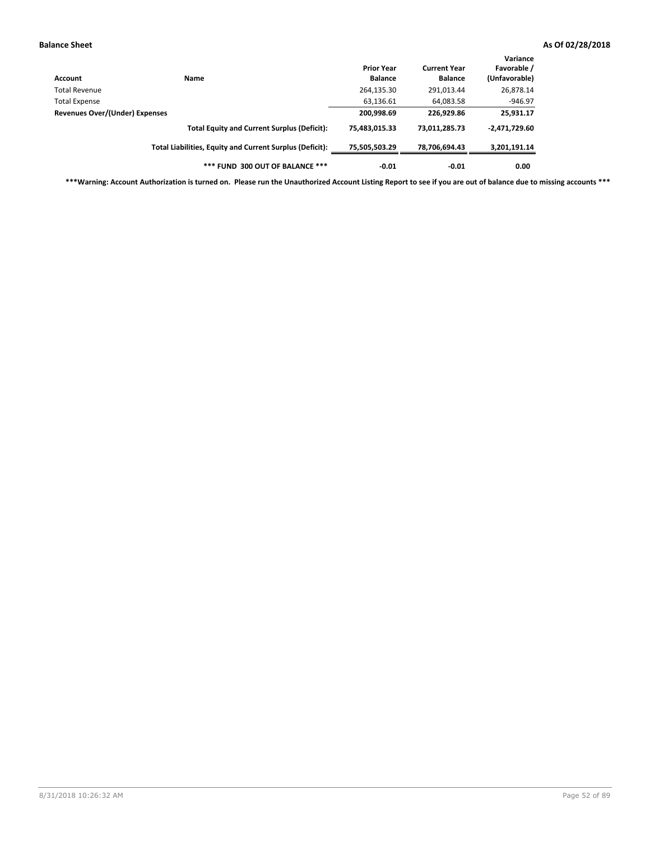| Account                        | Name                                                     | <b>Prior Year</b><br><b>Balance</b> | <b>Current Year</b><br><b>Balance</b> | Variance<br>Favorable /<br>(Unfavorable) |
|--------------------------------|----------------------------------------------------------|-------------------------------------|---------------------------------------|------------------------------------------|
| Total Revenue                  |                                                          | 264,135.30                          | 291,013.44                            | 26,878.14                                |
| Total Expense                  |                                                          | 63,136.61                           | 64,083.58                             | $-946.97$                                |
| Revenues Over/(Under) Expenses |                                                          | 200,998.69                          | 226.929.86                            | 25,931.17                                |
|                                | <b>Total Equity and Current Surplus (Deficit):</b>       | 75,483,015.33                       | 73,011,285.73                         | $-2,471,729.60$                          |
|                                | Total Liabilities, Equity and Current Surplus (Deficit): | 75,505,503.29                       | 78,706,694.43                         | 3,201,191.14                             |
|                                | *** FUND 300 OUT OF BALANCE ***                          | $-0.01$                             | $-0.01$                               | 0.00                                     |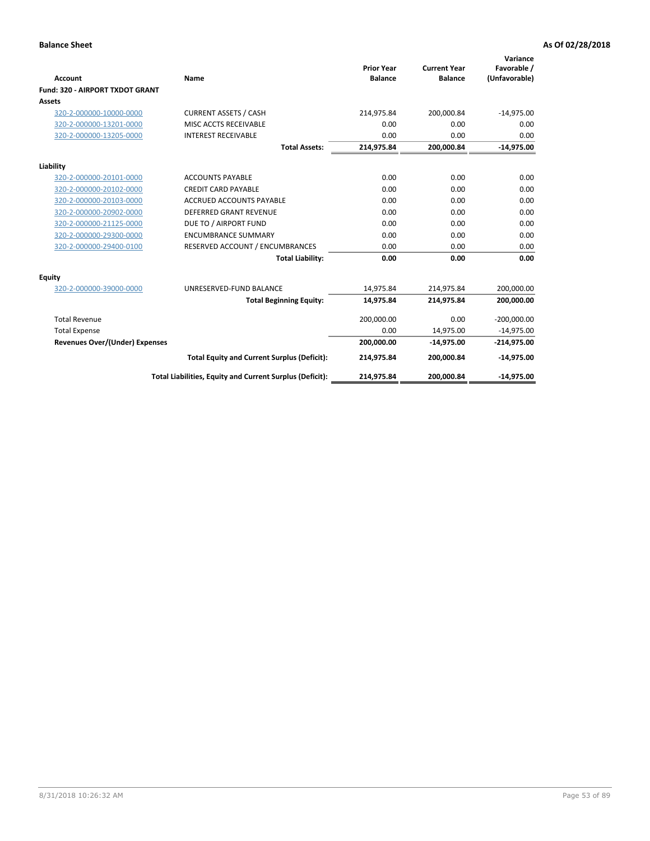|                                       |                                                          |                                     |                                       | Variance                     |
|---------------------------------------|----------------------------------------------------------|-------------------------------------|---------------------------------------|------------------------------|
| Account                               | Name                                                     | <b>Prior Year</b><br><b>Balance</b> | <b>Current Year</b><br><b>Balance</b> | Favorable /<br>(Unfavorable) |
| Fund: 320 - AIRPORT TXDOT GRANT       |                                                          |                                     |                                       |                              |
| Assets                                |                                                          |                                     |                                       |                              |
| 320-2-000000-10000-0000               | <b>CURRENT ASSETS / CASH</b>                             | 214,975.84                          | 200,000.84                            | $-14,975.00$                 |
| 320-2-000000-13201-0000               | MISC ACCTS RECEIVABLE                                    | 0.00                                | 0.00                                  | 0.00                         |
| 320-2-000000-13205-0000               | <b>INTEREST RECEIVABLE</b>                               | 0.00                                | 0.00                                  | 0.00                         |
|                                       | <b>Total Assets:</b>                                     | 214,975.84                          | 200,000.84                            | $-14,975.00$                 |
| Liability                             |                                                          |                                     |                                       |                              |
| 320-2-000000-20101-0000               | <b>ACCOUNTS PAYABLE</b>                                  | 0.00                                | 0.00                                  | 0.00                         |
| 320-2-000000-20102-0000               | <b>CREDIT CARD PAYABLE</b>                               | 0.00                                | 0.00                                  | 0.00                         |
| 320-2-000000-20103-0000               | <b>ACCRUED ACCOUNTS PAYABLE</b>                          | 0.00                                | 0.00                                  | 0.00                         |
| 320-2-000000-20902-0000               | <b>DEFERRED GRANT REVENUE</b>                            | 0.00                                | 0.00                                  | 0.00                         |
| 320-2-000000-21125-0000               | DUE TO / AIRPORT FUND                                    | 0.00                                | 0.00                                  | 0.00                         |
| 320-2-000000-29300-0000               | <b>ENCUMBRANCE SUMMARY</b>                               | 0.00                                | 0.00                                  | 0.00                         |
| 320-2-000000-29400-0100               | RESERVED ACCOUNT / ENCUMBRANCES                          | 0.00                                | 0.00                                  | 0.00                         |
|                                       | <b>Total Liability:</b>                                  | 0.00                                | 0.00                                  | 0.00                         |
| <b>Equity</b>                         |                                                          |                                     |                                       |                              |
| 320-2-000000-39000-0000               | UNRESERVED-FUND BALANCE                                  | 14,975.84                           | 214,975.84                            | 200,000.00                   |
|                                       | <b>Total Beginning Equity:</b>                           | 14,975.84                           | 214,975.84                            | 200,000.00                   |
| <b>Total Revenue</b>                  |                                                          | 200,000.00                          | 0.00                                  | $-200,000.00$                |
| <b>Total Expense</b>                  |                                                          | 0.00                                | 14,975.00                             | $-14,975.00$                 |
| <b>Revenues Over/(Under) Expenses</b> |                                                          | 200,000.00                          | $-14,975.00$                          | $-214,975.00$                |
|                                       | <b>Total Equity and Current Surplus (Deficit):</b>       | 214,975.84                          | 200,000.84                            | $-14,975.00$                 |
|                                       | Total Liabilities, Equity and Current Surplus (Deficit): | 214,975.84                          | 200,000.84                            | $-14,975.00$                 |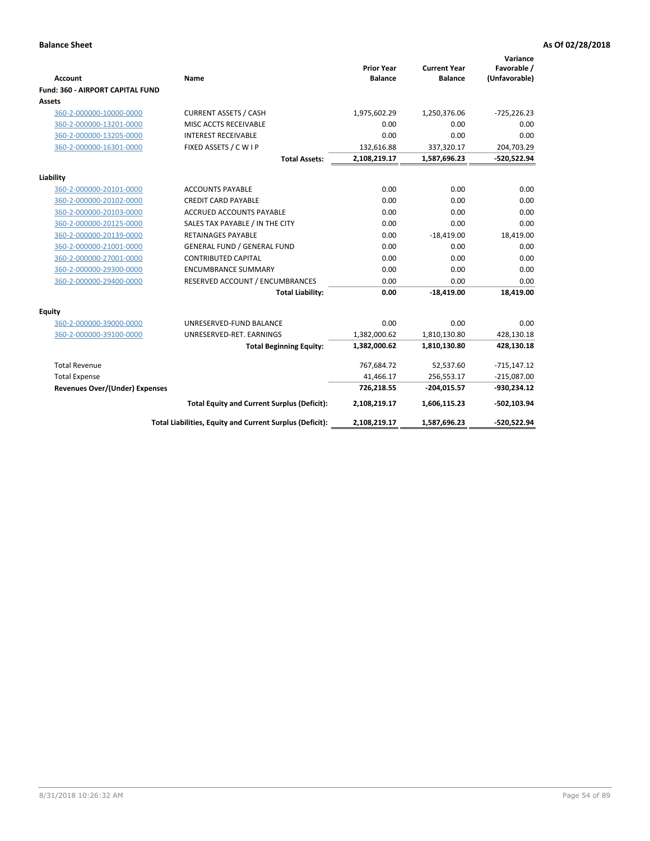|                                         |                                                          |                                     |                                       | Variance                     |
|-----------------------------------------|----------------------------------------------------------|-------------------------------------|---------------------------------------|------------------------------|
| Account                                 | Name                                                     | <b>Prior Year</b><br><b>Balance</b> | <b>Current Year</b><br><b>Balance</b> | Favorable /<br>(Unfavorable) |
| <b>Fund: 360 - AIRPORT CAPITAL FUND</b> |                                                          |                                     |                                       |                              |
| Assets                                  |                                                          |                                     |                                       |                              |
| 360-2-000000-10000-0000                 | <b>CURRENT ASSETS / CASH</b>                             | 1,975,602.29                        | 1,250,376.06                          | $-725,226.23$                |
| 360-2-000000-13201-0000                 | MISC ACCTS RECEIVABLE                                    | 0.00                                | 0.00                                  | 0.00                         |
| 360-2-000000-13205-0000                 | <b>INTEREST RECEIVABLE</b>                               | 0.00                                | 0.00                                  | 0.00                         |
| 360-2-000000-16301-0000                 | FIXED ASSETS / C W I P                                   | 132,616.88                          | 337,320.17                            | 204,703.29                   |
|                                         | <b>Total Assets:</b>                                     | 2,108,219.17                        | 1,587,696.23                          | -520,522.94                  |
| Liability                               |                                                          |                                     |                                       |                              |
| 360-2-000000-20101-0000                 | <b>ACCOUNTS PAYABLE</b>                                  | 0.00                                | 0.00                                  | 0.00                         |
| 360-2-000000-20102-0000                 | <b>CREDIT CARD PAYABLE</b>                               | 0.00                                | 0.00                                  | 0.00                         |
| 360-2-000000-20103-0000                 | <b>ACCRUED ACCOUNTS PAYABLE</b>                          | 0.00                                | 0.00                                  | 0.00                         |
| 360-2-000000-20125-0000                 | SALES TAX PAYABLE / IN THE CITY                          | 0.00                                | 0.00                                  | 0.00                         |
| 360-2-000000-20139-0000                 | <b>RETAINAGES PAYABLE</b>                                | 0.00                                | $-18,419.00$                          | 18,419.00                    |
| 360-2-000000-21001-0000                 | <b>GENERAL FUND / GENERAL FUND</b>                       | 0.00                                | 0.00                                  | 0.00                         |
| 360-2-000000-27001-0000                 | <b>CONTRIBUTED CAPITAL</b>                               | 0.00                                | 0.00                                  | 0.00                         |
| 360-2-000000-29300-0000                 | <b>ENCUMBRANCE SUMMARY</b>                               | 0.00                                | 0.00                                  | 0.00                         |
| 360-2-000000-29400-0000                 | RESERVED ACCOUNT / ENCUMBRANCES                          | 0.00                                | 0.00                                  | 0.00                         |
|                                         | <b>Total Liability:</b>                                  | 0.00                                | $-18,419.00$                          | 18,419.00                    |
| Equity                                  |                                                          |                                     |                                       |                              |
| 360-2-000000-39000-0000                 | UNRESERVED-FUND BALANCE                                  | 0.00                                | 0.00                                  | 0.00                         |
| 360-2-000000-39100-0000                 | UNRESERVED-RET. EARNINGS                                 | 1,382,000.62                        | 1,810,130.80                          | 428,130.18                   |
|                                         | <b>Total Beginning Equity:</b>                           | 1,382,000.62                        | 1,810,130.80                          | 428,130.18                   |
| <b>Total Revenue</b>                    |                                                          | 767,684.72                          | 52,537.60                             | $-715,147.12$                |
| <b>Total Expense</b>                    |                                                          | 41,466.17                           | 256,553.17                            | $-215,087.00$                |
| <b>Revenues Over/(Under) Expenses</b>   |                                                          | 726,218.55                          | $-204,015.57$                         | $-930,234.12$                |
|                                         | <b>Total Equity and Current Surplus (Deficit):</b>       | 2,108,219.17                        | 1,606,115.23                          | $-502, 103.94$               |
|                                         | Total Liabilities, Equity and Current Surplus (Deficit): | 2,108,219.17                        | 1,587,696.23                          | -520,522.94                  |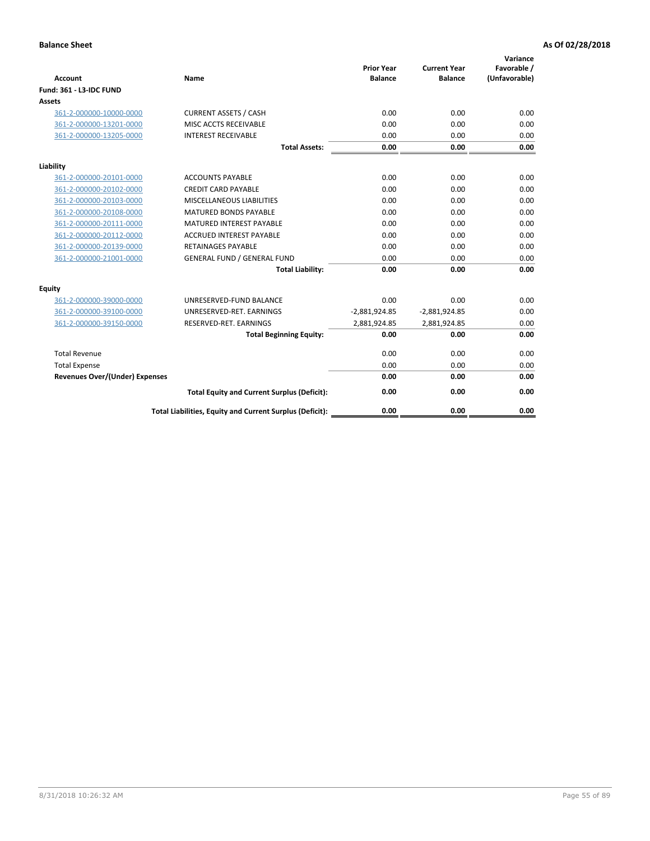| <b>Account</b>                        | <b>Name</b>                                              | <b>Prior Year</b><br><b>Balance</b> | <b>Current Year</b><br><b>Balance</b> | Variance<br>Favorable /<br>(Unfavorable) |
|---------------------------------------|----------------------------------------------------------|-------------------------------------|---------------------------------------|------------------------------------------|
| <b>Fund: 361 - L3-IDC FUND</b>        |                                                          |                                     |                                       |                                          |
| Assets                                |                                                          |                                     |                                       |                                          |
| 361-2-000000-10000-0000               | <b>CURRENT ASSETS / CASH</b>                             | 0.00                                | 0.00                                  | 0.00                                     |
| 361-2-000000-13201-0000               | MISC ACCTS RECEIVABLE                                    | 0.00                                | 0.00                                  | 0.00                                     |
| 361-2-000000-13205-0000               | <b>INTEREST RECEIVABLE</b>                               | 0.00                                | 0.00                                  | 0.00                                     |
|                                       | <b>Total Assets:</b>                                     | 0.00                                | 0.00                                  | 0.00                                     |
| Liability                             |                                                          |                                     |                                       |                                          |
| 361-2-000000-20101-0000               | <b>ACCOUNTS PAYABLE</b>                                  | 0.00                                | 0.00                                  | 0.00                                     |
| 361-2-000000-20102-0000               | <b>CREDIT CARD PAYABLE</b>                               | 0.00                                | 0.00                                  | 0.00                                     |
| 361-2-000000-20103-0000               | MISCELLANEOUS LIABILITIES                                | 0.00                                | 0.00                                  | 0.00                                     |
| 361-2-000000-20108-0000               | <b>MATURED BONDS PAYABLE</b>                             | 0.00                                | 0.00                                  | 0.00                                     |
| 361-2-000000-20111-0000               | <b>MATURED INTEREST PAYABLE</b>                          | 0.00                                | 0.00                                  | 0.00                                     |
| 361-2-000000-20112-0000               | <b>ACCRUED INTEREST PAYABLE</b>                          | 0.00                                | 0.00                                  | 0.00                                     |
| 361-2-000000-20139-0000               | <b>RETAINAGES PAYABLE</b>                                | 0.00                                | 0.00                                  | 0.00                                     |
| 361-2-000000-21001-0000               | <b>GENERAL FUND / GENERAL FUND</b>                       | 0.00                                | 0.00                                  | 0.00                                     |
|                                       | <b>Total Liability:</b>                                  | 0.00                                | 0.00                                  | 0.00                                     |
| Equity                                |                                                          |                                     |                                       |                                          |
| 361-2-000000-39000-0000               | UNRESERVED-FUND BALANCE                                  | 0.00                                | 0.00                                  | 0.00                                     |
| 361-2-000000-39100-0000               | UNRESERVED-RET. EARNINGS                                 | $-2,881,924.85$                     | $-2,881,924.85$                       | 0.00                                     |
| 361-2-000000-39150-0000               | RESERVED-RET. EARNINGS                                   | 2,881,924.85                        | 2,881,924.85                          | 0.00                                     |
|                                       | <b>Total Beginning Equity:</b>                           | 0.00                                | 0.00                                  | 0.00                                     |
| <b>Total Revenue</b>                  |                                                          | 0.00                                | 0.00                                  | 0.00                                     |
| <b>Total Expense</b>                  |                                                          | 0.00                                | 0.00                                  | 0.00                                     |
| <b>Revenues Over/(Under) Expenses</b> |                                                          | 0.00                                | 0.00                                  | 0.00                                     |
|                                       | <b>Total Equity and Current Surplus (Deficit):</b>       | 0.00                                | 0.00                                  | 0.00                                     |
|                                       | Total Liabilities, Equity and Current Surplus (Deficit): | 0.00                                | 0.00                                  | 0.00                                     |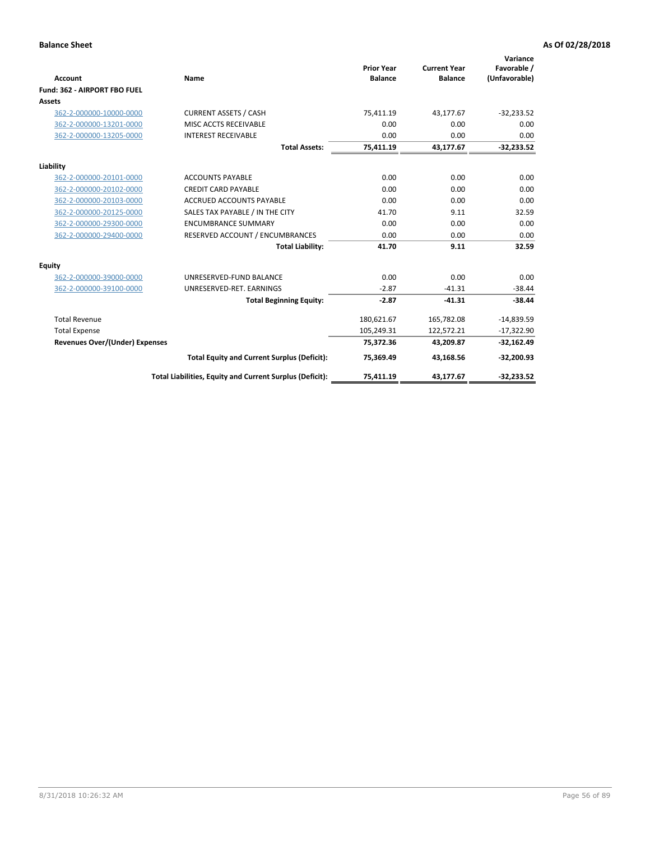|                                       |                                                          |                                     |                                       | Variance                     |
|---------------------------------------|----------------------------------------------------------|-------------------------------------|---------------------------------------|------------------------------|
| Account                               | Name                                                     | <b>Prior Year</b><br><b>Balance</b> | <b>Current Year</b><br><b>Balance</b> | Favorable /<br>(Unfavorable) |
| Fund: 362 - AIRPORT FBO FUEL          |                                                          |                                     |                                       |                              |
| Assets                                |                                                          |                                     |                                       |                              |
| 362-2-000000-10000-0000               | <b>CURRENT ASSETS / CASH</b>                             | 75,411.19                           | 43,177.67                             | $-32,233.52$                 |
| 362-2-000000-13201-0000               | MISC ACCTS RECEIVABLE                                    | 0.00                                | 0.00                                  | 0.00                         |
| 362-2-000000-13205-0000               | <b>INTEREST RECEIVABLE</b>                               | 0.00                                | 0.00                                  | 0.00                         |
|                                       | <b>Total Assets:</b>                                     | 75,411.19                           | 43,177.67                             | $-32,233.52$                 |
| Liability                             |                                                          |                                     |                                       |                              |
| 362-2-000000-20101-0000               | <b>ACCOUNTS PAYABLE</b>                                  | 0.00                                | 0.00                                  | 0.00                         |
| 362-2-000000-20102-0000               | <b>CREDIT CARD PAYABLE</b>                               | 0.00                                | 0.00                                  | 0.00                         |
| 362-2-000000-20103-0000               | <b>ACCRUED ACCOUNTS PAYABLE</b>                          | 0.00                                | 0.00                                  | 0.00                         |
| 362-2-000000-20125-0000               | SALES TAX PAYABLE / IN THE CITY                          | 41.70                               | 9.11                                  | 32.59                        |
| 362-2-000000-29300-0000               | <b>ENCUMBRANCE SUMMARY</b>                               | 0.00                                | 0.00                                  | 0.00                         |
| 362-2-000000-29400-0000               | RESERVED ACCOUNT / ENCUMBRANCES                          | 0.00                                | 0.00                                  | 0.00                         |
|                                       | <b>Total Liability:</b>                                  | 41.70                               | 9.11                                  | 32.59                        |
| Equity                                |                                                          |                                     |                                       |                              |
| 362-2-000000-39000-0000               | UNRESERVED-FUND BALANCE                                  | 0.00                                | 0.00                                  | 0.00                         |
| 362-2-000000-39100-0000               | UNRESERVED-RET. EARNINGS                                 | $-2.87$                             | $-41.31$                              | $-38.44$                     |
|                                       | <b>Total Beginning Equity:</b>                           | $-2.87$                             | $-41.31$                              | $-38.44$                     |
| <b>Total Revenue</b>                  |                                                          | 180,621.67                          | 165,782.08                            | $-14,839.59$                 |
| <b>Total Expense</b>                  |                                                          | 105,249.31                          | 122,572.21                            | $-17,322.90$                 |
| <b>Revenues Over/(Under) Expenses</b> |                                                          | 75,372.36                           | 43,209.87                             | $-32,162.49$                 |
|                                       | <b>Total Equity and Current Surplus (Deficit):</b>       | 75,369.49                           | 43,168.56                             | $-32,200.93$                 |
|                                       | Total Liabilities, Equity and Current Surplus (Deficit): | 75,411.19                           | 43,177.67                             | $-32,233.52$                 |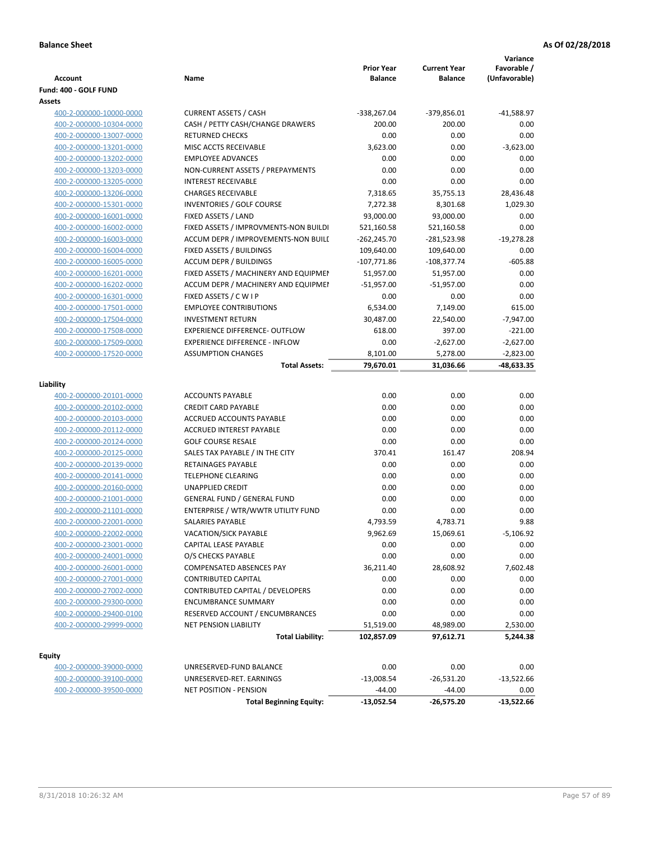|                         |                                                                | <b>Prior Year</b> | <b>Current Year</b> | Variance<br>Favorable / |
|-------------------------|----------------------------------------------------------------|-------------------|---------------------|-------------------------|
| Account                 | Name                                                           | <b>Balance</b>    | <b>Balance</b>      | (Unfavorable)           |
| Fund: 400 - GOLF FUND   |                                                                |                   |                     |                         |
| Assets                  |                                                                |                   |                     |                         |
| 400-2-000000-10000-0000 | <b>CURRENT ASSETS / CASH</b>                                   | -338,267.04       | -379,856.01         | $-41,588.97$            |
| 400-2-000000-10304-0000 | CASH / PETTY CASH/CHANGE DRAWERS                               | 200.00            | 200.00              | 0.00                    |
| 400-2-000000-13007-0000 | <b>RETURNED CHECKS</b>                                         | 0.00              | 0.00                | 0.00                    |
| 400-2-000000-13201-0000 | MISC ACCTS RECEIVABLE                                          | 3,623.00          | 0.00                | $-3,623.00$             |
| 400-2-000000-13202-0000 | <b>EMPLOYEE ADVANCES</b>                                       | 0.00              | 0.00                | 0.00                    |
| 400-2-000000-13203-0000 | NON-CURRENT ASSETS / PREPAYMENTS<br><b>INTEREST RECEIVABLE</b> | 0.00              | 0.00                | 0.00                    |
| 400-2-000000-13205-0000 |                                                                | 0.00              | 0.00                | 0.00                    |
| 400-2-000000-13206-0000 | <b>CHARGES RECEIVABLE</b>                                      | 7,318.65          | 35,755.13           | 28,436.48               |
| 400-2-000000-15301-0000 | <b>INVENTORIES / GOLF COURSE</b>                               | 7,272.38          | 8,301.68            | 1,029.30                |
| 400-2-000000-16001-0000 | FIXED ASSETS / LAND                                            | 93,000.00         | 93,000.00           | 0.00                    |
| 400-2-000000-16002-0000 | FIXED ASSETS / IMPROVMENTS-NON BUILDI                          | 521,160.58        | 521,160.58          | 0.00                    |
| 400-2-000000-16003-0000 | ACCUM DEPR / IMPROVEMENTS-NON BUILI                            | $-262,245.70$     | -281,523.98         | $-19,278.28$            |
| 400-2-000000-16004-0000 | FIXED ASSETS / BUILDINGS                                       | 109,640.00        | 109,640.00          | 0.00                    |
| 400-2-000000-16005-0000 | <b>ACCUM DEPR / BUILDINGS</b>                                  | $-107,771.86$     | $-108,377.74$       | $-605.88$               |
| 400-2-000000-16201-0000 | FIXED ASSETS / MACHINERY AND EQUIPMEN                          | 51,957.00         | 51,957.00           | 0.00                    |
| 400-2-000000-16202-0000 | ACCUM DEPR / MACHINERY AND EQUIPMEI                            | $-51,957.00$      | $-51,957.00$        | 0.00                    |
| 400-2-000000-16301-0000 | FIXED ASSETS / C W I P                                         | 0.00              | 0.00                | 0.00                    |
| 400-2-000000-17501-0000 | <b>EMPLOYEE CONTRIBUTIONS</b>                                  | 6,534.00          | 7,149.00            | 615.00                  |
| 400-2-000000-17504-0000 | <b>INVESTMENT RETURN</b>                                       | 30,487.00         | 22,540.00           | $-7,947.00$             |
| 400-2-000000-17508-0000 | <b>EXPERIENCE DIFFERENCE- OUTFLOW</b>                          | 618.00            | 397.00              | $-221.00$               |
| 400-2-000000-17509-0000 | <b>EXPERIENCE DIFFERENCE - INFLOW</b>                          | 0.00              | $-2,627.00$         | $-2,627.00$             |
| 400-2-000000-17520-0000 | <b>ASSUMPTION CHANGES</b>                                      | 8,101.00          | 5,278.00            | $-2,823.00$             |
|                         | <b>Total Assets:</b>                                           | 79,670.01         | 31,036.66           | -48,633.35              |
| Liability               |                                                                |                   |                     |                         |
| 400-2-000000-20101-0000 | <b>ACCOUNTS PAYABLE</b>                                        | 0.00              | 0.00                | 0.00                    |
| 400-2-000000-20102-0000 | <b>CREDIT CARD PAYABLE</b>                                     | 0.00              | 0.00                | 0.00                    |
| 400-2-000000-20103-0000 | ACCRUED ACCOUNTS PAYABLE                                       | 0.00              | 0.00                | 0.00                    |
| 400-2-000000-20112-0000 | <b>ACCRUED INTEREST PAYABLE</b>                                | 0.00              | 0.00                | 0.00                    |
| 400-2-000000-20124-0000 | <b>GOLF COURSE RESALE</b>                                      | 0.00              | 0.00                | 0.00                    |
| 400-2-000000-20125-0000 | SALES TAX PAYABLE / IN THE CITY                                | 370.41            | 161.47              | 208.94                  |
| 400-2-000000-20139-0000 | RETAINAGES PAYABLE                                             | 0.00              | 0.00                | 0.00                    |
| 400-2-000000-20141-0000 | <b>TELEPHONE CLEARING</b>                                      | 0.00              | 0.00                | 0.00                    |
| 400-2-000000-20160-0000 | <b>UNAPPLIED CREDIT</b>                                        | 0.00              | 0.00                | 0.00                    |
| 400-2-000000-21001-0000 | <b>GENERAL FUND / GENERAL FUND</b>                             | 0.00              | 0.00                | 0.00                    |
| 400-2-000000-21101-0000 | ENTERPRISE / WTR/WWTR UTILITY FUND                             | 0.00              | 0.00                | 0.00                    |
| 400-2-000000-22001-0000 | SALARIES PAYABLE                                               | 4,793.59          | 4,783.71            | 9.88                    |
| 400-2-000000-22002-0000 | VACATION/SICK PAYABLE                                          | 9,962.69          | 15,069.61           | $-5,106.92$             |
| 400-2-000000-23001-0000 | CAPITAL LEASE PAYABLE                                          | 0.00              | 0.00                | 0.00                    |
| 400-2-000000-24001-0000 | O/S CHECKS PAYABLE                                             | 0.00              | 0.00                | 0.00                    |
| 400-2-000000-26001-0000 | COMPENSATED ABSENCES PAY                                       | 36,211.40         | 28,608.92           | 7,602.48                |
| 400-2-000000-27001-0000 | <b>CONTRIBUTED CAPITAL</b>                                     | 0.00              | 0.00                | 0.00                    |
| 400-2-000000-27002-0000 | CONTRIBUTED CAPITAL / DEVELOPERS                               | 0.00              | 0.00                | 0.00                    |
| 400-2-000000-29300-0000 | <b>ENCUMBRANCE SUMMARY</b>                                     | 0.00              | 0.00                | 0.00                    |
| 400-2-000000-29400-0100 | RESERVED ACCOUNT / ENCUMBRANCES                                | 0.00              | 0.00                | 0.00                    |
| 400-2-000000-29999-0000 | NET PENSION LIABILITY                                          | 51,519.00         | 48,989.00           | 2,530.00                |
|                         | <b>Total Liability:</b>                                        | 102,857.09        | 97,612.71           | 5,244.38                |
|                         |                                                                |                   |                     |                         |
| <b>Equity</b>           |                                                                |                   |                     |                         |
| 400-2-000000-39000-0000 | UNRESERVED-FUND BALANCE                                        | 0.00              | 0.00                | 0.00                    |
| 400-2-000000-39100-0000 | UNRESERVED-RET. EARNINGS                                       | $-13,008.54$      | $-26,531.20$        | $-13,522.66$            |
| 400-2-000000-39500-0000 | NET POSITION - PENSION                                         | $-44.00$          | $-44.00$            | 0.00                    |
|                         | <b>Total Beginning Equity:</b>                                 | $-13,052.54$      | -26,575.20          | $-13,522.66$            |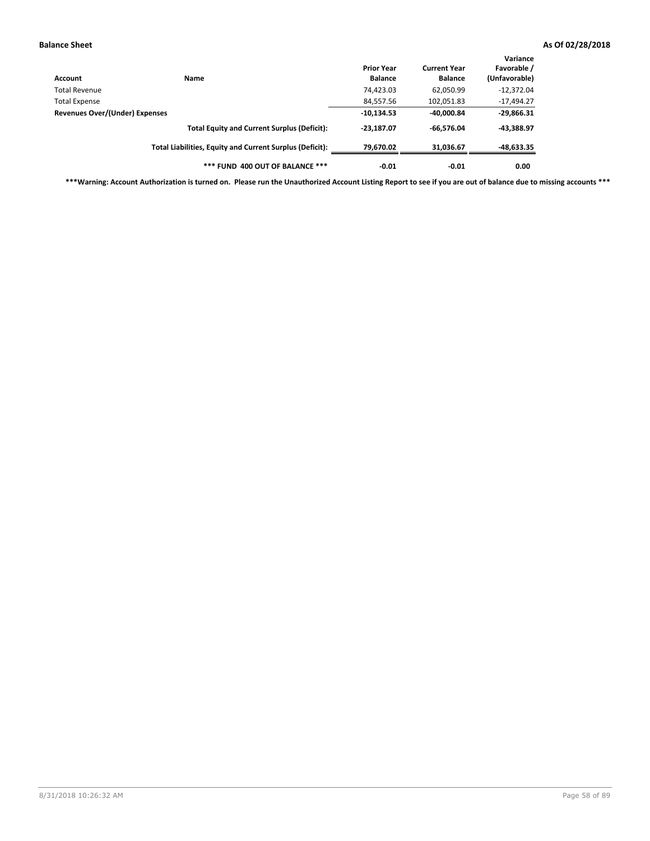| Account                        | Name                                                     | <b>Prior Year</b><br><b>Balance</b> | <b>Current Year</b><br><b>Balance</b> | Variance<br>Favorable /<br>(Unfavorable) |
|--------------------------------|----------------------------------------------------------|-------------------------------------|---------------------------------------|------------------------------------------|
| Total Revenue                  |                                                          | 74,423.03                           | 62,050.99                             | $-12,372.04$                             |
| Total Expense                  |                                                          | 84,557.56                           | 102,051.83                            | $-17,494.27$                             |
| Revenues Over/(Under) Expenses |                                                          | $-10,134.53$                        | $-40,000.84$                          | $-29,866.31$                             |
|                                | <b>Total Equity and Current Surplus (Deficit):</b>       | $-23,187.07$                        | $-66.576.04$                          | $-43,388.97$                             |
|                                | Total Liabilities, Equity and Current Surplus (Deficit): | 79.670.02                           | 31,036.67                             | $-48,633.35$                             |
|                                | *** FUND 400 OUT OF BALANCE ***                          | $-0.01$                             | $-0.01$                               | 0.00                                     |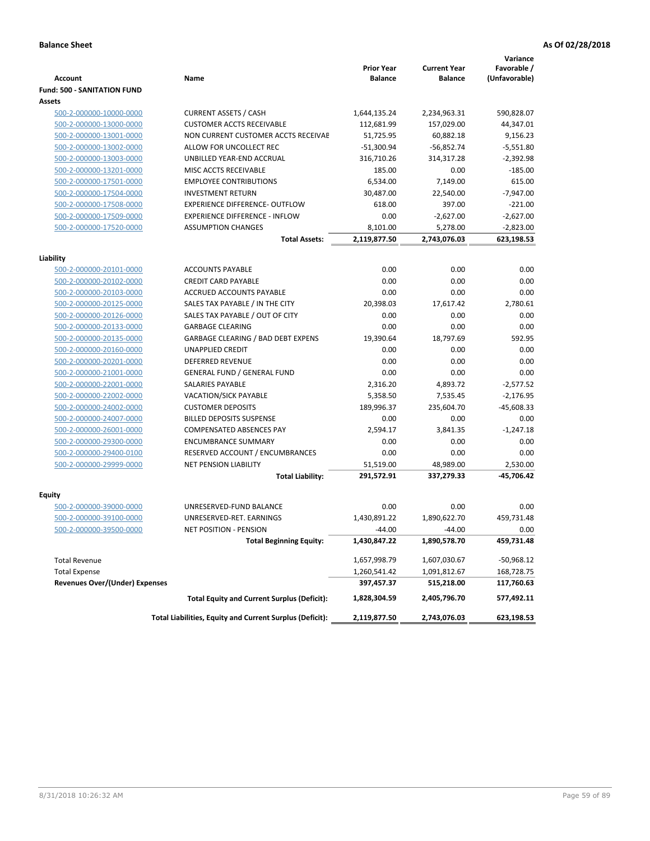|                                                     |                                                          |                   |                     | Variance      |
|-----------------------------------------------------|----------------------------------------------------------|-------------------|---------------------|---------------|
|                                                     |                                                          | <b>Prior Year</b> | <b>Current Year</b> | Favorable /   |
| <b>Account</b>                                      | Name                                                     | <b>Balance</b>    | <b>Balance</b>      | (Unfavorable) |
| <b>Fund: 500 - SANITATION FUND</b><br><b>Assets</b> |                                                          |                   |                     |               |
|                                                     | <b>CURRENT ASSETS / CASH</b>                             |                   |                     |               |
| 500-2-000000-10000-0000                             |                                                          | 1,644,135.24      | 2,234,963.31        | 590,828.07    |
| 500-2-000000-13000-0000                             | <b>CUSTOMER ACCTS RECEIVABLE</b>                         | 112,681.99        | 157,029.00          | 44,347.01     |
| 500-2-000000-13001-0000                             | NON CURRENT CUSTOMER ACCTS RECEIVAE                      | 51,725.95         | 60,882.18           | 9,156.23      |
| 500-2-000000-13002-0000                             | ALLOW FOR UNCOLLECT REC                                  | $-51,300.94$      | $-56,852.74$        | $-5,551.80$   |
| 500-2-000000-13003-0000                             | UNBILLED YEAR-END ACCRUAL<br>MISC ACCTS RECEIVABLE       | 316,710.26        | 314,317.28          | $-2,392.98$   |
| 500-2-000000-13201-0000                             | <b>EMPLOYEE CONTRIBUTIONS</b>                            | 185.00            | 0.00                | $-185.00$     |
| 500-2-000000-17501-0000                             |                                                          | 6,534.00          | 7,149.00            | 615.00        |
| 500-2-000000-17504-0000                             | <b>INVESTMENT RETURN</b>                                 | 30,487.00         | 22,540.00           | $-7,947.00$   |
| 500-2-000000-17508-0000                             | <b>EXPERIENCE DIFFERENCE- OUTFLOW</b>                    | 618.00            | 397.00              | $-221.00$     |
| 500-2-000000-17509-0000                             | <b>EXPERIENCE DIFFERENCE - INFLOW</b>                    | 0.00              | $-2,627.00$         | $-2,627.00$   |
| 500-2-000000-17520-0000                             | <b>ASSUMPTION CHANGES</b>                                | 8,101.00          | 5,278.00            | $-2,823.00$   |
|                                                     | <b>Total Assets:</b>                                     | 2,119,877.50      | 2,743,076.03        | 623,198.53    |
| Liability                                           |                                                          |                   |                     |               |
| 500-2-000000-20101-0000                             | <b>ACCOUNTS PAYABLE</b>                                  | 0.00              | 0.00                | 0.00          |
| 500-2-000000-20102-0000                             | <b>CREDIT CARD PAYABLE</b>                               | 0.00              | 0.00                | 0.00          |
| 500-2-000000-20103-0000                             | ACCRUED ACCOUNTS PAYABLE                                 | 0.00              | 0.00                | 0.00          |
| 500-2-000000-20125-0000                             | SALES TAX PAYABLE / IN THE CITY                          | 20,398.03         | 17,617.42           | 2.780.61      |
| 500-2-000000-20126-0000                             | SALES TAX PAYABLE / OUT OF CITY                          | 0.00              | 0.00                | 0.00          |
| 500-2-000000-20133-0000                             | <b>GARBAGE CLEARING</b>                                  | 0.00              | 0.00                | 0.00          |
| 500-2-000000-20135-0000                             | GARBAGE CLEARING / BAD DEBT EXPENS                       | 19,390.64         | 18.797.69           | 592.95        |
| 500-2-000000-20160-0000                             | <b>UNAPPLIED CREDIT</b>                                  | 0.00              | 0.00                | 0.00          |
| 500-2-000000-20201-0000                             | <b>DEFERRED REVENUE</b>                                  | 0.00              | 0.00                | 0.00          |
| 500-2-000000-21001-0000                             | <b>GENERAL FUND / GENERAL FUND</b>                       | 0.00              | 0.00                | 0.00          |
| 500-2-000000-22001-0000                             | <b>SALARIES PAYABLE</b>                                  | 2,316.20          | 4,893.72            | $-2,577.52$   |
| 500-2-000000-22002-0000                             | <b>VACATION/SICK PAYABLE</b>                             | 5,358.50          | 7,535.45            | $-2,176.95$   |
| 500-2-000000-24002-0000                             | <b>CUSTOMER DEPOSITS</b>                                 | 189,996.37        | 235,604.70          | $-45,608.33$  |
| 500-2-000000-24007-0000                             | <b>BILLED DEPOSITS SUSPENSE</b>                          | 0.00              | 0.00                | 0.00          |
| 500-2-000000-26001-0000                             | <b>COMPENSATED ABSENCES PAY</b>                          | 2,594.17          | 3,841.35            | $-1,247.18$   |
| 500-2-000000-29300-0000                             | <b>ENCUMBRANCE SUMMARY</b>                               | 0.00              | 0.00                | 0.00          |
| 500-2-000000-29400-0100                             | RESERVED ACCOUNT / ENCUMBRANCES                          | 0.00              | 0.00                | 0.00          |
| 500-2-000000-29999-0000                             | <b>NET PENSION LIABILITY</b>                             | 51.519.00         | 48,989.00           | 2.530.00      |
|                                                     | <b>Total Liability:</b>                                  | 291,572.91        | 337,279.33          | $-45,706.42$  |
|                                                     |                                                          |                   |                     |               |
| <b>Equity</b>                                       |                                                          |                   |                     |               |
| 500-2-000000-39000-0000                             | UNRESERVED-FUND BALANCE                                  | 0.00              | 0.00                | 0.00          |
| 500-2-000000-39100-0000                             | UNRESERVED-RET. EARNINGS                                 | 1,430,891.22      | 1,890,622.70        | 459,731.48    |
| 500-2-000000-39500-0000                             | NET POSITION - PENSION                                   | $-44.00$          | $-44.00$            | 0.00          |
|                                                     | <b>Total Beginning Equity:</b>                           | 1,430,847.22      | 1,890,578.70        | 459,731.48    |
|                                                     |                                                          |                   |                     |               |
| <b>Total Revenue</b>                                |                                                          | 1,657,998.79      | 1,607,030.67        | $-50,968.12$  |
| <b>Total Expense</b>                                |                                                          | 1,260,541.42      | 1,091,812.67        | 168,728.75    |
| <b>Revenues Over/(Under) Expenses</b>               |                                                          | 397,457.37        | 515,218.00          | 117,760.63    |
|                                                     | <b>Total Equity and Current Surplus (Deficit):</b>       | 1,828,304.59      | 2,405,796.70        | 577,492.11    |
|                                                     | Total Liabilities, Equity and Current Surplus (Deficit): | 2,119,877.50      | 2,743,076.03        | 623,198.53    |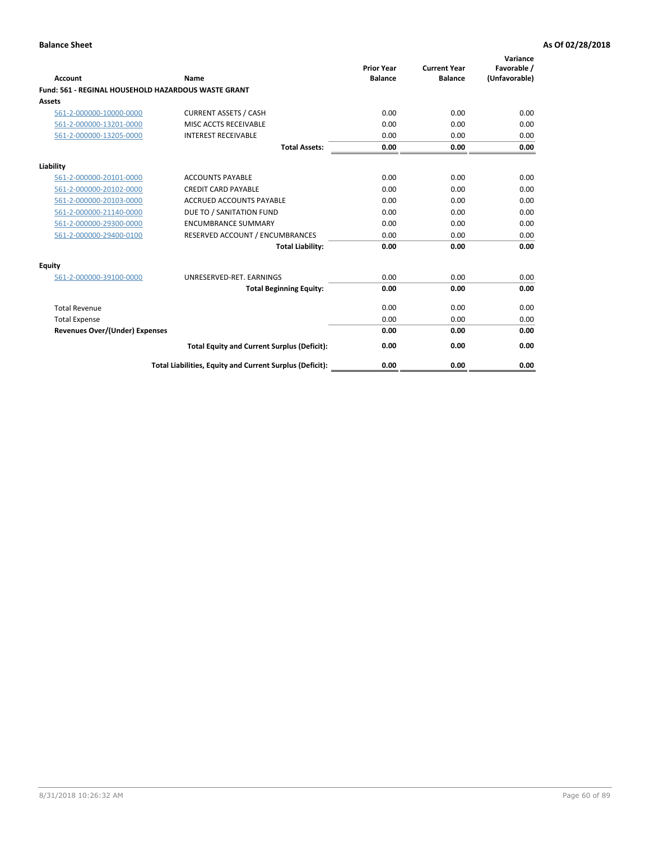| <b>Account</b>                                      | Name                                                     | <b>Prior Year</b><br><b>Balance</b> | <b>Current Year</b><br><b>Balance</b> | Variance<br>Favorable /<br>(Unfavorable) |
|-----------------------------------------------------|----------------------------------------------------------|-------------------------------------|---------------------------------------|------------------------------------------|
| Fund: 561 - REGINAL HOUSEHOLD HAZARDOUS WASTE GRANT |                                                          |                                     |                                       |                                          |
| Assets                                              |                                                          |                                     |                                       |                                          |
| 561-2-000000-10000-0000                             | <b>CURRENT ASSETS / CASH</b>                             | 0.00                                | 0.00                                  | 0.00                                     |
| 561-2-000000-13201-0000                             | MISC ACCTS RECEIVABLE                                    | 0.00                                | 0.00                                  | 0.00                                     |
| 561-2-000000-13205-0000                             | <b>INTEREST RECEIVABLE</b>                               | 0.00                                | 0.00                                  | 0.00                                     |
|                                                     | <b>Total Assets:</b>                                     | 0.00                                | 0.00                                  | 0.00                                     |
| Liability                                           |                                                          |                                     |                                       |                                          |
| 561-2-000000-20101-0000                             | <b>ACCOUNTS PAYABLE</b>                                  | 0.00                                | 0.00                                  | 0.00                                     |
| 561-2-000000-20102-0000                             | <b>CREDIT CARD PAYABLE</b>                               | 0.00                                | 0.00                                  | 0.00                                     |
| 561-2-000000-20103-0000                             | <b>ACCRUED ACCOUNTS PAYABLE</b>                          | 0.00                                | 0.00                                  | 0.00                                     |
| 561-2-000000-21140-0000                             | DUE TO / SANITATION FUND                                 | 0.00                                | 0.00                                  | 0.00                                     |
| 561-2-000000-29300-0000                             | <b>ENCUMBRANCE SUMMARY</b>                               | 0.00                                | 0.00                                  | 0.00                                     |
| 561-2-000000-29400-0100                             | RESERVED ACCOUNT / ENCUMBRANCES                          | 0.00                                | 0.00                                  | 0.00                                     |
|                                                     | <b>Total Liability:</b>                                  | 0.00                                | 0.00                                  | 0.00                                     |
| <b>Equity</b>                                       |                                                          |                                     |                                       |                                          |
| 561-2-000000-39100-0000                             | UNRESERVED-RET. EARNINGS                                 | 0.00                                | 0.00                                  | 0.00                                     |
|                                                     | <b>Total Beginning Equity:</b>                           | 0.00                                | 0.00                                  | 0.00                                     |
| <b>Total Revenue</b>                                |                                                          | 0.00                                | 0.00                                  | 0.00                                     |
| <b>Total Expense</b>                                |                                                          | 0.00                                | 0.00                                  | 0.00                                     |
| <b>Revenues Over/(Under) Expenses</b>               |                                                          | 0.00                                | 0.00                                  | 0.00                                     |
|                                                     | <b>Total Equity and Current Surplus (Deficit):</b>       | 0.00                                | 0.00                                  | 0.00                                     |
|                                                     | Total Liabilities, Equity and Current Surplus (Deficit): | 0.00                                | 0.00                                  | 0.00                                     |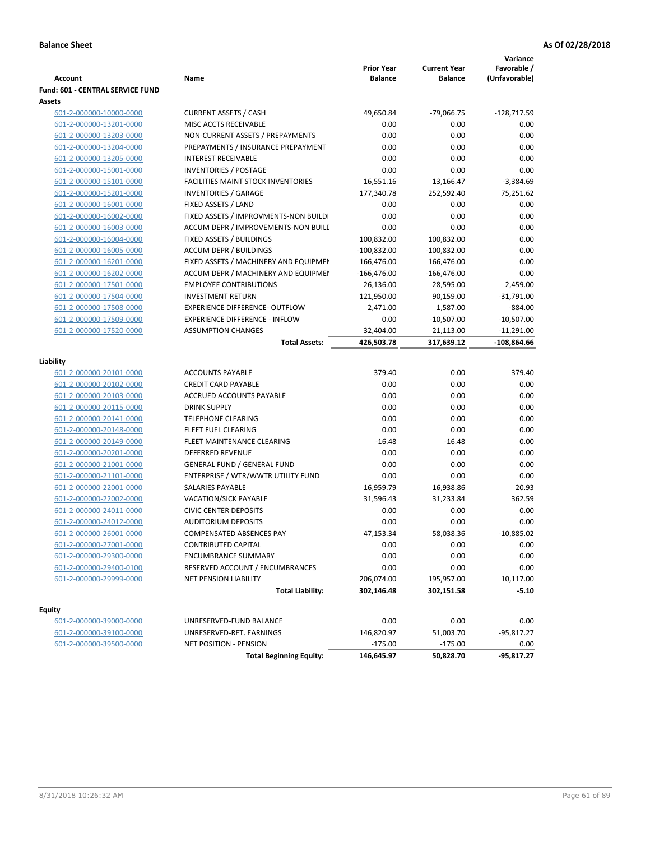| <b>Fund: 601 - CENTRAL SERVICE FUND</b><br>Assets<br><b>CURRENT ASSETS / CASH</b><br>49,650.84<br>$-79,066.75$<br>$-128,717.59$<br>601-2-000000-10000-0000<br>MISC ACCTS RECEIVABLE<br>0.00<br>0.00<br>0.00<br>601-2-000000-13201-0000<br>601-2-000000-13203-0000<br>NON-CURRENT ASSETS / PREPAYMENTS<br>0.00<br>0.00<br>0.00<br>0.00<br>601-2-000000-13204-0000<br>PREPAYMENTS / INSURANCE PREPAYMENT<br>0.00<br>0.00<br>0.00<br>0.00<br>601-2-000000-13205-0000<br><b>INTEREST RECEIVABLE</b><br>0.00<br>0.00<br>0.00<br>0.00<br>601-2-000000-15001-0000<br><b>INVENTORIES / POSTAGE</b><br><b>FACILITIES MAINT STOCK INVENTORIES</b><br>16,551.16<br>13,166.47<br>$-3,384.69$<br>601-2-000000-15101-0000<br>177,340.78<br>75,251.62<br>601-2-000000-15201-0000<br><b>INVENTORIES / GARAGE</b><br>252,592.40<br>601-2-000000-16001-0000<br>FIXED ASSETS / LAND<br>0.00<br>0.00<br>0.00<br>0.00<br>601-2-000000-16002-0000<br>FIXED ASSETS / IMPROVMENTS-NON BUILDI<br>0.00<br>0.00<br>0.00<br>0.00<br>ACCUM DEPR / IMPROVEMENTS-NON BUILI<br>0.00<br>601-2-000000-16003-0000<br>FIXED ASSETS / BUILDINGS<br>100,832.00<br>100,832.00<br>0.00<br>601-2-000000-16004-0000<br>0.00<br>601-2-000000-16005-0000<br><b>ACCUM DEPR / BUILDINGS</b><br>$-100,832.00$<br>$-100,832.00$<br>601-2-000000-16201-0000<br>FIXED ASSETS / MACHINERY AND EQUIPMEN<br>166,476.00<br>166,476.00<br>0.00<br>0.00<br>601-2-000000-16202-0000<br>ACCUM DEPR / MACHINERY AND EQUIPMEI<br>$-166,476.00$<br>$-166,476.00$<br><b>EMPLOYEE CONTRIBUTIONS</b><br>26,136.00<br>28,595.00<br>2,459.00<br>601-2-000000-17501-0000<br><b>INVESTMENT RETURN</b><br>121,950.00<br>$-31,791.00$<br>601-2-000000-17504-0000<br>90,159.00<br>$-884.00$<br>601-2-000000-17508-0000<br><b>EXPERIENCE DIFFERENCE- OUTFLOW</b><br>2,471.00<br>1,587.00<br>601-2-000000-17509-0000<br><b>EXPERIENCE DIFFERENCE - INFLOW</b><br>0.00<br>$-10,507.00$<br>$-10,507.00$<br>601-2-000000-17520-0000<br><b>ASSUMPTION CHANGES</b><br>32,404.00<br>$-11,291.00$<br>21,113.00<br>426,503.78<br>$-108,864.66$<br><b>Total Assets:</b><br>317,639.12<br>Liability<br><b>ACCOUNTS PAYABLE</b><br>379.40<br>0.00<br>379.40<br>601-2-000000-20101-0000<br>601-2-000000-20102-0000<br><b>CREDIT CARD PAYABLE</b><br>0.00<br>0.00<br>0.00<br>0.00<br>0.00<br>601-2-000000-20103-0000<br>ACCRUED ACCOUNTS PAYABLE<br>0.00<br>0.00<br>0.00<br>601-2-000000-20115-0000<br><b>DRINK SUPPLY</b><br>0.00<br>0.00<br>0.00<br><b>TELEPHONE CLEARING</b><br>0.00<br>601-2-000000-20141-0000<br><b>FLEET FUEL CLEARING</b><br>0.00<br>0.00<br>0.00<br>601-2-000000-20148-0000<br>0.00<br>601-2-000000-20149-0000<br>FLEET MAINTENANCE CLEARING<br>$-16.48$<br>$-16.48$<br>0.00<br>601-2-000000-20201-0000<br><b>DEFERRED REVENUE</b><br>0.00<br>0.00<br>0.00<br>601-2-000000-21001-0000<br><b>GENERAL FUND / GENERAL FUND</b><br>0.00<br>0.00<br>ENTERPRISE / WTR/WWTR UTILITY FUND<br>0.00<br>0.00<br>0.00<br>601-2-000000-21101-0000<br>601-2-000000-22001-0000<br>SALARIES PAYABLE<br>16,959.79<br>16,938.86<br>20.93<br>601-2-000000-22002-0000<br><b>VACATION/SICK PAYABLE</b><br>31,596.43<br>31,233.84<br>362.59<br><b>CIVIC CENTER DEPOSITS</b><br>601-2-000000-24011-0000<br>0.00<br>0.00<br>0.00<br>0.00<br>0.00<br>601-2-000000-24012-0000<br><b>AUDITORIUM DEPOSITS</b><br>0.00<br>58,038.36<br>$-10,885.02$<br>601-2-000000-26001-0000<br>COMPENSATED ABSENCES PAY<br>47,153.34<br>601-2-000000-27001-0000<br><b>CONTRIBUTED CAPITAL</b><br>0.00<br>0.00<br>0.00<br>601-2-000000-29300-0000<br><b>ENCUMBRANCE SUMMARY</b><br>0.00<br>0.00<br>0.00<br>601-2-000000-29400-0100<br>RESERVED ACCOUNT / ENCUMBRANCES<br>0.00<br>0.00<br>0.00<br>601-2-000000-29999-0000<br>NET PENSION LIABILITY<br>206,074.00<br>195,957.00<br>10,117.00<br><b>Total Liability:</b><br>302,146.48<br>$-5.10$<br>302,151.58<br><b>Equity</b><br>UNRESERVED-FUND BALANCE<br>0.00<br>0.00<br>0.00<br>601-2-000000-39000-0000<br>601-2-000000-39100-0000<br>UNRESERVED-RET. EARNINGS<br>146,820.97<br>51,003.70<br>-95,817.27 | <b>Account</b>          | Name                   | <b>Prior Year</b><br><b>Balance</b> | <b>Current Year</b><br><b>Balance</b> | Variance<br>Favorable /<br>(Unfavorable) |
|----------------------------------------------------------------------------------------------------------------------------------------------------------------------------------------------------------------------------------------------------------------------------------------------------------------------------------------------------------------------------------------------------------------------------------------------------------------------------------------------------------------------------------------------------------------------------------------------------------------------------------------------------------------------------------------------------------------------------------------------------------------------------------------------------------------------------------------------------------------------------------------------------------------------------------------------------------------------------------------------------------------------------------------------------------------------------------------------------------------------------------------------------------------------------------------------------------------------------------------------------------------------------------------------------------------------------------------------------------------------------------------------------------------------------------------------------------------------------------------------------------------------------------------------------------------------------------------------------------------------------------------------------------------------------------------------------------------------------------------------------------------------------------------------------------------------------------------------------------------------------------------------------------------------------------------------------------------------------------------------------------------------------------------------------------------------------------------------------------------------------------------------------------------------------------------------------------------------------------------------------------------------------------------------------------------------------------------------------------------------------------------------------------------------------------------------------------------------------------------------------------------------------------------------------------------------------------------------------------------------------------------------------------------------------------------------------------------------------------------------------------------------------------------------------------------------------------------------------------------------------------------------------------------------------------------------------------------------------------------------------------------------------------------------------------------------------------------------------------------------------------------------------------------------------------------------------------------------------------------------------------------------------------------------------------------------------------------------------------------------------------------------------------------------------------------------------------------------------------------------------------------------------------------------------------------------------------------------------------------------------------------------------------------------------------------------------------------------------------------------------------------------------------------------------------------------------------------------------------------------------------------------------------------------------------------------------------------------------------------------------------------------------------------------------|-------------------------|------------------------|-------------------------------------|---------------------------------------|------------------------------------------|
|                                                                                                                                                                                                                                                                                                                                                                                                                                                                                                                                                                                                                                                                                                                                                                                                                                                                                                                                                                                                                                                                                                                                                                                                                                                                                                                                                                                                                                                                                                                                                                                                                                                                                                                                                                                                                                                                                                                                                                                                                                                                                                                                                                                                                                                                                                                                                                                                                                                                                                                                                                                                                                                                                                                                                                                                                                                                                                                                                                                                                                                                                                                                                                                                                                                                                                                                                                                                                                                                                                                                                                                                                                                                                                                                                                                                                                                                                                                                                                                                                                                    |                         |                        |                                     |                                       |                                          |
|                                                                                                                                                                                                                                                                                                                                                                                                                                                                                                                                                                                                                                                                                                                                                                                                                                                                                                                                                                                                                                                                                                                                                                                                                                                                                                                                                                                                                                                                                                                                                                                                                                                                                                                                                                                                                                                                                                                                                                                                                                                                                                                                                                                                                                                                                                                                                                                                                                                                                                                                                                                                                                                                                                                                                                                                                                                                                                                                                                                                                                                                                                                                                                                                                                                                                                                                                                                                                                                                                                                                                                                                                                                                                                                                                                                                                                                                                                                                                                                                                                                    |                         |                        |                                     |                                       |                                          |
|                                                                                                                                                                                                                                                                                                                                                                                                                                                                                                                                                                                                                                                                                                                                                                                                                                                                                                                                                                                                                                                                                                                                                                                                                                                                                                                                                                                                                                                                                                                                                                                                                                                                                                                                                                                                                                                                                                                                                                                                                                                                                                                                                                                                                                                                                                                                                                                                                                                                                                                                                                                                                                                                                                                                                                                                                                                                                                                                                                                                                                                                                                                                                                                                                                                                                                                                                                                                                                                                                                                                                                                                                                                                                                                                                                                                                                                                                                                                                                                                                                                    |                         |                        |                                     |                                       |                                          |
|                                                                                                                                                                                                                                                                                                                                                                                                                                                                                                                                                                                                                                                                                                                                                                                                                                                                                                                                                                                                                                                                                                                                                                                                                                                                                                                                                                                                                                                                                                                                                                                                                                                                                                                                                                                                                                                                                                                                                                                                                                                                                                                                                                                                                                                                                                                                                                                                                                                                                                                                                                                                                                                                                                                                                                                                                                                                                                                                                                                                                                                                                                                                                                                                                                                                                                                                                                                                                                                                                                                                                                                                                                                                                                                                                                                                                                                                                                                                                                                                                                                    |                         |                        |                                     |                                       |                                          |
|                                                                                                                                                                                                                                                                                                                                                                                                                                                                                                                                                                                                                                                                                                                                                                                                                                                                                                                                                                                                                                                                                                                                                                                                                                                                                                                                                                                                                                                                                                                                                                                                                                                                                                                                                                                                                                                                                                                                                                                                                                                                                                                                                                                                                                                                                                                                                                                                                                                                                                                                                                                                                                                                                                                                                                                                                                                                                                                                                                                                                                                                                                                                                                                                                                                                                                                                                                                                                                                                                                                                                                                                                                                                                                                                                                                                                                                                                                                                                                                                                                                    |                         |                        |                                     |                                       |                                          |
|                                                                                                                                                                                                                                                                                                                                                                                                                                                                                                                                                                                                                                                                                                                                                                                                                                                                                                                                                                                                                                                                                                                                                                                                                                                                                                                                                                                                                                                                                                                                                                                                                                                                                                                                                                                                                                                                                                                                                                                                                                                                                                                                                                                                                                                                                                                                                                                                                                                                                                                                                                                                                                                                                                                                                                                                                                                                                                                                                                                                                                                                                                                                                                                                                                                                                                                                                                                                                                                                                                                                                                                                                                                                                                                                                                                                                                                                                                                                                                                                                                                    |                         |                        |                                     |                                       |                                          |
|                                                                                                                                                                                                                                                                                                                                                                                                                                                                                                                                                                                                                                                                                                                                                                                                                                                                                                                                                                                                                                                                                                                                                                                                                                                                                                                                                                                                                                                                                                                                                                                                                                                                                                                                                                                                                                                                                                                                                                                                                                                                                                                                                                                                                                                                                                                                                                                                                                                                                                                                                                                                                                                                                                                                                                                                                                                                                                                                                                                                                                                                                                                                                                                                                                                                                                                                                                                                                                                                                                                                                                                                                                                                                                                                                                                                                                                                                                                                                                                                                                                    |                         |                        |                                     |                                       |                                          |
|                                                                                                                                                                                                                                                                                                                                                                                                                                                                                                                                                                                                                                                                                                                                                                                                                                                                                                                                                                                                                                                                                                                                                                                                                                                                                                                                                                                                                                                                                                                                                                                                                                                                                                                                                                                                                                                                                                                                                                                                                                                                                                                                                                                                                                                                                                                                                                                                                                                                                                                                                                                                                                                                                                                                                                                                                                                                                                                                                                                                                                                                                                                                                                                                                                                                                                                                                                                                                                                                                                                                                                                                                                                                                                                                                                                                                                                                                                                                                                                                                                                    |                         |                        |                                     |                                       |                                          |
|                                                                                                                                                                                                                                                                                                                                                                                                                                                                                                                                                                                                                                                                                                                                                                                                                                                                                                                                                                                                                                                                                                                                                                                                                                                                                                                                                                                                                                                                                                                                                                                                                                                                                                                                                                                                                                                                                                                                                                                                                                                                                                                                                                                                                                                                                                                                                                                                                                                                                                                                                                                                                                                                                                                                                                                                                                                                                                                                                                                                                                                                                                                                                                                                                                                                                                                                                                                                                                                                                                                                                                                                                                                                                                                                                                                                                                                                                                                                                                                                                                                    |                         |                        |                                     |                                       |                                          |
|                                                                                                                                                                                                                                                                                                                                                                                                                                                                                                                                                                                                                                                                                                                                                                                                                                                                                                                                                                                                                                                                                                                                                                                                                                                                                                                                                                                                                                                                                                                                                                                                                                                                                                                                                                                                                                                                                                                                                                                                                                                                                                                                                                                                                                                                                                                                                                                                                                                                                                                                                                                                                                                                                                                                                                                                                                                                                                                                                                                                                                                                                                                                                                                                                                                                                                                                                                                                                                                                                                                                                                                                                                                                                                                                                                                                                                                                                                                                                                                                                                                    |                         |                        |                                     |                                       |                                          |
|                                                                                                                                                                                                                                                                                                                                                                                                                                                                                                                                                                                                                                                                                                                                                                                                                                                                                                                                                                                                                                                                                                                                                                                                                                                                                                                                                                                                                                                                                                                                                                                                                                                                                                                                                                                                                                                                                                                                                                                                                                                                                                                                                                                                                                                                                                                                                                                                                                                                                                                                                                                                                                                                                                                                                                                                                                                                                                                                                                                                                                                                                                                                                                                                                                                                                                                                                                                                                                                                                                                                                                                                                                                                                                                                                                                                                                                                                                                                                                                                                                                    |                         |                        |                                     |                                       |                                          |
|                                                                                                                                                                                                                                                                                                                                                                                                                                                                                                                                                                                                                                                                                                                                                                                                                                                                                                                                                                                                                                                                                                                                                                                                                                                                                                                                                                                                                                                                                                                                                                                                                                                                                                                                                                                                                                                                                                                                                                                                                                                                                                                                                                                                                                                                                                                                                                                                                                                                                                                                                                                                                                                                                                                                                                                                                                                                                                                                                                                                                                                                                                                                                                                                                                                                                                                                                                                                                                                                                                                                                                                                                                                                                                                                                                                                                                                                                                                                                                                                                                                    |                         |                        |                                     |                                       |                                          |
|                                                                                                                                                                                                                                                                                                                                                                                                                                                                                                                                                                                                                                                                                                                                                                                                                                                                                                                                                                                                                                                                                                                                                                                                                                                                                                                                                                                                                                                                                                                                                                                                                                                                                                                                                                                                                                                                                                                                                                                                                                                                                                                                                                                                                                                                                                                                                                                                                                                                                                                                                                                                                                                                                                                                                                                                                                                                                                                                                                                                                                                                                                                                                                                                                                                                                                                                                                                                                                                                                                                                                                                                                                                                                                                                                                                                                                                                                                                                                                                                                                                    |                         |                        |                                     |                                       |                                          |
|                                                                                                                                                                                                                                                                                                                                                                                                                                                                                                                                                                                                                                                                                                                                                                                                                                                                                                                                                                                                                                                                                                                                                                                                                                                                                                                                                                                                                                                                                                                                                                                                                                                                                                                                                                                                                                                                                                                                                                                                                                                                                                                                                                                                                                                                                                                                                                                                                                                                                                                                                                                                                                                                                                                                                                                                                                                                                                                                                                                                                                                                                                                                                                                                                                                                                                                                                                                                                                                                                                                                                                                                                                                                                                                                                                                                                                                                                                                                                                                                                                                    |                         |                        |                                     |                                       |                                          |
|                                                                                                                                                                                                                                                                                                                                                                                                                                                                                                                                                                                                                                                                                                                                                                                                                                                                                                                                                                                                                                                                                                                                                                                                                                                                                                                                                                                                                                                                                                                                                                                                                                                                                                                                                                                                                                                                                                                                                                                                                                                                                                                                                                                                                                                                                                                                                                                                                                                                                                                                                                                                                                                                                                                                                                                                                                                                                                                                                                                                                                                                                                                                                                                                                                                                                                                                                                                                                                                                                                                                                                                                                                                                                                                                                                                                                                                                                                                                                                                                                                                    |                         |                        |                                     |                                       |                                          |
|                                                                                                                                                                                                                                                                                                                                                                                                                                                                                                                                                                                                                                                                                                                                                                                                                                                                                                                                                                                                                                                                                                                                                                                                                                                                                                                                                                                                                                                                                                                                                                                                                                                                                                                                                                                                                                                                                                                                                                                                                                                                                                                                                                                                                                                                                                                                                                                                                                                                                                                                                                                                                                                                                                                                                                                                                                                                                                                                                                                                                                                                                                                                                                                                                                                                                                                                                                                                                                                                                                                                                                                                                                                                                                                                                                                                                                                                                                                                                                                                                                                    |                         |                        |                                     |                                       |                                          |
|                                                                                                                                                                                                                                                                                                                                                                                                                                                                                                                                                                                                                                                                                                                                                                                                                                                                                                                                                                                                                                                                                                                                                                                                                                                                                                                                                                                                                                                                                                                                                                                                                                                                                                                                                                                                                                                                                                                                                                                                                                                                                                                                                                                                                                                                                                                                                                                                                                                                                                                                                                                                                                                                                                                                                                                                                                                                                                                                                                                                                                                                                                                                                                                                                                                                                                                                                                                                                                                                                                                                                                                                                                                                                                                                                                                                                                                                                                                                                                                                                                                    |                         |                        |                                     |                                       |                                          |
|                                                                                                                                                                                                                                                                                                                                                                                                                                                                                                                                                                                                                                                                                                                                                                                                                                                                                                                                                                                                                                                                                                                                                                                                                                                                                                                                                                                                                                                                                                                                                                                                                                                                                                                                                                                                                                                                                                                                                                                                                                                                                                                                                                                                                                                                                                                                                                                                                                                                                                                                                                                                                                                                                                                                                                                                                                                                                                                                                                                                                                                                                                                                                                                                                                                                                                                                                                                                                                                                                                                                                                                                                                                                                                                                                                                                                                                                                                                                                                                                                                                    |                         |                        |                                     |                                       |                                          |
|                                                                                                                                                                                                                                                                                                                                                                                                                                                                                                                                                                                                                                                                                                                                                                                                                                                                                                                                                                                                                                                                                                                                                                                                                                                                                                                                                                                                                                                                                                                                                                                                                                                                                                                                                                                                                                                                                                                                                                                                                                                                                                                                                                                                                                                                                                                                                                                                                                                                                                                                                                                                                                                                                                                                                                                                                                                                                                                                                                                                                                                                                                                                                                                                                                                                                                                                                                                                                                                                                                                                                                                                                                                                                                                                                                                                                                                                                                                                                                                                                                                    |                         |                        |                                     |                                       |                                          |
|                                                                                                                                                                                                                                                                                                                                                                                                                                                                                                                                                                                                                                                                                                                                                                                                                                                                                                                                                                                                                                                                                                                                                                                                                                                                                                                                                                                                                                                                                                                                                                                                                                                                                                                                                                                                                                                                                                                                                                                                                                                                                                                                                                                                                                                                                                                                                                                                                                                                                                                                                                                                                                                                                                                                                                                                                                                                                                                                                                                                                                                                                                                                                                                                                                                                                                                                                                                                                                                                                                                                                                                                                                                                                                                                                                                                                                                                                                                                                                                                                                                    |                         |                        |                                     |                                       |                                          |
|                                                                                                                                                                                                                                                                                                                                                                                                                                                                                                                                                                                                                                                                                                                                                                                                                                                                                                                                                                                                                                                                                                                                                                                                                                                                                                                                                                                                                                                                                                                                                                                                                                                                                                                                                                                                                                                                                                                                                                                                                                                                                                                                                                                                                                                                                                                                                                                                                                                                                                                                                                                                                                                                                                                                                                                                                                                                                                                                                                                                                                                                                                                                                                                                                                                                                                                                                                                                                                                                                                                                                                                                                                                                                                                                                                                                                                                                                                                                                                                                                                                    |                         |                        |                                     |                                       |                                          |
|                                                                                                                                                                                                                                                                                                                                                                                                                                                                                                                                                                                                                                                                                                                                                                                                                                                                                                                                                                                                                                                                                                                                                                                                                                                                                                                                                                                                                                                                                                                                                                                                                                                                                                                                                                                                                                                                                                                                                                                                                                                                                                                                                                                                                                                                                                                                                                                                                                                                                                                                                                                                                                                                                                                                                                                                                                                                                                                                                                                                                                                                                                                                                                                                                                                                                                                                                                                                                                                                                                                                                                                                                                                                                                                                                                                                                                                                                                                                                                                                                                                    |                         |                        |                                     |                                       |                                          |
|                                                                                                                                                                                                                                                                                                                                                                                                                                                                                                                                                                                                                                                                                                                                                                                                                                                                                                                                                                                                                                                                                                                                                                                                                                                                                                                                                                                                                                                                                                                                                                                                                                                                                                                                                                                                                                                                                                                                                                                                                                                                                                                                                                                                                                                                                                                                                                                                                                                                                                                                                                                                                                                                                                                                                                                                                                                                                                                                                                                                                                                                                                                                                                                                                                                                                                                                                                                                                                                                                                                                                                                                                                                                                                                                                                                                                                                                                                                                                                                                                                                    |                         |                        |                                     |                                       |                                          |
|                                                                                                                                                                                                                                                                                                                                                                                                                                                                                                                                                                                                                                                                                                                                                                                                                                                                                                                                                                                                                                                                                                                                                                                                                                                                                                                                                                                                                                                                                                                                                                                                                                                                                                                                                                                                                                                                                                                                                                                                                                                                                                                                                                                                                                                                                                                                                                                                                                                                                                                                                                                                                                                                                                                                                                                                                                                                                                                                                                                                                                                                                                                                                                                                                                                                                                                                                                                                                                                                                                                                                                                                                                                                                                                                                                                                                                                                                                                                                                                                                                                    |                         |                        |                                     |                                       |                                          |
|                                                                                                                                                                                                                                                                                                                                                                                                                                                                                                                                                                                                                                                                                                                                                                                                                                                                                                                                                                                                                                                                                                                                                                                                                                                                                                                                                                                                                                                                                                                                                                                                                                                                                                                                                                                                                                                                                                                                                                                                                                                                                                                                                                                                                                                                                                                                                                                                                                                                                                                                                                                                                                                                                                                                                                                                                                                                                                                                                                                                                                                                                                                                                                                                                                                                                                                                                                                                                                                                                                                                                                                                                                                                                                                                                                                                                                                                                                                                                                                                                                                    |                         |                        |                                     |                                       |                                          |
|                                                                                                                                                                                                                                                                                                                                                                                                                                                                                                                                                                                                                                                                                                                                                                                                                                                                                                                                                                                                                                                                                                                                                                                                                                                                                                                                                                                                                                                                                                                                                                                                                                                                                                                                                                                                                                                                                                                                                                                                                                                                                                                                                                                                                                                                                                                                                                                                                                                                                                                                                                                                                                                                                                                                                                                                                                                                                                                                                                                                                                                                                                                                                                                                                                                                                                                                                                                                                                                                                                                                                                                                                                                                                                                                                                                                                                                                                                                                                                                                                                                    |                         |                        |                                     |                                       |                                          |
|                                                                                                                                                                                                                                                                                                                                                                                                                                                                                                                                                                                                                                                                                                                                                                                                                                                                                                                                                                                                                                                                                                                                                                                                                                                                                                                                                                                                                                                                                                                                                                                                                                                                                                                                                                                                                                                                                                                                                                                                                                                                                                                                                                                                                                                                                                                                                                                                                                                                                                                                                                                                                                                                                                                                                                                                                                                                                                                                                                                                                                                                                                                                                                                                                                                                                                                                                                                                                                                                                                                                                                                                                                                                                                                                                                                                                                                                                                                                                                                                                                                    |                         |                        |                                     |                                       |                                          |
|                                                                                                                                                                                                                                                                                                                                                                                                                                                                                                                                                                                                                                                                                                                                                                                                                                                                                                                                                                                                                                                                                                                                                                                                                                                                                                                                                                                                                                                                                                                                                                                                                                                                                                                                                                                                                                                                                                                                                                                                                                                                                                                                                                                                                                                                                                                                                                                                                                                                                                                                                                                                                                                                                                                                                                                                                                                                                                                                                                                                                                                                                                                                                                                                                                                                                                                                                                                                                                                                                                                                                                                                                                                                                                                                                                                                                                                                                                                                                                                                                                                    |                         |                        |                                     |                                       |                                          |
|                                                                                                                                                                                                                                                                                                                                                                                                                                                                                                                                                                                                                                                                                                                                                                                                                                                                                                                                                                                                                                                                                                                                                                                                                                                                                                                                                                                                                                                                                                                                                                                                                                                                                                                                                                                                                                                                                                                                                                                                                                                                                                                                                                                                                                                                                                                                                                                                                                                                                                                                                                                                                                                                                                                                                                                                                                                                                                                                                                                                                                                                                                                                                                                                                                                                                                                                                                                                                                                                                                                                                                                                                                                                                                                                                                                                                                                                                                                                                                                                                                                    |                         |                        |                                     |                                       |                                          |
|                                                                                                                                                                                                                                                                                                                                                                                                                                                                                                                                                                                                                                                                                                                                                                                                                                                                                                                                                                                                                                                                                                                                                                                                                                                                                                                                                                                                                                                                                                                                                                                                                                                                                                                                                                                                                                                                                                                                                                                                                                                                                                                                                                                                                                                                                                                                                                                                                                                                                                                                                                                                                                                                                                                                                                                                                                                                                                                                                                                                                                                                                                                                                                                                                                                                                                                                                                                                                                                                                                                                                                                                                                                                                                                                                                                                                                                                                                                                                                                                                                                    |                         |                        |                                     |                                       |                                          |
|                                                                                                                                                                                                                                                                                                                                                                                                                                                                                                                                                                                                                                                                                                                                                                                                                                                                                                                                                                                                                                                                                                                                                                                                                                                                                                                                                                                                                                                                                                                                                                                                                                                                                                                                                                                                                                                                                                                                                                                                                                                                                                                                                                                                                                                                                                                                                                                                                                                                                                                                                                                                                                                                                                                                                                                                                                                                                                                                                                                                                                                                                                                                                                                                                                                                                                                                                                                                                                                                                                                                                                                                                                                                                                                                                                                                                                                                                                                                                                                                                                                    |                         |                        |                                     |                                       |                                          |
|                                                                                                                                                                                                                                                                                                                                                                                                                                                                                                                                                                                                                                                                                                                                                                                                                                                                                                                                                                                                                                                                                                                                                                                                                                                                                                                                                                                                                                                                                                                                                                                                                                                                                                                                                                                                                                                                                                                                                                                                                                                                                                                                                                                                                                                                                                                                                                                                                                                                                                                                                                                                                                                                                                                                                                                                                                                                                                                                                                                                                                                                                                                                                                                                                                                                                                                                                                                                                                                                                                                                                                                                                                                                                                                                                                                                                                                                                                                                                                                                                                                    |                         |                        |                                     |                                       |                                          |
|                                                                                                                                                                                                                                                                                                                                                                                                                                                                                                                                                                                                                                                                                                                                                                                                                                                                                                                                                                                                                                                                                                                                                                                                                                                                                                                                                                                                                                                                                                                                                                                                                                                                                                                                                                                                                                                                                                                                                                                                                                                                                                                                                                                                                                                                                                                                                                                                                                                                                                                                                                                                                                                                                                                                                                                                                                                                                                                                                                                                                                                                                                                                                                                                                                                                                                                                                                                                                                                                                                                                                                                                                                                                                                                                                                                                                                                                                                                                                                                                                                                    |                         |                        |                                     |                                       |                                          |
|                                                                                                                                                                                                                                                                                                                                                                                                                                                                                                                                                                                                                                                                                                                                                                                                                                                                                                                                                                                                                                                                                                                                                                                                                                                                                                                                                                                                                                                                                                                                                                                                                                                                                                                                                                                                                                                                                                                                                                                                                                                                                                                                                                                                                                                                                                                                                                                                                                                                                                                                                                                                                                                                                                                                                                                                                                                                                                                                                                                                                                                                                                                                                                                                                                                                                                                                                                                                                                                                                                                                                                                                                                                                                                                                                                                                                                                                                                                                                                                                                                                    |                         |                        |                                     |                                       |                                          |
|                                                                                                                                                                                                                                                                                                                                                                                                                                                                                                                                                                                                                                                                                                                                                                                                                                                                                                                                                                                                                                                                                                                                                                                                                                                                                                                                                                                                                                                                                                                                                                                                                                                                                                                                                                                                                                                                                                                                                                                                                                                                                                                                                                                                                                                                                                                                                                                                                                                                                                                                                                                                                                                                                                                                                                                                                                                                                                                                                                                                                                                                                                                                                                                                                                                                                                                                                                                                                                                                                                                                                                                                                                                                                                                                                                                                                                                                                                                                                                                                                                                    |                         |                        |                                     |                                       |                                          |
|                                                                                                                                                                                                                                                                                                                                                                                                                                                                                                                                                                                                                                                                                                                                                                                                                                                                                                                                                                                                                                                                                                                                                                                                                                                                                                                                                                                                                                                                                                                                                                                                                                                                                                                                                                                                                                                                                                                                                                                                                                                                                                                                                                                                                                                                                                                                                                                                                                                                                                                                                                                                                                                                                                                                                                                                                                                                                                                                                                                                                                                                                                                                                                                                                                                                                                                                                                                                                                                                                                                                                                                                                                                                                                                                                                                                                                                                                                                                                                                                                                                    |                         |                        |                                     |                                       |                                          |
|                                                                                                                                                                                                                                                                                                                                                                                                                                                                                                                                                                                                                                                                                                                                                                                                                                                                                                                                                                                                                                                                                                                                                                                                                                                                                                                                                                                                                                                                                                                                                                                                                                                                                                                                                                                                                                                                                                                                                                                                                                                                                                                                                                                                                                                                                                                                                                                                                                                                                                                                                                                                                                                                                                                                                                                                                                                                                                                                                                                                                                                                                                                                                                                                                                                                                                                                                                                                                                                                                                                                                                                                                                                                                                                                                                                                                                                                                                                                                                                                                                                    |                         |                        |                                     |                                       |                                          |
|                                                                                                                                                                                                                                                                                                                                                                                                                                                                                                                                                                                                                                                                                                                                                                                                                                                                                                                                                                                                                                                                                                                                                                                                                                                                                                                                                                                                                                                                                                                                                                                                                                                                                                                                                                                                                                                                                                                                                                                                                                                                                                                                                                                                                                                                                                                                                                                                                                                                                                                                                                                                                                                                                                                                                                                                                                                                                                                                                                                                                                                                                                                                                                                                                                                                                                                                                                                                                                                                                                                                                                                                                                                                                                                                                                                                                                                                                                                                                                                                                                                    |                         |                        |                                     |                                       |                                          |
|                                                                                                                                                                                                                                                                                                                                                                                                                                                                                                                                                                                                                                                                                                                                                                                                                                                                                                                                                                                                                                                                                                                                                                                                                                                                                                                                                                                                                                                                                                                                                                                                                                                                                                                                                                                                                                                                                                                                                                                                                                                                                                                                                                                                                                                                                                                                                                                                                                                                                                                                                                                                                                                                                                                                                                                                                                                                                                                                                                                                                                                                                                                                                                                                                                                                                                                                                                                                                                                                                                                                                                                                                                                                                                                                                                                                                                                                                                                                                                                                                                                    |                         |                        |                                     |                                       |                                          |
|                                                                                                                                                                                                                                                                                                                                                                                                                                                                                                                                                                                                                                                                                                                                                                                                                                                                                                                                                                                                                                                                                                                                                                                                                                                                                                                                                                                                                                                                                                                                                                                                                                                                                                                                                                                                                                                                                                                                                                                                                                                                                                                                                                                                                                                                                                                                                                                                                                                                                                                                                                                                                                                                                                                                                                                                                                                                                                                                                                                                                                                                                                                                                                                                                                                                                                                                                                                                                                                                                                                                                                                                                                                                                                                                                                                                                                                                                                                                                                                                                                                    |                         |                        |                                     |                                       |                                          |
|                                                                                                                                                                                                                                                                                                                                                                                                                                                                                                                                                                                                                                                                                                                                                                                                                                                                                                                                                                                                                                                                                                                                                                                                                                                                                                                                                                                                                                                                                                                                                                                                                                                                                                                                                                                                                                                                                                                                                                                                                                                                                                                                                                                                                                                                                                                                                                                                                                                                                                                                                                                                                                                                                                                                                                                                                                                                                                                                                                                                                                                                                                                                                                                                                                                                                                                                                                                                                                                                                                                                                                                                                                                                                                                                                                                                                                                                                                                                                                                                                                                    |                         |                        |                                     |                                       |                                          |
|                                                                                                                                                                                                                                                                                                                                                                                                                                                                                                                                                                                                                                                                                                                                                                                                                                                                                                                                                                                                                                                                                                                                                                                                                                                                                                                                                                                                                                                                                                                                                                                                                                                                                                                                                                                                                                                                                                                                                                                                                                                                                                                                                                                                                                                                                                                                                                                                                                                                                                                                                                                                                                                                                                                                                                                                                                                                                                                                                                                                                                                                                                                                                                                                                                                                                                                                                                                                                                                                                                                                                                                                                                                                                                                                                                                                                                                                                                                                                                                                                                                    |                         |                        |                                     |                                       |                                          |
|                                                                                                                                                                                                                                                                                                                                                                                                                                                                                                                                                                                                                                                                                                                                                                                                                                                                                                                                                                                                                                                                                                                                                                                                                                                                                                                                                                                                                                                                                                                                                                                                                                                                                                                                                                                                                                                                                                                                                                                                                                                                                                                                                                                                                                                                                                                                                                                                                                                                                                                                                                                                                                                                                                                                                                                                                                                                                                                                                                                                                                                                                                                                                                                                                                                                                                                                                                                                                                                                                                                                                                                                                                                                                                                                                                                                                                                                                                                                                                                                                                                    |                         |                        |                                     |                                       |                                          |
|                                                                                                                                                                                                                                                                                                                                                                                                                                                                                                                                                                                                                                                                                                                                                                                                                                                                                                                                                                                                                                                                                                                                                                                                                                                                                                                                                                                                                                                                                                                                                                                                                                                                                                                                                                                                                                                                                                                                                                                                                                                                                                                                                                                                                                                                                                                                                                                                                                                                                                                                                                                                                                                                                                                                                                                                                                                                                                                                                                                                                                                                                                                                                                                                                                                                                                                                                                                                                                                                                                                                                                                                                                                                                                                                                                                                                                                                                                                                                                                                                                                    |                         |                        |                                     |                                       |                                          |
|                                                                                                                                                                                                                                                                                                                                                                                                                                                                                                                                                                                                                                                                                                                                                                                                                                                                                                                                                                                                                                                                                                                                                                                                                                                                                                                                                                                                                                                                                                                                                                                                                                                                                                                                                                                                                                                                                                                                                                                                                                                                                                                                                                                                                                                                                                                                                                                                                                                                                                                                                                                                                                                                                                                                                                                                                                                                                                                                                                                                                                                                                                                                                                                                                                                                                                                                                                                                                                                                                                                                                                                                                                                                                                                                                                                                                                                                                                                                                                                                                                                    |                         |                        |                                     |                                       |                                          |
|                                                                                                                                                                                                                                                                                                                                                                                                                                                                                                                                                                                                                                                                                                                                                                                                                                                                                                                                                                                                                                                                                                                                                                                                                                                                                                                                                                                                                                                                                                                                                                                                                                                                                                                                                                                                                                                                                                                                                                                                                                                                                                                                                                                                                                                                                                                                                                                                                                                                                                                                                                                                                                                                                                                                                                                                                                                                                                                                                                                                                                                                                                                                                                                                                                                                                                                                                                                                                                                                                                                                                                                                                                                                                                                                                                                                                                                                                                                                                                                                                                                    |                         |                        |                                     |                                       |                                          |
|                                                                                                                                                                                                                                                                                                                                                                                                                                                                                                                                                                                                                                                                                                                                                                                                                                                                                                                                                                                                                                                                                                                                                                                                                                                                                                                                                                                                                                                                                                                                                                                                                                                                                                                                                                                                                                                                                                                                                                                                                                                                                                                                                                                                                                                                                                                                                                                                                                                                                                                                                                                                                                                                                                                                                                                                                                                                                                                                                                                                                                                                                                                                                                                                                                                                                                                                                                                                                                                                                                                                                                                                                                                                                                                                                                                                                                                                                                                                                                                                                                                    |                         |                        |                                     |                                       |                                          |
|                                                                                                                                                                                                                                                                                                                                                                                                                                                                                                                                                                                                                                                                                                                                                                                                                                                                                                                                                                                                                                                                                                                                                                                                                                                                                                                                                                                                                                                                                                                                                                                                                                                                                                                                                                                                                                                                                                                                                                                                                                                                                                                                                                                                                                                                                                                                                                                                                                                                                                                                                                                                                                                                                                                                                                                                                                                                                                                                                                                                                                                                                                                                                                                                                                                                                                                                                                                                                                                                                                                                                                                                                                                                                                                                                                                                                                                                                                                                                                                                                                                    |                         |                        |                                     |                                       |                                          |
|                                                                                                                                                                                                                                                                                                                                                                                                                                                                                                                                                                                                                                                                                                                                                                                                                                                                                                                                                                                                                                                                                                                                                                                                                                                                                                                                                                                                                                                                                                                                                                                                                                                                                                                                                                                                                                                                                                                                                                                                                                                                                                                                                                                                                                                                                                                                                                                                                                                                                                                                                                                                                                                                                                                                                                                                                                                                                                                                                                                                                                                                                                                                                                                                                                                                                                                                                                                                                                                                                                                                                                                                                                                                                                                                                                                                                                                                                                                                                                                                                                                    | 601-2-000000-39500-0000 | NET POSITION - PENSION | $-175.00$                           | $-175.00$                             | 0.00                                     |
| $-95,817.27$<br>146,645.97<br>50,828.70<br><b>Total Beginning Equity:</b>                                                                                                                                                                                                                                                                                                                                                                                                                                                                                                                                                                                                                                                                                                                                                                                                                                                                                                                                                                                                                                                                                                                                                                                                                                                                                                                                                                                                                                                                                                                                                                                                                                                                                                                                                                                                                                                                                                                                                                                                                                                                                                                                                                                                                                                                                                                                                                                                                                                                                                                                                                                                                                                                                                                                                                                                                                                                                                                                                                                                                                                                                                                                                                                                                                                                                                                                                                                                                                                                                                                                                                                                                                                                                                                                                                                                                                                                                                                                                                          |                         |                        |                                     |                                       |                                          |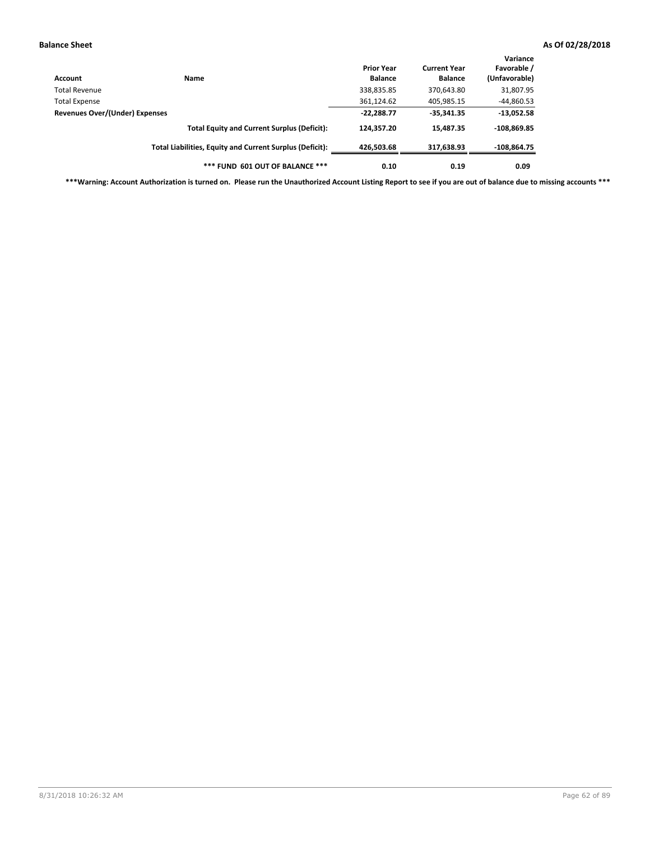| Account                        | Name                                                     | <b>Prior Year</b><br><b>Balance</b> | <b>Current Year</b><br><b>Balance</b> | Variance<br>Favorable /<br>(Unfavorable) |
|--------------------------------|----------------------------------------------------------|-------------------------------------|---------------------------------------|------------------------------------------|
| Total Revenue                  |                                                          | 338,835.85                          | 370,643.80                            | 31,807.95                                |
| <b>Total Expense</b>           |                                                          | 361,124.62                          | 405,985.15                            | $-44,860.53$                             |
| Revenues Over/(Under) Expenses | $-22,288.77$                                             | $-35,341.35$                        | $-13,052.58$                          |                                          |
|                                | <b>Total Equity and Current Surplus (Deficit):</b>       | 124.357.20                          | 15.487.35                             | $-108.869.85$                            |
|                                | Total Liabilities, Equity and Current Surplus (Deficit): | 426,503.68                          | 317,638.93                            | $-108,864.75$                            |
|                                | *** FUND 601 OUT OF BALANCE ***                          | 0.10                                | 0.19                                  | 0.09                                     |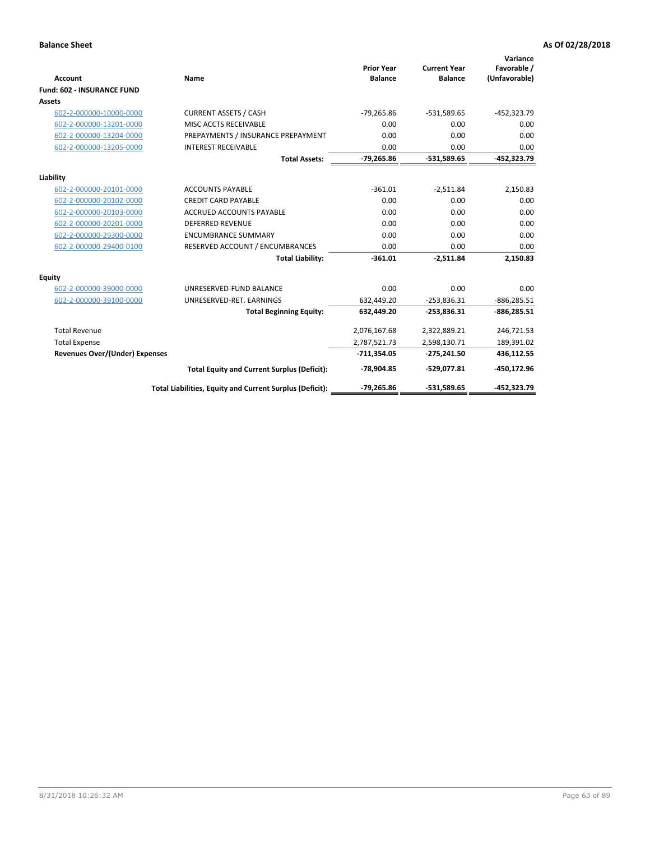| <b>Account</b>                        | Name                                                     | <b>Prior Year</b><br><b>Balance</b> | <b>Current Year</b><br><b>Balance</b> | Variance<br>Favorable /<br>(Unfavorable) |
|---------------------------------------|----------------------------------------------------------|-------------------------------------|---------------------------------------|------------------------------------------|
| <b>Fund: 602 - INSURANCE FUND</b>     |                                                          |                                     |                                       |                                          |
| <b>Assets</b>                         |                                                          |                                     |                                       |                                          |
| 602-2-000000-10000-0000               | <b>CURRENT ASSETS / CASH</b>                             | $-79,265.86$                        | $-531,589.65$                         | $-452,323.79$                            |
| 602-2-000000-13201-0000               | MISC ACCTS RECEIVABLE                                    | 0.00                                | 0.00                                  | 0.00                                     |
| 602-2-000000-13204-0000               | PREPAYMENTS / INSURANCE PREPAYMENT                       | 0.00                                | 0.00                                  | 0.00                                     |
| 602-2-000000-13205-0000               | <b>INTEREST RECEIVABLE</b>                               | 0.00                                | 0.00                                  | 0.00                                     |
|                                       | <b>Total Assets:</b>                                     | $-79,265.86$                        | -531,589.65                           | -452,323.79                              |
| Liability                             |                                                          |                                     |                                       |                                          |
| 602-2-000000-20101-0000               | <b>ACCOUNTS PAYABLE</b>                                  | $-361.01$                           | $-2,511.84$                           | 2,150.83                                 |
| 602-2-000000-20102-0000               | <b>CREDIT CARD PAYABLE</b>                               | 0.00                                | 0.00                                  | 0.00                                     |
| 602-2-000000-20103-0000               | <b>ACCRUED ACCOUNTS PAYABLE</b>                          | 0.00                                | 0.00                                  | 0.00                                     |
| 602-2-000000-20201-0000               | <b>DEFERRED REVENUE</b>                                  | 0.00                                | 0.00                                  | 0.00                                     |
| 602-2-000000-29300-0000               | <b>ENCUMBRANCE SUMMARY</b>                               | 0.00                                | 0.00                                  | 0.00                                     |
| 602-2-000000-29400-0100               | RESERVED ACCOUNT / ENCUMBRANCES                          | 0.00                                | 0.00                                  | 0.00                                     |
|                                       | <b>Total Liability:</b>                                  | $-361.01$                           | $-2,511.84$                           | 2,150.83                                 |
| <b>Equity</b>                         |                                                          |                                     |                                       |                                          |
| 602-2-000000-39000-0000               | UNRESERVED-FUND BALANCE                                  | 0.00                                | 0.00                                  | 0.00                                     |
| 602-2-000000-39100-0000               | UNRESERVED-RET. EARNINGS                                 | 632,449.20                          | $-253,836.31$                         | $-886,285.51$                            |
|                                       | <b>Total Beginning Equity:</b>                           | 632,449.20                          | $-253,836.31$                         | $-886,285.51$                            |
| <b>Total Revenue</b>                  |                                                          | 2,076,167.68                        | 2,322,889.21                          | 246,721.53                               |
| <b>Total Expense</b>                  |                                                          | 2,787,521.73                        | 2,598,130.71                          | 189,391.02                               |
| <b>Revenues Over/(Under) Expenses</b> |                                                          | $-711,354.05$                       | $-275,241.50$                         | 436,112.55                               |
|                                       | <b>Total Equity and Current Surplus (Deficit):</b>       | $-78,904.85$                        | -529,077.81                           | -450,172.96                              |
|                                       | Total Liabilities, Equity and Current Surplus (Deficit): | $-79,265.86$                        | $-531,589.65$                         | -452.323.79                              |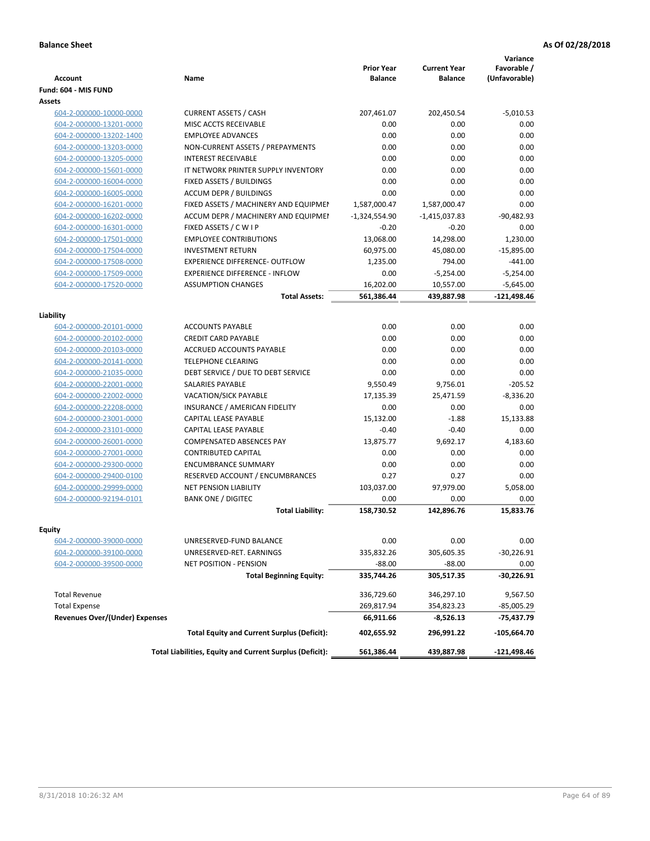| <b>Account</b>                        | Name                                                     | <b>Prior Year</b><br><b>Balance</b> | <b>Current Year</b><br><b>Balance</b> | Variance<br>Favorable /<br>(Unfavorable) |
|---------------------------------------|----------------------------------------------------------|-------------------------------------|---------------------------------------|------------------------------------------|
| Fund: 604 - MIS FUND                  |                                                          |                                     |                                       |                                          |
| <b>Assets</b>                         |                                                          |                                     |                                       |                                          |
| 604-2-000000-10000-0000               | <b>CURRENT ASSETS / CASH</b>                             | 207,461.07                          | 202,450.54                            | $-5,010.53$                              |
| 604-2-000000-13201-0000               | MISC ACCTS RECEIVABLE                                    | 0.00                                | 0.00                                  | 0.00                                     |
| 604-2-000000-13202-1400               | <b>EMPLOYEE ADVANCES</b>                                 | 0.00                                | 0.00                                  | 0.00                                     |
| 604-2-000000-13203-0000               | NON-CURRENT ASSETS / PREPAYMENTS                         | 0.00                                | 0.00                                  | 0.00                                     |
| 604-2-000000-13205-0000               | <b>INTEREST RECEIVABLE</b>                               | 0.00                                | 0.00                                  | 0.00                                     |
| 604-2-000000-15601-0000               | IT NETWORK PRINTER SUPPLY INVENTORY                      | 0.00                                | 0.00                                  | 0.00                                     |
| 604-2-000000-16004-0000               | FIXED ASSETS / BUILDINGS                                 | 0.00                                | 0.00                                  | 0.00                                     |
| 604-2-000000-16005-0000               | <b>ACCUM DEPR / BUILDINGS</b>                            | 0.00                                | 0.00                                  | 0.00                                     |
| 604-2-000000-16201-0000               | FIXED ASSETS / MACHINERY AND EQUIPMEN                    | 1,587,000.47                        | 1,587,000.47                          | 0.00                                     |
| 604-2-000000-16202-0000               | ACCUM DEPR / MACHINERY AND EQUIPMEI                      | $-1,324,554.90$                     | $-1,415,037.83$                       | $-90,482.93$                             |
| 604-2-000000-16301-0000               | FIXED ASSETS / C W I P                                   | $-0.20$                             | $-0.20$                               | 0.00                                     |
| 604-2-000000-17501-0000               | <b>EMPLOYEE CONTRIBUTIONS</b>                            | 13,068.00                           | 14,298.00                             | 1,230.00                                 |
| 604-2-000000-17504-0000               | <b>INVESTMENT RETURN</b>                                 | 60,975.00                           | 45,080.00                             | $-15,895.00$                             |
| 604-2-000000-17508-0000               | <b>EXPERIENCE DIFFERENCE- OUTFLOW</b>                    | 1,235.00                            | 794.00                                | $-441.00$                                |
| 604-2-000000-17509-0000               | <b>EXPERIENCE DIFFERENCE - INFLOW</b>                    | 0.00                                | $-5,254.00$                           | $-5,254.00$                              |
| 604-2-000000-17520-0000               | <b>ASSUMPTION CHANGES</b>                                | 16,202.00                           | 10,557.00                             | $-5,645.00$                              |
|                                       | <b>Total Assets:</b>                                     | 561,386.44                          | 439,887.98                            | $-121,498.46$                            |
|                                       |                                                          |                                     |                                       |                                          |
| Liability                             |                                                          |                                     |                                       |                                          |
| 604-2-000000-20101-0000               | <b>ACCOUNTS PAYABLE</b>                                  | 0.00                                | 0.00                                  | 0.00                                     |
| 604-2-000000-20102-0000               | <b>CREDIT CARD PAYABLE</b>                               | 0.00                                | 0.00                                  | 0.00                                     |
| 604-2-000000-20103-0000               | ACCRUED ACCOUNTS PAYABLE                                 | 0.00                                | 0.00                                  | 0.00                                     |
| 604-2-000000-20141-0000               | <b>TELEPHONE CLEARING</b>                                | 0.00                                | 0.00                                  | 0.00                                     |
| 604-2-000000-21035-0000               | DEBT SERVICE / DUE TO DEBT SERVICE                       | 0.00                                | 0.00                                  | 0.00                                     |
| 604-2-000000-22001-0000               | <b>SALARIES PAYABLE</b>                                  | 9,550.49                            | 9,756.01                              | $-205.52$                                |
| 604-2-000000-22002-0000               | VACATION/SICK PAYABLE                                    | 17,135.39                           | 25,471.59                             | $-8,336.20$                              |
| 604-2-000000-22208-0000               | INSURANCE / AMERICAN FIDELITY                            | 0.00                                | 0.00                                  | 0.00                                     |
| 604-2-000000-23001-0000               | CAPITAL LEASE PAYABLE                                    | 15,132.00                           | $-1.88$                               | 15,133.88                                |
| 604-2-000000-23101-0000               | CAPITAL LEASE PAYABLE                                    | $-0.40$                             | $-0.40$                               | 0.00                                     |
| 604-2-000000-26001-0000               | <b>COMPENSATED ABSENCES PAY</b>                          | 13,875.77                           | 9,692.17                              | 4,183.60                                 |
| 604-2-000000-27001-0000               | <b>CONTRIBUTED CAPITAL</b>                               | 0.00                                | 0.00                                  | 0.00                                     |
| 604-2-000000-29300-0000               | <b>ENCUMBRANCE SUMMARY</b>                               | 0.00                                | 0.00                                  | 0.00                                     |
| 604-2-000000-29400-0100               | <b>RESERVED ACCOUNT / ENCUMBRANCES</b>                   | 0.27                                | 0.27                                  | 0.00                                     |
| 604-2-000000-29999-0000               | <b>NET PENSION LIABILITY</b>                             | 103,037.00                          | 97,979.00                             | 5,058.00                                 |
| 604-2-000000-92194-0101               | <b>BANK ONE / DIGITEC</b>                                | 0.00                                | 0.00                                  | 0.00                                     |
|                                       | <b>Total Liability:</b>                                  | 158,730.52                          | 142,896.76                            | 15,833.76                                |
|                                       |                                                          |                                     |                                       |                                          |
| <b>Equity</b>                         |                                                          |                                     |                                       |                                          |
| 604-2-000000-39000-0000               | UNRESERVED-FUND BALANCE                                  | 0.00                                | 0.00                                  | 0.00                                     |
| 604-2-000000-39100-0000               | UNRESERVED-RET. EARNINGS                                 | 335,832.26                          | 305,605.35                            | $-30,226.91$                             |
| 604-2-000000-39500-0000               | <b>NET POSITION - PENSION</b>                            | $-88.00$                            | $-88.00$                              | 0.00                                     |
|                                       | <b>Total Beginning Equity:</b>                           | 335,744.26                          | 305,517.35                            | -30,226.91                               |
| <b>Total Revenue</b>                  |                                                          | 336,729.60                          | 346,297.10                            | 9,567.50                                 |
| <b>Total Expense</b>                  |                                                          | 269,817.94                          | 354,823.23                            | $-85,005.29$                             |
| <b>Revenues Over/(Under) Expenses</b> |                                                          | 66,911.66                           | -8,526.13                             | $-75,437.79$                             |
|                                       | <b>Total Equity and Current Surplus (Deficit):</b>       | 402,655.92                          | 296,991.22                            | $-105,664.70$                            |
|                                       | Total Liabilities, Equity and Current Surplus (Deficit): | 561,386.44                          | 439,887.98                            | -121,498.46                              |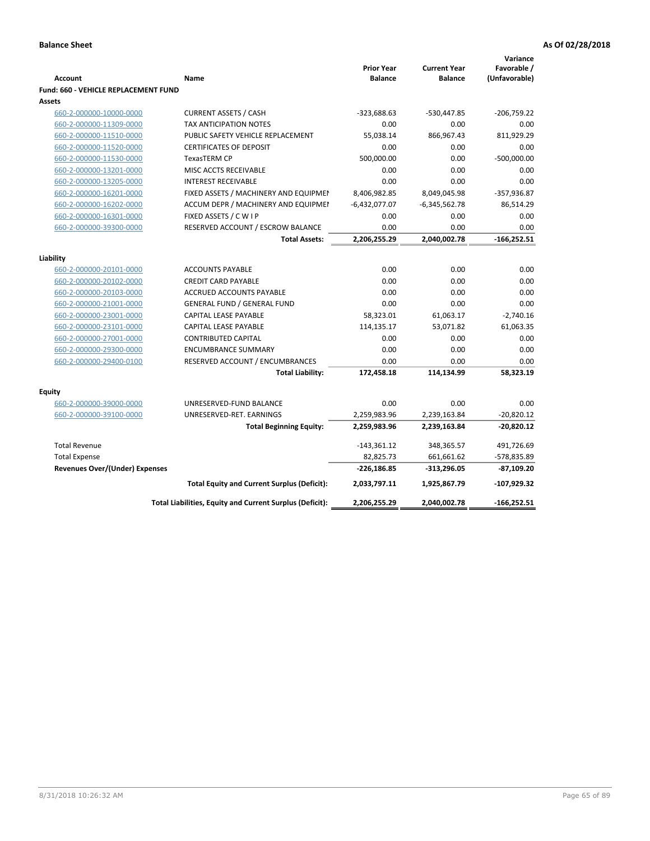| <b>Account</b>                        | Name                                                     | <b>Prior Year</b><br><b>Balance</b> | <b>Current Year</b><br><b>Balance</b> | Variance<br>Favorable /<br>(Unfavorable) |
|---------------------------------------|----------------------------------------------------------|-------------------------------------|---------------------------------------|------------------------------------------|
| Fund: 660 - VEHICLE REPLACEMENT FUND  |                                                          |                                     |                                       |                                          |
| Assets                                |                                                          |                                     |                                       |                                          |
| 660-2-000000-10000-0000               | <b>CURRENT ASSETS / CASH</b>                             | $-323,688.63$                       | -530,447.85                           | $-206,759.22$                            |
| 660-2-000000-11309-0000               | <b>TAX ANTICIPATION NOTES</b>                            | 0.00                                | 0.00                                  | 0.00                                     |
| 660-2-000000-11510-0000               | PUBLIC SAFETY VEHICLE REPLACEMENT                        | 55,038.14                           | 866,967.43                            | 811,929.29                               |
| 660-2-000000-11520-0000               | <b>CERTIFICATES OF DEPOSIT</b>                           | 0.00                                | 0.00                                  | 0.00                                     |
| 660-2-000000-11530-0000               | TexasTERM CP                                             | 500,000.00                          | 0.00                                  | $-500,000.00$                            |
| 660-2-000000-13201-0000               | MISC ACCTS RECEIVABLE                                    | 0.00                                | 0.00                                  | 0.00                                     |
| 660-2-000000-13205-0000               | <b>INTEREST RECEIVABLE</b>                               | 0.00                                | 0.00                                  | 0.00                                     |
| 660-2-000000-16201-0000               | FIXED ASSETS / MACHINERY AND EQUIPMEN                    | 8,406,982.85                        | 8,049,045.98                          | $-357,936.87$                            |
| 660-2-000000-16202-0000               | ACCUM DEPR / MACHINERY AND EQUIPMEI                      | $-6,432,077.07$                     | $-6,345,562.78$                       | 86,514.29                                |
| 660-2-000000-16301-0000               | FIXED ASSETS / C W I P                                   | 0.00                                | 0.00                                  | 0.00                                     |
| 660-2-000000-39300-0000               | RESERVED ACCOUNT / ESCROW BALANCE                        | 0.00                                | 0.00                                  | 0.00                                     |
|                                       | <b>Total Assets:</b>                                     | 2,206,255.29                        | 2,040,002.78                          | $-166,252.51$                            |
|                                       |                                                          |                                     |                                       |                                          |
| Liability<br>660-2-000000-20101-0000  | <b>ACCOUNTS PAYABLE</b>                                  | 0.00                                | 0.00                                  | 0.00                                     |
| 660-2-000000-20102-0000               | <b>CREDIT CARD PAYABLE</b>                               | 0.00                                | 0.00                                  | 0.00                                     |
| 660-2-000000-20103-0000               | ACCRUED ACCOUNTS PAYABLE                                 | 0.00                                | 0.00                                  | 0.00                                     |
| 660-2-000000-21001-0000               | <b>GENERAL FUND / GENERAL FUND</b>                       | 0.00                                | 0.00                                  | 0.00                                     |
| 660-2-000000-23001-0000               | <b>CAPITAL LEASE PAYABLE</b>                             | 58,323.01                           | 61,063.17                             | $-2,740.16$                              |
| 660-2-000000-23101-0000               | CAPITAL LEASE PAYABLE                                    | 114,135.17                          | 53,071.82                             | 61,063.35                                |
| 660-2-000000-27001-0000               | <b>CONTRIBUTED CAPITAL</b>                               | 0.00                                | 0.00                                  | 0.00                                     |
| 660-2-000000-29300-0000               | <b>ENCUMBRANCE SUMMARY</b>                               | 0.00                                | 0.00                                  | 0.00                                     |
| 660-2-000000-29400-0100               | RESERVED ACCOUNT / ENCUMBRANCES                          | 0.00                                | 0.00                                  | 0.00                                     |
|                                       | <b>Total Liability:</b>                                  | 172,458.18                          | 114,134.99                            | 58,323.19                                |
|                                       |                                                          |                                     |                                       |                                          |
| <b>Equity</b>                         |                                                          |                                     |                                       |                                          |
| 660-2-000000-39000-0000               | UNRESERVED-FUND BALANCE                                  | 0.00                                | 0.00                                  | 0.00                                     |
| 660-2-000000-39100-0000               | UNRESERVED-RET. EARNINGS                                 | 2,259,983.96                        | 2,239,163.84                          | $-20,820.12$                             |
|                                       | <b>Total Beginning Equity:</b>                           | 2,259,983.96                        | 2,239,163.84                          | $-20,820.12$                             |
| <b>Total Revenue</b>                  |                                                          | $-143,361.12$                       | 348,365.57                            | 491,726.69                               |
| <b>Total Expense</b>                  |                                                          | 82,825.73                           | 661,661.62                            | -578,835.89                              |
| <b>Revenues Over/(Under) Expenses</b> |                                                          | $-226,186.85$                       | -313,296.05                           | -87,109.20                               |
|                                       | <b>Total Equity and Current Surplus (Deficit):</b>       | 2,033,797.11                        | 1,925,867.79                          | $-107,929.32$                            |
|                                       | Total Liabilities, Equity and Current Surplus (Deficit): | 2,206,255.29                        | 2,040,002.78                          | $-166,252.51$                            |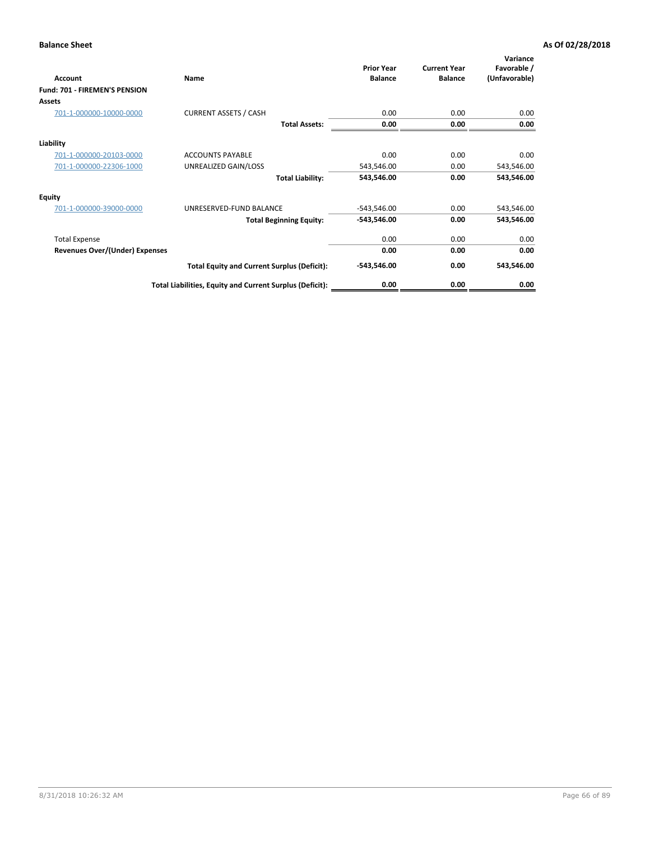| Account                               | Name                                                     | <b>Prior Year</b><br><b>Balance</b> | <b>Current Year</b><br><b>Balance</b> | Variance<br>Favorable /<br>(Unfavorable) |
|---------------------------------------|----------------------------------------------------------|-------------------------------------|---------------------------------------|------------------------------------------|
| Fund: 701 - FIREMEN'S PENSION         |                                                          |                                     |                                       |                                          |
| <b>Assets</b>                         |                                                          |                                     |                                       |                                          |
| 701-1-000000-10000-0000               | <b>CURRENT ASSETS / CASH</b>                             | 0.00                                | 0.00                                  | 0.00                                     |
|                                       | <b>Total Assets:</b>                                     | 0.00                                | 0.00                                  | 0.00                                     |
| Liability                             |                                                          |                                     |                                       |                                          |
| 701-1-000000-20103-0000               | <b>ACCOUNTS PAYABLE</b>                                  | 0.00                                | 0.00                                  | 0.00                                     |
| 701-1-000000-22306-1000               | UNREALIZED GAIN/LOSS                                     | 543,546.00                          | 0.00                                  | 543,546.00                               |
|                                       | <b>Total Liability:</b>                                  | 543,546.00                          | 0.00                                  | 543,546.00                               |
| <b>Equity</b>                         |                                                          |                                     |                                       |                                          |
| 701-1-000000-39000-0000               | UNRESERVED-FUND BALANCE                                  | $-543,546.00$                       | 0.00                                  | 543,546.00                               |
|                                       | <b>Total Beginning Equity:</b>                           | $-543,546.00$                       | 0.00                                  | 543,546.00                               |
| <b>Total Expense</b>                  |                                                          | 0.00                                | 0.00                                  | 0.00                                     |
| <b>Revenues Over/(Under) Expenses</b> |                                                          | 0.00                                | 0.00                                  | 0.00                                     |
|                                       | <b>Total Equity and Current Surplus (Deficit):</b>       | $-543,546.00$                       | 0.00                                  | 543,546.00                               |
|                                       | Total Liabilities, Equity and Current Surplus (Deficit): | 0.00                                | 0.00                                  | 0.00                                     |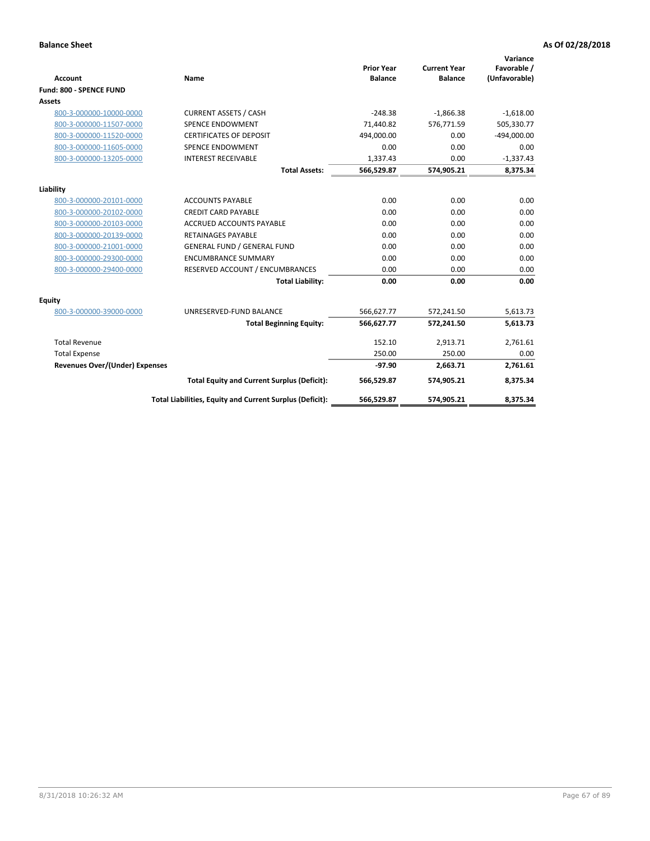|                                       |                                                          |                                     |                                       | Variance                     |
|---------------------------------------|----------------------------------------------------------|-------------------------------------|---------------------------------------|------------------------------|
| <b>Account</b>                        | <b>Name</b>                                              | <b>Prior Year</b><br><b>Balance</b> | <b>Current Year</b><br><b>Balance</b> | Favorable /<br>(Unfavorable) |
| Fund: 800 - SPENCE FUND               |                                                          |                                     |                                       |                              |
| Assets                                |                                                          |                                     |                                       |                              |
| 800-3-000000-10000-0000               | <b>CURRENT ASSETS / CASH</b>                             | $-248.38$                           | $-1,866.38$                           | $-1,618.00$                  |
| 800-3-000000-11507-0000               | <b>SPENCE ENDOWMENT</b>                                  | 71.440.82                           | 576,771.59                            | 505,330.77                   |
| 800-3-000000-11520-0000               | <b>CERTIFICATES OF DEPOSIT</b>                           | 494,000.00                          | 0.00                                  | $-494,000.00$                |
| 800-3-000000-11605-0000               | SPENCE ENDOWMENT                                         | 0.00                                | 0.00                                  | 0.00                         |
| 800-3-000000-13205-0000               | <b>INTEREST RECEIVABLE</b>                               | 1,337.43                            | 0.00                                  | $-1,337.43$                  |
|                                       | <b>Total Assets:</b>                                     | 566,529.87                          | 574.905.21                            | 8,375.34                     |
| Liability                             |                                                          |                                     |                                       |                              |
| 800-3-000000-20101-0000               | <b>ACCOUNTS PAYABLE</b>                                  | 0.00                                | 0.00                                  | 0.00                         |
| 800-3-000000-20102-0000               | <b>CREDIT CARD PAYABLE</b>                               | 0.00                                | 0.00                                  | 0.00                         |
| 800-3-000000-20103-0000               | <b>ACCRUED ACCOUNTS PAYABLE</b>                          | 0.00                                | 0.00                                  | 0.00                         |
| 800-3-000000-20139-0000               | <b>RETAINAGES PAYABLE</b>                                | 0.00                                | 0.00                                  | 0.00                         |
| 800-3-000000-21001-0000               | <b>GENERAL FUND / GENERAL FUND</b>                       | 0.00                                | 0.00                                  | 0.00                         |
| 800-3-000000-29300-0000               | <b>ENCUMBRANCE SUMMARY</b>                               | 0.00                                | 0.00                                  | 0.00                         |
| 800-3-000000-29400-0000               | RESERVED ACCOUNT / ENCUMBRANCES                          | 0.00                                | 0.00                                  | 0.00                         |
|                                       | <b>Total Liability:</b>                                  | 0.00                                | 0.00                                  | 0.00                         |
| Equity                                |                                                          |                                     |                                       |                              |
| 800-3-000000-39000-0000               | UNRESERVED-FUND BALANCE                                  | 566,627.77                          | 572,241.50                            | 5,613.73                     |
|                                       | <b>Total Beginning Equity:</b>                           | 566,627.77                          | 572,241.50                            | 5,613.73                     |
| <b>Total Revenue</b>                  |                                                          | 152.10                              | 2,913.71                              | 2,761.61                     |
| <b>Total Expense</b>                  |                                                          | 250.00                              | 250.00                                | 0.00                         |
| <b>Revenues Over/(Under) Expenses</b> |                                                          | $-97.90$                            | 2,663.71                              | 2,761.61                     |
|                                       | <b>Total Equity and Current Surplus (Deficit):</b>       | 566,529.87                          | 574,905.21                            | 8,375.34                     |
|                                       | Total Liabilities, Equity and Current Surplus (Deficit): | 566,529.87                          | 574,905.21                            | 8,375.34                     |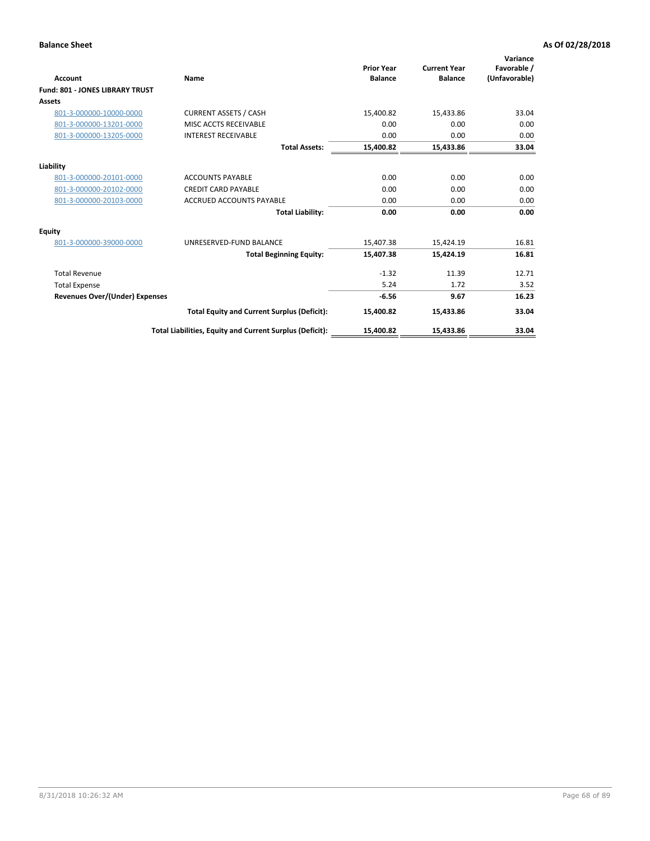| Account                                | Name                                                     | <b>Prior Year</b><br><b>Balance</b> | <b>Current Year</b><br><b>Balance</b> | Variance<br>Favorable /<br>(Unfavorable) |
|----------------------------------------|----------------------------------------------------------|-------------------------------------|---------------------------------------|------------------------------------------|
| <b>Fund: 801 - JONES LIBRARY TRUST</b> |                                                          |                                     |                                       |                                          |
| <b>Assets</b>                          |                                                          |                                     |                                       |                                          |
| 801-3-000000-10000-0000                | <b>CURRENT ASSETS / CASH</b>                             | 15,400.82                           | 15,433.86                             | 33.04                                    |
| 801-3-000000-13201-0000                | MISC ACCTS RECEIVABLE                                    | 0.00                                | 0.00                                  | 0.00                                     |
| 801-3-000000-13205-0000                | <b>INTEREST RECEIVABLE</b>                               | 0.00                                | 0.00                                  | 0.00                                     |
|                                        | <b>Total Assets:</b>                                     | 15,400.82                           | 15,433.86                             | 33.04                                    |
| Liability                              |                                                          |                                     |                                       |                                          |
| 801-3-000000-20101-0000                | <b>ACCOUNTS PAYABLE</b>                                  | 0.00                                | 0.00                                  | 0.00                                     |
| 801-3-000000-20102-0000                | <b>CREDIT CARD PAYABLE</b>                               | 0.00                                | 0.00                                  | 0.00                                     |
| 801-3-000000-20103-0000                | <b>ACCRUED ACCOUNTS PAYABLE</b>                          | 0.00                                | 0.00                                  | 0.00                                     |
|                                        | <b>Total Liability:</b>                                  | 0.00                                | 0.00                                  | 0.00                                     |
| Equity                                 |                                                          |                                     |                                       |                                          |
| 801-3-000000-39000-0000                | UNRESERVED-FUND BALANCE                                  | 15,407.38                           | 15,424.19                             | 16.81                                    |
|                                        | <b>Total Beginning Equity:</b>                           | 15,407.38                           | 15,424.19                             | 16.81                                    |
| <b>Total Revenue</b>                   |                                                          | $-1.32$                             | 11.39                                 | 12.71                                    |
| <b>Total Expense</b>                   |                                                          | 5.24                                | 1.72                                  | 3.52                                     |
| <b>Revenues Over/(Under) Expenses</b>  |                                                          | $-6.56$                             | 9.67                                  | 16.23                                    |
|                                        | <b>Total Equity and Current Surplus (Deficit):</b>       | 15,400.82                           | 15,433.86                             | 33.04                                    |
|                                        | Total Liabilities, Equity and Current Surplus (Deficit): | 15,400.82                           | 15,433.86                             | 33.04                                    |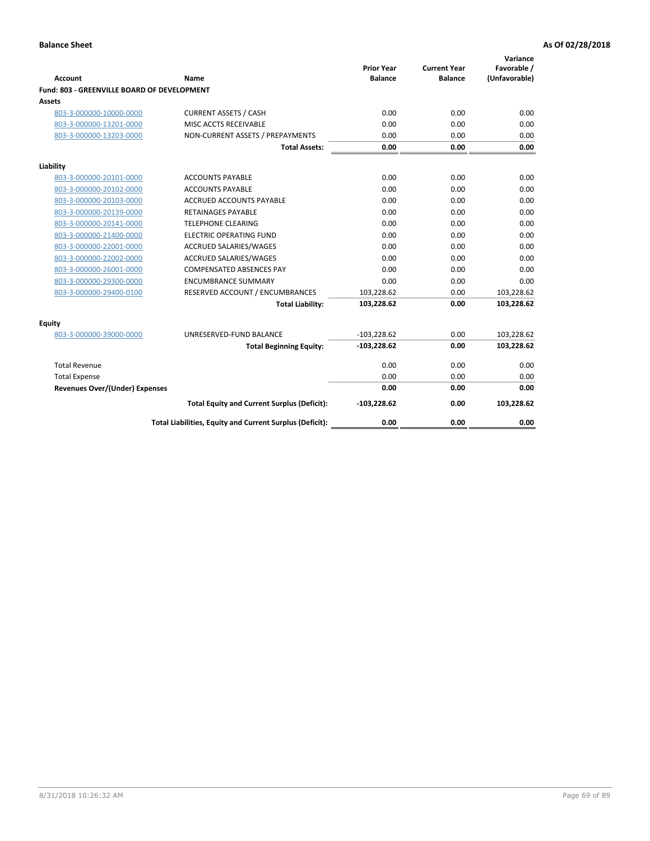| <b>Account</b>                              | Name                                                     | <b>Prior Year</b><br><b>Balance</b> | <b>Current Year</b><br><b>Balance</b> | Variance<br>Favorable /<br>(Unfavorable) |
|---------------------------------------------|----------------------------------------------------------|-------------------------------------|---------------------------------------|------------------------------------------|
| Fund: 803 - GREENVILLE BOARD OF DEVELOPMENT |                                                          |                                     |                                       |                                          |
| Assets                                      |                                                          |                                     |                                       |                                          |
| 803-3-000000-10000-0000                     | <b>CURRENT ASSETS / CASH</b>                             | 0.00                                | 0.00                                  | 0.00                                     |
| 803-3-000000-13201-0000                     | MISC ACCTS RECEIVABLE                                    | 0.00                                | 0.00                                  | 0.00                                     |
| 803-3-000000-13203-0000                     | NON-CURRENT ASSETS / PREPAYMENTS                         | 0.00                                | 0.00                                  | 0.00                                     |
|                                             | <b>Total Assets:</b>                                     | 0.00                                | 0.00                                  | 0.00                                     |
| Liability                                   |                                                          |                                     |                                       |                                          |
| 803-3-000000-20101-0000                     | <b>ACCOUNTS PAYABLE</b>                                  | 0.00                                | 0.00                                  | 0.00                                     |
| 803-3-000000-20102-0000                     | <b>ACCOUNTS PAYABLE</b>                                  | 0.00                                | 0.00                                  | 0.00                                     |
| 803-3-000000-20103-0000                     | <b>ACCRUED ACCOUNTS PAYABLE</b>                          | 0.00                                | 0.00                                  | 0.00                                     |
| 803-3-000000-20139-0000                     | RETAINAGES PAYABLE                                       | 0.00                                | 0.00                                  | 0.00                                     |
| 803-3-000000-20141-0000                     | <b>TELEPHONE CLEARING</b>                                | 0.00                                | 0.00                                  | 0.00                                     |
| 803-3-000000-21400-0000                     | <b>ELECTRIC OPERATING FUND</b>                           | 0.00                                | 0.00                                  | 0.00                                     |
| 803-3-000000-22001-0000                     | ACCRUED SALARIES/WAGES                                   | 0.00                                | 0.00                                  | 0.00                                     |
| 803-3-000000-22002-0000                     | ACCRUED SALARIES/WAGES                                   | 0.00                                | 0.00                                  | 0.00                                     |
| 803-3-000000-26001-0000                     | <b>COMPENSATED ABSENCES PAY</b>                          | 0.00                                | 0.00                                  | 0.00                                     |
| 803-3-000000-29300-0000                     | <b>ENCUMBRANCE SUMMARY</b>                               | 0.00                                | 0.00                                  | 0.00                                     |
| 803-3-000000-29400-0100                     | RESERVED ACCOUNT / ENCUMBRANCES                          | 103,228.62                          | 0.00                                  | 103,228.62                               |
|                                             | <b>Total Liability:</b>                                  | 103,228.62                          | 0.00                                  | 103,228.62                               |
| Equity                                      |                                                          |                                     |                                       |                                          |
| 803-3-000000-39000-0000                     | UNRESERVED-FUND BALANCE                                  | $-103,228.62$                       | 0.00                                  | 103,228.62                               |
|                                             | <b>Total Beginning Equity:</b>                           | $-103,228.62$                       | 0.00                                  | 103,228.62                               |
| <b>Total Revenue</b>                        |                                                          | 0.00                                | 0.00                                  | 0.00                                     |
| <b>Total Expense</b>                        |                                                          | 0.00                                | 0.00                                  | 0.00                                     |
| <b>Revenues Over/(Under) Expenses</b>       |                                                          | 0.00                                | 0.00                                  | 0.00                                     |
|                                             | <b>Total Equity and Current Surplus (Deficit):</b>       | $-103,228.62$                       | 0.00                                  | 103,228.62                               |
|                                             | Total Liabilities, Equity and Current Surplus (Deficit): | 0.00                                | 0.00                                  | 0.00                                     |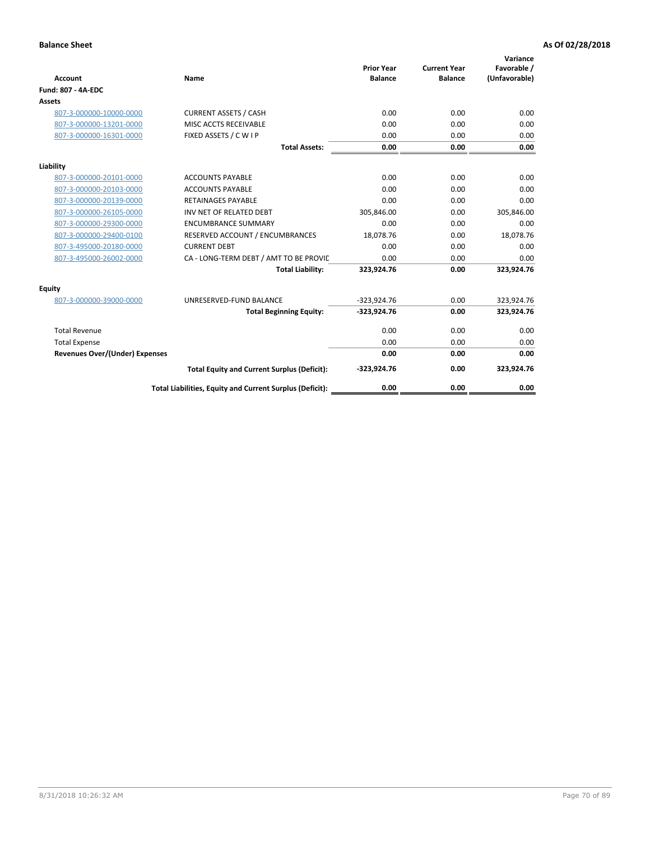| <b>Account</b>                        | Name                                                     | <b>Prior Year</b><br><b>Balance</b> | <b>Current Year</b><br><b>Balance</b> | Variance<br>Favorable /<br>(Unfavorable) |
|---------------------------------------|----------------------------------------------------------|-------------------------------------|---------------------------------------|------------------------------------------|
| <b>Fund: 807 - 4A-EDC</b>             |                                                          |                                     |                                       |                                          |
| <b>Assets</b>                         |                                                          |                                     |                                       |                                          |
| 807-3-000000-10000-0000               | <b>CURRENT ASSETS / CASH</b>                             | 0.00                                | 0.00                                  | 0.00                                     |
| 807-3-000000-13201-0000               | MISC ACCTS RECEIVABLE                                    | 0.00                                | 0.00                                  | 0.00                                     |
| 807-3-000000-16301-0000               | FIXED ASSETS / C W I P                                   | 0.00                                | 0.00                                  | 0.00                                     |
|                                       | <b>Total Assets:</b>                                     | 0.00                                | 0.00                                  | 0.00                                     |
| Liability                             |                                                          |                                     |                                       |                                          |
| 807-3-000000-20101-0000               | <b>ACCOUNTS PAYABLE</b>                                  | 0.00                                | 0.00                                  | 0.00                                     |
| 807-3-000000-20103-0000               | <b>ACCOUNTS PAYABLE</b>                                  | 0.00                                | 0.00                                  | 0.00                                     |
| 807-3-000000-20139-0000               | <b>RETAINAGES PAYABLE</b>                                | 0.00                                | 0.00                                  | 0.00                                     |
| 807-3-000000-26105-0000               | INV NET OF RELATED DEBT                                  | 305,846.00                          | 0.00                                  | 305,846.00                               |
| 807-3-000000-29300-0000               | <b>ENCUMBRANCE SUMMARY</b>                               | 0.00                                | 0.00                                  | 0.00                                     |
| 807-3-000000-29400-0100               | RESERVED ACCOUNT / ENCUMBRANCES                          | 18,078.76                           | 0.00                                  | 18,078.76                                |
| 807-3-495000-20180-0000               | <b>CURRENT DEBT</b>                                      | 0.00                                | 0.00                                  | 0.00                                     |
| 807-3-495000-26002-0000               | CA - LONG-TERM DEBT / AMT TO BE PROVIL                   | 0.00                                | 0.00                                  | 0.00                                     |
|                                       | <b>Total Liability:</b>                                  | 323,924.76                          | 0.00                                  | 323,924.76                               |
| Equity                                |                                                          |                                     |                                       |                                          |
| 807-3-000000-39000-0000               | UNRESERVED-FUND BALANCE                                  | $-323,924.76$                       | 0.00                                  | 323,924.76                               |
|                                       | <b>Total Beginning Equity:</b>                           | $-323,924.76$                       | 0.00                                  | 323,924.76                               |
| <b>Total Revenue</b>                  |                                                          | 0.00                                | 0.00                                  | 0.00                                     |
| <b>Total Expense</b>                  |                                                          | 0.00                                | 0.00                                  | 0.00                                     |
| <b>Revenues Over/(Under) Expenses</b> |                                                          | 0.00                                | 0.00                                  | 0.00                                     |
|                                       | <b>Total Equity and Current Surplus (Deficit):</b>       | $-323,924.76$                       | 0.00                                  | 323,924.76                               |
|                                       | Total Liabilities, Equity and Current Surplus (Deficit): | 0.00                                | 0.00                                  | 0.00                                     |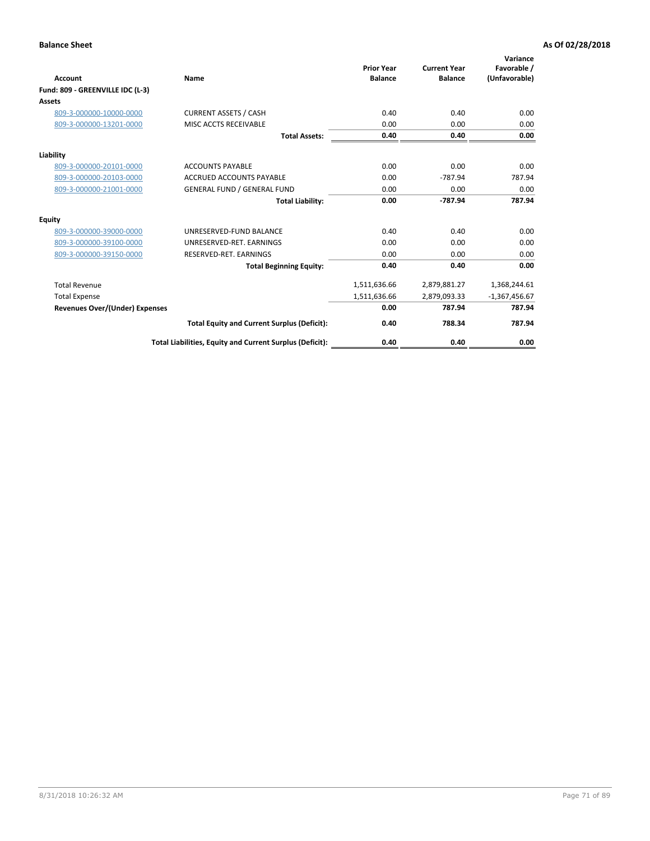| <b>Account</b><br>Fund: 809 - GREENVILLE IDC (L-3) | <b>Name</b>                                              | <b>Prior Year</b><br><b>Balance</b> | <b>Current Year</b><br><b>Balance</b> | Variance<br>Favorable /<br>(Unfavorable) |
|----------------------------------------------------|----------------------------------------------------------|-------------------------------------|---------------------------------------|------------------------------------------|
| Assets                                             |                                                          |                                     |                                       |                                          |
| 809-3-000000-10000-0000                            | <b>CURRENT ASSETS / CASH</b>                             | 0.40                                | 0.40                                  | 0.00                                     |
| 809-3-000000-13201-0000                            | MISC ACCTS RECEIVABLE                                    | 0.00                                | 0.00                                  | 0.00                                     |
|                                                    | <b>Total Assets:</b>                                     | 0.40                                | 0.40                                  | 0.00                                     |
| Liability                                          |                                                          |                                     |                                       |                                          |
| 809-3-000000-20101-0000                            | <b>ACCOUNTS PAYABLE</b>                                  | 0.00                                | 0.00                                  | 0.00                                     |
| 809-3-000000-20103-0000                            | <b>ACCRUED ACCOUNTS PAYABLE</b>                          | 0.00                                | $-787.94$                             | 787.94                                   |
| 809-3-000000-21001-0000                            | <b>GENERAL FUND / GENERAL FUND</b>                       | 0.00                                | 0.00                                  | 0.00                                     |
|                                                    | <b>Total Liability:</b>                                  | 0.00                                | $-787.94$                             | 787.94                                   |
| Equity                                             |                                                          |                                     |                                       |                                          |
| 809-3-000000-39000-0000                            | UNRESERVED-FUND BALANCE                                  | 0.40                                | 0.40                                  | 0.00                                     |
| 809-3-000000-39100-0000                            | UNRESERVED-RET. EARNINGS                                 | 0.00                                | 0.00                                  | 0.00                                     |
| 809-3-000000-39150-0000                            | RESERVED-RET. EARNINGS                                   | 0.00                                | 0.00                                  | 0.00                                     |
|                                                    | <b>Total Beginning Equity:</b>                           | 0.40                                | 0.40                                  | 0.00                                     |
| <b>Total Revenue</b>                               |                                                          | 1,511,636.66                        | 2,879,881.27                          | 1,368,244.61                             |
| <b>Total Expense</b>                               |                                                          | 1,511,636.66                        | 2,879,093.33                          | $-1,367,456.67$                          |
| <b>Revenues Over/(Under) Expenses</b>              |                                                          | 0.00                                | 787.94                                | 787.94                                   |
|                                                    | <b>Total Equity and Current Surplus (Deficit):</b>       | 0.40                                | 788.34                                | 787.94                                   |
|                                                    | Total Liabilities, Equity and Current Surplus (Deficit): | 0.40                                | 0.40                                  | 0.00                                     |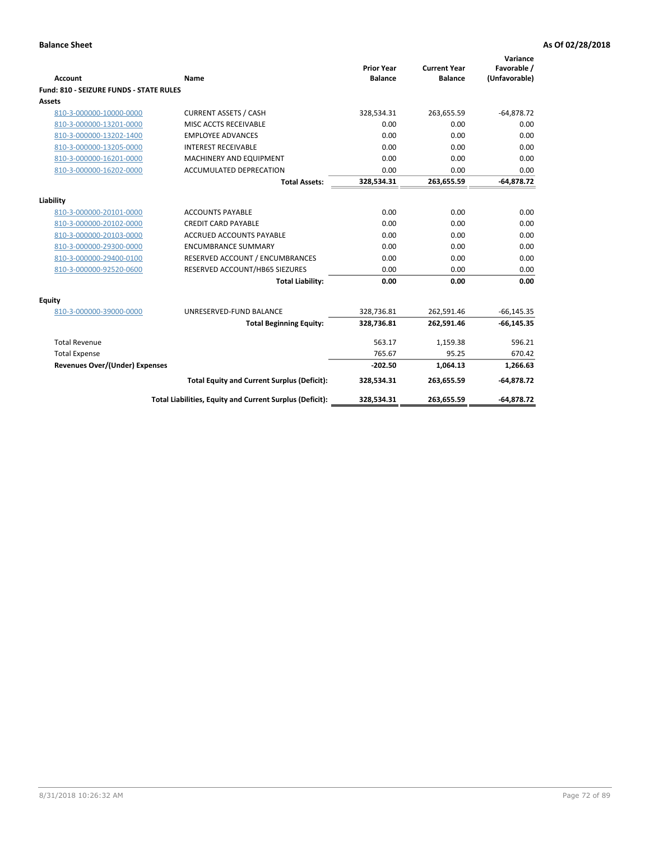| <b>Account</b>                          | Name                                                     | <b>Prior Year</b><br><b>Balance</b> | <b>Current Year</b><br><b>Balance</b> | Variance<br>Favorable /<br>(Unfavorable) |
|-----------------------------------------|----------------------------------------------------------|-------------------------------------|---------------------------------------|------------------------------------------|
| Fund: 810 - SEIZURE FUNDS - STATE RULES |                                                          |                                     |                                       |                                          |
| <b>Assets</b>                           |                                                          |                                     |                                       |                                          |
| 810-3-000000-10000-0000                 | <b>CURRENT ASSETS / CASH</b>                             | 328,534.31                          | 263,655.59                            | $-64,878.72$                             |
| 810-3-000000-13201-0000                 | MISC ACCTS RECEIVABLE                                    | 0.00                                | 0.00                                  | 0.00                                     |
| 810-3-000000-13202-1400                 | <b>EMPLOYEE ADVANCES</b>                                 | 0.00                                | 0.00                                  | 0.00                                     |
| 810-3-000000-13205-0000                 | <b>INTEREST RECEIVABLE</b>                               | 0.00                                | 0.00                                  | 0.00                                     |
| 810-3-000000-16201-0000                 | MACHINERY AND EQUIPMENT                                  | 0.00                                | 0.00                                  | 0.00                                     |
| 810-3-000000-16202-0000                 | ACCUMULATED DEPRECATION                                  | 0.00                                | 0.00                                  | 0.00                                     |
|                                         | <b>Total Assets:</b>                                     | 328,534.31                          | 263,655.59                            | $-64,878.72$                             |
|                                         |                                                          |                                     |                                       |                                          |
| Liability                               |                                                          |                                     |                                       |                                          |
| 810-3-000000-20101-0000                 | <b>ACCOUNTS PAYABLE</b>                                  | 0.00                                | 0.00                                  | 0.00                                     |
| 810-3-000000-20102-0000                 | <b>CREDIT CARD PAYABLE</b>                               | 0.00                                | 0.00                                  | 0.00                                     |
| 810-3-000000-20103-0000                 | <b>ACCRUED ACCOUNTS PAYABLE</b>                          | 0.00                                | 0.00                                  | 0.00                                     |
| 810-3-000000-29300-0000                 | <b>ENCUMBRANCE SUMMARY</b>                               | 0.00                                | 0.00                                  | 0.00                                     |
| 810-3-000000-29400-0100                 | RESERVED ACCOUNT / ENCUMBRANCES                          | 0.00                                | 0.00                                  | 0.00                                     |
| 810-3-000000-92520-0600                 | RESERVED ACCOUNT/HB65 SIEZURES                           | 0.00                                | 0.00                                  | 0.00                                     |
|                                         | <b>Total Liability:</b>                                  | 0.00                                | 0.00                                  | 0.00                                     |
| <b>Equity</b>                           |                                                          |                                     |                                       |                                          |
| 810-3-000000-39000-0000                 | UNRESERVED-FUND BALANCE                                  | 328,736.81                          | 262,591.46                            | $-66, 145.35$                            |
|                                         | <b>Total Beginning Equity:</b>                           | 328,736.81                          | 262,591.46                            | $-66, 145.35$                            |
| <b>Total Revenue</b>                    |                                                          | 563.17                              | 1,159.38                              | 596.21                                   |
| <b>Total Expense</b>                    |                                                          | 765.67                              | 95.25                                 | 670.42                                   |
| <b>Revenues Over/(Under) Expenses</b>   |                                                          | $-202.50$                           | 1,064.13                              | 1,266.63                                 |
|                                         | <b>Total Equity and Current Surplus (Deficit):</b>       | 328,534.31                          | 263,655.59                            | $-64,878.72$                             |
|                                         | Total Liabilities, Equity and Current Surplus (Deficit): | 328,534.31                          | 263,655.59                            | $-64,878.72$                             |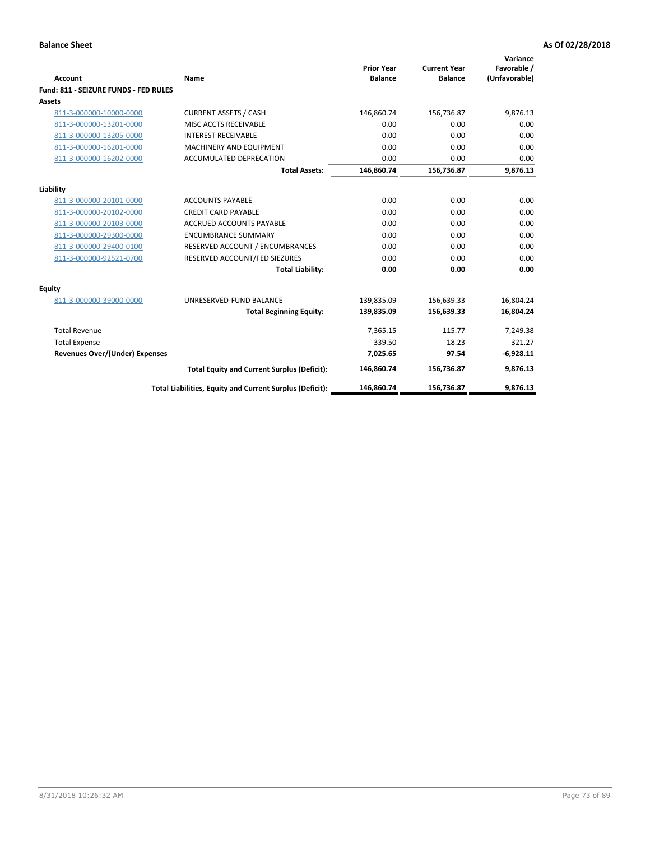| <b>Account</b>                        | Name                                                     | <b>Prior Year</b><br><b>Balance</b> | <b>Current Year</b><br><b>Balance</b> | Variance<br>Favorable /<br>(Unfavorable) |
|---------------------------------------|----------------------------------------------------------|-------------------------------------|---------------------------------------|------------------------------------------|
| Fund: 811 - SEIZURE FUNDS - FED RULES |                                                          |                                     |                                       |                                          |
| <b>Assets</b>                         |                                                          |                                     |                                       |                                          |
| 811-3-000000-10000-0000               | <b>CURRENT ASSETS / CASH</b>                             | 146,860.74                          | 156,736.87                            | 9,876.13                                 |
| 811-3-000000-13201-0000               | MISC ACCTS RECEIVABLE                                    | 0.00                                | 0.00                                  | 0.00                                     |
| 811-3-000000-13205-0000               | <b>INTEREST RECEIVABLE</b>                               | 0.00                                | 0.00                                  | 0.00                                     |
| 811-3-000000-16201-0000               | <b>MACHINERY AND EQUIPMENT</b>                           | 0.00                                | 0.00                                  | 0.00                                     |
| 811-3-000000-16202-0000               | <b>ACCUMULATED DEPRECATION</b>                           | 0.00                                | 0.00                                  | 0.00                                     |
|                                       | <b>Total Assets:</b>                                     | 146,860.74                          | 156,736.87                            | 9,876.13                                 |
| Liability                             |                                                          |                                     |                                       |                                          |
| 811-3-000000-20101-0000               | <b>ACCOUNTS PAYABLE</b>                                  | 0.00                                | 0.00                                  | 0.00                                     |
| 811-3-000000-20102-0000               | <b>CREDIT CARD PAYABLE</b>                               | 0.00                                | 0.00                                  | 0.00                                     |
| 811-3-000000-20103-0000               | <b>ACCRUED ACCOUNTS PAYABLE</b>                          | 0.00                                | 0.00                                  | 0.00                                     |
| 811-3-000000-29300-0000               | <b>ENCUMBRANCE SUMMARY</b>                               | 0.00                                | 0.00                                  | 0.00                                     |
| 811-3-000000-29400-0100               | RESERVED ACCOUNT / ENCUMBRANCES                          | 0.00                                | 0.00                                  | 0.00                                     |
| 811-3-000000-92521-0700               | RESERVED ACCOUNT/FED SIEZURES                            | 0.00                                | 0.00                                  | 0.00                                     |
|                                       | <b>Total Liability:</b>                                  | 0.00                                | 0.00                                  | 0.00                                     |
| Equity                                |                                                          |                                     |                                       |                                          |
| 811-3-000000-39000-0000               | UNRESERVED-FUND BALANCE                                  | 139,835.09                          | 156,639.33                            | 16,804.24                                |
|                                       | <b>Total Beginning Equity:</b>                           | 139,835.09                          | 156,639.33                            | 16,804.24                                |
| <b>Total Revenue</b>                  |                                                          | 7,365.15                            | 115.77                                | $-7,249.38$                              |
| <b>Total Expense</b>                  |                                                          | 339.50                              | 18.23                                 | 321.27                                   |
| <b>Revenues Over/(Under) Expenses</b> |                                                          | 7,025.65                            | 97.54                                 | $-6,928.11$                              |
|                                       | <b>Total Equity and Current Surplus (Deficit):</b>       | 146,860.74                          | 156,736.87                            | 9,876.13                                 |
|                                       | Total Liabilities, Equity and Current Surplus (Deficit): | 146,860.74                          | 156,736.87                            | 9.876.13                                 |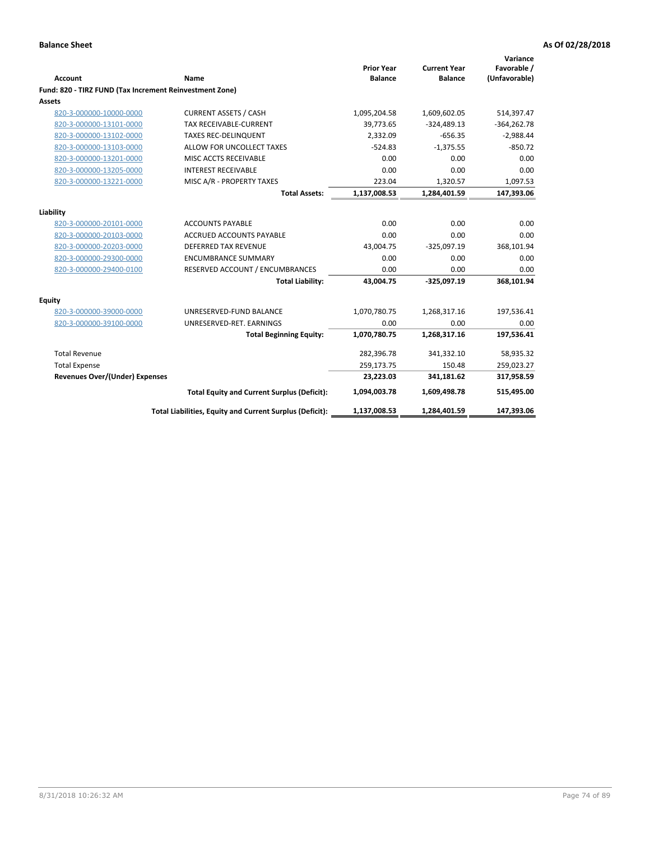| <b>Account</b>                                          | Name                                                     | <b>Prior Year</b><br><b>Balance</b> | <b>Current Year</b><br><b>Balance</b> | Variance<br>Favorable /<br>(Unfavorable) |
|---------------------------------------------------------|----------------------------------------------------------|-------------------------------------|---------------------------------------|------------------------------------------|
| Fund: 820 - TIRZ FUND (Tax Increment Reinvestment Zone) |                                                          |                                     |                                       |                                          |
| Assets                                                  |                                                          |                                     |                                       |                                          |
| 820-3-000000-10000-0000                                 | <b>CURRENT ASSETS / CASH</b>                             | 1,095,204.58                        | 1,609,602.05                          | 514,397.47                               |
| 820-3-000000-13101-0000                                 | TAX RECEIVABLE-CURRENT                                   | 39,773.65                           | $-324,489.13$                         | $-364,262.78$                            |
| 820-3-000000-13102-0000                                 | <b>TAXES REC-DELINQUENT</b>                              | 2,332.09                            | $-656.35$                             | $-2,988.44$                              |
| 820-3-000000-13103-0000                                 | ALLOW FOR UNCOLLECT TAXES                                | $-524.83$                           | $-1,375.55$                           | $-850.72$                                |
| 820-3-000000-13201-0000                                 | MISC ACCTS RECEIVABLE                                    | 0.00                                | 0.00                                  | 0.00                                     |
| 820-3-000000-13205-0000                                 | <b>INTEREST RECEIVABLE</b>                               | 0.00                                | 0.00                                  | 0.00                                     |
| 820-3-000000-13221-0000                                 | MISC A/R - PROPERTY TAXES                                | 223.04                              | 1,320.57                              | 1,097.53                                 |
|                                                         | <b>Total Assets:</b>                                     | 1,137,008.53                        | 1,284,401.59                          | 147,393.06                               |
| Liability                                               |                                                          |                                     |                                       |                                          |
| 820-3-000000-20101-0000                                 | <b>ACCOUNTS PAYABLE</b>                                  | 0.00                                | 0.00                                  | 0.00                                     |
| 820-3-000000-20103-0000                                 | <b>ACCRUED ACCOUNTS PAYABLE</b>                          | 0.00                                | 0.00                                  | 0.00                                     |
| 820-3-000000-20203-0000                                 | <b>DEFERRED TAX REVENUE</b>                              | 43,004.75                           | $-325,097.19$                         | 368,101.94                               |
| 820-3-000000-29300-0000                                 | <b>ENCUMBRANCE SUMMARY</b>                               | 0.00                                | 0.00                                  | 0.00                                     |
| 820-3-000000-29400-0100                                 | RESERVED ACCOUNT / ENCUMBRANCES                          | 0.00                                | 0.00                                  | 0.00                                     |
|                                                         | <b>Total Liability:</b>                                  | 43,004.75                           | $-325,097.19$                         | 368,101.94                               |
| Equity                                                  |                                                          |                                     |                                       |                                          |
| 820-3-000000-39000-0000                                 | UNRESERVED-FUND BALANCE                                  | 1,070,780.75                        | 1,268,317.16                          | 197,536.41                               |
| 820-3-000000-39100-0000                                 | UNRESERVED-RET. EARNINGS                                 | 0.00                                | 0.00                                  | 0.00                                     |
|                                                         | <b>Total Beginning Equity:</b>                           | 1,070,780.75                        | 1,268,317.16                          | 197,536.41                               |
| <b>Total Revenue</b>                                    |                                                          | 282,396.78                          | 341,332.10                            | 58,935.32                                |
| <b>Total Expense</b>                                    |                                                          | 259,173.75                          | 150.48                                | 259,023.27                               |
| <b>Revenues Over/(Under) Expenses</b>                   |                                                          | 23,223.03                           | 341,181.62                            | 317,958.59                               |
|                                                         | <b>Total Equity and Current Surplus (Deficit):</b>       | 1,094,003.78                        | 1,609,498.78                          | 515,495.00                               |
|                                                         | Total Liabilities, Equity and Current Surplus (Deficit): | 1,137,008.53                        | 1,284,401.59                          | 147,393.06                               |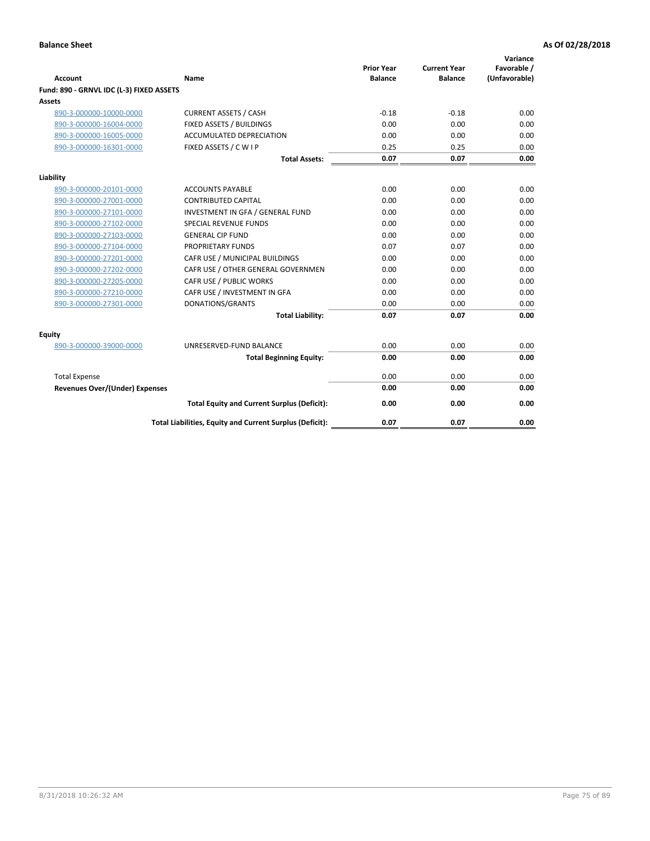| <b>Account</b>                           | Name                                                     | <b>Prior Year</b><br><b>Balance</b> | <b>Current Year</b><br><b>Balance</b> | Variance<br>Favorable /<br>(Unfavorable) |
|------------------------------------------|----------------------------------------------------------|-------------------------------------|---------------------------------------|------------------------------------------|
| Fund: 890 - GRNVL IDC (L-3) FIXED ASSETS |                                                          |                                     |                                       |                                          |
| <b>Assets</b>                            |                                                          |                                     |                                       |                                          |
| 890-3-000000-10000-0000                  | <b>CURRENT ASSETS / CASH</b>                             | $-0.18$                             | $-0.18$                               | 0.00                                     |
| 890-3-000000-16004-0000                  | FIXED ASSETS / BUILDINGS                                 | 0.00                                | 0.00                                  | 0.00                                     |
| 890-3-000000-16005-0000                  | <b>ACCUMULATED DEPRECIATION</b>                          | 0.00                                | 0.00                                  | 0.00                                     |
| 890-3-000000-16301-0000                  | FIXED ASSETS / C W I P                                   | 0.25                                | 0.25                                  | 0.00                                     |
|                                          | <b>Total Assets:</b>                                     | 0.07                                | 0.07                                  | 0.00                                     |
| Liability                                |                                                          |                                     |                                       |                                          |
| 890-3-000000-20101-0000                  | <b>ACCOUNTS PAYABLE</b>                                  | 0.00                                | 0.00                                  | 0.00                                     |
| 890-3-000000-27001-0000                  | <b>CONTRIBUTED CAPITAL</b>                               | 0.00                                | 0.00                                  | 0.00                                     |
| 890-3-000000-27101-0000                  | INVESTMENT IN GFA / GENERAL FUND                         | 0.00                                | 0.00                                  | 0.00                                     |
| 890-3-000000-27102-0000                  | <b>SPECIAL REVENUE FUNDS</b>                             | 0.00                                | 0.00                                  | 0.00                                     |
| 890-3-000000-27103-0000                  | <b>GENERAL CIP FUND</b>                                  | 0.00                                | 0.00                                  | 0.00                                     |
| 890-3-000000-27104-0000                  | PROPRIETARY FUNDS                                        | 0.07                                | 0.07                                  | 0.00                                     |
| 890-3-000000-27201-0000                  | CAFR USE / MUNICIPAL BUILDINGS                           | 0.00                                | 0.00                                  | 0.00                                     |
| 890-3-000000-27202-0000                  | CAFR USE / OTHER GENERAL GOVERNMEN                       | 0.00                                | 0.00                                  | 0.00                                     |
| 890-3-000000-27205-0000                  | CAFR USE / PUBLIC WORKS                                  | 0.00                                | 0.00                                  | 0.00                                     |
| 890-3-000000-27210-0000                  | CAFR USE / INVESTMENT IN GFA                             | 0.00                                | 0.00                                  | 0.00                                     |
| 890-3-000000-27301-0000                  | DONATIONS/GRANTS                                         | 0.00                                | 0.00                                  | 0.00                                     |
|                                          | <b>Total Liability:</b>                                  | 0.07                                | 0.07                                  | 0.00                                     |
| Equity                                   |                                                          |                                     |                                       |                                          |
| 890-3-000000-39000-0000                  | UNRESERVED-FUND BALANCE                                  | 0.00                                | 0.00                                  | 0.00                                     |
|                                          | <b>Total Beginning Equity:</b>                           | 0.00                                | 0.00                                  | 0.00                                     |
| <b>Total Expense</b>                     |                                                          | 0.00                                | 0.00                                  | 0.00                                     |
| Revenues Over/(Under) Expenses           |                                                          | 0.00                                | 0.00                                  | 0.00                                     |
|                                          |                                                          |                                     |                                       |                                          |
|                                          | <b>Total Equity and Current Surplus (Deficit):</b>       | 0.00                                | 0.00                                  | 0.00                                     |
|                                          | Total Liabilities, Equity and Current Surplus (Deficit): | 0.07                                | 0.07                                  | 0.00                                     |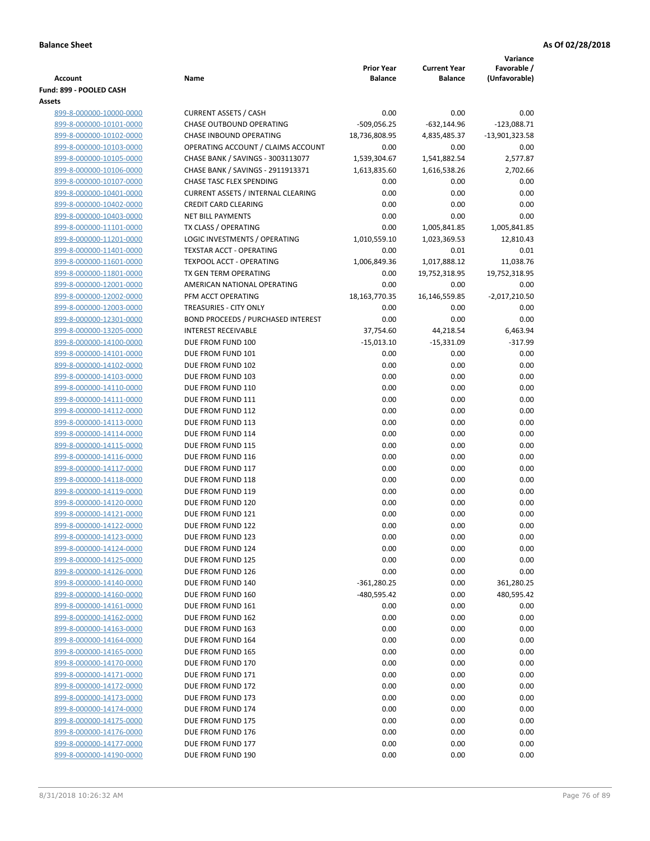|                                                    |                                           |                                     |                                       | Variance                     |
|----------------------------------------------------|-------------------------------------------|-------------------------------------|---------------------------------------|------------------------------|
| <b>Account</b>                                     | Name                                      | <b>Prior Year</b><br><b>Balance</b> | <b>Current Year</b><br><b>Balance</b> | Favorable /<br>(Unfavorable) |
| Fund: 899 - POOLED CASH                            |                                           |                                     |                                       |                              |
| Assets                                             |                                           |                                     |                                       |                              |
| 899-8-000000-10000-0000                            | <b>CURRENT ASSETS / CASH</b>              | 0.00                                | 0.00                                  | 0.00                         |
| 899-8-000000-10101-0000                            | <b>CHASE OUTBOUND OPERATING</b>           | $-509,056.25$                       | $-632,144.96$                         | $-123,088.71$                |
| 899-8-000000-10102-0000                            | CHASE INBOUND OPERATING                   | 18,736,808.95                       | 4,835,485.37                          | -13,901,323.58               |
| 899-8-000000-10103-0000                            | OPERATING ACCOUNT / CLAIMS ACCOUNT        | 0.00                                | 0.00                                  | 0.00                         |
| 899-8-000000-10105-0000                            | CHASE BANK / SAVINGS - 3003113077         | 1,539,304.67                        | 1,541,882.54                          | 2,577.87                     |
| 899-8-000000-10106-0000                            | CHASE BANK / SAVINGS - 2911913371         | 1,613,835.60                        | 1,616,538.26                          | 2,702.66                     |
| 899-8-000000-10107-0000                            | <b>CHASE TASC FLEX SPENDING</b>           | 0.00                                | 0.00                                  | 0.00                         |
| 899-8-000000-10401-0000                            | <b>CURRENT ASSETS / INTERNAL CLEARING</b> | 0.00                                | 0.00                                  | 0.00                         |
| 899-8-000000-10402-0000                            | <b>CREDIT CARD CLEARING</b>               | 0.00                                | 0.00                                  | 0.00                         |
| 899-8-000000-10403-0000                            | <b>NET BILL PAYMENTS</b>                  | 0.00                                | 0.00                                  | 0.00                         |
| 899-8-000000-11101-0000                            | TX CLASS / OPERATING                      | 0.00                                | 1,005,841.85                          | 1,005,841.85                 |
| 899-8-000000-11201-0000                            | LOGIC INVESTMENTS / OPERATING             | 1,010,559.10                        | 1,023,369.53                          | 12,810.43                    |
| 899-8-000000-11401-0000                            | <b>TEXSTAR ACCT - OPERATING</b>           | 0.00                                | 0.01                                  | 0.01                         |
| 899-8-000000-11601-0000                            | <b>TEXPOOL ACCT - OPERATING</b>           | 1,006,849.36                        | 1,017,888.12                          | 11,038.76                    |
| 899-8-000000-11801-0000                            | TX GEN TERM OPERATING                     | 0.00                                | 19,752,318.95                         | 19,752,318.95                |
| 899-8-000000-12001-0000                            | AMERICAN NATIONAL OPERATING               | 0.00                                | 0.00                                  | 0.00                         |
| 899-8-000000-12002-0000                            | PFM ACCT OPERATING                        | 18,163,770.35                       | 16,146,559.85                         | $-2,017,210.50$              |
| 899-8-000000-12003-0000                            | <b>TREASURIES - CITY ONLY</b>             | 0.00                                | 0.00                                  | 0.00                         |
| 899-8-000000-12301-0000                            | <b>BOND PROCEEDS / PURCHASED INTEREST</b> | 0.00                                | 0.00                                  | 0.00                         |
| 899-8-000000-13205-0000                            | <b>INTEREST RECEIVABLE</b>                | 37,754.60                           | 44,218.54                             | 6,463.94                     |
| 899-8-000000-14100-0000                            | DUE FROM FUND 100                         | $-15,013.10$                        | $-15,331.09$                          | $-317.99$                    |
| 899-8-000000-14101-0000                            | DUE FROM FUND 101                         | 0.00                                | 0.00                                  | 0.00                         |
| 899-8-000000-14102-0000                            | DUE FROM FUND 102                         | 0.00                                | 0.00                                  | 0.00                         |
| 899-8-000000-14103-0000                            | DUE FROM FUND 103                         | 0.00                                | 0.00                                  | 0.00                         |
| 899-8-000000-14110-0000                            | DUE FROM FUND 110                         | 0.00                                | 0.00                                  | 0.00                         |
| 899-8-000000-14111-0000                            | DUE FROM FUND 111                         | 0.00                                | 0.00                                  | 0.00<br>0.00                 |
| 899-8-000000-14112-0000<br>899-8-000000-14113-0000 | DUE FROM FUND 112<br>DUE FROM FUND 113    | 0.00<br>0.00                        | 0.00<br>0.00                          | 0.00                         |
| 899-8-000000-14114-0000                            | DUE FROM FUND 114                         | 0.00                                | 0.00                                  | 0.00                         |
| 899-8-000000-14115-0000                            | DUE FROM FUND 115                         | 0.00                                | 0.00                                  | 0.00                         |
| 899-8-000000-14116-0000                            | DUE FROM FUND 116                         | 0.00                                | 0.00                                  | 0.00                         |
| 899-8-000000-14117-0000                            | DUE FROM FUND 117                         | 0.00                                | 0.00                                  | 0.00                         |
| 899-8-000000-14118-0000                            | DUE FROM FUND 118                         | 0.00                                | 0.00                                  | 0.00                         |
| 899-8-000000-14119-0000                            | DUE FROM FUND 119                         | 0.00                                | 0.00                                  | 0.00                         |
| 899-8-000000-14120-0000                            | DUE FROM FUND 120                         | 0.00                                | 0.00                                  | 0.00                         |
| 899-8-000000-14121-0000                            | DUE FROM FUND 121                         | 0.00                                | 0.00                                  | 0.00                         |
| 899-8-000000-14122-0000                            | DUE FROM FUND 122                         | 0.00                                | 0.00                                  | 0.00                         |
| 899-8-000000-14123-0000                            | DUE FROM FUND 123                         | 0.00                                | 0.00                                  | 0.00                         |
| 899-8-000000-14124-0000                            | DUE FROM FUND 124                         | 0.00                                | 0.00                                  | 0.00                         |
| 899-8-000000-14125-0000                            | DUE FROM FUND 125                         | 0.00                                | 0.00                                  | 0.00                         |
| 899-8-000000-14126-0000                            | DUE FROM FUND 126                         | 0.00                                | 0.00                                  | 0.00                         |
| 899-8-000000-14140-0000                            | DUE FROM FUND 140                         | $-361,280.25$                       | 0.00                                  | 361,280.25                   |
| 899-8-000000-14160-0000                            | DUE FROM FUND 160                         | $-480,595.42$                       | 0.00                                  | 480,595.42                   |
| 899-8-000000-14161-0000                            | DUE FROM FUND 161                         | 0.00                                | 0.00                                  | 0.00                         |
| 899-8-000000-14162-0000                            | DUE FROM FUND 162                         | 0.00                                | 0.00                                  | 0.00                         |
| 899-8-000000-14163-0000                            | DUE FROM FUND 163                         | 0.00                                | 0.00                                  | 0.00                         |
| 899-8-000000-14164-0000                            | DUE FROM FUND 164                         | 0.00                                | 0.00                                  | 0.00                         |
| 899-8-000000-14165-0000                            | DUE FROM FUND 165                         | 0.00                                | 0.00                                  | 0.00                         |
| 899-8-000000-14170-0000                            | DUE FROM FUND 170                         | 0.00                                | 0.00                                  | 0.00                         |
| 899-8-000000-14171-0000                            | DUE FROM FUND 171                         | 0.00                                | 0.00                                  | 0.00                         |
| 899-8-000000-14172-0000                            | DUE FROM FUND 172                         | 0.00                                | 0.00                                  | 0.00                         |
| 899-8-000000-14173-0000                            | DUE FROM FUND 173                         | 0.00                                | 0.00                                  | 0.00                         |
| 899-8-000000-14174-0000                            | DUE FROM FUND 174                         | 0.00                                | 0.00                                  | 0.00                         |
| 899-8-000000-14175-0000<br>899-8-000000-14176-0000 | DUE FROM FUND 175<br>DUE FROM FUND 176    | 0.00<br>0.00                        | 0.00<br>0.00                          | 0.00<br>0.00                 |
| 899-8-000000-14177-0000                            | DUE FROM FUND 177                         | 0.00                                | 0.00                                  | 0.00                         |
| 899-8-000000-14190-0000                            | DUE FROM FUND 190                         | 0.00                                | 0.00                                  | 0.00                         |
|                                                    |                                           |                                     |                                       |                              |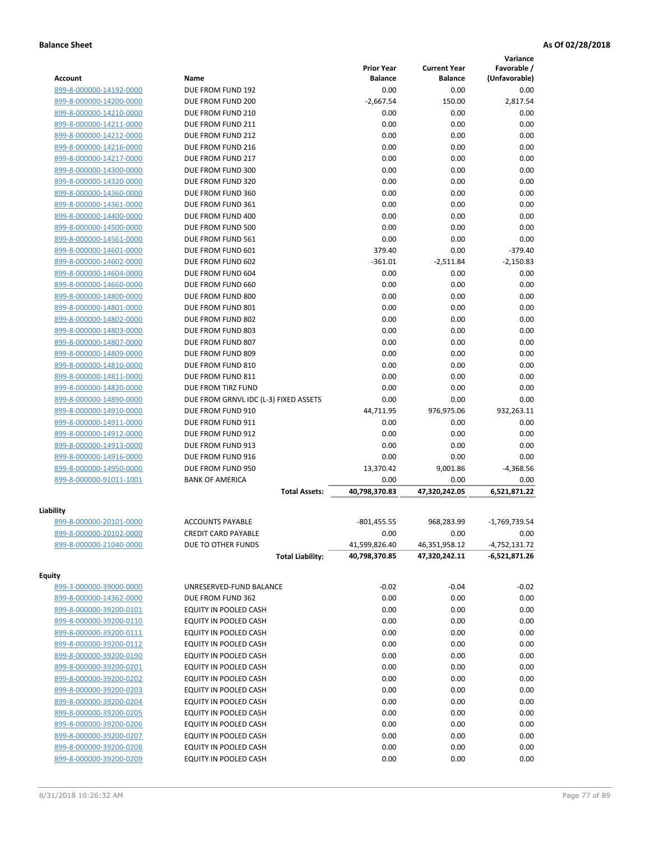|                         |                                       |                   |                     | Variance        |
|-------------------------|---------------------------------------|-------------------|---------------------|-----------------|
|                         |                                       | <b>Prior Year</b> | <b>Current Year</b> | Favorable /     |
| <b>Account</b>          | Name                                  | <b>Balance</b>    | <b>Balance</b>      | (Unfavorable)   |
| 899-8-000000-14192-0000 | DUE FROM FUND 192                     | 0.00              | 0.00                | 0.00            |
| 899-8-000000-14200-0000 | DUE FROM FUND 200                     | $-2,667.54$       | 150.00              | 2,817.54        |
| 899-8-000000-14210-0000 | DUE FROM FUND 210                     | 0.00              | 0.00                | 0.00            |
| 899-8-000000-14211-0000 | DUE FROM FUND 211                     | 0.00              | 0.00                | 0.00            |
| 899-8-000000-14212-0000 | DUE FROM FUND 212                     | 0.00              | 0.00                | 0.00            |
| 899-8-000000-14216-0000 | DUE FROM FUND 216                     | 0.00              | 0.00                | 0.00            |
| 899-8-000000-14217-0000 | DUE FROM FUND 217                     | 0.00              | 0.00                | 0.00            |
| 899-8-000000-14300-0000 | DUE FROM FUND 300                     | 0.00              | 0.00                | 0.00            |
| 899-8-000000-14320-0000 | DUE FROM FUND 320                     | 0.00              | 0.00                | 0.00            |
| 899-8-000000-14360-0000 | DUE FROM FUND 360                     | 0.00              | 0.00                | 0.00            |
| 899-8-000000-14361-0000 | DUE FROM FUND 361                     | 0.00              | 0.00                | 0.00            |
| 899-8-000000-14400-0000 | DUE FROM FUND 400                     | 0.00              | 0.00                | 0.00            |
| 899-8-000000-14500-0000 | DUE FROM FUND 500                     | 0.00              | 0.00                | 0.00            |
| 899-8-000000-14561-0000 | DUE FROM FUND 561                     | 0.00              | 0.00                | 0.00            |
| 899-8-000000-14601-0000 | DUE FROM FUND 601                     | 379.40            | 0.00                | $-379.40$       |
| 899-8-000000-14602-0000 | DUE FROM FUND 602                     | $-361.01$         | $-2,511.84$         | $-2,150.83$     |
| 899-8-000000-14604-0000 | DUE FROM FUND 604                     | 0.00              | 0.00                | 0.00            |
| 899-8-000000-14660-0000 | DUE FROM FUND 660                     | 0.00              | 0.00                | 0.00            |
| 899-8-000000-14800-0000 | DUE FROM FUND 800                     | 0.00              | 0.00                | 0.00            |
| 899-8-000000-14801-0000 | DUE FROM FUND 801                     | 0.00              | 0.00                | 0.00            |
| 899-8-000000-14802-0000 | DUE FROM FUND 802                     | 0.00              | 0.00                | 0.00            |
| 899-8-000000-14803-0000 | DUE FROM FUND 803                     | 0.00              | 0.00                | 0.00            |
| 899-8-000000-14807-0000 | DUE FROM FUND 807                     | 0.00              | 0.00                | 0.00            |
| 899-8-000000-14809-0000 | DUE FROM FUND 809                     | 0.00              | 0.00                | 0.00            |
| 899-8-000000-14810-0000 | DUE FROM FUND 810                     | 0.00              | 0.00                | 0.00            |
| 899-8-000000-14811-0000 | DUE FROM FUND 811                     | 0.00              | 0.00                | 0.00            |
| 899-8-000000-14820-0000 | DUE FROM TIRZ FUND                    | 0.00              | 0.00                | 0.00            |
| 899-8-000000-14890-0000 | DUE FROM GRNVL IDC (L-3) FIXED ASSETS | 0.00              | 0.00                | 0.00            |
| 899-8-000000-14910-0000 | DUE FROM FUND 910                     | 44,711.95         | 976,975.06          | 932,263.11      |
| 899-8-000000-14911-0000 | DUE FROM FUND 911                     | 0.00              | 0.00                | 0.00            |
| 899-8-000000-14912-0000 | DUE FROM FUND 912                     | 0.00              | 0.00                | 0.00            |
| 899-8-000000-14913-0000 | DUE FROM FUND 913                     | 0.00              | 0.00                | 0.00            |
| 899-8-000000-14916-0000 | DUE FROM FUND 916                     | 0.00              | 0.00                | 0.00            |
| 899-8-000000-14950-0000 | DUE FROM FUND 950                     | 13,370.42         | 9,001.86            | $-4,368.56$     |
| 899-8-000000-91011-1001 | <b>BANK OF AMERICA</b>                | 0.00              | 0.00                | 0.00            |
|                         | <b>Total Assets:</b>                  | 40,798,370.83     | 47,320,242.05       | 6,521,871.22    |
|                         |                                       |                   |                     |                 |
| Liability               |                                       |                   |                     |                 |
| 899-8-000000-20101-0000 | <b>ACCOUNTS PAYABLE</b>               | $-801,455.55$     | 968,283.99          | $-1,769,739.54$ |
| 899-8-000000-20102-0000 | <b>CREDIT CARD PAYABLE</b>            | 0.00              | 0.00                | 0.00            |
| 899-8-000000-21040-0000 | DUE TO OTHER FUNDS                    | 41,599,826.40     | 46,351,958.12       | $-4,752,131.72$ |
|                         | <b>Total Liability:</b>               | 40,798,370.85     | 47,320,242.11       | -6,521,871.26   |
| <b>Equity</b>           |                                       |                   |                     |                 |
| 899-3-000000-39000-0000 | UNRESERVED-FUND BALANCE               | $-0.02$           | $-0.04$             | $-0.02$         |
| 899-8-000000-14362-0000 | DUE FROM FUND 362                     | 0.00              | 0.00                | 0.00            |
| 899-8-000000-39200-0101 | EQUITY IN POOLED CASH                 | 0.00              | 0.00                | 0.00            |
| 899-8-000000-39200-0110 | EQUITY IN POOLED CASH                 | 0.00              | 0.00                | 0.00            |
| 899-8-000000-39200-0111 | EQUITY IN POOLED CASH                 | 0.00              | 0.00                | 0.00            |
| 899-8-000000-39200-0112 | EQUITY IN POOLED CASH                 | 0.00              | 0.00                | 0.00            |
| 899-8-000000-39200-0190 | EQUITY IN POOLED CASH                 | 0.00              | 0.00                | 0.00            |
| 899-8-000000-39200-0201 | EQUITY IN POOLED CASH                 | 0.00              | 0.00                | 0.00            |
| 899-8-000000-39200-0202 | EQUITY IN POOLED CASH                 | 0.00              | 0.00                | 0.00            |
| 899-8-000000-39200-0203 | EQUITY IN POOLED CASH                 | 0.00              | 0.00                | 0.00            |
| 899-8-000000-39200-0204 | EQUITY IN POOLED CASH                 | 0.00              | 0.00                | 0.00            |
| 899-8-000000-39200-0205 | EQUITY IN POOLED CASH                 | 0.00              | 0.00                | 0.00            |
| 899-8-000000-39200-0206 | EQUITY IN POOLED CASH                 | 0.00              | 0.00                | 0.00            |
| 899-8-000000-39200-0207 | EQUITY IN POOLED CASH                 | 0.00              | 0.00                | 0.00            |
| 899-8-000000-39200-0208 | EQUITY IN POOLED CASH                 | 0.00              | 0.00                | 0.00            |
| 899-8-000000-39200-0209 | EQUITY IN POOLED CASH                 | 0.00              | 0.00                | 0.00            |
|                         |                                       |                   |                     |                 |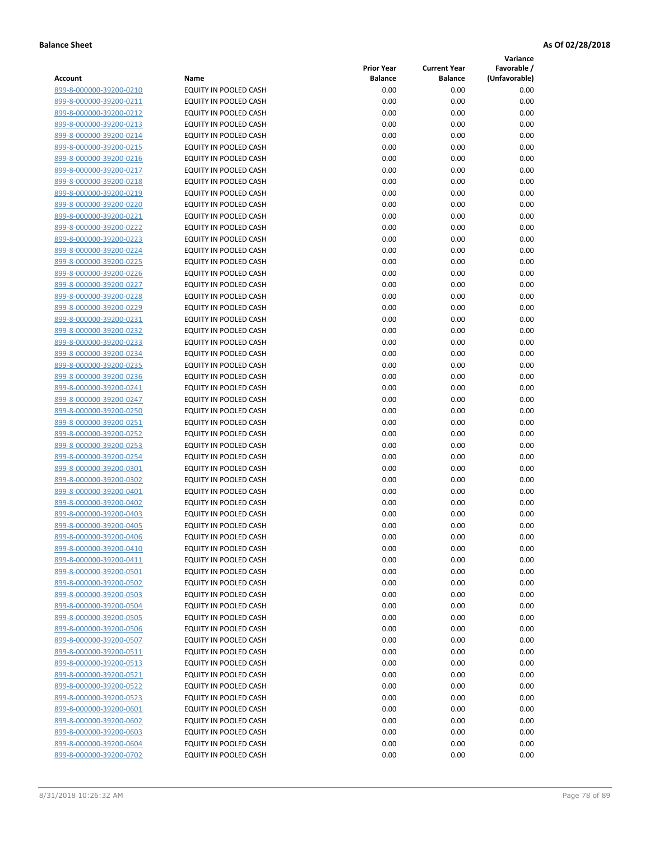**Variance**

|                         |                              | <b>Prior Year</b> | <b>Current Year</b> | Favorable /   |
|-------------------------|------------------------------|-------------------|---------------------|---------------|
| Account                 | Name                         | <b>Balance</b>    | <b>Balance</b>      | (Unfavorable) |
| 899-8-000000-39200-0210 | EQUITY IN POOLED CASH        | 0.00              | 0.00                | 0.00          |
| 899-8-000000-39200-0211 | EQUITY IN POOLED CASH        | 0.00              | 0.00                | 0.00          |
| 899-8-000000-39200-0212 | EQUITY IN POOLED CASH        | 0.00              | 0.00                | 0.00          |
| 899-8-000000-39200-0213 | EQUITY IN POOLED CASH        | 0.00              | 0.00                | 0.00          |
| 899-8-000000-39200-0214 | <b>EQUITY IN POOLED CASH</b> | 0.00              | 0.00                | 0.00          |
| 899-8-000000-39200-0215 | EQUITY IN POOLED CASH        | 0.00              | 0.00                | 0.00          |
| 899-8-000000-39200-0216 | EQUITY IN POOLED CASH        | 0.00              | 0.00                | 0.00          |
| 899-8-000000-39200-0217 | EQUITY IN POOLED CASH        | 0.00              | 0.00                | 0.00          |
| 899-8-000000-39200-0218 | EQUITY IN POOLED CASH        | 0.00              | 0.00                | 0.00          |
| 899-8-000000-39200-0219 | <b>EQUITY IN POOLED CASH</b> | 0.00              | 0.00                | 0.00          |
| 899-8-000000-39200-0220 | EQUITY IN POOLED CASH        | 0.00              | 0.00                | 0.00          |
| 899-8-000000-39200-0221 | EQUITY IN POOLED CASH        | 0.00              | 0.00                | 0.00          |
| 899-8-000000-39200-0222 | EQUITY IN POOLED CASH        | 0.00              | 0.00                | 0.00          |
| 899-8-000000-39200-0223 | EQUITY IN POOLED CASH        | 0.00              | 0.00                | 0.00          |
| 899-8-000000-39200-0224 | EQUITY IN POOLED CASH        | 0.00              | 0.00                | 0.00          |
| 899-8-000000-39200-0225 | EQUITY IN POOLED CASH        | 0.00              | 0.00                | 0.00          |
| 899-8-000000-39200-0226 | EQUITY IN POOLED CASH        | 0.00              | 0.00                | 0.00          |
| 899-8-000000-39200-0227 | EQUITY IN POOLED CASH        | 0.00              | 0.00                | 0.00          |
| 899-8-000000-39200-0228 | <b>EQUITY IN POOLED CASH</b> | 0.00              | 0.00                | 0.00          |
| 899-8-000000-39200-0229 | <b>EQUITY IN POOLED CASH</b> | 0.00              | 0.00                | 0.00          |
| 899-8-000000-39200-0231 | EQUITY IN POOLED CASH        | 0.00              | 0.00                | 0.00          |
| 899-8-000000-39200-0232 | EQUITY IN POOLED CASH        | 0.00              | 0.00                | 0.00          |
| 899-8-000000-39200-0233 | <b>EQUITY IN POOLED CASH</b> | 0.00              | 0.00                | 0.00          |
| 899-8-000000-39200-0234 | EQUITY IN POOLED CASH        | 0.00              | 0.00                | 0.00          |
| 899-8-000000-39200-0235 | EQUITY IN POOLED CASH        | 0.00              | 0.00                | 0.00          |
| 899-8-000000-39200-0236 | EQUITY IN POOLED CASH        | 0.00              | 0.00                | 0.00          |
| 899-8-000000-39200-0241 | EQUITY IN POOLED CASH        | 0.00              | 0.00                | 0.00          |
| 899-8-000000-39200-0247 | EQUITY IN POOLED CASH        | 0.00              | 0.00                | 0.00          |
| 899-8-000000-39200-0250 | EQUITY IN POOLED CASH        | 0.00              | 0.00                | 0.00          |
| 899-8-000000-39200-0251 | EQUITY IN POOLED CASH        | 0.00              | 0.00                | 0.00          |
| 899-8-000000-39200-0252 | EQUITY IN POOLED CASH        | 0.00              | 0.00                | 0.00          |
| 899-8-000000-39200-0253 | EQUITY IN POOLED CASH        | 0.00              | 0.00                | 0.00          |
| 899-8-000000-39200-0254 | EQUITY IN POOLED CASH        | 0.00              | 0.00                | 0.00          |
| 899-8-000000-39200-0301 | EQUITY IN POOLED CASH        | 0.00              | 0.00                | 0.00          |
| 899-8-000000-39200-0302 | EQUITY IN POOLED CASH        | 0.00              | 0.00                | 0.00          |
| 899-8-000000-39200-0401 | EQUITY IN POOLED CASH        | 0.00              | 0.00                | 0.00          |
| 899-8-000000-39200-0402 | EQUITY IN POOLED CASH        | 0.00              | 0.00                | 0.00          |
| 899-8-000000-39200-0403 | EQUITY IN POOLED CASH        | 0.00              | 0.00                | 0.00          |
| 899-8-000000-39200-0405 | <b>EQUITY IN POOLED CASH</b> | 0.00              | 0.00                | 0.00          |
| 899-8-000000-39200-0406 | <b>EQUITY IN POOLED CASH</b> | 0.00              | 0.00                | 0.00          |
| 899-8-000000-39200-0410 | EQUITY IN POOLED CASH        | 0.00              | 0.00                | 0.00          |
| 899-8-000000-39200-0411 | EQUITY IN POOLED CASH        | 0.00              | 0.00                | 0.00          |
| 899-8-000000-39200-0501 | EQUITY IN POOLED CASH        | 0.00              | 0.00                | 0.00          |
| 899-8-000000-39200-0502 | EQUITY IN POOLED CASH        | 0.00              | 0.00                | 0.00          |
| 899-8-000000-39200-0503 | EQUITY IN POOLED CASH        | 0.00              | 0.00                | 0.00          |
| 899-8-000000-39200-0504 | EQUITY IN POOLED CASH        | 0.00              | 0.00                | 0.00          |
| 899-8-000000-39200-0505 | EQUITY IN POOLED CASH        | 0.00              | 0.00                | 0.00          |
| 899-8-000000-39200-0506 | EQUITY IN POOLED CASH        | 0.00              | 0.00                | 0.00          |
| 899-8-000000-39200-0507 | EQUITY IN POOLED CASH        | 0.00              | 0.00                | 0.00          |
| 899-8-000000-39200-0511 | <b>EQUITY IN POOLED CASH</b> | 0.00              | 0.00                | 0.00          |
| 899-8-000000-39200-0513 | EQUITY IN POOLED CASH        | 0.00              | 0.00                | 0.00          |
| 899-8-000000-39200-0521 | EQUITY IN POOLED CASH        | 0.00              | 0.00                | 0.00          |
| 899-8-000000-39200-0522 | EQUITY IN POOLED CASH        | 0.00              | 0.00                | 0.00          |
| 899-8-000000-39200-0523 | EQUITY IN POOLED CASH        | 0.00              | 0.00                | 0.00          |
| 899-8-000000-39200-0601 | EQUITY IN POOLED CASH        | 0.00              | 0.00                | 0.00          |
| 899-8-000000-39200-0602 | EQUITY IN POOLED CASH        | 0.00              | 0.00                | 0.00          |
| 899-8-000000-39200-0603 | EQUITY IN POOLED CASH        | 0.00              | 0.00                | 0.00          |
| 899-8-000000-39200-0604 | EQUITY IN POOLED CASH        | 0.00              | 0.00                | 0.00          |
| 899-8-000000-39200-0702 | EQUITY IN POOLED CASH        | 0.00              | 0.00                | 0.00          |
|                         |                              |                   |                     |               |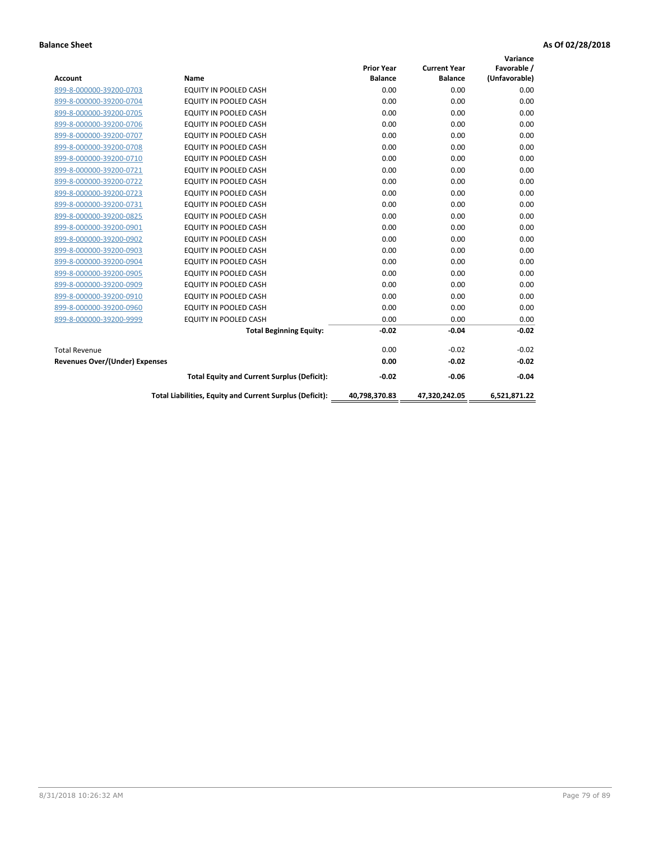| <b>Account</b>                        | Name                                                     | <b>Prior Year</b><br><b>Balance</b> | <b>Current Year</b><br><b>Balance</b> | Variance<br>Favorable /<br>(Unfavorable) |
|---------------------------------------|----------------------------------------------------------|-------------------------------------|---------------------------------------|------------------------------------------|
| 899-8-000000-39200-0703               | <b>EQUITY IN POOLED CASH</b>                             | 0.00                                | 0.00                                  | 0.00                                     |
| 899-8-000000-39200-0704               | <b>EQUITY IN POOLED CASH</b>                             | 0.00                                | 0.00                                  | 0.00                                     |
| 899-8-000000-39200-0705               | <b>EQUITY IN POOLED CASH</b>                             | 0.00                                | 0.00                                  | 0.00                                     |
| 899-8-000000-39200-0706               | EQUITY IN POOLED CASH                                    | 0.00                                | 0.00                                  | 0.00                                     |
| 899-8-000000-39200-0707               | EQUITY IN POOLED CASH                                    | 0.00                                | 0.00                                  | 0.00                                     |
| 899-8-000000-39200-0708               | <b>EQUITY IN POOLED CASH</b>                             | 0.00                                | 0.00                                  | 0.00                                     |
| 899-8-000000-39200-0710               | <b>EQUITY IN POOLED CASH</b>                             | 0.00                                | 0.00                                  | 0.00                                     |
| 899-8-000000-39200-0721               | <b>EQUITY IN POOLED CASH</b>                             | 0.00                                | 0.00                                  | 0.00                                     |
| 899-8-000000-39200-0722               | <b>EQUITY IN POOLED CASH</b>                             | 0.00                                | 0.00                                  | 0.00                                     |
| 899-8-000000-39200-0723               | EQUITY IN POOLED CASH                                    | 0.00                                | 0.00                                  | 0.00                                     |
| 899-8-000000-39200-0731               | <b>EQUITY IN POOLED CASH</b>                             | 0.00                                | 0.00                                  | 0.00                                     |
| 899-8-000000-39200-0825               | <b>EQUITY IN POOLED CASH</b>                             | 0.00                                | 0.00                                  | 0.00                                     |
| 899-8-000000-39200-0901               | EQUITY IN POOLED CASH                                    | 0.00                                | 0.00                                  | 0.00                                     |
| 899-8-000000-39200-0902               | EQUITY IN POOLED CASH                                    | 0.00                                | 0.00                                  | 0.00                                     |
| 899-8-000000-39200-0903               | <b>EQUITY IN POOLED CASH</b>                             | 0.00                                | 0.00                                  | 0.00                                     |
| 899-8-000000-39200-0904               | <b>EQUITY IN POOLED CASH</b>                             | 0.00                                | 0.00                                  | 0.00                                     |
| 899-8-000000-39200-0905               | EQUITY IN POOLED CASH                                    | 0.00                                | 0.00                                  | 0.00                                     |
| 899-8-000000-39200-0909               | EQUITY IN POOLED CASH                                    | 0.00                                | 0.00                                  | 0.00                                     |
| 899-8-000000-39200-0910               | <b>EQUITY IN POOLED CASH</b>                             | 0.00                                | 0.00                                  | 0.00                                     |
| 899-8-000000-39200-0960               | <b>EQUITY IN POOLED CASH</b>                             | 0.00                                | 0.00                                  | 0.00                                     |
| 899-8-000000-39200-9999               | EQUITY IN POOLED CASH                                    | 0.00                                | 0.00                                  | 0.00                                     |
|                                       | <b>Total Beginning Equity:</b>                           | $-0.02$                             | $-0.04$                               | $-0.02$                                  |
| <b>Total Revenue</b>                  |                                                          | 0.00                                | $-0.02$                               | $-0.02$                                  |
| <b>Revenues Over/(Under) Expenses</b> |                                                          | 0.00                                | $-0.02$                               | $-0.02$                                  |
|                                       | <b>Total Equity and Current Surplus (Deficit):</b>       | $-0.02$                             | $-0.06$                               | $-0.04$                                  |
|                                       | Total Liabilities, Equity and Current Surplus (Deficit): | 40,798,370.83                       | 47,320,242.05                         | 6,521,871.22                             |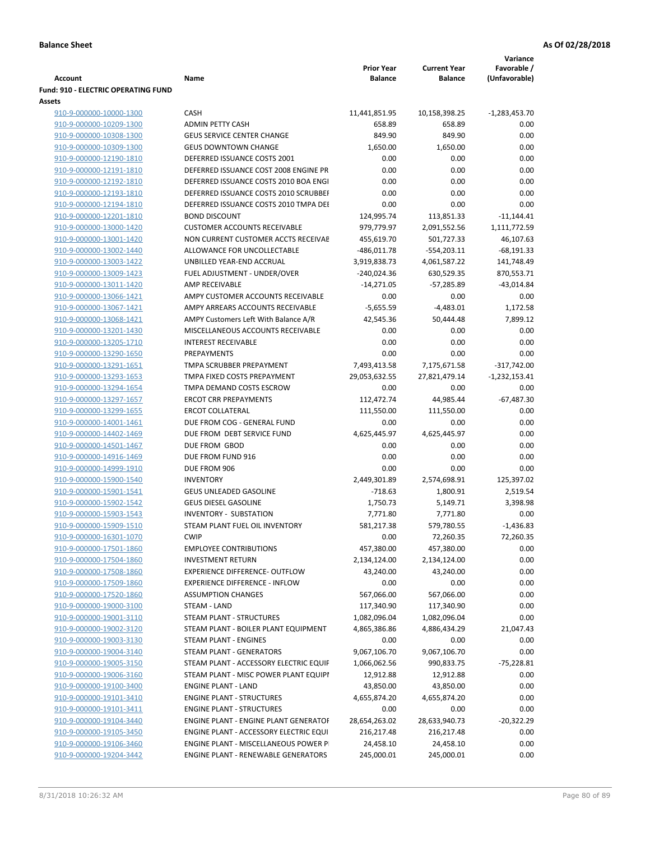| <b>Account</b>                                     | Name                                                     | <b>Prior Year</b><br><b>Balance</b> | <b>Current Year</b><br><b>Balance</b> | Variance<br>Favorable /<br>(Unfavorable) |
|----------------------------------------------------|----------------------------------------------------------|-------------------------------------|---------------------------------------|------------------------------------------|
| <b>Fund: 910 - ELECTRIC OPERATING FUND</b>         |                                                          |                                     |                                       |                                          |
| Assets                                             |                                                          |                                     |                                       |                                          |
| 910-9-000000-10000-1300                            | CASH                                                     | 11,441,851.95                       | 10,158,398.25                         | $-1,283,453.70$                          |
| 910-9-000000-10209-1300                            | <b>ADMIN PETTY CASH</b>                                  | 658.89                              | 658.89                                | 0.00                                     |
| 910-9-000000-10308-1300                            | <b>GEUS SERVICE CENTER CHANGE</b>                        | 849.90                              | 849.90                                | 0.00                                     |
| 910-9-000000-10309-1300                            | <b>GEUS DOWNTOWN CHANGE</b>                              | 1,650.00                            | 1,650.00                              | 0.00                                     |
| 910-9-000000-12190-1810                            | DEFERRED ISSUANCE COSTS 2001                             | 0.00                                | 0.00                                  | 0.00                                     |
| 910-9-000000-12191-1810                            | DEFERRED ISSUANCE COST 2008 ENGINE PR                    | 0.00                                | 0.00                                  | 0.00                                     |
| 910-9-000000-12192-1810                            | DEFERRED ISSUANCE COSTS 2010 BOA ENGI                    | 0.00                                | 0.00                                  | 0.00                                     |
| 910-9-000000-12193-1810                            | DEFERRED ISSUANCE COSTS 2010 SCRUBBEI                    | 0.00                                | 0.00                                  | 0.00                                     |
| 910-9-000000-12194-1810                            | DEFERRED ISSUANCE COSTS 2010 TMPA DEI                    | 0.00                                | 0.00                                  | 0.00                                     |
| 910-9-000000-12201-1810                            | <b>BOND DISCOUNT</b>                                     | 124,995.74                          | 113,851.33                            | $-11,144.41$                             |
| 910-9-000000-13000-1420                            | <b>CUSTOMER ACCOUNTS RECEIVABLE</b>                      | 979,779.97                          | 2,091,552.56                          | 1,111,772.59                             |
| 910-9-000000-13001-1420                            | NON CURRENT CUSTOMER ACCTS RECEIVAE                      | 455,619.70                          | 501,727.33                            | 46,107.63                                |
| 910-9-000000-13002-1440                            | ALLOWANCE FOR UNCOLLECTABLE                              | $-486,011.78$                       | $-554,203.11$                         | $-68,191.33$                             |
| 910-9-000000-13003-1422                            | UNBILLED YEAR-END ACCRUAL                                | 3,919,838.73                        | 4,061,587.22                          | 141,748.49                               |
| 910-9-000000-13009-1423                            | FUEL ADJUSTMENT - UNDER/OVER                             | $-240,024.36$                       | 630,529.35                            | 870,553.71                               |
| 910-9-000000-13011-1420                            | AMP RECEIVABLE                                           | $-14,271.05$                        | $-57,285.89$                          | $-43,014.84$                             |
| 910-9-000000-13066-1421                            | AMPY CUSTOMER ACCOUNTS RECEIVABLE                        | 0.00                                | 0.00                                  | 0.00                                     |
| 910-9-000000-13067-1421                            | AMPY ARREARS ACCOUNTS RECEIVABLE                         | $-5,655.59$                         | $-4,483.01$                           | 1,172.58                                 |
| 910-9-000000-13068-1421                            | AMPY Customers Left With Balance A/R                     | 42,545.36                           | 50,444.48                             | 7,899.12                                 |
| 910-9-000000-13201-1430                            | MISCELLANEOUS ACCOUNTS RECEIVABLE                        | 0.00                                | 0.00                                  | 0.00                                     |
| 910-9-000000-13205-1710                            | <b>INTEREST RECEIVABLE</b>                               | 0.00                                | 0.00                                  | 0.00                                     |
| 910-9-000000-13290-1650                            | <b>PREPAYMENTS</b>                                       | 0.00                                | 0.00                                  | 0.00                                     |
| 910-9-000000-13291-1651                            | TMPA SCRUBBER PREPAYMENT                                 | 7,493,413.58                        | 7,175,671.58                          | $-317,742.00$                            |
| 910-9-000000-13293-1653                            | TMPA FIXED COSTS PREPAYMENT                              | 29,053,632.55                       | 27,821,479.14                         | $-1,232,153.41$                          |
| 910-9-000000-13294-1654                            | TMPA DEMAND COSTS ESCROW<br><b>ERCOT CRR PREPAYMENTS</b> | 0.00                                | 0.00                                  | 0.00<br>$-67,487.30$                     |
| 910-9-000000-13297-1657                            |                                                          | 112,472.74                          | 44,985.44                             | 0.00                                     |
| 910-9-000000-13299-1655                            | <b>ERCOT COLLATERAL</b><br>DUE FROM COG - GENERAL FUND   | 111,550.00                          | 111,550.00                            | 0.00                                     |
| 910-9-000000-14001-1461<br>910-9-000000-14402-1469 | DUE FROM DEBT SERVICE FUND                               | 0.00<br>4,625,445.97                | 0.00<br>4,625,445.97                  | 0.00                                     |
| 910-9-000000-14501-1467                            | DUE FROM GBOD                                            | 0.00                                | 0.00                                  | 0.00                                     |
| 910-9-000000-14916-1469                            | DUE FROM FUND 916                                        | 0.00                                | 0.00                                  | 0.00                                     |
| 910-9-000000-14999-1910                            | DUE FROM 906                                             | 0.00                                | 0.00                                  | 0.00                                     |
| 910-9-000000-15900-1540                            | <b>INVENTORY</b>                                         | 2,449,301.89                        | 2,574,698.91                          | 125,397.02                               |
| 910-9-000000-15901-1541                            | <b>GEUS UNLEADED GASOLINE</b>                            | $-718.63$                           | 1,800.91                              | 2,519.54                                 |
| 910-9-000000-15902-1542                            | <b>GEUS DIESEL GASOLINE</b>                              | 1,750.73                            | 5,149.71                              | 3,398.98                                 |
| 910-9-000000-15903-1543                            | <b>INVENTORY - SUBSTATION</b>                            | 7,771.80                            | 7,771.80                              | 0.00                                     |
| 910-9-000000-15909-1510                            | STEAM PLANT FUEL OIL INVENTORY                           | 581,217.38                          | 579,780.55                            | $-1,436.83$                              |
| 910-9-000000-16301-1070                            | <b>CWIP</b>                                              | 0.00                                | 72,260.35                             | 72,260.35                                |
| 910-9-000000-17501-1860                            | <b>EMPLOYEE CONTRIBUTIONS</b>                            | 457,380.00                          | 457,380.00                            | 0.00                                     |
| 910-9-000000-17504-1860                            | <b>INVESTMENT RETURN</b>                                 | 2,134,124.00                        | 2,134,124.00                          | 0.00                                     |
| 910-9-000000-17508-1860                            | <b>EXPERIENCE DIFFERENCE- OUTFLOW</b>                    | 43,240.00                           | 43,240.00                             | 0.00                                     |
| 910-9-000000-17509-1860                            | <b>EXPERIENCE DIFFERENCE - INFLOW</b>                    | 0.00                                | 0.00                                  | 0.00                                     |
| 910-9-000000-17520-1860                            | <b>ASSUMPTION CHANGES</b>                                | 567,066.00                          | 567,066.00                            | 0.00                                     |
| 910-9-000000-19000-3100                            | <b>STEAM - LAND</b>                                      | 117,340.90                          | 117,340.90                            | 0.00                                     |
| 910-9-000000-19001-3110                            | STEAM PLANT - STRUCTURES                                 | 1,082,096.04                        | 1,082,096.04                          | 0.00                                     |
| 910-9-000000-19002-3120                            | STEAM PLANT - BOILER PLANT EQUIPMENT                     | 4,865,386.86                        | 4,886,434.29                          | 21,047.43                                |
| 910-9-000000-19003-3130                            | STEAM PLANT - ENGINES                                    | 0.00                                | 0.00                                  | 0.00                                     |
| 910-9-000000-19004-3140                            | STEAM PLANT - GENERATORS                                 | 9,067,106.70                        | 9,067,106.70                          | 0.00                                     |
| 910-9-000000-19005-3150                            | STEAM PLANT - ACCESSORY ELECTRIC EQUIF                   | 1,066,062.56                        | 990,833.75                            | $-75,228.81$                             |
| 910-9-000000-19006-3160                            | STEAM PLANT - MISC POWER PLANT EQUIPI                    | 12,912.88                           | 12,912.88                             | 0.00                                     |
| 910-9-000000-19100-3400                            | <b>ENGINE PLANT - LAND</b>                               | 43,850.00                           | 43,850.00                             | 0.00                                     |
| 910-9-000000-19101-3410                            | <b>ENGINE PLANT - STRUCTURES</b>                         | 4,655,874.20                        | 4,655,874.20                          | 0.00                                     |
| 910-9-000000-19101-3411                            | <b>ENGINE PLANT - STRUCTURES</b>                         | 0.00                                | 0.00                                  | 0.00                                     |
| 910-9-000000-19104-3440                            | ENGINE PLANT - ENGINE PLANT GENERATOF                    | 28,654,263.02                       | 28,633,940.73                         | $-20,322.29$                             |
| 910-9-000000-19105-3450                            | ENGINE PLANT - ACCESSORY ELECTRIC EQUI                   | 216,217.48                          | 216,217.48                            | 0.00                                     |
| 910-9-000000-19106-3460                            | ENGINE PLANT - MISCELLANEOUS POWER P                     | 24,458.10                           | 24,458.10                             | 0.00                                     |
| 910-9-000000-19204-3442                            | ENGINE PLANT - RENEWABLE GENERATORS                      | 245,000.01                          | 245,000.01                            | 0.00                                     |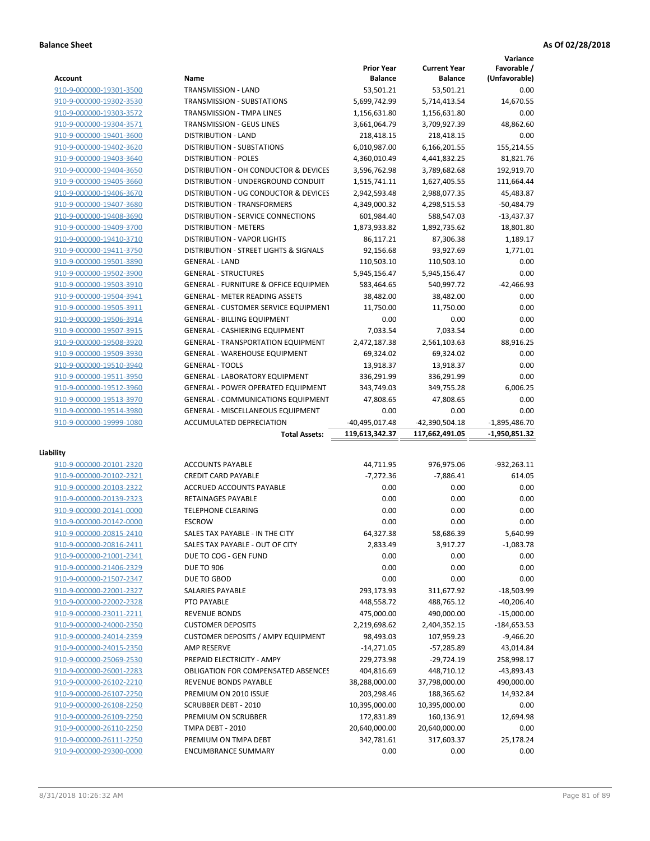**Variance**

|                                                    |                                                    | <b>Prior Year</b>  | <b>Current Year</b> | Favorable /       |
|----------------------------------------------------|----------------------------------------------------|--------------------|---------------------|-------------------|
| <b>Account</b>                                     | Name                                               | <b>Balance</b>     | <b>Balance</b>      | (Unfavorable)     |
| 910-9-000000-19301-3500                            | TRANSMISSION - LAND                                | 53,501.21          | 53,501.21           | 0.00              |
| 910-9-000000-19302-3530                            | <b>TRANSMISSION - SUBSTATIONS</b>                  | 5,699,742.99       | 5,714,413.54        | 14,670.55         |
| 910-9-000000-19303-3572                            | TRANSMISSION - TMPA LINES                          | 1,156,631.80       | 1,156,631.80        | 0.00              |
| 910-9-000000-19304-3571                            | TRANSMISSION - GEUS LINES                          | 3,661,064.79       | 3,709,927.39        | 48,862.60         |
| 910-9-000000-19401-3600                            | <b>DISTRIBUTION - LAND</b>                         | 218,418.15         | 218,418.15          | 0.00              |
| 910-9-000000-19402-3620                            | <b>DISTRIBUTION - SUBSTATIONS</b>                  | 6,010,987.00       | 6,166,201.55        | 155,214.55        |
| 910-9-000000-19403-3640                            | <b>DISTRIBUTION - POLES</b>                        | 4,360,010.49       | 4,441,832.25        | 81,821.76         |
| 910-9-000000-19404-3650                            | DISTRIBUTION - OH CONDUCTOR & DEVICES              | 3,596,762.98       | 3,789,682.68        | 192,919.70        |
| 910-9-000000-19405-3660                            | DISTRIBUTION - UNDERGROUND CONDUIT                 | 1,515,741.11       | 1,627,405.55        | 111,664.44        |
| 910-9-000000-19406-3670                            | DISTRIBUTION - UG CONDUCTOR & DEVICES              | 2,942,593.48       | 2,988,077.35        | 45,483.87         |
| 910-9-000000-19407-3680                            | DISTRIBUTION - TRANSFORMERS                        | 4,349,000.32       | 4,298,515.53        | $-50,484.79$      |
| 910-9-000000-19408-3690                            | DISTRIBUTION - SERVICE CONNECTIONS                 | 601,984.40         | 588,547.03          | $-13,437.37$      |
|                                                    | <b>DISTRIBUTION - METERS</b>                       |                    |                     |                   |
| 910-9-000000-19409-3700                            |                                                    | 1,873,933.82       | 1,892,735.62        | 18,801.80         |
| 910-9-000000-19410-3710                            | <b>DISTRIBUTION - VAPOR LIGHTS</b>                 | 86,117.21          | 87,306.38           | 1,189.17          |
| 910-9-000000-19411-3750                            | DISTRIBUTION - STREET LIGHTS & SIGNALS             | 92,156.68          | 93,927.69           | 1,771.01          |
| 910-9-000000-19501-3890                            | <b>GENERAL - LAND</b>                              | 110,503.10         | 110,503.10          | 0.00              |
| 910-9-000000-19502-3900                            | <b>GENERAL - STRUCTURES</b>                        | 5,945,156.47       | 5,945,156.47        | 0.00              |
| 910-9-000000-19503-3910                            | <b>GENERAL - FURNITURE &amp; OFFICE EQUIPMEN</b>   | 583,464.65         | 540,997.72          | $-42,466.93$      |
| 910-9-000000-19504-3941                            | <b>GENERAL - METER READING ASSETS</b>              | 38,482.00          | 38,482.00           | 0.00              |
| 910-9-000000-19505-3911                            | GENERAL - CUSTOMER SERVICE EQUIPMENT               | 11,750.00          | 11,750.00           | 0.00              |
| 910-9-000000-19506-3914                            | <b>GENERAL - BILLING EQUIPMENT</b>                 | 0.00               | 0.00                | 0.00              |
| 910-9-000000-19507-3915                            | GENERAL - CASHIERING EQUIPMENT                     | 7,033.54           | 7,033.54            | 0.00              |
| 910-9-000000-19508-3920                            | <b>GENERAL - TRANSPORTATION EQUIPMENT</b>          | 2,472,187.38       | 2,561,103.63        | 88,916.25         |
| 910-9-000000-19509-3930                            | <b>GENERAL - WAREHOUSE EQUIPMENT</b>               | 69,324.02          | 69,324.02           | 0.00              |
| 910-9-000000-19510-3940                            | <b>GENERAL - TOOLS</b>                             | 13,918.37          | 13,918.37           | 0.00              |
| 910-9-000000-19511-3950                            | <b>GENERAL - LABORATORY EQUIPMENT</b>              | 336,291.99         | 336,291.99          | 0.00              |
| 910-9-000000-19512-3960                            | GENERAL - POWER OPERATED EQUIPMENT                 | 343,749.03         | 349,755.28          | 6,006.25          |
| 910-9-000000-19513-3970                            | <b>GENERAL - COMMUNICATIONS EQUIPMENT</b>          | 47,808.65          | 47,808.65           | 0.00              |
| 910-9-000000-19514-3980                            | <b>GENERAL - MISCELLANEOUS EQUIPMENT</b>           | 0.00               | 0.00                | 0.00              |
| 910-9-000000-19999-1080                            | ACCUMULATED DEPRECIATION                           | -40,495,017.48     | -42,390,504.18      | $-1,895,486.70$   |
|                                                    | <b>Total Assets:</b>                               | 119,613,342.37     | 117,662,491.05      | -1,950,851.32     |
|                                                    |                                                    |                    |                     |                   |
| Liability                                          |                                                    |                    |                     |                   |
| 910-9-000000-20101-2320                            |                                                    |                    |                     |                   |
|                                                    | <b>ACCOUNTS PAYABLE</b>                            | 44,711.95          | 976,975.06          | $-932,263.11$     |
| 910-9-000000-20102-2321                            | <b>CREDIT CARD PAYABLE</b>                         | $-7,272.36$        | $-7,886.41$         | 614.05            |
| 910-9-000000-20103-2322                            | <b>ACCRUED ACCOUNTS PAYABLE</b>                    | 0.00               | 0.00                | 0.00              |
|                                                    | RETAINAGES PAYABLE                                 | 0.00               |                     |                   |
| 910-9-000000-20139-2323                            |                                                    |                    | 0.00                | 0.00              |
| 910-9-000000-20141-0000                            | <b>TELEPHONE CLEARING</b>                          | 0.00               | 0.00                | 0.00              |
| 910-9-000000-20142-0000                            | <b>ESCROW</b>                                      | 0.00               | 0.00                | 0.00              |
| 910-9-000000-20815-2410                            | SALES TAX PAYABLE - IN THE CITY                    | 64,327.38          | 58,686.39           | 5,640.99          |
| 910-9-000000-20816-2411                            | SALES TAX PAYABLE - OUT OF CITY                    | 2,833.49           | 3,917.27            | $-1,083.78$       |
| 910-9-000000-21001-2341                            | DUE TO COG - GEN FUND                              | 0.00               | 0.00                | 0.00              |
| 910-9-000000-21406-2329                            | <b>DUE TO 906</b>                                  | 0.00               | 0.00                | 0.00              |
| 910-9-000000-21507-2347                            | DUE TO GBOD                                        | 0.00               | 0.00                | 0.00              |
| 910-9-000000-22001-2327                            | SALARIES PAYABLE                                   | 293,173.93         | 311,677.92          | $-18,503.99$      |
| 910-9-000000-22002-2328                            | PTO PAYABLE                                        | 448,558.72         | 488,765.12          | $-40,206.40$      |
| 910-9-000000-23011-2211                            | <b>REVENUE BONDS</b>                               | 475,000.00         | 490,000.00          | $-15,000.00$      |
| 910-9-000000-24000-2350                            | <b>CUSTOMER DEPOSITS</b>                           | 2,219,698.62       | 2,404,352.15        | $-184,653.53$     |
| 910-9-000000-24014-2359                            | <b>CUSTOMER DEPOSITS / AMPY EQUIPMENT</b>          | 98,493.03          | 107,959.23          | $-9,466.20$       |
| 910-9-000000-24015-2350                            | <b>AMP RESERVE</b>                                 | $-14,271.05$       | -57,285.89          | 43,014.84         |
| 910-9-000000-25069-2530                            | PREPAID ELECTRICITY - AMPY                         | 229,273.98         | $-29,724.19$        | 258,998.17        |
| 910-9-000000-26001-2283                            | <b>OBLIGATION FOR COMPENSATED ABSENCES</b>         | 404,816.69         | 448,710.12          | -43,893.43        |
| 910-9-000000-26102-2210                            | REVENUE BONDS PAYABLE                              | 38,288,000.00      | 37,798,000.00       | 490,000.00        |
| 910-9-000000-26107-2250                            | PREMIUM ON 2010 ISSUE                              | 203,298.46         | 188,365.62          | 14,932.84         |
| 910-9-000000-26108-2250                            | SCRUBBER DEBT - 2010                               | 10,395,000.00      | 10,395,000.00       | 0.00              |
| 910-9-000000-26109-2250                            | PREMIUM ON SCRUBBER                                | 172,831.89         | 160,136.91          | 12,694.98         |
| 910-9-000000-26110-2250                            | TMPA DEBT - 2010                                   | 20,640,000.00      | 20,640,000.00       | 0.00              |
|                                                    |                                                    |                    |                     |                   |
| 910-9-000000-26111-2250<br>910-9-000000-29300-0000 | PREMIUM ON TMPA DEBT<br><b>ENCUMBRANCE SUMMARY</b> | 342,781.61<br>0.00 | 317,603.37<br>0.00  | 25,178.24<br>0.00 |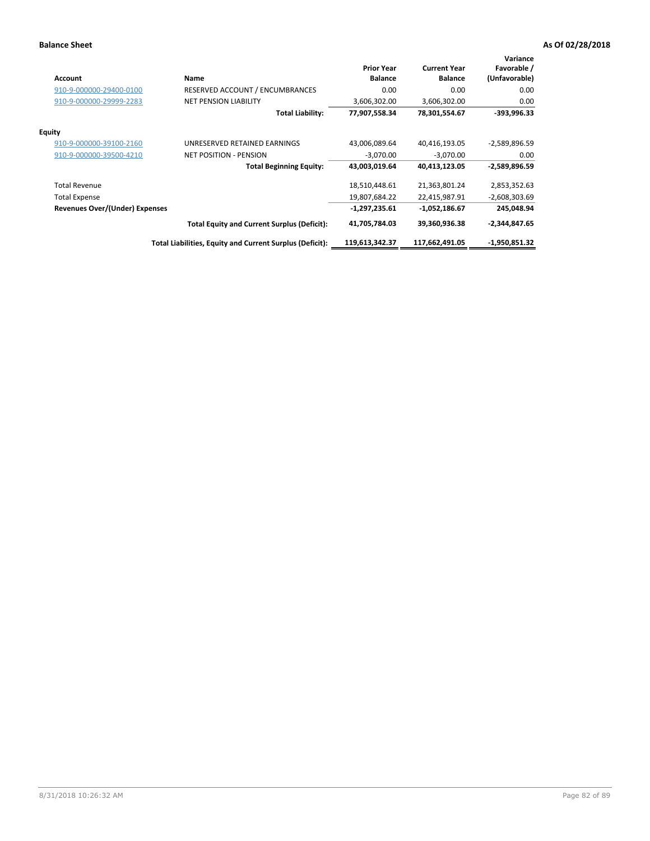| Account                               | Name                                                     | <b>Prior Year</b><br><b>Balance</b> | <b>Current Year</b><br><b>Balance</b> | Variance<br>Favorable /<br>(Unfavorable) |
|---------------------------------------|----------------------------------------------------------|-------------------------------------|---------------------------------------|------------------------------------------|
| 910-9-000000-29400-0100               | RESERVED ACCOUNT / ENCUMBRANCES                          | 0.00                                | 0.00                                  | 0.00                                     |
| 910-9-000000-29999-2283               | <b>NET PENSION LIABILITY</b>                             | 3,606,302.00                        | 3,606,302.00                          | 0.00                                     |
|                                       | <b>Total Liability:</b>                                  | 77,907,558.34                       | 78,301,554.67                         | $-393,996.33$                            |
| <b>Equity</b>                         |                                                          |                                     |                                       |                                          |
| 910-9-000000-39100-2160               | UNRESERVED RETAINED EARNINGS                             | 43,006,089.64                       | 40,416,193.05                         | -2,589,896.59                            |
| 910-9-000000-39500-4210               | <b>NET POSITION - PENSION</b>                            | $-3,070.00$                         | $-3,070.00$                           | 0.00                                     |
|                                       | <b>Total Beginning Equity:</b>                           | 43,003,019.64                       | 40,413,123.05                         | -2,589,896.59                            |
| <b>Total Revenue</b>                  |                                                          | 18,510,448.61                       | 21,363,801.24                         | 2,853,352.63                             |
| <b>Total Expense</b>                  |                                                          | 19,807,684.22                       | 22,415,987.91                         | $-2,608,303.69$                          |
| <b>Revenues Over/(Under) Expenses</b> |                                                          | $-1,297,235.61$                     | $-1,052,186.67$                       | 245,048.94                               |
|                                       | <b>Total Equity and Current Surplus (Deficit):</b>       | 41,705,784.03                       | 39,360,936.38                         | $-2,344,847.65$                          |
|                                       | Total Liabilities, Equity and Current Surplus (Deficit): | 119,613,342.37                      | 117,662,491.05                        | $-1,950,851.32$                          |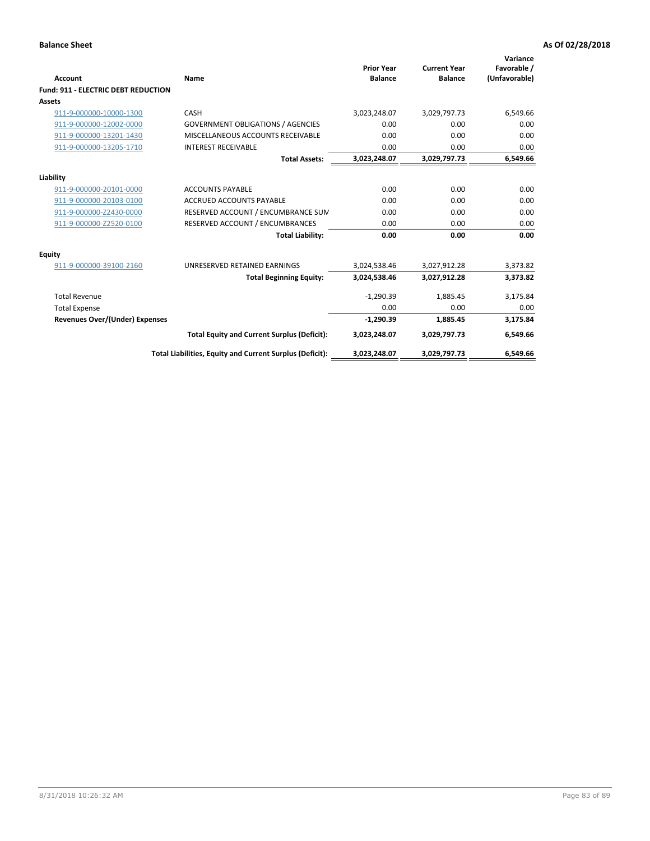| Account                                    | Name                                                     | <b>Prior Year</b><br><b>Balance</b> | <b>Current Year</b><br><b>Balance</b> | Variance<br>Favorable /<br>(Unfavorable) |
|--------------------------------------------|----------------------------------------------------------|-------------------------------------|---------------------------------------|------------------------------------------|
| <b>Fund: 911 - ELECTRIC DEBT REDUCTION</b> |                                                          |                                     |                                       |                                          |
| <b>Assets</b>                              |                                                          |                                     |                                       |                                          |
| 911-9-000000-10000-1300                    | CASH                                                     | 3,023,248.07                        | 3,029,797.73                          | 6,549.66                                 |
| 911-9-000000-12002-0000                    | <b>GOVERNMENT OBLIGATIONS / AGENCIES</b>                 | 0.00                                | 0.00                                  | 0.00                                     |
| 911-9-000000-13201-1430                    | MISCELLANEOUS ACCOUNTS RECEIVABLE                        | 0.00                                | 0.00                                  | 0.00                                     |
| 911-9-000000-13205-1710                    | <b>INTEREST RECEIVABLE</b>                               | 0.00                                | 0.00                                  | 0.00                                     |
|                                            | <b>Total Assets:</b>                                     | 3,023,248.07                        | 3,029,797.73                          | 6,549.66                                 |
| Liability                                  |                                                          |                                     |                                       |                                          |
| 911-9-000000-20101-0000                    | <b>ACCOUNTS PAYABLE</b>                                  | 0.00                                | 0.00                                  | 0.00                                     |
| 911-9-000000-20103-0100                    | <b>ACCRUED ACCOUNTS PAYABLE</b>                          | 0.00                                | 0.00                                  | 0.00                                     |
| 911-9-000000-Z2430-0000                    | RESERVED ACCOUNT / ENCUMBRANCE SUM                       | 0.00                                | 0.00                                  | 0.00                                     |
| 911-9-000000-Z2520-0100                    | RESERVED ACCOUNT / ENCUMBRANCES                          | 0.00                                | 0.00                                  | 0.00                                     |
|                                            | <b>Total Liability:</b>                                  | 0.00                                | 0.00                                  | 0.00                                     |
|                                            |                                                          |                                     |                                       |                                          |
| <b>Equity</b>                              |                                                          |                                     |                                       |                                          |
| 911-9-000000-39100-2160                    | UNRESERVED RETAINED EARNINGS                             | 3,024,538.46                        | 3,027,912.28                          | 3,373.82                                 |
|                                            | <b>Total Beginning Equity:</b>                           | 3,024,538.46                        | 3,027,912.28                          | 3,373.82                                 |
| <b>Total Revenue</b>                       |                                                          | $-1,290.39$                         | 1,885.45                              | 3,175.84                                 |
| <b>Total Expense</b>                       |                                                          | 0.00                                | 0.00                                  | 0.00                                     |
| Revenues Over/(Under) Expenses             |                                                          | $-1,290.39$                         | 1,885.45                              | 3,175.84                                 |
|                                            | <b>Total Equity and Current Surplus (Deficit):</b>       | 3,023,248.07                        | 3,029,797.73                          | 6,549.66                                 |
|                                            | Total Liabilities, Equity and Current Surplus (Deficit): | 3,023,248.07                        | 3,029,797.73                          | 6,549.66                                 |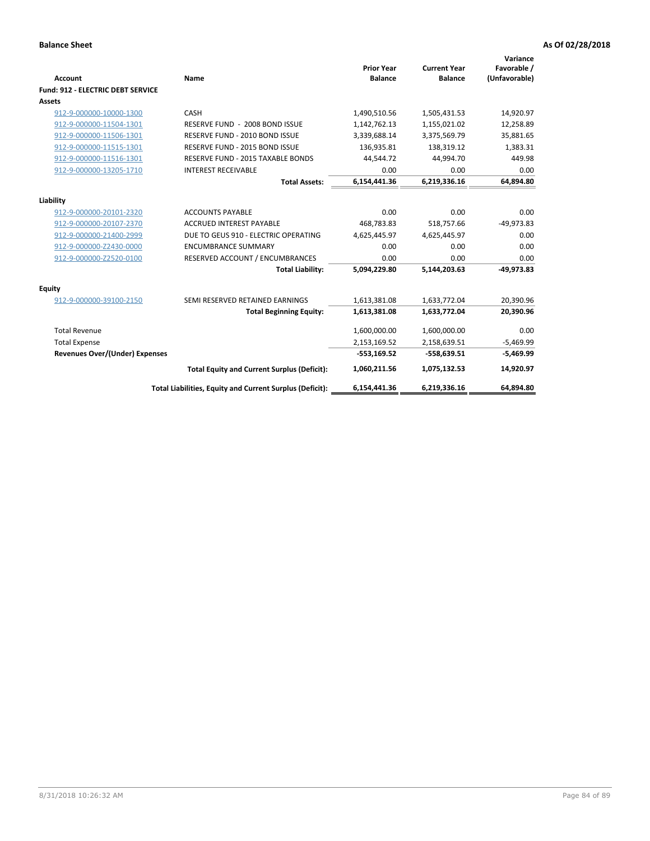| Account                                  | Name                                                     | <b>Prior Year</b><br><b>Balance</b> | <b>Current Year</b><br><b>Balance</b> | Variance<br>Favorable /<br>(Unfavorable) |
|------------------------------------------|----------------------------------------------------------|-------------------------------------|---------------------------------------|------------------------------------------|
| <b>Fund: 912 - ELECTRIC DEBT SERVICE</b> |                                                          |                                     |                                       |                                          |
| <b>Assets</b>                            |                                                          |                                     |                                       |                                          |
| 912-9-000000-10000-1300                  | CASH                                                     | 1,490,510.56                        | 1,505,431.53                          | 14,920.97                                |
| 912-9-000000-11504-1301                  | RESERVE FUND - 2008 BOND ISSUE                           | 1,142,762.13                        | 1,155,021.02                          | 12,258.89                                |
| 912-9-000000-11506-1301                  | RESERVE FUND - 2010 BOND ISSUE                           | 3,339,688.14                        | 3,375,569.79                          | 35,881.65                                |
| 912-9-000000-11515-1301                  | RESERVE FUND - 2015 BOND ISSUE                           | 136,935.81                          | 138,319.12                            | 1,383.31                                 |
| 912-9-000000-11516-1301                  | <b>RESERVE FUND - 2015 TAXABLE BONDS</b>                 | 44,544.72                           | 44,994.70                             | 449.98                                   |
| 912-9-000000-13205-1710                  | <b>INTEREST RECEIVABLE</b>                               | 0.00                                | 0.00                                  | 0.00                                     |
|                                          | <b>Total Assets:</b>                                     | 6,154,441.36                        | 6,219,336.16                          | 64,894.80                                |
| Liability                                |                                                          |                                     |                                       |                                          |
| 912-9-000000-20101-2320                  | <b>ACCOUNTS PAYABLE</b>                                  | 0.00                                | 0.00                                  | 0.00                                     |
| 912-9-000000-20107-2370                  | <b>ACCRUED INTEREST PAYABLE</b>                          | 468,783.83                          | 518,757.66                            | $-49,973.83$                             |
| 912-9-000000-21400-2999                  | DUE TO GEUS 910 - ELECTRIC OPERATING                     | 4,625,445.97                        | 4,625,445.97                          | 0.00                                     |
| 912-9-000000-Z2430-0000                  | <b>ENCUMBRANCE SUMMARY</b>                               | 0.00                                | 0.00                                  | 0.00                                     |
| 912-9-000000-Z2520-0100                  | RESERVED ACCOUNT / ENCUMBRANCES                          | 0.00                                | 0.00                                  | 0.00                                     |
|                                          | <b>Total Liability:</b>                                  | 5,094,229.80                        | 5,144,203.63                          | $-49,973.83$                             |
| Equity                                   |                                                          |                                     |                                       |                                          |
| 912-9-000000-39100-2150                  | SEMI RESERVED RETAINED EARNINGS                          | 1,613,381.08                        | 1,633,772.04                          | 20,390.96                                |
|                                          | <b>Total Beginning Equity:</b>                           | 1,613,381.08                        | 1,633,772.04                          | 20,390.96                                |
| <b>Total Revenue</b>                     |                                                          | 1,600,000.00                        | 1,600,000.00                          | 0.00                                     |
| <b>Total Expense</b>                     |                                                          | 2,153,169.52                        | 2,158,639.51                          | $-5,469.99$                              |
| <b>Revenues Over/(Under) Expenses</b>    |                                                          | $-553,169.52$                       | $-558,639.51$                         | $-5,469.99$                              |
|                                          | <b>Total Equity and Current Surplus (Deficit):</b>       | 1,060,211.56                        | 1,075,132.53                          | 14,920.97                                |
|                                          | Total Liabilities, Equity and Current Surplus (Deficit): | 6,154,441.36                        | 6,219,336.16                          | 64.894.80                                |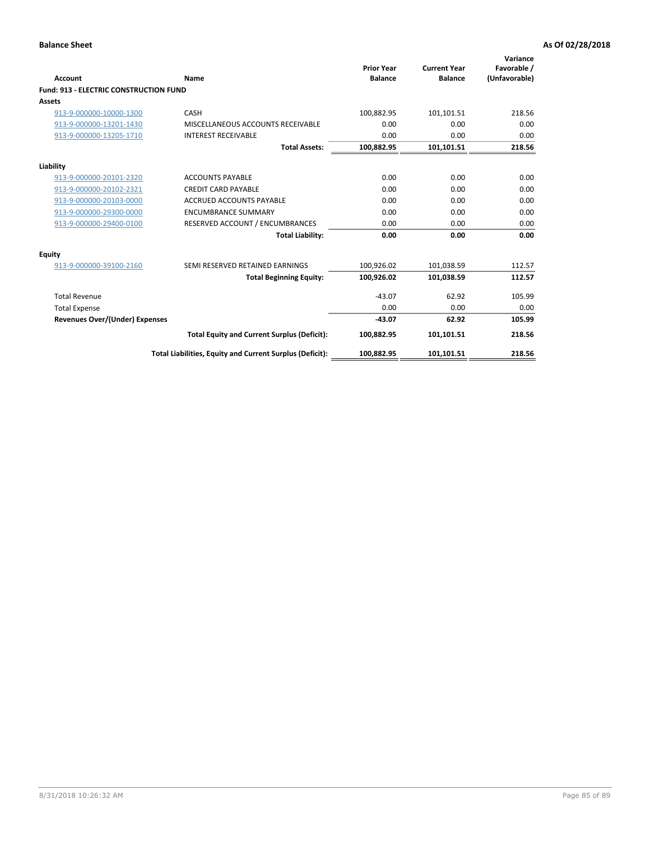| Account                                       | Name                                                     | <b>Prior Year</b><br><b>Balance</b> | <b>Current Year</b><br><b>Balance</b> | Variance<br>Favorable /<br>(Unfavorable) |
|-----------------------------------------------|----------------------------------------------------------|-------------------------------------|---------------------------------------|------------------------------------------|
| <b>Fund: 913 - ELECTRIC CONSTRUCTION FUND</b> |                                                          |                                     |                                       |                                          |
| <b>Assets</b>                                 |                                                          |                                     |                                       |                                          |
| 913-9-000000-10000-1300                       | CASH                                                     | 100,882.95                          | 101,101.51                            | 218.56                                   |
| 913-9-000000-13201-1430                       | MISCELLANEOUS ACCOUNTS RECEIVABLE                        | 0.00                                | 0.00                                  | 0.00                                     |
| 913-9-000000-13205-1710                       | <b>INTEREST RECEIVABLE</b>                               | 0.00                                | 0.00                                  | 0.00                                     |
|                                               | <b>Total Assets:</b>                                     | 100,882.95                          | 101,101.51                            | 218.56                                   |
| Liability                                     |                                                          |                                     |                                       |                                          |
| 913-9-000000-20101-2320                       | <b>ACCOUNTS PAYABLE</b>                                  | 0.00                                | 0.00                                  | 0.00                                     |
| 913-9-000000-20102-2321                       | <b>CREDIT CARD PAYABLE</b>                               | 0.00                                | 0.00                                  | 0.00                                     |
| 913-9-000000-20103-0000                       | <b>ACCRUED ACCOUNTS PAYABLE</b>                          | 0.00                                | 0.00                                  | 0.00                                     |
| 913-9-000000-29300-0000                       | <b>ENCUMBRANCE SUMMARY</b>                               | 0.00                                | 0.00                                  | 0.00                                     |
| 913-9-000000-29400-0100                       | RESERVED ACCOUNT / ENCUMBRANCES                          | 0.00                                | 0.00                                  | 0.00                                     |
|                                               | <b>Total Liability:</b>                                  | 0.00                                | 0.00                                  | 0.00                                     |
| Equity                                        |                                                          |                                     |                                       |                                          |
| 913-9-000000-39100-2160                       | SEMI RESERVED RETAINED EARNINGS                          | 100,926.02                          | 101,038.59                            | 112.57                                   |
|                                               | <b>Total Beginning Equity:</b>                           | 100,926.02                          | 101,038.59                            | 112.57                                   |
| <b>Total Revenue</b>                          |                                                          | $-43.07$                            | 62.92                                 | 105.99                                   |
| <b>Total Expense</b>                          |                                                          | 0.00                                | 0.00                                  | 0.00                                     |
| Revenues Over/(Under) Expenses                |                                                          | $-43.07$                            | 62.92                                 | 105.99                                   |
|                                               | <b>Total Equity and Current Surplus (Deficit):</b>       | 100,882.95                          | 101,101.51                            | 218.56                                   |
|                                               | Total Liabilities, Equity and Current Surplus (Deficit): | 100,882.95                          | 101,101.51                            | 218.56                                   |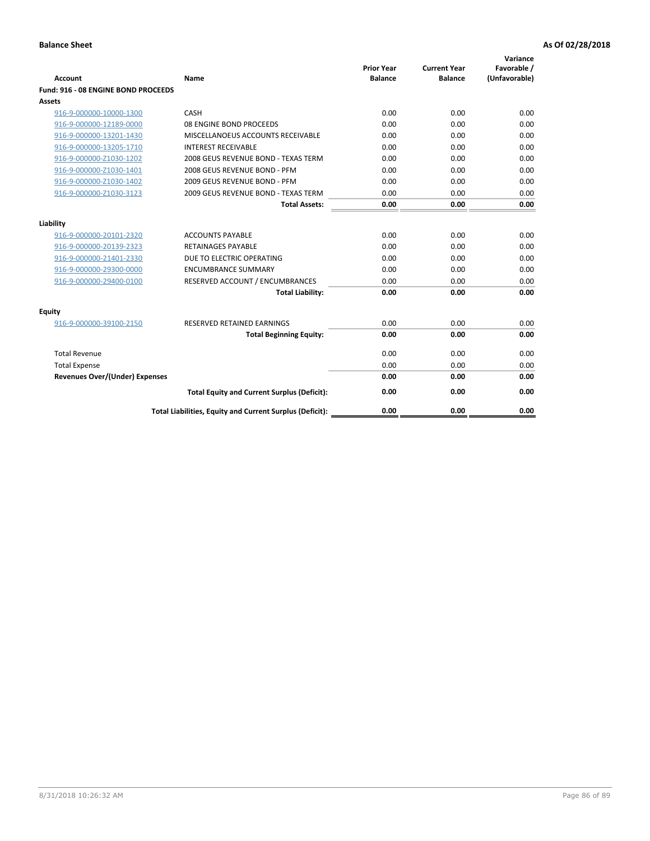| <b>Account</b>                      | Name                                                     | <b>Prior Year</b><br><b>Balance</b> | <b>Current Year</b><br><b>Balance</b> | Variance<br>Favorable /<br>(Unfavorable) |
|-------------------------------------|----------------------------------------------------------|-------------------------------------|---------------------------------------|------------------------------------------|
| Fund: 916 - 08 ENGINE BOND PROCEEDS |                                                          |                                     |                                       |                                          |
| Assets                              |                                                          |                                     |                                       |                                          |
| 916-9-000000-10000-1300             | CASH                                                     | 0.00                                | 0.00                                  | 0.00                                     |
| 916-9-000000-12189-0000             | 08 ENGINE BOND PROCEEDS                                  | 0.00                                | 0.00                                  | 0.00                                     |
| 916-9-000000-13201-1430             | MISCELLANOEUS ACCOUNTS RECEIVABLE                        | 0.00                                | 0.00                                  | 0.00                                     |
| 916-9-000000-13205-1710             | <b>INTEREST RECEIVABLE</b>                               | 0.00                                | 0.00                                  | 0.00                                     |
| 916-9-000000-Z1030-1202             | 2008 GEUS REVENUE BOND - TEXAS TERM                      | 0.00                                | 0.00                                  | 0.00                                     |
| 916-9-000000-Z1030-1401             | 2008 GEUS REVENUE BOND - PFM                             | 0.00                                | 0.00                                  | 0.00                                     |
| 916-9-000000-Z1030-1402             | 2009 GEUS REVENUE BOND - PFM                             | 0.00                                | 0.00                                  | 0.00                                     |
| 916-9-000000-Z1030-3123             | 2009 GEUS REVENUE BOND - TEXAS TERM                      | 0.00                                | 0.00                                  | 0.00                                     |
|                                     | <b>Total Assets:</b>                                     | 0.00                                | 0.00                                  | 0.00                                     |
| Liability                           |                                                          |                                     |                                       |                                          |
| 916-9-000000-20101-2320             | <b>ACCOUNTS PAYABLE</b>                                  | 0.00                                | 0.00                                  | 0.00                                     |
| 916-9-000000-20139-2323             | <b>RETAINAGES PAYABLE</b>                                | 0.00                                | 0.00                                  | 0.00                                     |
| 916-9-000000-21401-2330             | DUE TO ELECTRIC OPERATING                                | 0.00                                | 0.00                                  | 0.00                                     |
| 916-9-000000-29300-0000             | <b>ENCUMBRANCE SUMMARY</b>                               | 0.00                                | 0.00                                  | 0.00                                     |
| 916-9-000000-29400-0100             | RESERVED ACCOUNT / ENCUMBRANCES                          | 0.00                                | 0.00                                  | 0.00                                     |
|                                     | <b>Total Liability:</b>                                  | 0.00                                | 0.00                                  | 0.00                                     |
| Equity                              |                                                          |                                     |                                       |                                          |
| 916-9-000000-39100-2150             | <b>RESERVED RETAINED EARNINGS</b>                        | 0.00                                | 0.00                                  | 0.00                                     |
|                                     | <b>Total Beginning Equity:</b>                           | 0.00                                | 0.00                                  | 0.00                                     |
| <b>Total Revenue</b>                |                                                          | 0.00                                | 0.00                                  | 0.00                                     |
| <b>Total Expense</b>                |                                                          | 0.00                                | 0.00                                  | 0.00                                     |
| Revenues Over/(Under) Expenses      |                                                          | 0.00                                | 0.00                                  | 0.00                                     |
|                                     | <b>Total Equity and Current Surplus (Deficit):</b>       | 0.00                                | 0.00                                  | 0.00                                     |
|                                     | Total Liabilities, Equity and Current Surplus (Deficit): | 0.00                                | 0.00                                  | 0.00                                     |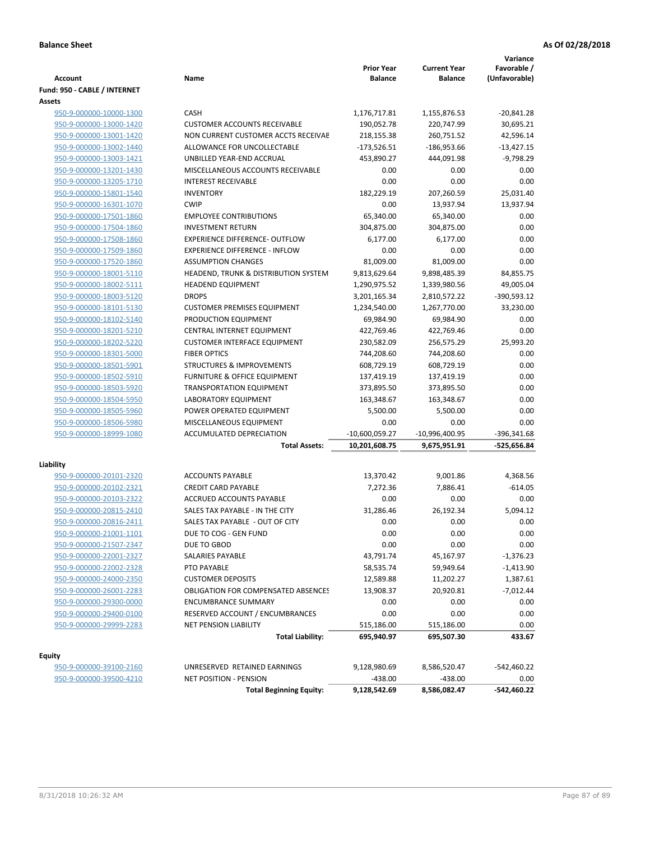| <b>Account</b>                                     | Name                                                          | <b>Prior Year</b><br><b>Balance</b> | <b>Current Year</b><br><b>Balance</b> | Variance<br>Favorable /<br>(Unfavorable) |
|----------------------------------------------------|---------------------------------------------------------------|-------------------------------------|---------------------------------------|------------------------------------------|
| Fund: 950 - CABLE / INTERNET                       |                                                               |                                     |                                       |                                          |
| Assets                                             |                                                               |                                     |                                       |                                          |
| 950-9-000000-10000-1300                            | CASH                                                          | 1,176,717.81                        | 1,155,876.53                          | $-20,841.28$                             |
| 950-9-000000-13000-1420                            | <b>CUSTOMER ACCOUNTS RECEIVABLE</b>                           | 190,052.78                          | 220,747.99                            | 30,695.21                                |
| 950-9-000000-13001-1420                            | NON CURRENT CUSTOMER ACCTS RECEIVAE                           | 218,155.38                          | 260,751.52                            | 42,596.14                                |
| 950-9-000000-13002-1440                            | ALLOWANCE FOR UNCOLLECTABLE                                   | $-173,526.51$                       | $-186,953.66$                         | $-13,427.15$                             |
| 950-9-000000-13003-1421                            | UNBILLED YEAR-END ACCRUAL                                     | 453,890.27                          | 444,091.98                            | $-9,798.29$                              |
| 950-9-000000-13201-1430                            | MISCELLANEOUS ACCOUNTS RECEIVABLE                             | 0.00                                | 0.00                                  | 0.00                                     |
| 950-9-000000-13205-1710                            | <b>INTEREST RECEIVABLE</b>                                    | 0.00                                | 0.00                                  | 0.00                                     |
| 950-9-000000-15801-1540                            | <b>INVENTORY</b>                                              | 182,229.19                          | 207,260.59                            | 25,031.40                                |
| 950-9-000000-16301-1070                            | <b>CWIP</b>                                                   | 0.00                                | 13,937.94                             | 13,937.94                                |
| 950-9-000000-17501-1860                            | <b>EMPLOYEE CONTRIBUTIONS</b>                                 | 65,340.00                           | 65,340.00                             | 0.00                                     |
| 950-9-000000-17504-1860                            | <b>INVESTMENT RETURN</b>                                      | 304,875.00                          | 304,875.00                            | 0.00                                     |
| 950-9-000000-17508-1860                            | <b>EXPERIENCE DIFFERENCE- OUTFLOW</b>                         | 6,177.00                            | 6,177.00                              | 0.00                                     |
| 950-9-000000-17509-1860                            | <b>EXPERIENCE DIFFERENCE - INFLOW</b>                         | 0.00                                | 0.00                                  | 0.00                                     |
| 950-9-000000-17520-1860                            | <b>ASSUMPTION CHANGES</b>                                     | 81,009.00                           | 81,009.00                             | 0.00                                     |
| 950-9-000000-18001-5110                            | HEADEND, TRUNK & DISTRIBUTION SYSTEM                          | 9,813,629.64                        | 9,898,485.39                          | 84,855.75                                |
| 950-9-000000-18002-5111                            | <b>HEADEND EQUIPMENT</b>                                      | 1,290,975.52                        | 1,339,980.56                          | 49,005.04                                |
| 950-9-000000-18003-5120                            | <b>DROPS</b>                                                  | 3,201,165.34                        | 2,810,572.22                          | -390,593.12                              |
| 950-9-000000-18101-5130                            | <b>CUSTOMER PREMISES EQUIPMENT</b>                            | 1,234,540.00                        | 1,267,770.00                          | 33,230.00                                |
| 950-9-000000-18102-5140                            | PRODUCTION EQUIPMENT                                          | 69,984.90                           | 69,984.90                             | 0.00                                     |
| 950-9-000000-18201-5210                            | CENTRAL INTERNET EQUIPMENT                                    | 422,769.46                          | 422,769.46                            | 0.00                                     |
| 950-9-000000-18202-5220                            | <b>CUSTOMER INTERFACE EQUIPMENT</b>                           | 230,582.09                          | 256,575.29                            | 25,993.20                                |
| 950-9-000000-18301-5000                            | <b>FIBER OPTICS</b>                                           | 744,208.60                          | 744,208.60                            | 0.00                                     |
| 950-9-000000-18501-5901                            | <b>STRUCTURES &amp; IMPROVEMENTS</b>                          | 608,729.19                          | 608,729.19                            | 0.00                                     |
| 950-9-000000-18502-5910                            | <b>FURNITURE &amp; OFFICE EQUIPMENT</b>                       | 137,419.19                          | 137,419.19                            | 0.00                                     |
| 950-9-000000-18503-5920                            | <b>TRANSPORTATION EQUIPMENT</b>                               | 373,895.50                          | 373,895.50                            | 0.00                                     |
| 950-9-000000-18504-5950                            | LABORATORY EQUIPMENT                                          | 163,348.67                          | 163,348.67                            | 0.00                                     |
| 950-9-000000-18505-5960                            | POWER OPERATED EQUIPMENT                                      | 5,500.00                            | 5,500.00                              | 0.00                                     |
| 950-9-000000-18506-5980                            | MISCELLANEOUS EQUIPMENT                                       | 0.00                                | 0.00                                  | 0.00                                     |
| 950-9-000000-18999-1080                            | ACCUMULATED DEPRECIATION                                      | -10,600,059.27                      | $-10,996,400.95$                      | -396,341.68                              |
|                                                    | <b>Total Assets:</b>                                          | 10,201,608.75                       | 9,675,951.91                          | -525,656.84                              |
| Liability                                          |                                                               |                                     |                                       |                                          |
| 950-9-000000-20101-2320                            | <b>ACCOUNTS PAYABLE</b>                                       | 13,370.42                           | 9,001.86                              | 4,368.56                                 |
| 950-9-000000-20102-2321                            | <b>CREDIT CARD PAYABLE</b>                                    | 7,272.36                            | 7,886.41                              | $-614.05$                                |
| 950-9-000000-20103-2322                            | ACCRUED ACCOUNTS PAYABLE                                      | 0.00                                | 0.00                                  | 0.00                                     |
| 950-9-000000-20815-2410                            | SALES TAX PAYABLE - IN THE CITY                               | 31,286.46                           | 26,192.34                             | 5,094.12                                 |
| 950-9-000000-20816-2411                            | SALES TAX PAYABLE - OUT OF CITY                               | 0.00                                | 0.00                                  | 0.00                                     |
| 950-9-000000-21001-1101                            | DUE TO COG - GEN FUND                                         | 0.00                                | 0.00                                  | 0.00                                     |
| 950-9-000000-21507-2347                            | DUE TO GBOD                                                   | 0.00                                | 0.00                                  | 0.00                                     |
| 950-9-000000-22001-2327                            | SALARIES PAYABLE                                              | 43,791.74                           | 45,167.97                             | -1,376.23                                |
| 950-9-000000-22002-2328                            | PTO PAYABLE                                                   | 58,535.74                           | 59,949.64                             | $-1,413.90$                              |
| 950-9-000000-24000-2350                            | <b>CUSTOMER DEPOSITS</b>                                      | 12,589.88                           | 11,202.27                             | 1,387.61                                 |
| 950-9-000000-26001-2283                            | <b>OBLIGATION FOR COMPENSATED ABSENCES</b>                    | 13,908.37                           | 20,920.81                             | $-7,012.44$                              |
| 950-9-000000-29300-0000                            | <b>ENCUMBRANCE SUMMARY</b>                                    | 0.00                                | 0.00                                  | 0.00                                     |
| 950-9-000000-29400-0100                            | RESERVED ACCOUNT / ENCUMBRANCES                               | 0.00                                | 0.00                                  | 0.00                                     |
| 950-9-000000-29999-2283                            | <b>NET PENSION LIABILITY</b>                                  | 515,186.00                          | 515,186.00                            | 0.00                                     |
|                                                    | <b>Total Liability:</b>                                       | 695,940.97                          | 695,507.30                            | 433.67                                   |
|                                                    |                                                               |                                     |                                       |                                          |
| Equity                                             |                                                               |                                     |                                       |                                          |
| 950-9-000000-39100-2160<br>950-9-000000-39500-4210 | UNRESERVED RETAINED EARNINGS<br><b>NET POSITION - PENSION</b> | 9,128,980.69<br>$-438.00$           | 8,586,520.47<br>$-438.00$             | -542,460.22<br>0.00                      |
|                                                    | <b>Total Beginning Equity:</b>                                | 9,128,542.69                        | 8,586,082.47                          | -542,460.22                              |
|                                                    |                                                               |                                     |                                       |                                          |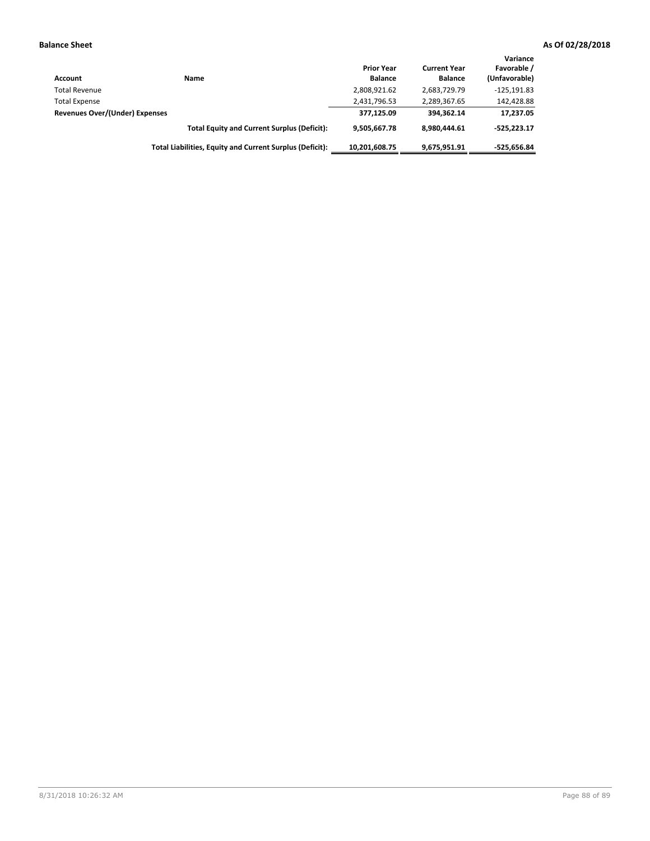| Account                        | Name                                                     | <b>Prior Year</b><br><b>Balance</b> | <b>Current Year</b><br><b>Balance</b> | Variance<br>Favorable /<br>(Unfavorable) |
|--------------------------------|----------------------------------------------------------|-------------------------------------|---------------------------------------|------------------------------------------|
| <b>Total Revenue</b>           |                                                          | 2,808,921.62                        | 2,683,729.79                          | $-125,191.83$                            |
| <b>Total Expense</b>           |                                                          | 2,431,796.53                        | 2,289,367.65                          | 142,428.88                               |
| Revenues Over/(Under) Expenses |                                                          | 377,125.09                          | 394.362.14                            | 17,237.05                                |
|                                | <b>Total Equity and Current Surplus (Deficit):</b>       | 9.505.667.78                        | 8.980.444.61                          | $-525.223.17$                            |
|                                | Total Liabilities, Equity and Current Surplus (Deficit): | 10,201,608.75                       | 9,675,951.91                          | $-525.656.84$                            |